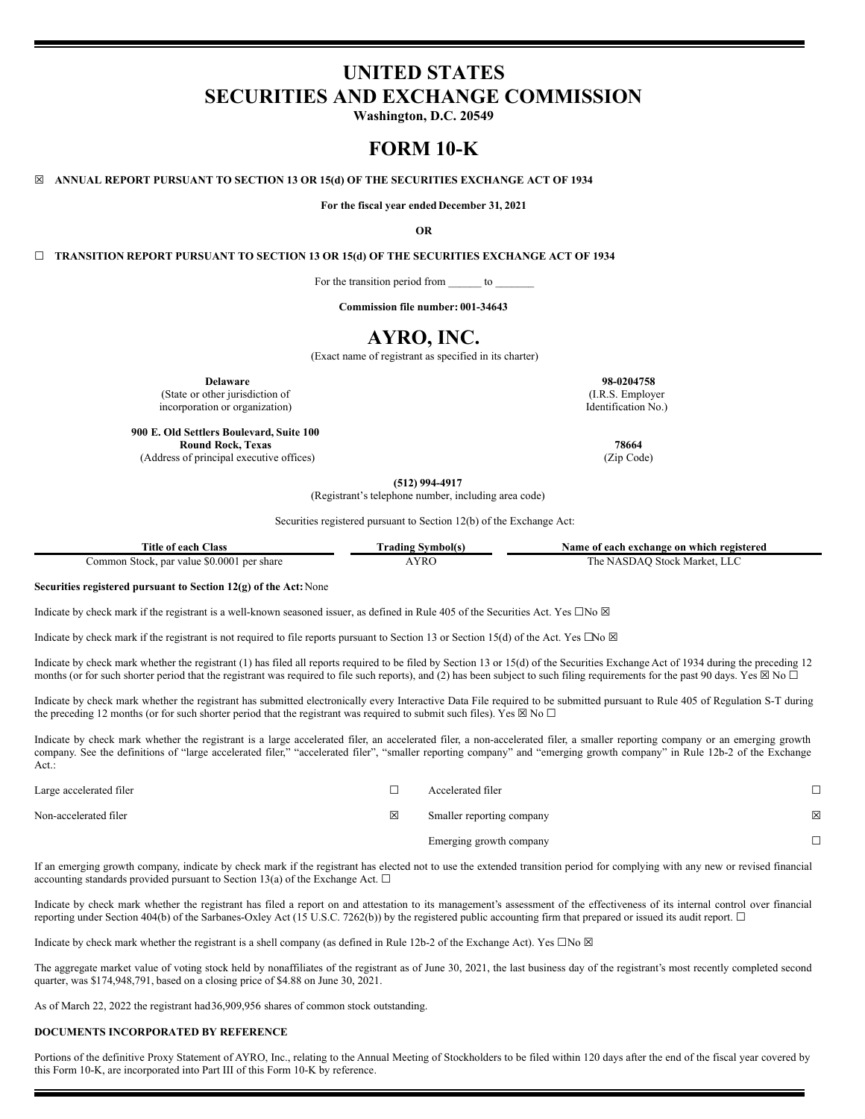# **UNITED STATES SECURITIES AND EXCHANGE COMMISSION**

**Washington, D.C. 20549**

# **FORM 10-K**

<span id="page-0-0"></span>☒ **ANNUAL REPORT PURSUANT TO SECTION 13 OR 15(d) OF THE SECURITIES EXCHANGE ACT OF 1934**

**For the fiscal year ended December 31, 2021**

**OR**

☐ **TRANSITION REPORT PURSUANT TO SECTION 13 OR 15(d) OF THE SECURITIES EXCHANGE ACT OF 1934**

For the transition period from \_\_\_\_\_\_\_ to \_

**Commission file number: 001-34643**

# **AYRO, INC.**

(Exact name of registrant as specified in its charter)

**Delaware 98-0204758** (State or other jurisdiction of incorporation or organization)

**900 E. Old Settlers Boulevard, Suite 100 Round Rock, Texas 78664** (Address of principal executive offices) (Zip Code)

**(512) 994-4917**

(Registrant's telephone number, including area code)

Securities registered pursuant to Section 12(b) of the Exchange Act:

|                                                             |      | Name                                                |  |  |  |  |
|-------------------------------------------------------------|------|-----------------------------------------------------|--|--|--|--|
| $T = 1$                                                     |      | registered                                          |  |  |  |  |
| . itle                                                      |      | which                                               |  |  |  |  |
| Aas:                                                        |      | n exchange                                          |  |  |  |  |
| Nymbol(s                                                    |      | -on                                                 |  |  |  |  |
| radıng                                                      |      | each                                                |  |  |  |  |
| each                                                        |      | - 01                                                |  |  |  |  |
| \$0.000<br>share<br>∕alue<br>.ommon<br>ner<br>Stock.<br>nar | AYRC | 'ne<br>$\cdot$ $\mathsf{v}$ ark $\sim$<br>. , Stock |  |  |  |  |

**Securities registered pursuant to Section 12(g) of the Act:**None

Indicate by check mark if the registrant is a well-known seasoned issuer, as defined in Rule 405 of the Securities Act. Yes  $\Box$ No  $\boxtimes$ 

Indicate by check mark if the registrant is not required to file reports pursuant to Section 13 or Section 15(d) of the Act. Yes □No ⊠

Indicate by check mark whether the registrant (1) has filed all reports required to be filed by Section 13 or 15(d) of the Securities Exchange Act of 1934 during the preceding 12 months (or for such shorter period that the registrant was required to file such reports), and (2) has been subject to such filing requirements for the past 90 days. Yes  $\boxtimes$  No  $\Box$ 

Indicate by check mark whether the registrant has submitted electronically every Interactive Data File required to be submitted pursuant to Rule 405 of Regulation S-T during the preceding 12 months (or for such shorter period that the registrant was required to submit such files). Yes  $\boxtimes$  No  $\Box$ 

Indicate by check mark whether the registrant is a large accelerated filer, an accelerated filer, a non-accelerated filer, a smaller reporting company or an emerging growth company. See the definitions of "large accelerated filer," "accelerated filer", "smaller reporting company" and "emerging growth company" in Rule 12b-2 of the Exchange Act.:

| Large accelerated filer |   | Accelerated filer         |             |
|-------------------------|---|---------------------------|-------------|
| Non-accelerated filer   | ⊠ | Smaller reporting company | $\boxtimes$ |
|                         |   | Emerging growth company   |             |

If an emerging growth company, indicate by check mark if the registrant has elected not to use the extended transition period for complying with any new or revised financial accounting standards provided pursuant to Section 13(a) of the Exchange Act.  $\square$ 

Indicate by check mark whether the registrant has filed a report on and attestation to its management's assessment of the effectiveness of its internal control over financial reporting under Section 404(b) of the Sarbanes-Oxley Act (15 U.S.C. 7262(b)) by the registered public accounting firm that prepared or issued its audit report. □

Indicate by check mark whether the registrant is a shell company (as defined in Rule 12b-2 of the Exchange Act). Yes □No ⊠

The aggregate market value of voting stock held by nonaffiliates of the registrant as of June 30, 2021, the last business day of the registrant's most recently completed second quarter, was \$174,948,791, based on a closing price of \$4.88 on June 30, 2021.

As of March 22, 2022 the registrant had36,909,956 shares of common stock outstanding.

# **DOCUMENTS INCORPORATED BY REFERENCE**

Portions of the definitive Proxy Statement of AYRO, Inc., relating to the Annual Meeting of Stockholders to be filed within 120 days after the end of the fiscal year covered by this Form 10-K, are incorporated into Part III of this Form 10-K by reference.

(I.R.S. Employer Identification No.)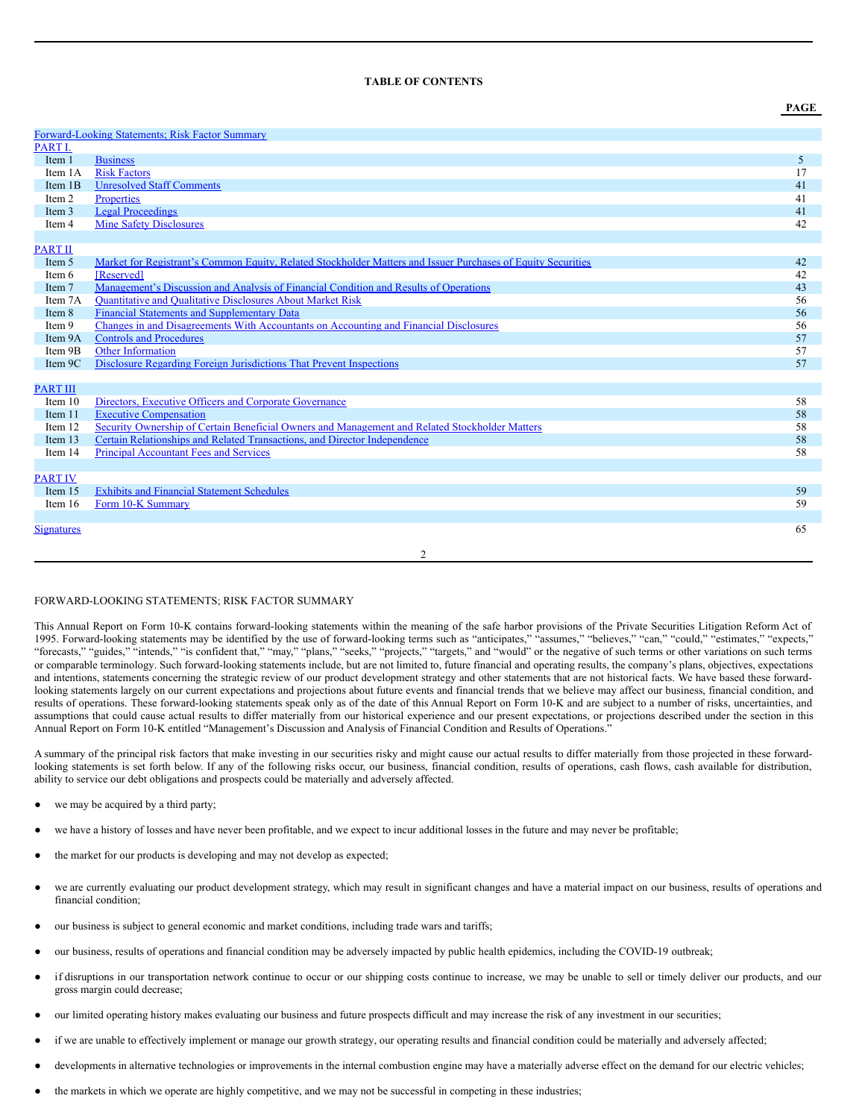# **TABLE OF CONTENTS**

**PAGE**

|                   | <b>Forward-Looking Statements: Risk Factor Summary</b>                                                       |    |
|-------------------|--------------------------------------------------------------------------------------------------------------|----|
| PART I.           |                                                                                                              |    |
| Item 1            | <b>Business</b>                                                                                              | 5  |
| Item 1A           | <b>Risk Factors</b>                                                                                          | 17 |
| Item 1B           | <b>Unresolved Staff Comments</b>                                                                             | 41 |
| Item 2            | Properties                                                                                                   | 41 |
| Item 3            | <b>Legal Proceedings</b>                                                                                     | 41 |
| Item 4            | <b>Mine Safety Disclosures</b>                                                                               | 42 |
| <b>PART II</b>    |                                                                                                              |    |
| Item 5            | Market for Registrant's Common Equity, Related Stockholder Matters and Issuer Purchases of Equity Securities | 42 |
| Item 6            | [Reserved]                                                                                                   | 42 |
| Item 7            | Management's Discussion and Analysis of Financial Condition and Results of Operations                        | 43 |
| Item 7A           | <b>Ouantitative and Qualitative Disclosures About Market Risk</b>                                            | 56 |
| Item 8            | <b>Financial Statements and Supplementary Data</b>                                                           | 56 |
| Item 9            | Changes in and Disagreements With Accountants on Accounting and Financial Disclosures                        | 56 |
| Item 9A           | <b>Controls and Procedures</b>                                                                               | 57 |
| Item 9B           | <b>Other Information</b>                                                                                     | 57 |
| Item 9C           | Disclosure Regarding Foreign Jurisdictions That Prevent Inspections                                          | 57 |
|                   |                                                                                                              |    |
| <b>PART III</b>   |                                                                                                              |    |
| Item 10           | Directors, Executive Officers and Corporate Governance                                                       | 58 |
| Item 11           | <b>Executive Compensation</b>                                                                                | 58 |
| Item 12           | Security Ownership of Certain Beneficial Owners and Management and Related Stockholder Matters               | 58 |
| Item 13           | Certain Relationships and Related Transactions, and Director Independence                                    | 58 |
| Item 14           | <b>Principal Accountant Fees and Services</b>                                                                | 58 |
|                   |                                                                                                              |    |
| <b>PART IV</b>    |                                                                                                              |    |
| Item 15           | <b>Exhibits and Financial Statement Schedules</b>                                                            | 59 |
| Item 16           | Form 10-K Summary                                                                                            | 59 |
|                   |                                                                                                              |    |
| <b>Signatures</b> |                                                                                                              | 65 |
|                   |                                                                                                              |    |
|                   | 2                                                                                                            |    |

# FORWARD-LOOKING STATEMENTS; RISK FACTOR SUMMARY

This Annual Report on Form 10-K contains forward-looking statements within the meaning of the safe harbor provisions of the Private Securities Litigation Reform Act of 1995. Forward-looking statements may be identified by the use of forward-looking terms such as "anticipates," "assumes," "believes," "can," "could," "estimates," "expects," "forecasts," "guides," "intends," "is confident that," "may," "plans," "seeks," "projects," "targets," and "would" or the negative of such terms or other variations on such terms or comparable terminology. Such forward-looking statements include, but are not limited to, future financial and operating results, the company's plans, objectives, expectations and intentions, statements concerning the strategic review of our product development strategy and other statements that are not historical facts. We have based these forwardlooking statements largely on our current expectations and projections about future events and financial trends that we believe may affect our business, financial condition, and results of operations. These forward-looking statements speak only as of the date of this Annual Report on Form 10-K and are subject to a number of risks, uncertainties, and assumptions that could cause actual results to differ materially from our historical experience and our present expectations, or projections described under the section in this Annual Report on Form 10-K entitled "Management's Discussion and Analysis of Financial Condition and Results of Operations."

A summary of the principal risk factors that make investing in our securities risky and might cause our actual results to differ materially from those projected in these forwardlooking statements is set forth below. If any of the following risks occur, our business, financial condition, results of operations, cash flows, cash available for distribution, ability to service our debt obligations and prospects could be materially and adversely affected.

- we may be acquired by a third party;
- we have a history of losses and have never been profitable, and we expect to incur additional losses in the future and may never be profitable;
- the market for our products is developing and may not develop as expected;
- we are currently evaluating our product development strategy, which may result in significant changes and have a material impact on our business, results of operations and financial condition;
- our business is subject to general economic and market conditions, including trade wars and tariffs;
- our business, results of operations and financial condition may be adversely impacted by public health epidemics, including the COVID-19 outbreak;
- if disruptions in our transportation network continue to occur or our shipping costs continue to increase, we may be unable to sell or timely deliver our products, and our gross margin could decrease;
- our limited operating history makes evaluating our business and future prospects difficult and may increase the risk of any investment in our securities;
- if we are unable to effectively implement or manage our growth strategy, our operating results and financial condition could be materially and adversely affected;
- developments in alternative technologies or improvements in the internal combustion engine may have a materially adverse effect on the demand for our electric vehicles;
- the markets in which we operate are highly competitive, and we may not be successful in competing in these industries;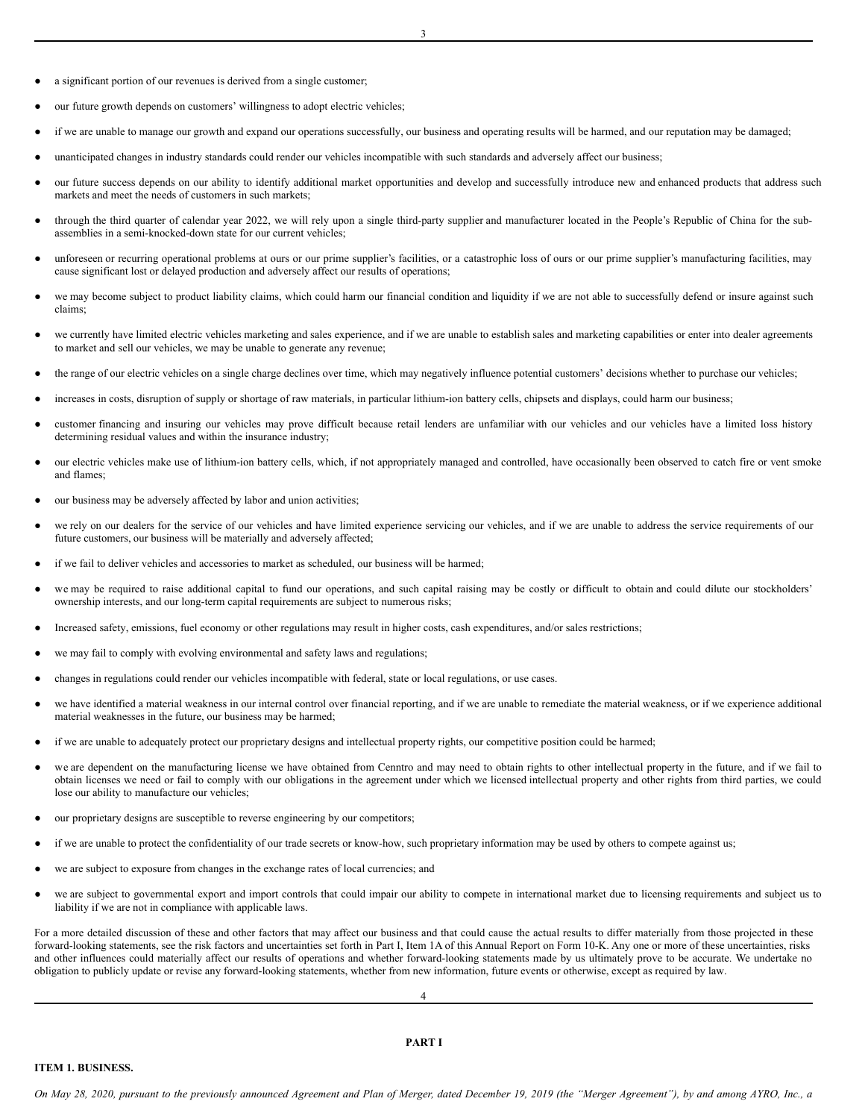- a significant portion of our revenues is derived from a single customer;
- our future growth depends on customers' willingness to adopt electric vehicles;
- if we are unable to manage our growth and expand our operations successfully, our business and operating results will be harmed, and our reputation may be damaged;
- unanticipated changes in industry standards could render our vehicles incompatible with such standards and adversely affect our business;
- our future success depends on our ability to identify additional market opportunities and develop and successfully introduce new and enhanced products that address such markets and meet the needs of customers in such markets;
- through the third quarter of calendar year 2022, we will rely upon a single third-party supplier and manufacturer located in the People's Republic of China for the subassemblies in a semi-knocked-down state for our current vehicles;
- unforeseen or recurring operational problems at ours or our prime supplier's facilities, or a catastrophic loss of ours or our prime supplier's manufacturing facilities, may cause significant lost or delayed production and adversely affect our results of operations;
- we may become subject to product liability claims, which could harm our financial condition and liquidity if we are not able to successfully defend or insure against such claims;
- we currently have limited electric vehicles marketing and sales experience, and if we are unable to establish sales and marketing capabilities or enter into dealer agreements to market and sell our vehicles, we may be unable to generate any revenue;
- the range of our electric vehicles on a single charge declines over time, which may negatively influence potential customers' decisions whether to purchase our vehicles;
- increases in costs, disruption of supply or shortage of raw materials, in particular lithium-ion battery cells, chipsets and displays, could harm our business;
- customer financing and insuring our vehicles may prove difficult because retail lenders are unfamiliar with our vehicles and our vehicles have a limited loss history determining residual values and within the insurance industry;
- our electric vehicles make use of lithium-ion battery cells, which, if not appropriately managed and controlled, have occasionally been observed to catch fire or vent smoke and flames;
- our business may be adversely affected by labor and union activities;
- we rely on our dealers for the service of our vehicles and have limited experience servicing our vehicles, and if we are unable to address the service requirements of our future customers, our business will be materially and adversely affected;
- if we fail to deliver vehicles and accessories to market as scheduled, our business will be harmed;
- we may be required to raise additional capital to fund our operations, and such capital raising may be costly or difficult to obtain and could dilute our stockholders' ownership interests, and our long-term capital requirements are subject to numerous risks;
- Increased safety, emissions, fuel economy or other regulations may result in higher costs, cash expenditures, and/or sales restrictions;
- we may fail to comply with evolving environmental and safety laws and regulations;
- changes in regulations could render our vehicles incompatible with federal, state or local regulations, or use cases.
- we have identified a material weakness in our internal control over financial reporting, and if we are unable to remediate the material weakness, or if we experience additional material weaknesses in the future, our business may be harmed;
- if we are unable to adequately protect our proprietary designs and intellectual property rights, our competitive position could be harmed;
- we are dependent on the manufacturing license we have obtained from Cenntro and may need to obtain rights to other intellectual property in the future, and if we fail to obtain licenses we need or fail to comply with our obligations in the agreement under which we licensed intellectual property and other rights from third parties, we could lose our ability to manufacture our vehicles;
- our proprietary designs are susceptible to reverse engineering by our competitors;
- if we are unable to protect the confidentiality of our trade secrets or know-how, such proprietary information may be used by others to compete against us;
- we are subject to exposure from changes in the exchange rates of local currencies; and
- we are subject to governmental export and import controls that could impair our ability to compete in international market due to licensing requirements and subject us to liability if we are not in compliance with applicable laws.

For a more detailed discussion of these and other factors that may affect our business and that could cause the actual results to differ materially from those projected in these forward-looking statements, see the risk factors and uncertainties set forth in Part I, Item 1A of this Annual Report on Form 10-K. Any one or more of these uncertainties, risks and other influences could materially affect our results of operations and whether forward-looking statements made by us ultimately prove to be accurate. We undertake no obligation to publicly update or revise any forward-looking statements, whether from new information, future events or otherwise, except as required by law.

**PART I**

# **ITEM 1. BUSINESS.**

On May 28, 2020, pursuant to the previously announced Agreement and Plan of Merger, dated December 19, 2019 (the "Merger Agreement"), by and among AYRO, Inc., a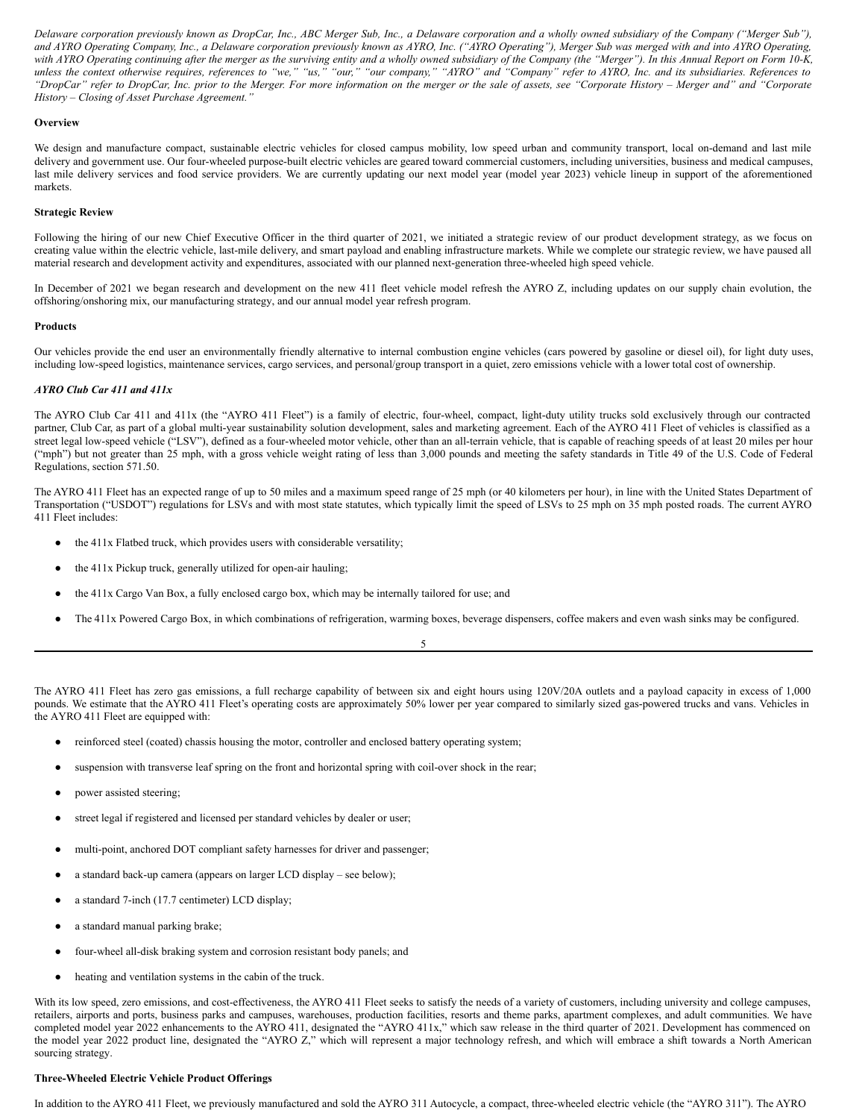Delaware corporation previously known as DropCar, Inc., ABC Merger Sub, Inc., a Delaware corporation and a wholly owned subsidiary of the Company ("Merger Sub"), and AYRO Operating Company, Inc., a Delaware corporation previously known as AYRO, Inc. ("AYRO Operating"), Merger Sub was merged with and into AYRO Operating, with AYRO Operating continuing after the merger as the surviving entity and a wholly owned subsidiary of the Company (the "Merger"). In this Annual Report on Form 10-K, unless the context otherwise requires, references to "we," "us," "our," "our company," "AYRO" and "Company" refer to AYRO, Inc. and its subsidiaries. References to "DropCar" refer to DropCar, Inc. prior to the Merger. For more information on the merger or the sale of assets, see "Corporate History - Merger and" and "Corporate *History – Closing of Asset Purchase Agreement."*

# **Overview**

We design and manufacture compact, sustainable electric vehicles for closed campus mobility, low speed urban and community transport, local on-demand and last mile delivery and government use. Our four-wheeled purpose-built electric vehicles are geared toward commercial customers, including universities, business and medical campuses, last mile delivery services and food service providers. We are currently updating our next model year (model year 2023) vehicle lineup in support of the aforementioned markets.

# **Strategic Review**

Following the hiring of our new Chief Executive Officer in the third quarter of 2021, we initiated a strategic review of our product development strategy, as we focus on creating value within the electric vehicle, last-mile delivery, and smart payload and enabling infrastructure markets. While we complete our strategic review, we have paused all material research and development activity and expenditures, associated with our planned next-generation three-wheeled high speed vehicle.

In December of 2021 we began research and development on the new 411 fleet vehicle model refresh the AYRO Z, including updates on our supply chain evolution, the offshoring/onshoring mix, our manufacturing strategy, and our annual model year refresh program.

#### **Products**

Our vehicles provide the end user an environmentally friendly alternative to internal combustion engine vehicles (cars powered by gasoline or diesel oil), for light duty uses, including low-speed logistics, maintenance services, cargo services, and personal/group transport in a quiet, zero emissions vehicle with a lower total cost of ownership.

# *AYRO Club Car 411 and 411x*

The AYRO Club Car 411 and 411x (the "AYRO 411 Fleet") is a family of electric, four-wheel, compact, light-duty utility trucks sold exclusively through our contracted partner, Club Car, as part of a global multi-year sustainability solution development, sales and marketing agreement. Each of the AYRO 411 Fleet of vehicles is classified as a street legal low-speed vehicle ("LSV"), defined as a four-wheeled motor vehicle, other than an all-terrain vehicle, that is capable of reaching speeds of at least 20 miles per hour ("mph") but not greater than 25 mph, with a gross vehicle weight rating of less than 3,000 pounds and meeting the safety standards in Title 49 of the U.S. Code of Federal Regulations, section 571.50.

The AYRO 411 Fleet has an expected range of up to 50 miles and a maximum speed range of 25 mph (or 40 kilometers per hour), in line with the United States Department of Transportation ("USDOT") regulations for LSVs and with most state statutes, which typically limit the speed of LSVs to 25 mph on 35 mph posted roads. The current AYRO 411 Fleet includes:

- the 411x Flatbed truck, which provides users with considerable versatility;
- the 411x Pickup truck, generally utilized for open-air hauling;
- the 411x Cargo Van Box, a fully enclosed cargo box, which may be internally tailored for use; and
- The 411x Powered Cargo Box, in which combinations of refrigeration, warming boxes, beverage dispensers, coffee makers and even wash sinks may be configured. 5

The AYRO 411 Fleet has zero gas emissions, a full recharge capability of between six and eight hours using 120V/20A outlets and a payload capacity in excess of 1,000 pounds. We estimate that the AYRO 411 Fleet's operating costs are approximately 50% lower per year compared to similarly sized gas-powered trucks and vans. Vehicles in the AYRO 411 Fleet are equipped with:

- reinforced steel (coated) chassis housing the motor, controller and enclosed battery operating system;
- suspension with transverse leaf spring on the front and horizontal spring with coil-over shock in the rear;
- power assisted steering;
- street legal if registered and licensed per standard vehicles by dealer or user;
- multi-point, anchored DOT compliant safety harnesses for driver and passenger;
- a standard back-up camera (appears on larger LCD display see below);
- a standard 7-inch (17.7 centimeter) LCD display;
- a standard manual parking brake;
- four-wheel all-disk braking system and corrosion resistant body panels; and
- heating and ventilation systems in the cabin of the truck.

With its low speed, zero emissions, and cost-effectiveness, the AYRO 411 Fleet seeks to satisfy the needs of a variety of customers, including university and college campuses, retailers, airports and ports, business parks and campuses, warehouses, production facilities, resorts and theme parks, apartment complexes, and adult communities. We have completed model year 2022 enhancements to the AYRO 411, designated the "AYRO 411x," which saw release in the third quarter of 2021. Development has commenced on the model year 2022 product line, designated the "AYRO Z," which will represent a major technology refresh, and which will embrace a shift towards a North American sourcing strategy.

# **Three-Wheeled Electric Vehicle Product Offerings**

In addition to the AYRO 411 Fleet, we previously manufactured and sold the AYRO 311 Autocycle, a compact, three-wheeled electric vehicle (the "AYRO 311"). The AYRO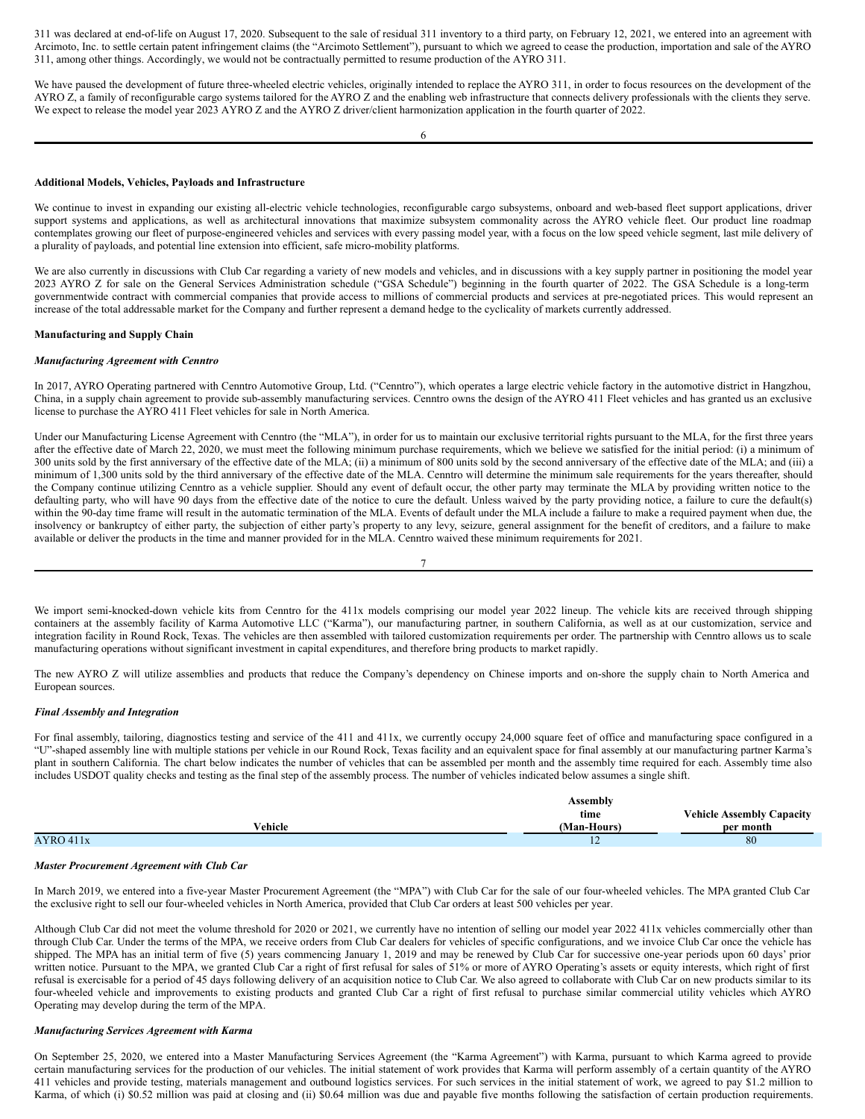311 was declared at end-of-life on August 17, 2020. Subsequent to the sale of residual 311 inventory to a third party, on February 12, 2021, we entered into an agreement with Arcimoto, Inc. to settle certain patent infringement claims (the "Arcimoto Settlement"), pursuant to which we agreed to cease the production, importation and sale of the AYRO 311, among other things. Accordingly, we would not be contractually permitted to resume production of the AYRO 311.

We have paused the development of future three-wheeled electric vehicles, originally intended to replace the AYRO 311, in order to focus resources on the development of the AYRO Z, a family of reconfigurable cargo systems tailored for the AYRO Z and the enabling web infrastructure that connects delivery professionals with the clients they serve. We expect to release the model year 2023 AYRO Z and the AYRO Z driver/client harmonization application in the fourth quarter of 2022.

#### **Additional Models, Vehicles, Payloads and Infrastructure**

We continue to invest in expanding our existing all-electric vehicle technologies, reconfigurable cargo subsystems, onboard and web-based fleet support applications, driver support systems and applications, as well as architectural innovations that maximize subsystem commonality across the AYRO vehicle fleet. Our product line roadmap contemplates growing our fleet of purpose-engineered vehicles and services with every passing model year, with a focus on the low speed vehicle segment, last mile delivery of a plurality of payloads, and potential line extension into efficient, safe micro-mobility platforms.

We are also currently in discussions with Club Car regarding a variety of new models and vehicles, and in discussions with a key supply partner in positioning the model year 2023 AYRO Z for sale on the General Services Administration schedule ("GSA Schedule") beginning in the fourth quarter of 2022. The GSA Schedule is a long-term governmentwide contract with commercial companies that provide access to millions of commercial products and services at pre-negotiated prices. This would represent an increase of the total addressable market for the Company and further represent a demand hedge to the cyclicality of markets currently addressed.

# **Manufacturing and Supply Chain**

#### *Manufacturing Agreement with Cenntro*

In 2017, AYRO Operating partnered with Cenntro Automotive Group, Ltd. ("Cenntro"), which operates a large electric vehicle factory in the automotive district in Hangzhou, China, in a supply chain agreement to provide sub-assembly manufacturing services. Cenntro owns the design of the AYRO 411 Fleet vehicles and has granted us an exclusive license to purchase the AYRO 411 Fleet vehicles for sale in North America.

Under our Manufacturing License Agreement with Cenntro (the "MLA"), in order for us to maintain our exclusive territorial rights pursuant to the MLA, for the first three years after the effective date of March 22, 2020, we must meet the following minimum purchase requirements, which we believe we satisfied for the initial period: (i) a minimum of 300 units sold by the first anniversary of the effective date of the MLA; (ii) a minimum of 800 units sold by the second anniversary of the effective date of the MLA; and (iii) a minimum of 1,300 units sold by the third anniversary of the effective date of the MLA. Cenntro will determine the minimum sale requirements for the years thereafter, should the Company continue utilizing Cenntro as a vehicle supplier. Should any event of default occur, the other party may terminate the MLA by providing written notice to the defaulting party, who will have 90 days from the effective date of the notice to cure the default. Unless waived by the party providing notice, a failure to cure the default(s) within the 90-day time frame will result in the automatic termination of the MLA. Events of default under the MLA include a failure to make a required payment when due, the insolvency or bankruptcy of either party, the subjection of either party's property to any levy, seizure, general assignment for the benefit of creditors, and a failure to make available or deliver the products in the time and manner provided for in the MLA. Cenntro waived these minimum requirements for 2021.

7

We import semi-knocked-down vehicle kits from Cenntro for the 411x models comprising our model year 2022 lineup. The vehicle kits are received through shipping containers at the assembly facility of Karma Automotive LLC ("Karma"), our manufacturing partner, in southern California, as well as at our customization, service and integration facility in Round Rock, Texas. The vehicles are then assembled with tailored customization requirements per order. The partnership with Cenntro allows us to scale manufacturing operations without significant investment in capital expenditures, and therefore bring products to market rapidly.

The new AYRO Z will utilize assemblies and products that reduce the Company's dependency on Chinese imports and on-shore the supply chain to North America and European sources.

# *Final Assembly and Integration*

For final assembly, tailoring, diagnostics testing and service of the 411 and 411x, we currently occupy 24,000 square feet of office and manufacturing space configured in a "U"-shaped assembly line with multiple stations per vehicle in our Round Rock, Texas facility and an equivalent space for final assembly at our manufacturing partner Karma's plant in southern California. The chart below indicates the number of vehicles that can be assembled per month and the assembly time required for each. Assembly time also includes USDOT quality checks and testing as the final step of the assembly process. The number of vehicles indicated below assumes a single shift.

|                  | <b>Assembly</b> |                                  |
|------------------|-----------------|----------------------------------|
|                  | time            | <b>Vehicle Assembly Capacity</b> |
| $Ve$ hicle       | (Man-Hours)     | per month                        |
| <b>AYRO 411x</b> | $\overline{ }$  | 80                               |

# *Master Procurement Agreement with Club Car*

In March 2019, we entered into a five-year Master Procurement Agreement (the "MPA") with Club Car for the sale of our four-wheeled vehicles. The MPA granted Club Car the exclusive right to sell our four-wheeled vehicles in North America, provided that Club Car orders at least 500 vehicles per year.

Although Club Car did not meet the volume threshold for 2020 or 2021, we currently have no intention of selling our model year 2022 411x vehicles commercially other than through Club Car. Under the terms of the MPA, we receive orders from Club Car dealers for vehicles of specific configurations, and we invoice Club Car once the vehicle has shipped. The MPA has an initial term of five (5) years commencing January 1, 2019 and may be renewed by Club Car for successive one-year periods upon 60 days' prior written notice. Pursuant to the MPA, we granted Club Car a right of first refusal for sales of 51% or more of AYRO Operating's assets or equity interests, which right of first refusal is exercisable for a period of 45 days following delivery of an acquisition notice to Club Car. We also agreed to collaborate with Club Car on new products similar to its four-wheeled vehicle and improvements to existing products and granted Club Car a right of first refusal to purchase similar commercial utility vehicles which AYRO Operating may develop during the term of the MPA.

# *Manufacturing Services Agreement with Karma*

On September 25, 2020, we entered into a Master Manufacturing Services Agreement (the "Karma Agreement") with Karma, pursuant to which Karma agreed to provide certain manufacturing services for the production of our vehicles. The initial statement of work provides that Karma will perform assembly of a certain quantity of the AYRO 411 vehicles and provide testing, materials management and outbound logistics services. For such services in the initial statement of work, we agreed to pay \$1.2 million to Karma, of which (i) \$0.52 million was paid at closing and (ii) \$0.64 million was due and payable five months following the satisfaction of certain production requirements.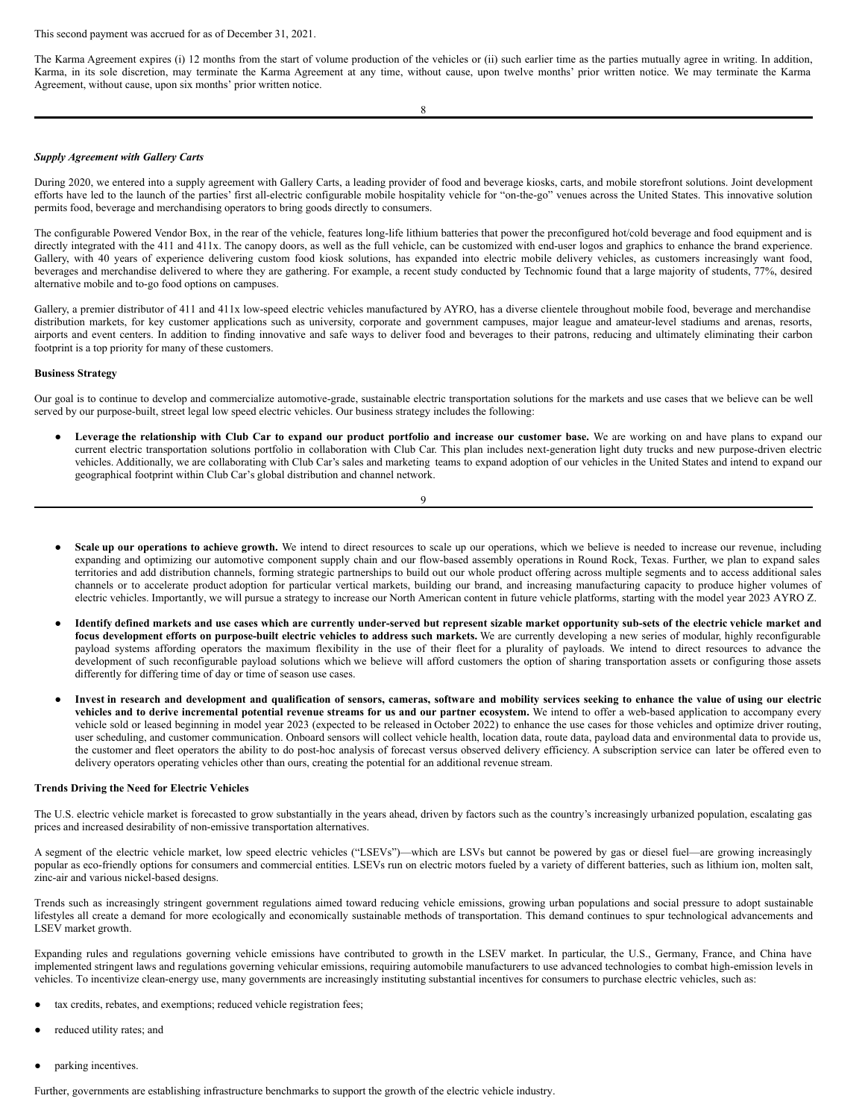#### This second payment was accrued for as of December 31, 2021.

The Karma Agreement expires (i) 12 months from the start of volume production of the vehicles or (ii) such earlier time as the parties mutually agree in writing. In addition, Karma, in its sole discretion, may terminate the Karma Agreement at any time, without cause, upon twelve months' prior written notice. We may terminate the Karma Agreement, without cause, upon six months' prior written notice.

8

# *Supply Agreement with Gallery Carts*

During 2020, we entered into a supply agreement with Gallery Carts, a leading provider of food and beverage kiosks, carts, and mobile storefront solutions. Joint development efforts have led to the launch of the parties' first all-electric configurable mobile hospitality vehicle for "on-the-go" venues across the United States. This innovative solution permits food, beverage and merchandising operators to bring goods directly to consumers.

The configurable Powered Vendor Box, in the rear of the vehicle, features long-life lithium batteries that power the preconfigured hot/cold beverage and food equipment and is directly integrated with the 411 and 411x. The canopy doors, as well as the full vehicle, can be customized with end-user logos and graphics to enhance the brand experience. Gallery, with 40 years of experience delivering custom food kiosk solutions, has expanded into electric mobile delivery vehicles, as customers increasingly want food, beverages and merchandise delivered to where they are gathering. For example, a recent study conducted by Technomic found that a large majority of students, 77%, desired alternative mobile and to-go food options on campuses.

Gallery, a premier distributor of 411 and 411x low-speed electric vehicles manufactured by AYRO, has a diverse clientele throughout mobile food, beverage and merchandise distribution markets, for key customer applications such as university, corporate and government campuses, major league and amateur-level stadiums and arenas, resorts, airports and event centers. In addition to finding innovative and safe ways to deliver food and beverages to their patrons, reducing and ultimately eliminating their carbon footprint is a top priority for many of these customers.

# **Business Strategy**

Our goal is to continue to develop and commercialize automotive-grade, sustainable electric transportation solutions for the markets and use cases that we believe can be well served by our purpose-built, street legal low speed electric vehicles. Our business strategy includes the following:

• Leverage the relationship with Club Car to expand our product portfolio and increase our customer base. We are working on and have plans to expand our current electric transportation solutions portfolio in collaboration with Club Car. This plan includes next-generation light duty trucks and new purpose-driven electric vehicles. Additionally, we are collaborating with Club Car's sales and marketing teams to expand adoption of our vehicles in the United States and intend to expand our geographical footprint within Club Car's global distribution and channel network.

#### 9

- Scale up our operations to achieve growth. We intend to direct resources to scale up our operations, which we believe is needed to increase our revenue, including expanding and optimizing our automotive component supply chain and our flow-based assembly operations in Round Rock, Texas. Further, we plan to expand sales territories and add distribution channels, forming strategic partnerships to build out our whole product offering across multiple segments and to access additional sales channels or to accelerate product adoption for particular vertical markets, building our brand, and increasing manufacturing capacity to produce higher volumes of electric vehicles. Importantly, we will pursue a strategy to increase our North American content in future vehicle platforms, starting with the model year 2023 AYRO Z.
- Identify defined markets and use cases which are currently under-served but represent sizable market opportunity sub-sets of the electric vehicle market and focus development efforts on purpose-built electric vehicles to address such markets. We are currently developing a new series of modular, highly reconfigurable payload systems affording operators the maximum flexibility in the use of their fleet for a plurality of payloads. We intend to direct resources to advance the development of such reconfigurable payload solutions which we believe will afford customers the option of sharing transportation assets or configuring those assets differently for differing time of day or time of season use cases.
- Invest in research and development and qualification of sensors, cameras, software and mobility services seeking to enhance the value of using our electric vehicles and to derive incremental potential revenue streams for us and our partner ecosystem. We intend to offer a web-based application to accompany every vehicle sold or leased beginning in model year 2023 (expected to be released in October 2022) to enhance the use cases for those vehicles and optimize driver routing, user scheduling, and customer communication. Onboard sensors will collect vehicle health, location data, route data, payload data and environmental data to provide us, the customer and fleet operators the ability to do post-hoc analysis of forecast versus observed delivery efficiency. A subscription service can later be offered even to delivery operators operating vehicles other than ours, creating the potential for an additional revenue stream.

#### **Trends Driving the Need for Electric Vehicles**

The U.S. electric vehicle market is forecasted to grow substantially in the years ahead, driven by factors such as the country's increasingly urbanized population, escalating gas prices and increased desirability of non-emissive transportation alternatives.

A segment of the electric vehicle market, low speed electric vehicles ("LSEVs")—which are LSVs but cannot be powered by gas or diesel fuel—are growing increasingly popular as eco-friendly options for consumers and commercial entities. LSEVs run on electric motors fueled by a variety of different batteries, such as lithium ion, molten salt, zinc-air and various nickel-based designs.

Trends such as increasingly stringent government regulations aimed toward reducing vehicle emissions, growing urban populations and social pressure to adopt sustainable lifestyles all create a demand for more ecologically and economically sustainable methods of transportation. This demand continues to spur technological advancements and LSEV market growth.

Expanding rules and regulations governing vehicle emissions have contributed to growth in the LSEV market. In particular, the U.S., Germany, France, and China have implemented stringent laws and regulations governing vehicular emissions, requiring automobile manufacturers to use advanced technologies to combat high-emission levels in vehicles. To incentivize clean-energy use, many governments are increasingly instituting substantial incentives for consumers to purchase electric vehicles, such as:

- tax credits, rebates, and exemptions; reduced vehicle registration fees;
- reduced utility rates; and
- parking incentives.

Further, governments are establishing infrastructure benchmarks to support the growth of the electric vehicle industry.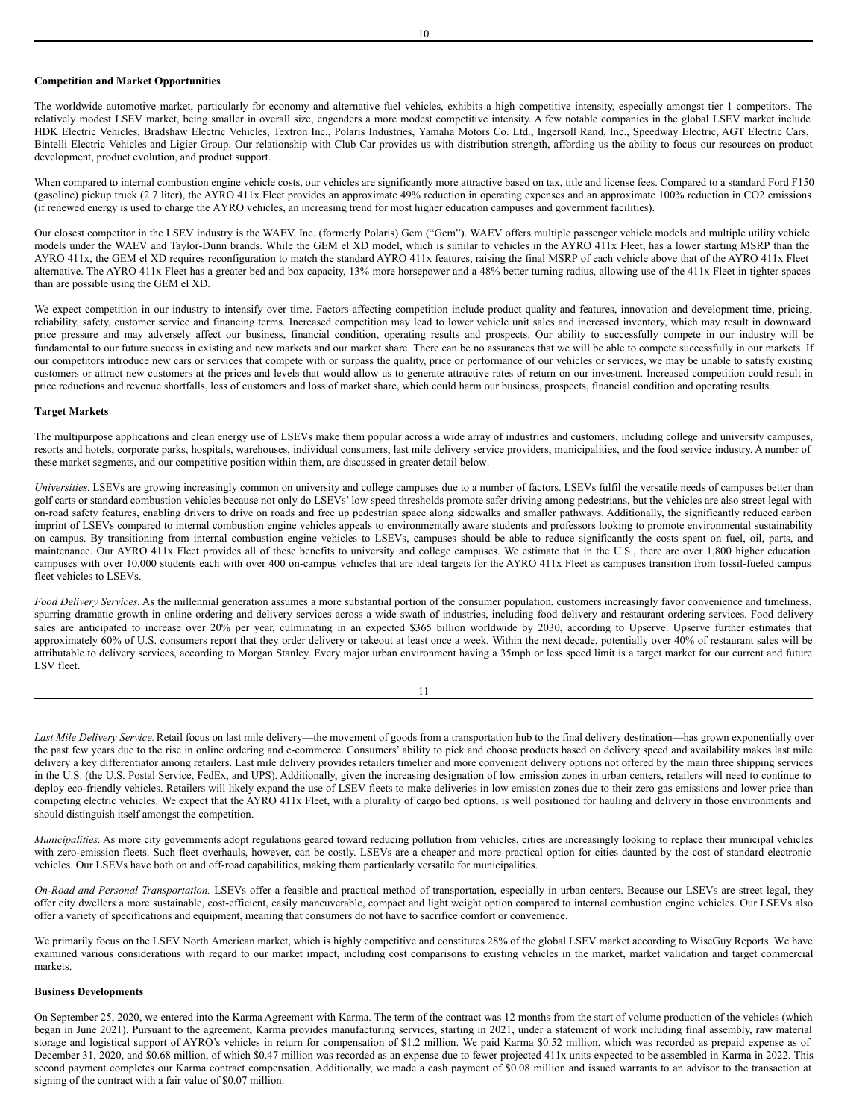#### **Competition and Market Opportunities**

The worldwide automotive market, particularly for economy and alternative fuel vehicles, exhibits a high competitive intensity, especially amongst tier 1 competitors. The relatively modest LSEV market, being smaller in overall size, engenders a more modest competitive intensity. A few notable companies in the global LSEV market include HDK Electric Vehicles, Bradshaw Electric Vehicles, Textron Inc., Polaris Industries, Yamaha Motors Co. Ltd., Ingersoll Rand, Inc., Speedway Electric, AGT Electric Cars, Bintelli Electric Vehicles and Ligier Group. Our relationship with Club Car provides us with distribution strength, affording us the ability to focus our resources on product development, product evolution, and product support.

When compared to internal combustion engine vehicle costs, our vehicles are significantly more attractive based on tax, title and license fees. Compared to a standard Ford F150 (gasoline) pickup truck (2.7 liter), the AYRO 411x Fleet provides an approximate 49% reduction in operating expenses and an approximate 100% reduction in CO2 emissions (if renewed energy is used to charge the AYRO vehicles, an increasing trend for most higher education campuses and government facilities).

Our closest competitor in the LSEV industry is the WAEV, Inc. (formerly Polaris) Gem ("Gem"). WAEV offers multiple passenger vehicle models and multiple utility vehicle models under the WAEV and Taylor-Dunn brands. While the GEM el XD model, which is similar to vehicles in the AYRO 411x Fleet, has a lower starting MSRP than the AYRO 411x, the GEM el XD requires reconfiguration to match the standard AYRO 411x features, raising the final MSRP of each vehicle above that of the AYRO 411x Fleet alternative. The AYRO 411x Fleet has a greater bed and box capacity, 13% more horsepower and a 48% better turning radius, allowing use of the 411x Fleet in tighter spaces than are possible using the GEM el XD.

We expect competition in our industry to intensify over time. Factors affecting competition include product quality and features, innovation and development time, pricing, reliability, safety, customer service and financing terms. Increased competition may lead to lower vehicle unit sales and increased inventory, which may result in downward price pressure and may adversely affect our business, financial condition, operating results and prospects. Our ability to successfully compete in our industry will be fundamental to our future success in existing and new markets and our market share. There can be no assurances that we will be able to compete successfully in our markets. If our competitors introduce new cars or services that compete with or surpass the quality, price or performance of our vehicles or services, we may be unable to satisfy existing customers or attract new customers at the prices and levels that would allow us to generate attractive rates of return on our investment. Increased competition could result in price reductions and revenue shortfalls, loss of customers and loss of market share, which could harm our business, prospects, financial condition and operating results.

# **Target Markets**

The multipurpose applications and clean energy use of LSEVs make them popular across a wide array of industries and customers, including college and university campuses, resorts and hotels, corporate parks, hospitals, warehouses, individual consumers, last mile delivery service providers, municipalities, and the food service industry. A number of these market segments, and our competitive position within them, are discussed in greater detail below.

*Universities.* LSEVs are growing increasingly common on university and college campuses due to a number of factors. LSEVs fulfil the versatile needs of campuses better than golf carts or standard combustion vehicles because not only do LSEVs' low speed thresholds promote safer driving among pedestrians, but the vehicles are also street legal with on-road safety features, enabling drivers to drive on roads and free up pedestrian space along sidewalks and smaller pathways. Additionally, the significantly reduced carbon imprint of LSEVs compared to internal combustion engine vehicles appeals to environmentally aware students and professors looking to promote environmental sustainability on campus. By transitioning from internal combustion engine vehicles to LSEVs, campuses should be able to reduce significantly the costs spent on fuel, oil, parts, and maintenance. Our AYRO 411x Fleet provides all of these benefits to university and college campuses. We estimate that in the U.S., there are over 1,800 higher education campuses with over 10,000 students each with over 400 on-campus vehicles that are ideal targets for the AYRO 411x Fleet as campuses transition from fossil-fueled campus fleet vehicles to LSEVs.

*Food Delivery Services.* As the millennial generation assumes a more substantial portion of the consumer population, customers increasingly favor convenience and timeliness, spurring dramatic growth in online ordering and delivery services across a wide swath of industries, including food delivery and restaurant ordering services. Food delivery sales are anticipated to increase over 20% per year, culminating in an expected \$365 billion worldwide by 2030, according to Upserve. Upserve further estimates that approximately 60% of U.S. consumers report that they order delivery or takeout at least once a week. Within the next decade, potentially over 40% of restaurant sales will be attributable to delivery services, according to Morgan Stanley. Every major urban environment having a 35mph or less speed limit is a target market for our current and future LSV fleet.

11

*Last Mile Delivery Service.* Retail focus on last mile delivery—the movement of goods from a transportation hub to the final delivery destination—has grown exponentially over the past few years due to the rise in online ordering and e-commerce. Consumers' ability to pick and choose products based on delivery speed and availability makes last mile delivery a key differentiator among retailers. Last mile delivery provides retailers timelier and more convenient delivery options not offered by the main three shipping services in the U.S. (the U.S. Postal Service, FedEx, and UPS). Additionally, given the increasing designation of low emission zones in urban centers, retailers will need to continue to deploy eco-friendly vehicles. Retailers will likely expand the use of LSEV fleets to make deliveries in low emission zones due to their zero gas emissions and lower price than competing electric vehicles. We expect that the AYRO 411x Fleet, with a plurality of cargo bed options, is well positioned for hauling and delivery in those environments and should distinguish itself amongst the competition.

*Municipalities.* As more city governments adopt regulations geared toward reducing pollution from vehicles, cities are increasingly looking to replace their municipal vehicles with zero-emission fleets. Such fleet overhauls, however, can be costly. LSEVs are a cheaper and more practical option for cities daunted by the cost of standard electronic vehicles. Our LSEVs have both on and off-road capabilities, making them particularly versatile for municipalities.

*On-Road and Personal Transportation.* LSEVs offer a feasible and practical method of transportation, especially in urban centers. Because our LSEVs are street legal, they offer city dwellers a more sustainable, cost-efficient, easily maneuverable, compact and light weight option compared to internal combustion engine vehicles. Our LSEVs also offer a variety of specifications and equipment, meaning that consumers do not have to sacrifice comfort or convenience.

We primarily focus on the LSEV North American market, which is highly competitive and constitutes 28% of the global LSEV market according to WiseGuy Reports. We have examined various considerations with regard to our market impact, including cost comparisons to existing vehicles in the market, market validation and target commercial markets.

# **Business Developments**

On September 25, 2020, we entered into the Karma Agreement with Karma. The term of the contract was 12 months from the start of volume production of the vehicles (which began in June 2021). Pursuant to the agreement, Karma provides manufacturing services, starting in 2021, under a statement of work including final assembly, raw material storage and logistical support of AYRO's vehicles in return for compensation of \$1.2 million. We paid Karma \$0.52 million, which was recorded as prepaid expense as of December 31, 2020, and \$0.68 million, of which \$0.47 million was recorded as an expense due to fewer projected 411x units expected to be assembled in Karma in 2022. This second payment completes our Karma contract compensation. Additionally, we made a cash payment of \$0.08 million and issued warrants to an advisor to the transaction at signing of the contract with a fair value of \$0.07 million.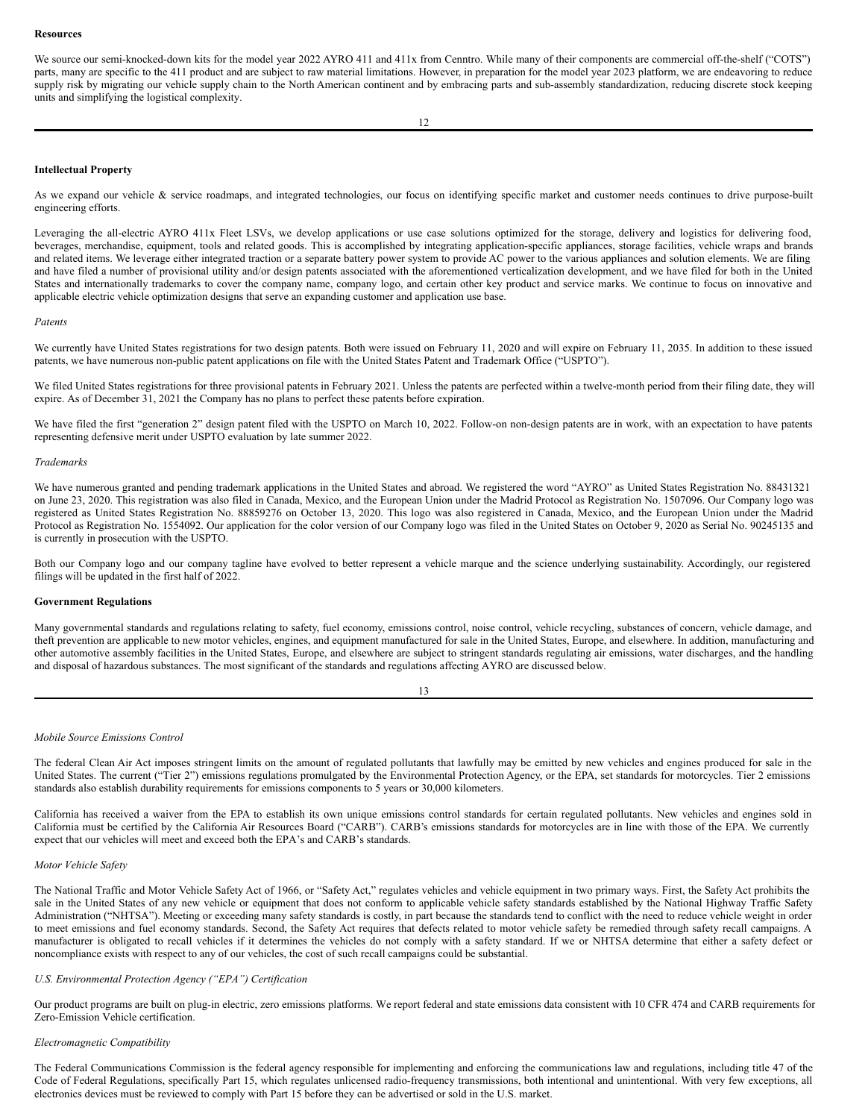#### **Resources**

We source our semi-knocked-down kits for the model year 2022 AYRO 411 and 411x from Cenntro. While many of their components are commercial off-the-shelf ("COTS") parts, many are specific to the 411 product and are subject to raw material limitations. However, in preparation for the model year 2023 platform, we are endeavoring to reduce supply risk by migrating our vehicle supply chain to the North American continent and by embracing parts and sub-assembly standardization, reducing discrete stock keeping units and simplifying the logistical complexity.

# **Intellectual Property**

As we expand our vehicle & service roadmaps, and integrated technologies, our focus on identifying specific market and customer needs continues to drive purpose-built engineering efforts.

Leveraging the all-electric AYRO 411x Fleet LSVs, we develop applications or use case solutions optimized for the storage, delivery and logistics for delivering food, beverages, merchandise, equipment, tools and related goods. This is accomplished by integrating application-specific appliances, storage facilities, vehicle wraps and brands and related items. We leverage either integrated traction or a separate battery power system to provide AC power to the various appliances and solution elements. We are filing and have filed a number of provisional utility and/or design patents associated with the aforementioned verticalization development, and we have filed for both in the United States and internationally trademarks to cover the company name, company logo, and certain other key product and service marks. We continue to focus on innovative and applicable electric vehicle optimization designs that serve an expanding customer and application use base.

#### *Patents*

We currently have United States registrations for two design patents. Both were issued on February 11, 2020 and will expire on February 11, 2035. In addition to these issued patents, we have numerous non-public patent applications on file with the United States Patent and Trademark Office ("USPTO").

We filed United States registrations for three provisional patents in February 2021. Unless the patents are perfected within a twelve-month period from their filing date, they will expire. As of December 31, 2021 the Company has no plans to perfect these patents before expiration.

We have filed the first "generation 2" design patent filed with the USPTO on March 10, 2022. Follow-on non-design patents are in work, with an expectation to have patents representing defensive merit under USPTO evaluation by late summer 2022.

#### *Trademarks*

We have numerous granted and pending trademark applications in the United States and abroad. We registered the word "AYRO" as United States Registration No. 88431321 on June 23, 2020. This registration was also filed in Canada, Mexico, and the European Union under the Madrid Protocol as Registration No. 1507096. Our Company logo was registered as United States Registration No. 88859276 on October 13, 2020. This logo was also registered in Canada, Mexico, and the European Union under the Madrid Protocol as Registration No. 1554092. Our application for the color version of our Company logo was filed in the United States on October 9, 2020 as Serial No. 90245135 and is currently in prosecution with the USPTO.

Both our Company logo and our company tagline have evolved to better represent a vehicle marque and the science underlying sustainability. Accordingly, our registered filings will be updated in the first half of 2022.

#### **Government Regulations**

Many governmental standards and regulations relating to safety, fuel economy, emissions control, noise control, vehicle recycling, substances of concern, vehicle damage, and theft prevention are applicable to new motor vehicles, engines, and equipment manufactured for sale in the United States, Europe, and elsewhere. In addition, manufacturing and other automotive assembly facilities in the United States, Europe, and elsewhere are subject to stringent standards regulating air emissions, water discharges, and the handling and disposal of hazardous substances. The most significant of the standards and regulations affecting AYRO are discussed below.

| I<br>×<br>۰, |
|--------------|
|--------------|

# *Mobile Source Emissions Control*

The federal Clean Air Act imposes stringent limits on the amount of regulated pollutants that lawfully may be emitted by new vehicles and engines produced for sale in the United States. The current ("Tier 2") emissions regulations promulgated by the Environmental Protection Agency, or the EPA, set standards for motorcycles. Tier 2 emissions standards also establish durability requirements for emissions components to 5 years or 30,000 kilometers.

California has received a waiver from the EPA to establish its own unique emissions control standards for certain regulated pollutants. New vehicles and engines sold in California must be certified by the California Air Resources Board ("CARB"). CARB's emissions standards for motorcycles are in line with those of the EPA. We currently expect that our vehicles will meet and exceed both the EPA's and CARB's standards.

# *Motor Vehicle Safety*

The National Traffic and Motor Vehicle Safety Act of 1966, or "Safety Act," regulates vehicles and vehicle equipment in two primary ways. First, the Safety Act prohibits the sale in the United States of any new vehicle or equipment that does not conform to applicable vehicle safety standards established by the National Highway Traffic Safety Administration ("NHTSA"). Meeting or exceeding many safety standards is costly, in part because the standards tend to conflict with the need to reduce vehicle weight in order to meet emissions and fuel economy standards. Second, the Safety Act requires that defects related to motor vehicle safety be remedied through safety recall campaigns. A manufacturer is obligated to recall vehicles if it determines the vehicles do not comply with a safety standard. If we or NHTSA determine that either a safety defect or noncompliance exists with respect to any of our vehicles, the cost of such recall campaigns could be substantial.

# *U.S. Environmental Protection Agency ("EPA") Certification*

Our product programs are built on plug-in electric, zero emissions platforms. We report federal and state emissions data consistent with 10 CFR 474 and CARB requirements for Zero-Emission Vehicle certification.

#### *Electromagnetic Compatibility*

The Federal Communications Commission is the federal agency responsible for implementing and enforcing the communications law and regulations, including title 47 of the Code of Federal Regulations, specifically Part 15, which regulates unlicensed radio-frequency transmissions, both intentional and unintentional. With very few exceptions, all electronics devices must be reviewed to comply with Part 15 before they can be advertised or sold in the U.S. market.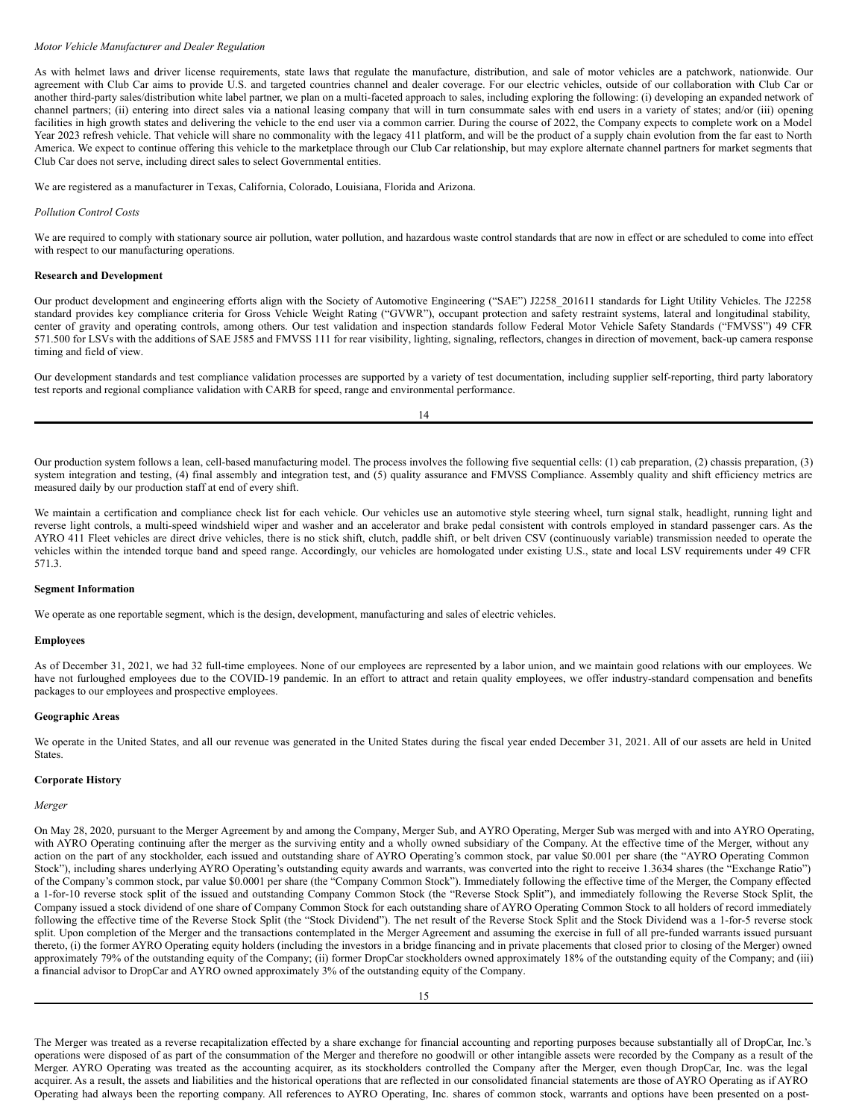#### *Motor Vehicle Manufacturer and Dealer Regulation*

As with helmet laws and driver license requirements, state laws that regulate the manufacture, distribution, and sale of motor vehicles are a patchwork, nationwide. Our agreement with Club Car aims to provide U.S. and targeted countries channel and dealer coverage. For our electric vehicles, outside of our collaboration with Club Car or another third-party sales/distribution white label partner, we plan on a multi-faceted approach to sales, including exploring the following: (i) developing an expanded network of channel partners; (ii) entering into direct sales via a national leasing company that will in turn consummate sales with end users in a variety of states; and/or (iii) opening facilities in high growth states and delivering the vehicle to the end user via a common carrier. During the course of 2022, the Company expects to complete work on a Model Year 2023 refresh vehicle. That vehicle will share no commonality with the legacy 411 platform, and will be the product of a supply chain evolution from the far east to North America. We expect to continue offering this vehicle to the marketplace through our Club Car relationship, but may explore alternate channel partners for market segments that Club Car does not serve, including direct sales to select Governmental entities.

We are registered as a manufacturer in Texas, California, Colorado, Louisiana, Florida and Arizona.

#### *Pollution Control Costs*

We are required to comply with stationary source air pollution, water pollution, and hazardous waste control standards that are now in effect or are scheduled to come into effect with respect to our manufacturing operations.

#### **Research and Development**

Our product development and engineering efforts align with the Society of Automotive Engineering ("SAE") J2258\_201611 standards for Light Utility Vehicles. The J2258 standard provides key compliance criteria for Gross Vehicle Weight Rating ("GVWR"), occupant protection and safety restraint systems, lateral and longitudinal stability, center of gravity and operating controls, among others. Our test validation and inspection standards follow Federal Motor Vehicle Safety Standards ("FMVSS") 49 CFR 571.500 for LSVs with the additions of SAE J585 and FMVSS 111 for rear visibility, lighting, signaling, reflectors, changes in direction of movement, back-up camera response timing and field of view.

Our development standards and test compliance validation processes are supported by a variety of test documentation, including supplier self-reporting, third party laboratory test reports and regional compliance validation with CARB for speed, range and environmental performance.

14

Our production system follows a lean, cell-based manufacturing model. The process involves the following five sequential cells: (1) cab preparation, (2) chassis preparation, (3) system integration and testing, (4) final assembly and integration test, and (5) quality assurance and FMVSS Compliance. Assembly quality and shift efficiency metrics are measured daily by our production staff at end of every shift.

We maintain a certification and compliance check list for each vehicle. Our vehicles use an automotive style steering wheel, turn signal stalk, headlight, running light and reverse light controls, a multi-speed windshield wiper and washer and an accelerator and brake pedal consistent with controls employed in standard passenger cars. As the AYRO 411 Fleet vehicles are direct drive vehicles, there is no stick shift, clutch, paddle shift, or belt driven CSV (continuously variable) transmission needed to operate the vehicles within the intended torque band and speed range. Accordingly, our vehicles are homologated under existing U.S., state and local LSV requirements under 49 CFR 571.3.

# **Segment Information**

We operate as one reportable segment, which is the design, development, manufacturing and sales of electric vehicles.

#### **Employees**

As of December 31, 2021, we had 32 full-time employees. None of our employees are represented by a labor union, and we maintain good relations with our employees. We have not furloughed employees due to the COVID-19 pandemic. In an effort to attract and retain quality employees, we offer industry-standard compensation and benefits packages to our employees and prospective employees.

#### **Geographic Areas**

We operate in the United States, and all our revenue was generated in the United States during the fiscal year ended December 31, 2021. All of our assets are held in United States.

#### **Corporate History**

#### *Merger*

On May 28, 2020, pursuant to the Merger Agreement by and among the Company, Merger Sub, and AYRO Operating, Merger Sub was merged with and into AYRO Operating, with AYRO Operating continuing after the merger as the surviving entity and a wholly owned subsidiary of the Company. At the effective time of the Merger, without any action on the part of any stockholder, each issued and outstanding share of AYRO Operating's common stock, par value \$0.001 per share (the "AYRO Operating Common Stock"), including shares underlying AYRO Operating's outstanding equity awards and warrants, was converted into the right to receive 1.3634 shares (the "Exchange Ratio") of the Company's common stock, par value \$0.0001 per share (the "Company Common Stock"). Immediately following the effective time of the Merger, the Company effected a 1-for-10 reverse stock split of the issued and outstanding Company Common Stock (the "Reverse Stock Split"), and immediately following the Reverse Stock Split, the Company issued a stock dividend of one share of Company Common Stock for each outstanding share of AYRO Operating Common Stock to all holders of record immediately following the effective time of the Reverse Stock Split (the "Stock Dividend"). The net result of the Reverse Stock Split and the Stock Dividend was a 1-for-5 reverse stock split. Upon completion of the Merger and the transactions contemplated in the Merger Agreement and assuming the exercise in full of all pre-funded warrants issued pursuant thereto, (i) the former AYRO Operating equity holders (including the investors in a bridge financing and in private placements that closed prior to closing of the Merger) owned approximately 79% of the outstanding equity of the Company; (ii) former DropCar stockholders owned approximately 18% of the outstanding equity of the Company; and (iii) a financial advisor to DropCar and AYRO owned approximately 3% of the outstanding equity of the Company.

The Merger was treated as a reverse recapitalization effected by a share exchange for financial accounting and reporting purposes because substantially all of DropCar, Inc.'s operations were disposed of as part of the consummation of the Merger and therefore no goodwill or other intangible assets were recorded by the Company as a result of the Merger. AYRO Operating was treated as the accounting acquirer, as its stockholders controlled the Company after the Merger, even though DropCar, Inc. was the legal acquirer. As a result, the assets and liabilities and the historical operations that are reflected in our consolidated financial statements are those of AYRO Operating as if AYRO Operating had always been the reporting company. All references to AYRO Operating, Inc. shares of common stock, warrants and options have been presented on a post-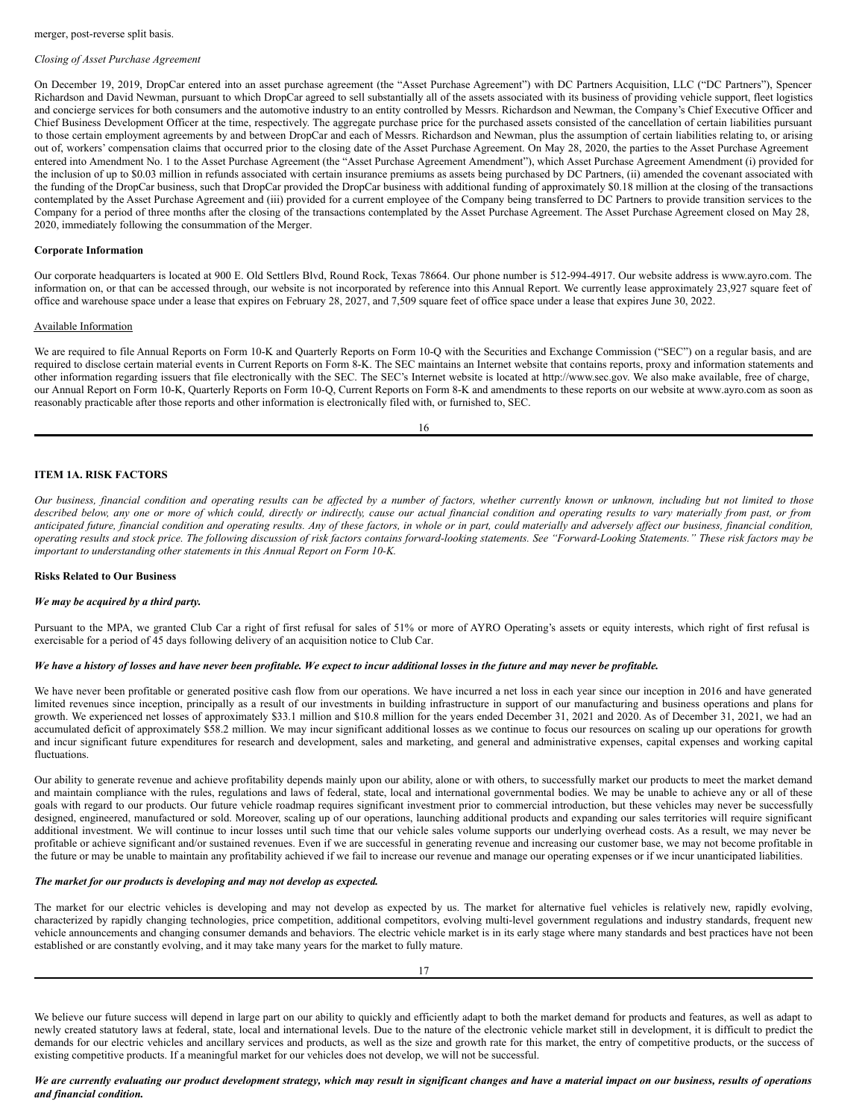# *Closing of Asset Purchase Agreement*

On December 19, 2019, DropCar entered into an asset purchase agreement (the "Asset Purchase Agreement") with DC Partners Acquisition, LLC ("DC Partners"), Spencer Richardson and David Newman, pursuant to which DropCar agreed to sell substantially all of the assets associated with its business of providing vehicle support, fleet logistics and concierge services for both consumers and the automotive industry to an entity controlled by Messrs. Richardson and Newman, the Company's Chief Executive Officer and Chief Business Development Officer at the time, respectively. The aggregate purchase price for the purchased assets consisted of the cancellation of certain liabilities pursuant to those certain employment agreements by and between DropCar and each of Messrs. Richardson and Newman, plus the assumption of certain liabilities relating to, or arising out of, workers' compensation claims that occurred prior to the closing date of the Asset Purchase Agreement. On May 28, 2020, the parties to the Asset Purchase Agreement entered into Amendment No. 1 to the Asset Purchase Agreement (the "Asset Purchase Agreement Amendment"), which Asset Purchase Agreement Amendment (i) provided for the inclusion of up to \$0.03 million in refunds associated with certain insurance premiums as assets being purchased by DC Partners, (ii) amended the covenant associated with the funding of the DropCar business, such that DropCar provided the DropCar business with additional funding of approximately \$0.18 million at the closing of the transactions contemplated by the Asset Purchase Agreement and (iii) provided for a current employee of the Company being transferred to DC Partners to provide transition services to the Company for a period of three months after the closing of the transactions contemplated by the Asset Purchase Agreement. The Asset Purchase Agreement closed on May 28, 2020, immediately following the consummation of the Merger.

# **Corporate Information**

Our corporate headquarters is located at 900 E. Old Settlers Blvd, Round Rock, Texas 78664. Our phone number is 512-994-4917. Our website address is www.ayro.com. The information on, or that can be accessed through, our website is not incorporated by reference into this Annual Report. We currently lease approximately 23,927 square feet of office and warehouse space under a lease that expires on February 28, 2027, and 7,509 square feet of office space under a lease that expires June 30, 2022.

#### Available Information

We are required to file Annual Reports on Form 10-K and Quarterly Reports on Form 10-Q with the Securities and Exchange Commission ("SEC") on a regular basis, and are required to disclose certain material events in Current Reports on Form 8-K. The SEC maintains an Internet website that contains reports, proxy and information statements and other information regarding issuers that file electronically with the SEC. The SEC's Internet website is located at http://www.sec.gov. We also make available, free of charge, our Annual Report on Form 10-K, Quarterly Reports on Form 10-Q, Current Reports on Form 8-K and amendments to these reports on our website at www.ayro.com as soon as reasonably practicable after those reports and other information is electronically filed with, or furnished to, SEC.

# **ITEM 1A. RISK FACTORS**

Our business, financial condition and operating results can be affected by a number of factors, whether currently known or unknown, including but not limited to those described below, any one or more of which could, directly or indirectly, cause our actual financial condition and operating results to vary materially from past, or from anticipated future, financial condition and operating results. Any of these factors, in whole or in part, could materially and adversely affect our business, financial condition, operating results and stock price. The following discussion of risk factors contains forward-looking statements. See "Forward-Looking Statements." These risk factors may be *important to understanding other statements in this Annual Report on Form 10-K.*

#### **Risks Related to Our Business**

#### *We may be acquired by a third party.*

Pursuant to the MPA, we granted Club Car a right of first refusal for sales of 51% or more of AYRO Operating's assets or equity interests, which right of first refusal is exercisable for a period of 45 days following delivery of an acquisition notice to Club Car.

# We have a history of losses and have never been profitable. We expect to incur additional losses in the future and may never be profitable.

We have never been profitable or generated positive cash flow from our operations. We have incurred a net loss in each year since our inception in 2016 and have generated limited revenues since inception, principally as a result of our investments in building infrastructure in support of our manufacturing and business operations and plans for growth. We experienced net losses of approximately \$33.1 million and \$10.8 million for the years ended December 31, 2021 and 2020. As of December 31, 2021, we had an accumulated deficit of approximately \$58.2 million. We may incur significant additional losses as we continue to focus our resources on scaling up our operations for growth and incur significant future expenditures for research and development, sales and marketing, and general and administrative expenses, capital expenses and working capital fluctuations.

Our ability to generate revenue and achieve profitability depends mainly upon our ability, alone or with others, to successfully market our products to meet the market demand and maintain compliance with the rules, regulations and laws of federal, state, local and international governmental bodies. We may be unable to achieve any or all of these goals with regard to our products. Our future vehicle roadmap requires significant investment prior to commercial introduction, but these vehicles may never be successfully designed, engineered, manufactured or sold. Moreover, scaling up of our operations, launching additional products and expanding our sales territories will require significant additional investment. We will continue to incur losses until such time that our vehicle sales volume supports our underlying overhead costs. As a result, we may never be profitable or achieve significant and/or sustained revenues. Even if we are successful in generating revenue and increasing our customer base, we may not become profitable in the future or may be unable to maintain any profitability achieved if we fail to increase our revenue and manage our operating expenses or if we incur unanticipated liabilities.

# *The market for our products is developing and may not develop as expected.*

The market for our electric vehicles is developing and may not develop as expected by us. The market for alternative fuel vehicles is relatively new, rapidly evolving, characterized by rapidly changing technologies, price competition, additional competitors, evolving multi-level government regulations and industry standards, frequent new vehicle announcements and changing consumer demands and behaviors. The electric vehicle market is in its early stage where many standards and best practices have not been established or are constantly evolving, and it may take many years for the market to fully mature.

17

We believe our future success will depend in large part on our ability to quickly and efficiently adapt to both the market demand for products and features, as well as adapt to newly created statutory laws at federal, state, local and international levels. Due to the nature of the electronic vehicle market still in development, it is difficult to predict the demands for our electric vehicles and ancillary services and products, as well as the size and growth rate for this market, the entry of competitive products, or the success of existing competitive products. If a meaningful market for our vehicles does not develop, we will not be successful.

We are currently evaluating our product development strategy, which may result in significant changes and have a material impact on our business, results of operations *and financial condition.*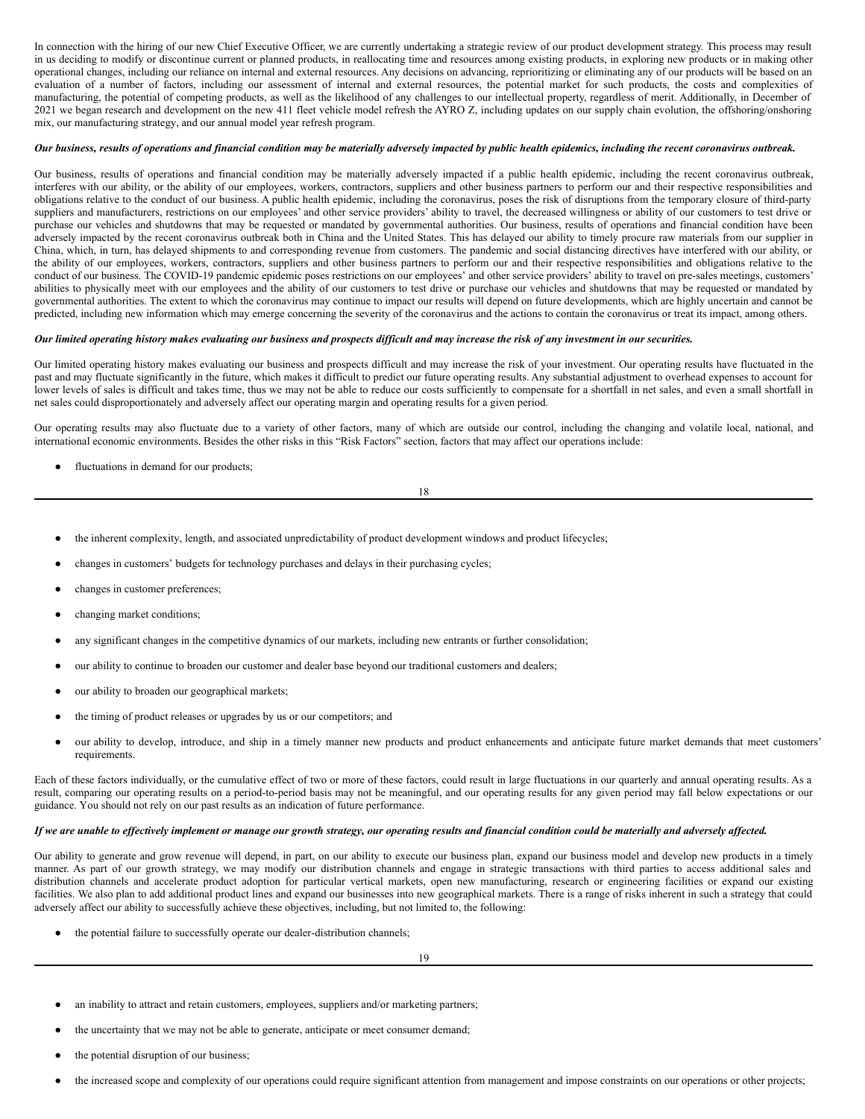In connection with the hiring of our new Chief Executive Officer, we are currently undertaking a strategic review of our product development strategy. This process may result in us deciding to modify or discontinue current or planned products, in reallocating time and resources among existing products, in exploring new products or in making other operational changes, including our reliance on internal and external resources. Any decisions on advancing, reprioritizing or eliminating any of our products will be based on an evaluation of a number of factors, including our assessment of internal and external resources, the potential market for such products, the costs and complexities of manufacturing, the potential of competing products, as well as the likelihood of any challenges to our intellectual property, regardless of merit. Additionally, in December of 2021 we began research and development on the new 411 fleet vehicle model refresh the AYRO Z, including updates on our supply chain evolution, the offshoring/onshoring mix, our manufacturing strategy, and our annual model year refresh program.

# Our business, results of operations and financial condition may be materially adversely impacted by public health epidemics, including the recent coronavirus outbreak.

Our business, results of operations and financial condition may be materially adversely impacted if a public health epidemic, including the recent coronavirus outbreak, interferes with our ability, or the ability of our employees, workers, contractors, suppliers and other business partners to perform our and their respective responsibilities and obligations relative to the conduct of our business. A public health epidemic, including the coronavirus, poses the risk of disruptions from the temporary closure of third-party suppliers and manufacturers, restrictions on our employees' and other service providers' ability to travel, the decreased willingness or ability of our customers to test drive or purchase our vehicles and shutdowns that may be requested or mandated by governmental authorities. Our business, results of operations and financial condition have been adversely impacted by the recent coronavirus outbreak both in China and the United States. This has delayed our ability to timely procure raw materials from our supplier in China, which, in turn, has delayed shipments to and corresponding revenue from customers. The pandemic and social distancing directives have interfered with our ability, or the ability of our employees, workers, contractors, suppliers and other business partners to perform our and their respective responsibilities and obligations relative to the conduct of our business. The COVID-19 pandemic epidemic poses restrictions on our employees' and other service providers' ability to travel on pre-sales meetings, customers' abilities to physically meet with our employees and the ability of our customers to test drive or purchase our vehicles and shutdowns that may be requested or mandated by governmental authorities. The extent to which the coronavirus may continue to impact our results will depend on future developments, which are highly uncertain and cannot be predicted, including new information which may emerge concerning the severity of the coronavirus and the actions to contain the coronavirus or treat its impact, among others.

# Our limited operating history makes evaluating our business and prospects difficult and may increase the risk of any investment in our securities.

Our limited operating history makes evaluating our business and prospects difficult and may increase the risk of your investment. Our operating results have fluctuated in the past and may fluctuate significantly in the future, which makes it difficult to predict our future operating results. Any substantial adjustment to overhead expenses to account for lower levels of sales is difficult and takes time, thus we may not be able to reduce our costs sufficiently to compensate for a shortfall in net sales, and even a small shortfall in net sales could disproportionately and adversely affect our operating margin and operating results for a given period.

Our operating results may also fluctuate due to a variety of other factors, many of which are outside our control, including the changing and volatile local, national, and international economic environments. Besides the other risks in this "Risk Factors" section, factors that may affect our operations include:

fluctuations in demand for our products;

- the inherent complexity, length, and associated unpredictability of product development windows and product lifecycles;
- changes in customers' budgets for technology purchases and delays in their purchasing cycles;
- changes in customer preferences;
- changing market conditions;
- any significant changes in the competitive dynamics of our markets, including new entrants or further consolidation;
- our ability to continue to broaden our customer and dealer base beyond our traditional customers and dealers;
- our ability to broaden our geographical markets;
- the timing of product releases or upgrades by us or our competitors; and
- our ability to develop, introduce, and ship in a timely manner new products and product enhancements and anticipate future market demands that meet customers' requirements.

Each of these factors individually, or the cumulative effect of two or more of these factors, could result in large fluctuations in our quarterly and annual operating results. As a result, comparing our operating results on a period-to-period basis may not be meaningful, and our operating results for any given period may fall below expectations or our guidance. You should not rely on our past results as an indication of future performance.

# If we are unable to effectively implement or manage our growth strategy, our operating results and financial condition could be materially and adversely affected.

Our ability to generate and grow revenue will depend, in part, on our ability to execute our business plan, expand our business model and develop new products in a timely manner. As part of our growth strategy, we may modify our distribution channels and engage in strategic transactions with third parties to access additional sales and distribution channels and accelerate product adoption for particular vertical markets, open new manufacturing, research or engineering facilities or expand our existing facilities. We also plan to add additional product lines and expand our businesses into new geographical markets. There is a range of risks inherent in such a strategy that could adversely affect our ability to successfully achieve these objectives, including, but not limited to, the following:

● the potential failure to successfully operate our dealer-distribution channels;

19

- an inability to attract and retain customers, employees, suppliers and/or marketing partners;
- the uncertainty that we may not be able to generate, anticipate or meet consumer demand;
- the potential disruption of our business;
- the increased scope and complexity of our operations could require significant attention from management and impose constraints on our operations or other projects;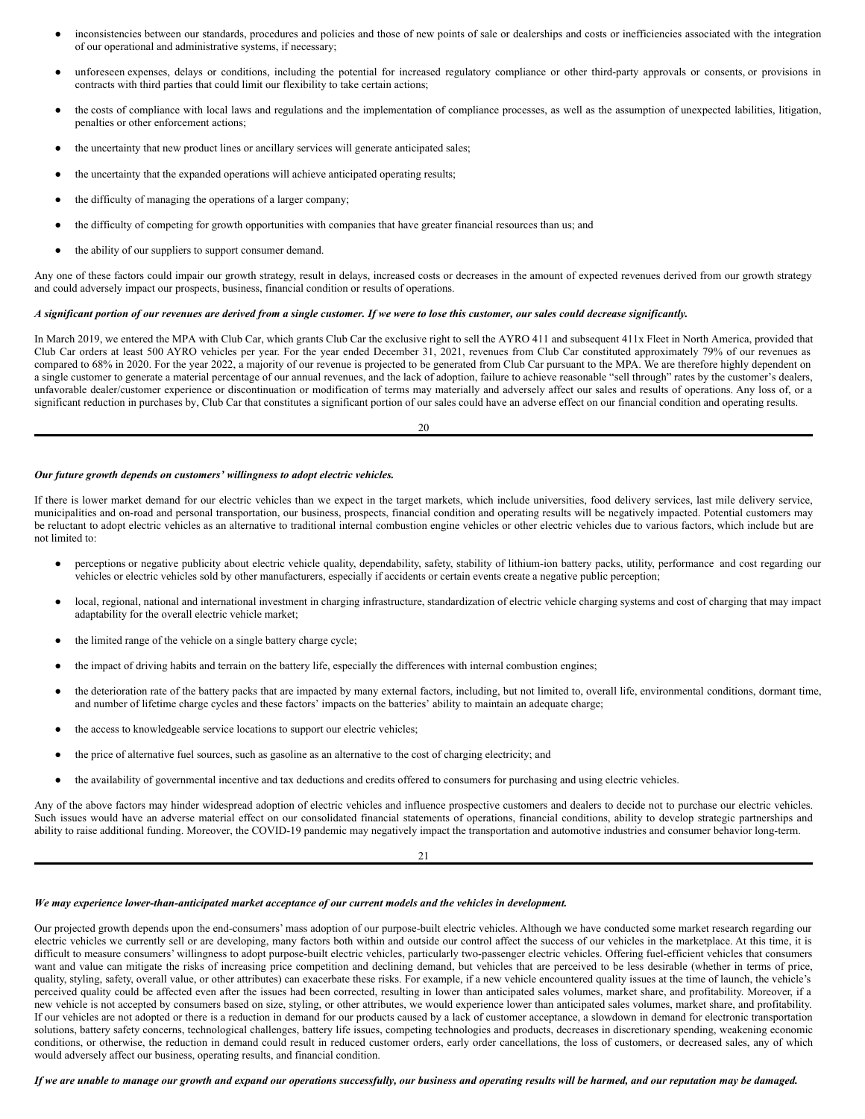- inconsistencies between our standards, procedures and policies and those of new points of sale or dealerships and costs or inefficiencies associated with the integration of our operational and administrative systems, if necessary;
- unforeseen expenses, delays or conditions, including the potential for increased regulatory compliance or other third-party approvals or consents, or provisions in contracts with third parties that could limit our flexibility to take certain actions;
- the costs of compliance with local laws and regulations and the implementation of compliance processes, as well as the assumption of unexpected labilities, litigation, penalties or other enforcement actions;
- the uncertainty that new product lines or ancillary services will generate anticipated sales;
- the uncertainty that the expanded operations will achieve anticipated operating results;
- the difficulty of managing the operations of a larger company;
- the difficulty of competing for growth opportunities with companies that have greater financial resources than us; and
- the ability of our suppliers to support consumer demand.

Any one of these factors could impair our growth strategy, result in delays, increased costs or decreases in the amount of expected revenues derived from our growth strategy and could adversely impact our prospects, business, financial condition or results of operations.

#### A significant portion of our revenues are derived from a single customer. If we were to lose this customer, our sales could decrease significantly.

In March 2019, we entered the MPA with Club Car, which grants Club Car the exclusive right to sell the AYRO 411 and subsequent 411x Fleet in North America, provided that Club Car orders at least 500 AYRO vehicles per year. For the year ended December 31, 2021, revenues from Club Car constituted approximately 79% of our revenues as compared to 68% in 2020. For the year 2022, a majority of our revenue is projected to be generated from Club Car pursuant to the MPA. We are therefore highly dependent on a single customer to generate a material percentage of our annual revenues, and the lack of adoption, failure to achieve reasonable "sell through" rates by the customer's dealers, unfavorable dealer/customer experience or discontinuation or modification of terms may materially and adversely affect our sales and results of operations. Any loss of, or a significant reduction in purchases by, Club Car that constitutes a significant portion of our sales could have an adverse effect on our financial condition and operating results.

20

# *Our future growth depends on customers' willingness to adopt electric vehicles.*

If there is lower market demand for our electric vehicles than we expect in the target markets, which include universities, food delivery services, last mile delivery service, municipalities and on-road and personal transportation, our business, prospects, financial condition and operating results will be negatively impacted. Potential customers may be reluctant to adopt electric vehicles as an alternative to traditional internal combustion engine vehicles or other electric vehicles due to various factors, which include but are not limited to:

- perceptions or negative publicity about electric vehicle quality, dependability, safety, stability of lithium-ion battery packs, utility, performance and cost regarding our vehicles or electric vehicles sold by other manufacturers, especially if accidents or certain events create a negative public perception;
- local, regional, national and international investment in charging infrastructure, standardization of electric vehicle charging systems and cost of charging that may impact adaptability for the overall electric vehicle market;
- the limited range of the vehicle on a single battery charge cycle;
- the impact of driving habits and terrain on the battery life, especially the differences with internal combustion engines;
- the deterioration rate of the battery packs that are impacted by many external factors, including, but not limited to, overall life, environmental conditions, dormant time, and number of lifetime charge cycles and these factors' impacts on the batteries' ability to maintain an adequate charge;
- the access to knowledgeable service locations to support our electric vehicles;
- the price of alternative fuel sources, such as gasoline as an alternative to the cost of charging electricity; and
- the availability of governmental incentive and tax deductions and credits offered to consumers for purchasing and using electric vehicles.

Any of the above factors may hinder widespread adoption of electric vehicles and influence prospective customers and dealers to decide not to purchase our electric vehicles. Such issues would have an adverse material effect on our consolidated financial statements of operations, financial conditions, ability to develop strategic partnerships and ability to raise additional funding. Moreover, the COVID-19 pandemic may negatively impact the transportation and automotive industries and consumer behavior long-term.

21

#### *We may experience lower-than-anticipated market acceptance of our current models and the vehicles in development.*

Our projected growth depends upon the end-consumers' mass adoption of our purpose-built electric vehicles. Although we have conducted some market research regarding our electric vehicles we currently sell or are developing, many factors both within and outside our control affect the success of our vehicles in the marketplace. At this time, it is difficult to measure consumers' willingness to adopt purpose-built electric vehicles, particularly two-passenger electric vehicles. Offering fuel-efficient vehicles that consumers want and value can mitigate the risks of increasing price competition and declining demand, but vehicles that are perceived to be less desirable (whether in terms of price, quality, styling, safety, overall value, or other attributes) can exacerbate these risks. For example, if a new vehicle encountered quality issues at the time of launch, the vehicle's perceived quality could be affected even after the issues had been corrected, resulting in lower than anticipated sales volumes, market share, and profitability. Moreover, if a new vehicle is not accepted by consumers based on size, styling, or other attributes, we would experience lower than anticipated sales volumes, market share, and profitability. If our vehicles are not adopted or there is a reduction in demand for our products caused by a lack of customer acceptance, a slowdown in demand for electronic transportation solutions, battery safety concerns, technological challenges, battery life issues, competing technologies and products, decreases in discretionary spending, weakening economic conditions, or otherwise, the reduction in demand could result in reduced customer orders, early order cancellations, the loss of customers, or decreased sales, any of which would adversely affect our business, operating results, and financial condition.

If we are unable to manage our growth and expand our operations successfully, our business and operating results will be harmed, and our reputation may be damaged.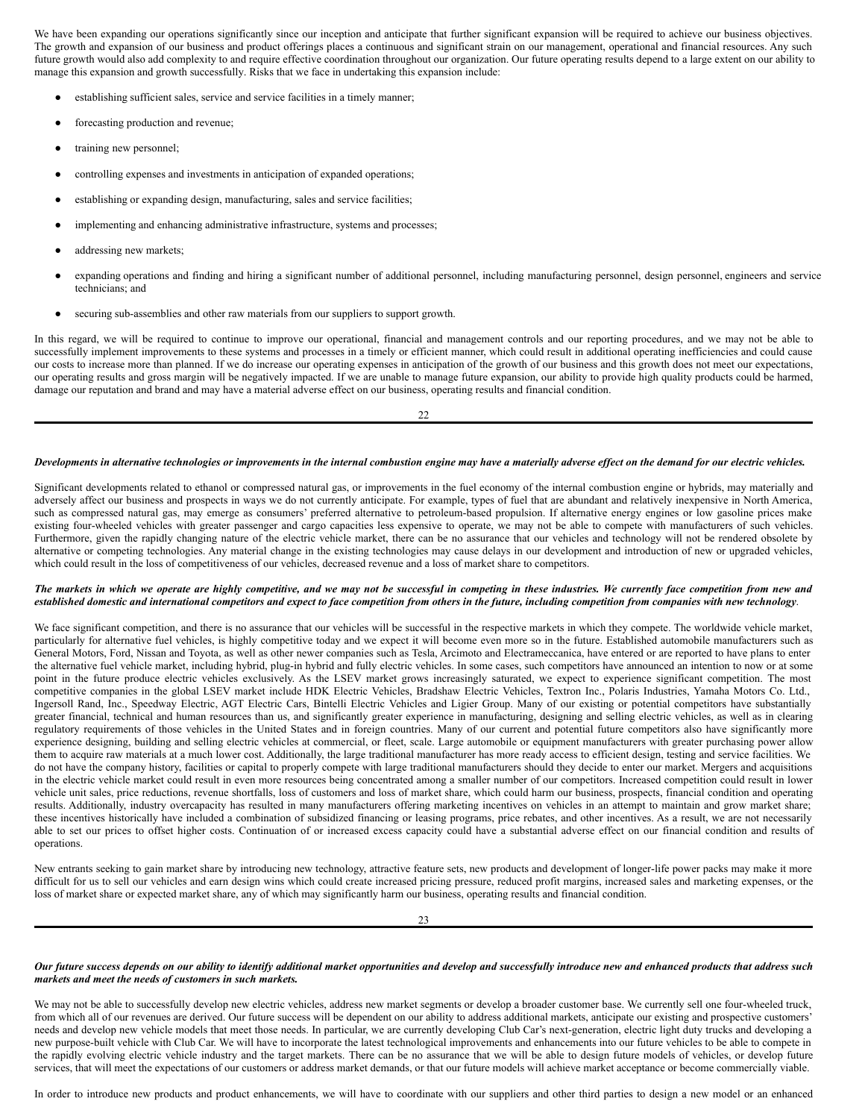We have been expanding our operations significantly since our inception and anticipate that further significant expansion will be required to achieve our business objectives. The growth and expansion of our business and product offerings places a continuous and significant strain on our management, operational and financial resources. Any such future growth would also add complexity to and require effective coordination throughout our organization. Our future operating results depend to a large extent on our ability to manage this expansion and growth successfully. Risks that we face in undertaking this expansion include:

- establishing sufficient sales, service and service facilities in a timely manner;
- forecasting production and revenue;
- training new personnel;
- controlling expenses and investments in anticipation of expanded operations;
- establishing or expanding design, manufacturing, sales and service facilities;
- implementing and enhancing administrative infrastructure, systems and processes;
- addressing new markets;
- expanding operations and finding and hiring a significant number of additional personnel, including manufacturing personnel, design personnel, engineers and service technicians; and
- securing sub-assemblies and other raw materials from our suppliers to support growth.

In this regard, we will be required to continue to improve our operational, financial and management controls and our reporting procedures, and we may not be able to successfully implement improvements to these systems and processes in a timely or efficient manner, which could result in additional operating inefficiencies and could cause our costs to increase more than planned. If we do increase our operating expenses in anticipation of the growth of our business and this growth does not meet our expectations, our operating results and gross margin will be negatively impacted. If we are unable to manage future expansion, our ability to provide high quality products could be harmed, damage our reputation and brand and may have a material adverse effect on our business, operating results and financial condition.

22

#### Developments in alternative technologies or improvements in the internal combustion engine may have a materially adverse effect on the demand for our electric vehicles.

Significant developments related to ethanol or compressed natural gas, or improvements in the fuel economy of the internal combustion engine or hybrids, may materially and adversely affect our business and prospects in ways we do not currently anticipate. For example, types of fuel that are abundant and relatively inexpensive in North America, such as compressed natural gas, may emerge as consumers' preferred alternative to petroleum-based propulsion. If alternative energy engines or low gasoline prices make existing four-wheeled vehicles with greater passenger and cargo capacities less expensive to operate, we may not be able to compete with manufacturers of such vehicles. Furthermore, given the rapidly changing nature of the electric vehicle market, there can be no assurance that our vehicles and technology will not be rendered obsolete by alternative or competing technologies. Any material change in the existing technologies may cause delays in our development and introduction of new or upgraded vehicles, which could result in the loss of competitiveness of our vehicles, decreased revenue and a loss of market share to competitors.

# The markets in which we operate are highly competitive, and we may not be successful in competing in these industries. We currently face competition from new and established domestic and international competitors and expect to face competition from others in the future, including competition from companies with new technology.

We face significant competition, and there is no assurance that our vehicles will be successful in the respective markets in which they compete. The worldwide vehicle market, particularly for alternative fuel vehicles, is highly competitive today and we expect it will become even more so in the future. Established automobile manufacturers such as General Motors, Ford, Nissan and Toyota, as well as other newer companies such as Tesla, Arcimoto and Electrameccanica, have entered or are reported to have plans to enter the alternative fuel vehicle market, including hybrid, plug-in hybrid and fully electric vehicles. In some cases, such competitors have announced an intention to now or at some point in the future produce electric vehicles exclusively. As the LSEV market grows increasingly saturated, we expect to experience significant competition. The most competitive companies in the global LSEV market include HDK Electric Vehicles, Bradshaw Electric Vehicles, Textron Inc., Polaris Industries, Yamaha Motors Co. Ltd., Ingersoll Rand, Inc., Speedway Electric, AGT Electric Cars, Bintelli Electric Vehicles and Ligier Group. Many of our existing or potential competitors have substantially greater financial, technical and human resources than us, and significantly greater experience in manufacturing, designing and selling electric vehicles, as well as in clearing regulatory requirements of those vehicles in the United States and in foreign countries. Many of our current and potential future competitors also have significantly more experience designing, building and selling electric vehicles at commercial, or fleet, scale. Large automobile or equipment manufacturers with greater purchasing power allow them to acquire raw materials at a much lower cost. Additionally, the large traditional manufacturer has more ready access to efficient design, testing and service facilities. We do not have the company history, facilities or capital to properly compete with large traditional manufacturers should they decide to enter our market. Mergers and acquisitions in the electric vehicle market could result in even more resources being concentrated among a smaller number of our competitors. Increased competition could result in lower vehicle unit sales, price reductions, revenue shortfalls, loss of customers and loss of market share, which could harm our business, prospects, financial condition and operating results. Additionally, industry overcapacity has resulted in many manufacturers offering marketing incentives on vehicles in an attempt to maintain and grow market share; these incentives historically have included a combination of subsidized financing or leasing programs, price rebates, and other incentives. As a result, we are not necessarily able to set our prices to offset higher costs. Continuation of or increased excess capacity could have a substantial adverse effect on our financial condition and results of operations.

New entrants seeking to gain market share by introducing new technology, attractive feature sets, new products and development of longer-life power packs may make it more difficult for us to sell our vehicles and earn design wins which could create increased pricing pressure, reduced profit margins, increased sales and marketing expenses, or the loss of market share or expected market share, any of which may significantly harm our business, operating results and financial condition.

23

# Our future success depends on our ability to identify additional market opportunities and develop and successfully introduce new and enhanced products that address such *markets and meet the needs of customers in such markets.*

We may not be able to successfully develop new electric vehicles, address new market segments or develop a broader customer base. We currently sell one four-wheeled truck, from which all of our revenues are derived. Our future success will be dependent on our ability to address additional markets, anticipate our existing and prospective customers' needs and develop new vehicle models that meet those needs. In particular, we are currently developing Club Car's next-generation, electric light duty trucks and developing a new purpose-built vehicle with Club Car. We will have to incorporate the latest technological improvements and enhancements into our future vehicles to be able to compete in the rapidly evolving electric vehicle industry and the target markets. There can be no assurance that we will be able to design future models of vehicles, or develop future services, that will meet the expectations of our customers or address market demands, or that our future models will achieve market acceptance or become commercially viable.

In order to introduce new products and product enhancements, we will have to coordinate with our suppliers and other third parties to design a new model or an enhanced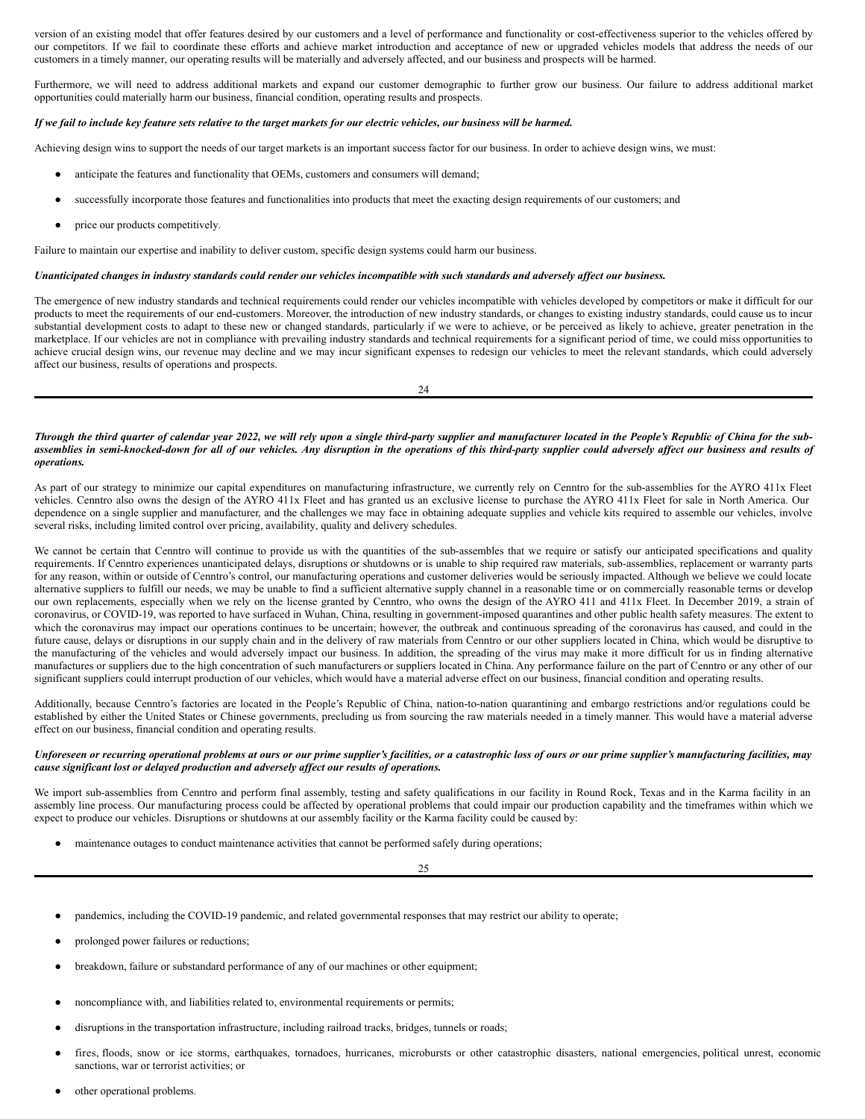version of an existing model that offer features desired by our customers and a level of performance and functionality or cost-effectiveness superior to the vehicles offered by our competitors. If we fail to coordinate these efforts and achieve market introduction and acceptance of new or upgraded vehicles models that address the needs of our customers in a timely manner, our operating results will be materially and adversely affected, and our business and prospects will be harmed.

Furthermore, we will need to address additional markets and expand our customer demographic to further grow our business. Our failure to address additional market opportunities could materially harm our business, financial condition, operating results and prospects.

#### If we fail to include key feature sets relative to the target markets for our electric vehicles, our business will be harmed.

Achieving design wins to support the needs of our target markets is an important success factor for our business. In order to achieve design wins, we must:

- anticipate the features and functionality that OEMs, customers and consumers will demand;
- successfully incorporate those features and functionalities into products that meet the exacting design requirements of our customers; and
- price our products competitively.

Failure to maintain our expertise and inability to deliver custom, specific design systems could harm our business.

#### Unanticipated changes in industry standards could render our vehicles incompatible with such standards and adversely affect our business.

The emergence of new industry standards and technical requirements could render our vehicles incompatible with vehicles developed by competitors or make it difficult for our products to meet the requirements of our end-customers. Moreover, the introduction of new industry standards, or changes to existing industry standards, could cause us to incur substantial development costs to adapt to these new or changed standards, particularly if we were to achieve, or be perceived as likely to achieve, greater penetration in the marketplace. If our vehicles are not in compliance with prevailing industry standards and technical requirements for a significant period of time, we could miss opportunities to achieve crucial design wins, our revenue may decline and we may incur significant expenses to redesign our vehicles to meet the relevant standards, which could adversely affect our business, results of operations and prospects.

24

# Through the third quarter of calendar year 2022, we will rely upon a single third-party supplier and manufacturer located in the People's Republic of China for the subassemblies in semi-knocked-down for all of our vehicles. Any disruption in the operations of this third-party supplier could adversely affect our business and results of *operations.*

As part of our strategy to minimize our capital expenditures on manufacturing infrastructure, we currently rely on Cenntro for the sub-assemblies for the AYRO 411x Fleet vehicles. Cenntro also owns the design of the AYRO 411x Fleet and has granted us an exclusive license to purchase the AYRO 411x Fleet for sale in North America. Our dependence on a single supplier and manufacturer, and the challenges we may face in obtaining adequate supplies and vehicle kits required to assemble our vehicles, involve several risks, including limited control over pricing, availability, quality and delivery schedules.

We cannot be certain that Cenntro will continue to provide us with the quantities of the sub-assembles that we require or satisfy our anticipated specifications and quality requirements. If Cenntro experiences unanticipated delays, disruptions or shutdowns or is unable to ship required raw materials, sub-assemblies, replacement or warranty parts for any reason, within or outside of Cenntro's control, our manufacturing operations and customer deliveries would be seriously impacted. Although we believe we could locate alternative suppliers to fulfill our needs, we may be unable to find a sufficient alternative supply channel in a reasonable time or on commercially reasonable terms or develop our own replacements, especially when we rely on the license granted by Cenntro, who owns the design of the AYRO 411 and 411x Fleet. In December 2019, a strain of coronavirus, or COVID-19, was reported to have surfaced in Wuhan, China, resulting in government-imposed quarantines and other public health safety measures. The extent to which the coronavirus may impact our operations continues to be uncertain; however, the outbreak and continuous spreading of the coronavirus has caused, and could in the future cause, delays or disruptions in our supply chain and in the delivery of raw materials from Cenntro or our other suppliers located in China, which would be disruptive to the manufacturing of the vehicles and would adversely impact our business. In addition, the spreading of the virus may make it more difficult for us in finding alternative manufactures or suppliers due to the high concentration of such manufacturers or suppliers located in China. Any performance failure on the part of Cenntro or any other of our significant suppliers could interrupt production of our vehicles, which would have a material adverse effect on our business, financial condition and operating results.

Additionally, because Cenntro's factories are located in the People's Republic of China, nation-to-nation quarantining and embargo restrictions and/or regulations could be established by either the United States or Chinese governments, precluding us from sourcing the raw materials needed in a timely manner. This would have a material adverse effect on our business, financial condition and operating results.

#### Unforeseen or recurring operational problems at ours or our prime supplier's facilities, or a catastrophic loss of ours or our prime supplier's manufacturing facilities, may *cause significant lost or delayed production and adversely af ect our results of operations.*

We import sub-assemblies from Cenntro and perform final assembly, testing and safety qualifications in our facility in Round Rock, Texas and in the Karma facility in an assembly line process. Our manufacturing process could be affected by operational problems that could impair our production capability and the timeframes within which we expect to produce our vehicles. Disruptions or shutdowns at our assembly facility or the Karma facility could be caused by:

maintenance outages to conduct maintenance activities that cannot be performed safely during operations;

25

- pandemics, including the COVID-19 pandemic, and related governmental responses that may restrict our ability to operate;
- prolonged power failures or reductions;
- breakdown, failure or substandard performance of any of our machines or other equipment;
- noncompliance with, and liabilities related to, environmental requirements or permits;
- disruptions in the transportation infrastructure, including railroad tracks, bridges, tunnels or roads;
- fires, floods, snow or ice storms, earthquakes, tornadoes, hurricanes, microbursts or other catastrophic disasters, national emergencies, political unrest, economic sanctions, war or terrorist activities; or
- other operational problems.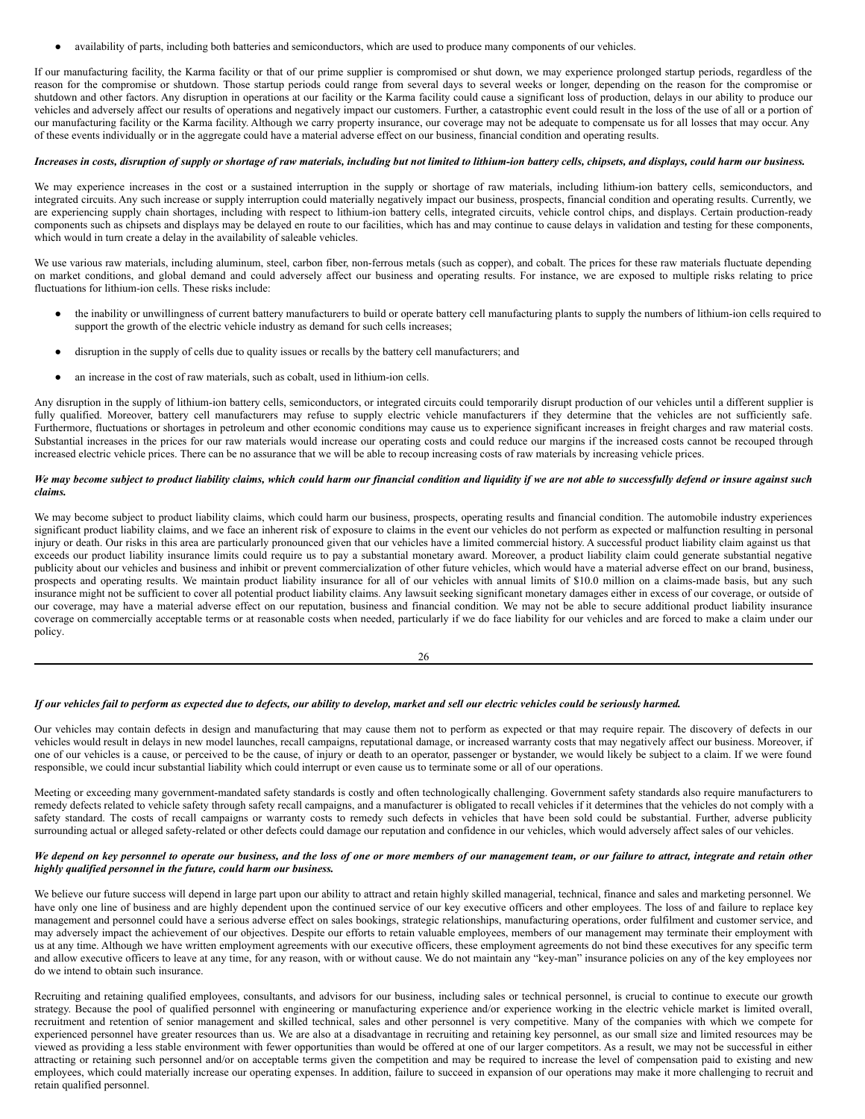● availability of parts, including both batteries and semiconductors, which are used to produce many components of our vehicles.

If our manufacturing facility, the Karma facility or that of our prime supplier is compromised or shut down, we may experience prolonged startup periods, regardless of the reason for the compromise or shutdown. Those startup periods could range from several days to several weeks or longer, depending on the reason for the compromise or shutdown and other factors. Any disruption in operations at our facility or the Karma facility could cause a significant loss of production, delays in our ability to produce our vehicles and adversely affect our results of operations and negatively impact our customers. Further, a catastrophic event could result in the loss of the use of all or a portion of our manufacturing facility or the Karma facility. Although we carry property insurance, our coverage may not be adequate to compensate us for all losses that may occur. Any of these events individually or in the aggregate could have a material adverse effect on our business, financial condition and operating results.

# Increases in costs, disruption of supply or shortage of raw materials, including but not limited to lithium-ion battery cells, chipsets, and displays, could harm our business.

We may experience increases in the cost or a sustained interruption in the supply or shortage of raw materials, including lithium-ion battery cells, semiconductors, and integrated circuits. Any such increase or supply interruption could materially negatively impact our business, prospects, financial condition and operating results. Currently, we are experiencing supply chain shortages, including with respect to lithium-ion battery cells, integrated circuits, vehicle control chips, and displays. Certain production-ready components such as chipsets and displays may be delayed en route to our facilities, which has and may continue to cause delays in validation and testing for these components, which would in turn create a delay in the availability of saleable vehicles.

We use various raw materials, including aluminum, steel, carbon fiber, non-ferrous metals (such as copper), and cobalt. The prices for these raw materials fluctuate depending on market conditions, and global demand and could adversely affect our business and operating results. For instance, we are exposed to multiple risks relating to price fluctuations for lithium-ion cells. These risks include:

- the inability or unwillingness of current battery manufacturers to build or operate battery cell manufacturing plants to supply the numbers of lithium-ion cells required to support the growth of the electric vehicle industry as demand for such cells increases;
- disruption in the supply of cells due to quality issues or recalls by the battery cell manufacturers; and
- an increase in the cost of raw materials, such as cobalt, used in lithium-ion cells.

Any disruption in the supply of lithium-ion battery cells, semiconductors, or integrated circuits could temporarily disrupt production of our vehicles until a different supplier is fully qualified. Moreover, battery cell manufacturers may refuse to supply electric vehicle manufacturers if they determine that the vehicles are not sufficiently safe. Furthermore, fluctuations or shortages in petroleum and other economic conditions may cause us to experience significant increases in freight charges and raw material costs. Substantial increases in the prices for our raw materials would increase our operating costs and could reduce our margins if the increased costs cannot be recouped through increased electric vehicle prices. There can be no assurance that we will be able to recoup increasing costs of raw materials by increasing vehicle prices.

# We may become subject to product liability claims, which could harm our financial condition and liquidity if we are not able to successfully defend or insure against such *claims.*

We may become subject to product liability claims, which could harm our business, prospects, operating results and financial condition. The automobile industry experiences significant product liability claims, and we face an inherent risk of exposure to claims in the event our vehicles do not perform as expected or malfunction resulting in personal injury or death. Our risks in this area are particularly pronounced given that our vehicles have a limited commercial history. A successful product liability claim against us that exceeds our product liability insurance limits could require us to pay a substantial monetary award. Moreover, a product liability claim could generate substantial negative publicity about our vehicles and business and inhibit or prevent commercialization of other future vehicles, which would have a material adverse effect on our brand, business, prospects and operating results. We maintain product liability insurance for all of our vehicles with annual limits of \$10.0 million on a claims-made basis, but any such insurance might not be sufficient to cover all potential product liability claims. Any lawsuit seeking significant monetary damages either in excess of our coverage, or outside of our coverage, may have a material adverse effect on our reputation, business and financial condition. We may not be able to secure additional product liability insurance coverage on commercially acceptable terms or at reasonable costs when needed, particularly if we do face liability for our vehicles and are forced to make a claim under our policy.

26

# If our vehicles fail to perform as expected due to defects, our ability to develop, market and sell our electric vehicles could be seriously harmed.

Our vehicles may contain defects in design and manufacturing that may cause them not to perform as expected or that may require repair. The discovery of defects in our vehicles would result in delays in new model launches, recall campaigns, reputational damage, or increased warranty costs that may negatively affect our business. Moreover, if one of our vehicles is a cause, or perceived to be the cause, of injury or death to an operator, passenger or bystander, we would likely be subject to a claim. If we were found responsible, we could incur substantial liability which could interrupt or even cause us to terminate some or all of our operations.

Meeting or exceeding many government-mandated safety standards is costly and often technologically challenging. Government safety standards also require manufacturers to remedy defects related to vehicle safety through safety recall campaigns, and a manufacturer is obligated to recall vehicles if it determines that the vehicles do not comply with a safety standard. The costs of recall campaigns or warranty costs to remedy such defects in vehicles that have been sold could be substantial. Further, adverse publicity surrounding actual or alleged safety-related or other defects could damage our reputation and confidence in our vehicles, which would adversely affect sales of our vehicles.

# We depend on key personnel to operate our business, and the loss of one or more members of our management team, or our failure to attract, integrate and retain other *highly qualified personnel in the future, could harm our business.*

We believe our future success will depend in large part upon our ability to attract and retain highly skilled managerial, technical, finance and sales and marketing personnel. We have only one line of business and are highly dependent upon the continued service of our key executive officers and other employees. The loss of and failure to replace key management and personnel could have a serious adverse effect on sales bookings, strategic relationships, manufacturing operations, order fulfilment and customer service, and may adversely impact the achievement of our objectives. Despite our efforts to retain valuable employees, members of our management may terminate their employment with us at any time. Although we have written employment agreements with our executive officers, these employment agreements do not bind these executives for any specific term and allow executive officers to leave at any time, for any reason, with or without cause. We do not maintain any "key-man" insurance policies on any of the key employees nor do we intend to obtain such insurance.

Recruiting and retaining qualified employees, consultants, and advisors for our business, including sales or technical personnel, is crucial to continue to execute our growth strategy. Because the pool of qualified personnel with engineering or manufacturing experience and/or experience working in the electric vehicle market is limited overall, recruitment and retention of senior management and skilled technical, sales and other personnel is very competitive. Many of the companies with which we compete for experienced personnel have greater resources than us. We are also at a disadvantage in recruiting and retaining key personnel, as our small size and limited resources may be viewed as providing a less stable environment with fewer opportunities than would be offered at one of our larger competitors. As a result, we may not be successful in either attracting or retaining such personnel and/or on acceptable terms given the competition and may be required to increase the level of compensation paid to existing and new employees, which could materially increase our operating expenses. In addition, failure to succeed in expansion of our operations may make it more challenging to recruit and retain qualified personnel.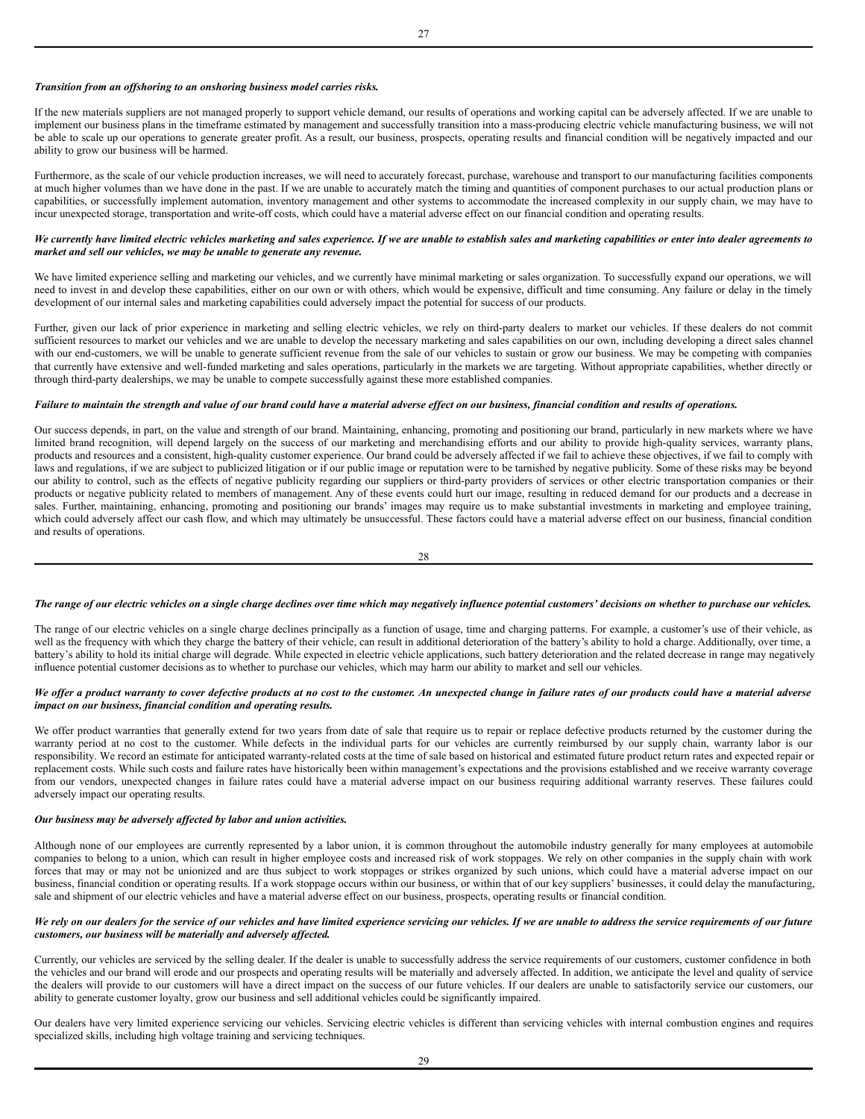# *Transition from an of shoring to an onshoring business model carries risks.*

If the new materials suppliers are not managed properly to support vehicle demand, our results of operations and working capital can be adversely affected. If we are unable to implement our business plans in the timeframe estimated by management and successfully transition into a mass-producing electric vehicle manufacturing business, we will not be able to scale up our operations to generate greater profit. As a result, our business, prospects, operating results and financial condition will be negatively impacted and our ability to grow our business will be harmed.

Furthermore, as the scale of our vehicle production increases, we will need to accurately forecast, purchase, warehouse and transport to our manufacturing facilities components at much higher volumes than we have done in the past. If we are unable to accurately match the timing and quantities of component purchases to our actual production plans or capabilities, or successfully implement automation, inventory management and other systems to accommodate the increased complexity in our supply chain, we may have to incur unexpected storage, transportation and write-off costs, which could have a material adverse effect on our financial condition and operating results.

# We currently have limited electric vehicles marketing and sales experience. If we are unable to establish sales and marketing capabilities or enter into dealer agreements to *market and sell our vehicles, we may be unable to generate any revenue.*

We have limited experience selling and marketing our vehicles, and we currently have minimal marketing or sales organization. To successfully expand our operations, we will need to invest in and develop these capabilities, either on our own or with others, which would be expensive, difficult and time consuming. Any failure or delay in the timely development of our internal sales and marketing capabilities could adversely impact the potential for success of our products.

Further, given our lack of prior experience in marketing and selling electric vehicles, we rely on third-party dealers to market our vehicles. If these dealers do not commit sufficient resources to market our vehicles and we are unable to develop the necessary marketing and sales capabilities on our own, including developing a direct sales channel with our end-customers, we will be unable to generate sufficient revenue from the sale of our vehicles to sustain or grow our business. We may be competing with companies that currently have extensive and well-funded marketing and sales operations, particularly in the markets we are targeting. Without appropriate capabilities, whether directly or through third-party dealerships, we may be unable to compete successfully against these more established companies.

#### Failure to maintain the strength and value of our brand could have a material adverse effect on our business, financial condition and results of operations.

Our success depends, in part, on the value and strength of our brand. Maintaining, enhancing, promoting and positioning our brand, particularly in new markets where we have limited brand recognition, will depend largely on the success of our marketing and merchandising efforts and our ability to provide high-quality services, warranty plans, products and resources and a consistent, high-quality customer experience. Our brand could be adversely affected if we fail to achieve these objectives, if we fail to comply with laws and regulations, if we are subject to publicized litigation or if our public image or reputation were to be tarnished by negative publicity. Some of these risks may be beyond our ability to control, such as the effects of negative publicity regarding our suppliers or third-party providers of services or other electric transportation companies or their products or negative publicity related to members of management. Any of these events could hurt our image, resulting in reduced demand for our products and a decrease in sales. Further, maintaining, enhancing, promoting and positioning our brands' images may require us to make substantial investments in marketing and employee training, which could adversely affect our cash flow, and which may ultimately be unsuccessful. These factors could have a material adverse effect on our business, financial condition and results of operations.

28

# The range of our electric vehicles on a single charge declines over time which may negatively influence potential customers' decisions on whether to purchase our vehicles.

The range of our electric vehicles on a single charge declines principally as a function of usage, time and charging patterns. For example, a customer's use of their vehicle, as well as the frequency with which they charge the battery of their vehicle, can result in additional deterioration of the battery's ability to hold a charge. Additionally, over time, a battery's ability to hold its initial charge will degrade. While expected in electric vehicle applications, such battery deterioration and the related decrease in range may negatively influence potential customer decisions as to whether to purchase our vehicles, which may harm our ability to market and sell our vehicles.

# We offer a product warranty to cover defective products at no cost to the customer. An unexpected change in failure rates of our products could have a material adverse *impact on our business, financial condition and operating results.*

We offer product warranties that generally extend for two years from date of sale that require us to repair or replace defective products returned by the customer during the warranty period at no cost to the customer. While defects in the individual parts for our vehicles are currently reimbursed by our supply chain, warranty labor is our responsibility. We record an estimate for anticipated warranty-related costs at the time of sale based on historical and estimated future product return rates and expected repair or replacement costs. While such costs and failure rates have historically been within management's expectations and the provisions established and we receive warranty coverage from our vendors, unexpected changes in failure rates could have a material adverse impact on our business requiring additional warranty reserves. These failures could adversely impact our operating results.

#### *Our business may be adversely af ected by labor and union activities.*

Although none of our employees are currently represented by a labor union, it is common throughout the automobile industry generally for many employees at automobile companies to belong to a union, which can result in higher employee costs and increased risk of work stoppages. We rely on other companies in the supply chain with work forces that may or may not be unionized and are thus subject to work stoppages or strikes organized by such unions, which could have a material adverse impact on our business, financial condition or operating results. If a work stoppage occurs within our business, or within that of our key suppliers' businesses, it could delay the manufacturing, sale and shipment of our electric vehicles and have a material adverse effect on our business, prospects, operating results or financial condition.

# We rely on our dealers for the service of our vehicles and have limited experience servicing our vehicles. If we are unable to address the service requirements of our future *customers, our business will be materially and adversely af ected.*

Currently, our vehicles are serviced by the selling dealer. If the dealer is unable to successfully address the service requirements of our customers, customer confidence in both the vehicles and our brand will erode and our prospects and operating results will be materially and adversely affected. In addition, we anticipate the level and quality of service the dealers will provide to our customers will have a direct impact on the success of our future vehicles. If our dealers are unable to satisfactorily service our customers, our ability to generate customer loyalty, grow our business and sell additional vehicles could be significantly impaired.

Our dealers have very limited experience servicing our vehicles. Servicing electric vehicles is different than servicing vehicles with internal combustion engines and requires specialized skills, including high voltage training and servicing techniques.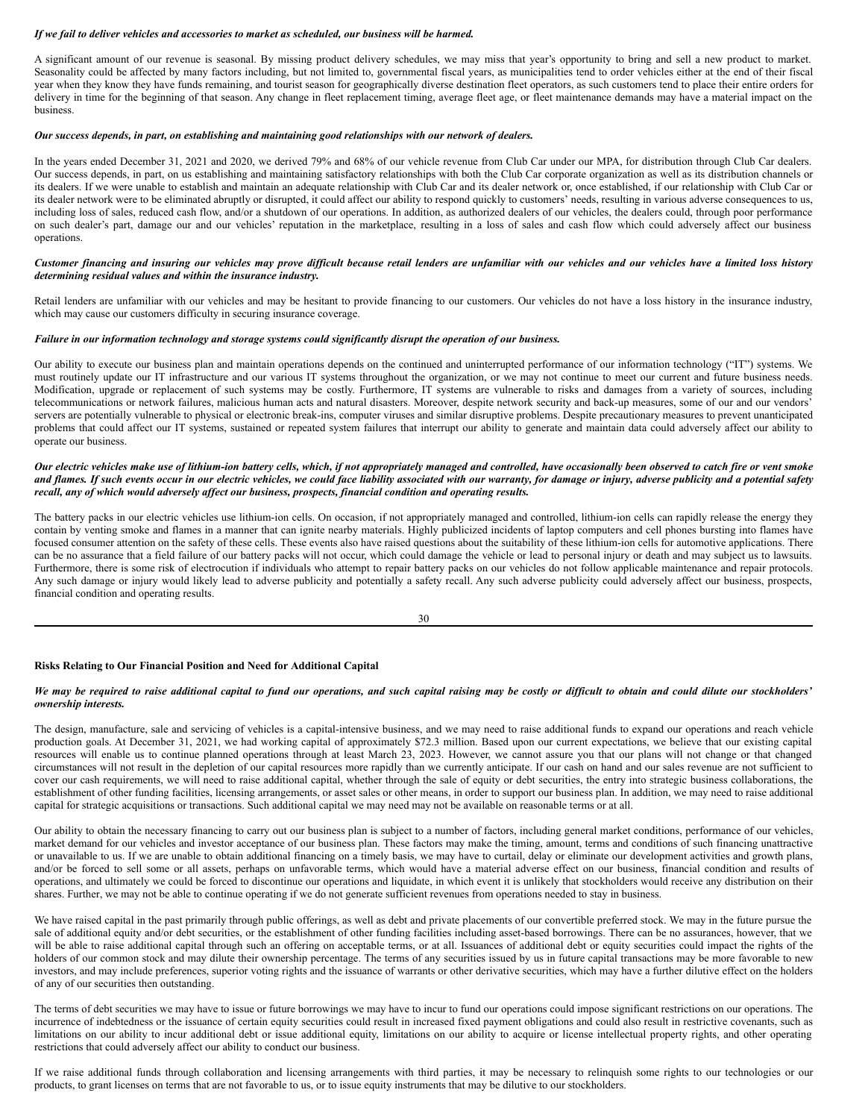#### *If we fail to deliver vehicles and accessories to market as scheduled, our business will be harmed.*

A significant amount of our revenue is seasonal. By missing product delivery schedules, we may miss that year's opportunity to bring and sell a new product to market. Seasonality could be affected by many factors including, but not limited to, governmental fiscal years, as municipalities tend to order vehicles either at the end of their fiscal year when they know they have funds remaining, and tourist season for geographically diverse destination fleet operators, as such customers tend to place their entire orders for delivery in time for the beginning of that season. Any change in fleet replacement timing, average fleet age, or fleet maintenance demands may have a material impact on the business.

# *Our success depends, in part, on establishing and maintaining good relationships with our network of dealers.*

In the years ended December 31, 2021 and 2020, we derived 79% and 68% of our vehicle revenue from Club Car under our MPA, for distribution through Club Car dealers. Our success depends, in part, on us establishing and maintaining satisfactory relationships with both the Club Car corporate organization as well as its distribution channels or its dealers. If we were unable to establish and maintain an adequate relationship with Club Car and its dealer network or, once established, if our relationship with Club Car or its dealer network were to be eliminated abruptly or disrupted, it could affect our ability to respond quickly to customers' needs, resulting in various adverse consequences to us, including loss of sales, reduced cash flow, and/or a shutdown of our operations. In addition, as authorized dealers of our vehicles, the dealers could, through poor performance on such dealer's part, damage our and our vehicles' reputation in the marketplace, resulting in a loss of sales and cash flow which could adversely affect our business operations.

#### Customer financing and insuring our vehicles may prove difficult because retail lenders are unfamiliar with our vehicles and our vehicles have a limited loss history *determining residual values and within the insurance industry.*

Retail lenders are unfamiliar with our vehicles and may be hesitant to provide financing to our customers. Our vehicles do not have a loss history in the insurance industry, which may cause our customers difficulty in securing insurance coverage.

# Failure in our information technology and storage systems could significantly disrupt the operation of our business.

Our ability to execute our business plan and maintain operations depends on the continued and uninterrupted performance of our information technology ("IT") systems. We must routinely update our IT infrastructure and our various IT systems throughout the organization, or we may not continue to meet our current and future business needs. Modification, upgrade or replacement of such systems may be costly. Furthermore, IT systems are vulnerable to risks and damages from a variety of sources, including telecommunications or network failures, malicious human acts and natural disasters. Moreover, despite network security and back-up measures, some of our and our vendors' servers are potentially vulnerable to physical or electronic break-ins, computer viruses and similar disruptive problems. Despite precautionary measures to prevent unanticipated problems that could affect our IT systems, sustained or repeated system failures that interrupt our ability to generate and maintain data could adversely affect our ability to operate our business.

# Our electric vehicles make use of lithium-ion battery cells, which, if not appropriately managed and controlled, have occasionally been observed to catch fire or vent smoke and flames. If such events occur in our electric vehicles, we could face liability associated with our warranty, for damage or injury, adverse publicity and a potential safety *recall, any of which would adversely af ect our business, prospects, financial condition and operating results.*

The battery packs in our electric vehicles use lithium-ion cells. On occasion, if not appropriately managed and controlled, lithium-ion cells can rapidly release the energy they contain by venting smoke and flames in a manner that can ignite nearby materials. Highly publicized incidents of laptop computers and cell phones bursting into flames have focused consumer attention on the safety of these cells. These events also have raised questions about the suitability of these lithium-ion cells for automotive applications. There can be no assurance that a field failure of our battery packs will not occur, which could damage the vehicle or lead to personal injury or death and may subject us to lawsuits. Furthermore, there is some risk of electrocution if individuals who attempt to repair battery packs on our vehicles do not follow applicable maintenance and repair protocols. Any such damage or injury would likely lead to adverse publicity and potentially a safety recall. Any such adverse publicity could adversely affect our business, prospects, financial condition and operating results.

30

#### **Risks Relating to Our Financial Position and Need for Additional Capital**

# We may be required to raise additional capital to fund our operations, and such capital raising may be costly or difficult to obtain and could dilute our stockholders' *ownership interests.*

The design, manufacture, sale and servicing of vehicles is a capital-intensive business, and we may need to raise additional funds to expand our operations and reach vehicle production goals. At December 31, 2021, we had working capital of approximately \$72.3 million. Based upon our current expectations, we believe that our existing capital resources will enable us to continue planned operations through at least March 23, 2023. However, we cannot assure you that our plans will not change or that changed circumstances will not result in the depletion of our capital resources more rapidly than we currently anticipate. If our cash on hand and our sales revenue are not sufficient to cover our cash requirements, we will need to raise additional capital, whether through the sale of equity or debt securities, the entry into strategic business collaborations, the establishment of other funding facilities, licensing arrangements, or asset sales or other means, in order to support our business plan. In addition, we may need to raise additional capital for strategic acquisitions or transactions. Such additional capital we may need may not be available on reasonable terms or at all.

Our ability to obtain the necessary financing to carry out our business plan is subject to a number of factors, including general market conditions, performance of our vehicles, market demand for our vehicles and investor acceptance of our business plan. These factors may make the timing, amount, terms and conditions of such financing unattractive or unavailable to us. If we are unable to obtain additional financing on a timely basis, we may have to curtail, delay or eliminate our development activities and growth plans, and/or be forced to sell some or all assets, perhaps on unfavorable terms, which would have a material adverse effect on our business, financial condition and results of operations, and ultimately we could be forced to discontinue our operations and liquidate, in which event it is unlikely that stockholders would receive any distribution on their shares. Further, we may not be able to continue operating if we do not generate sufficient revenues from operations needed to stay in business.

We have raised capital in the past primarily through public offerings, as well as debt and private placements of our convertible preferred stock. We may in the future pursue the sale of additional equity and/or debt securities, or the establishment of other funding facilities including asset-based borrowings. There can be no assurances, however, that we will be able to raise additional capital through such an offering on acceptable terms, or at all. Issuances of additional debt or equity securities could impact the rights of the holders of our common stock and may dilute their ownership percentage. The terms of any securities issued by us in future capital transactions may be more favorable to new investors, and may include preferences, superior voting rights and the issuance of warrants or other derivative securities, which may have a further dilutive effect on the holders of any of our securities then outstanding.

The terms of debt securities we may have to issue or future borrowings we may have to incur to fund our operations could impose significant restrictions on our operations. The incurrence of indebtedness or the issuance of certain equity securities could result in increased fixed payment obligations and could also result in restrictive covenants, such as limitations on our ability to incur additional debt or issue additional equity, limitations on our ability to acquire or license intellectual property rights, and other operating restrictions that could adversely affect our ability to conduct our business.

If we raise additional funds through collaboration and licensing arrangements with third parties, it may be necessary to relinquish some rights to our technologies or our products, to grant licenses on terms that are not favorable to us, or to issue equity instruments that may be dilutive to our stockholders.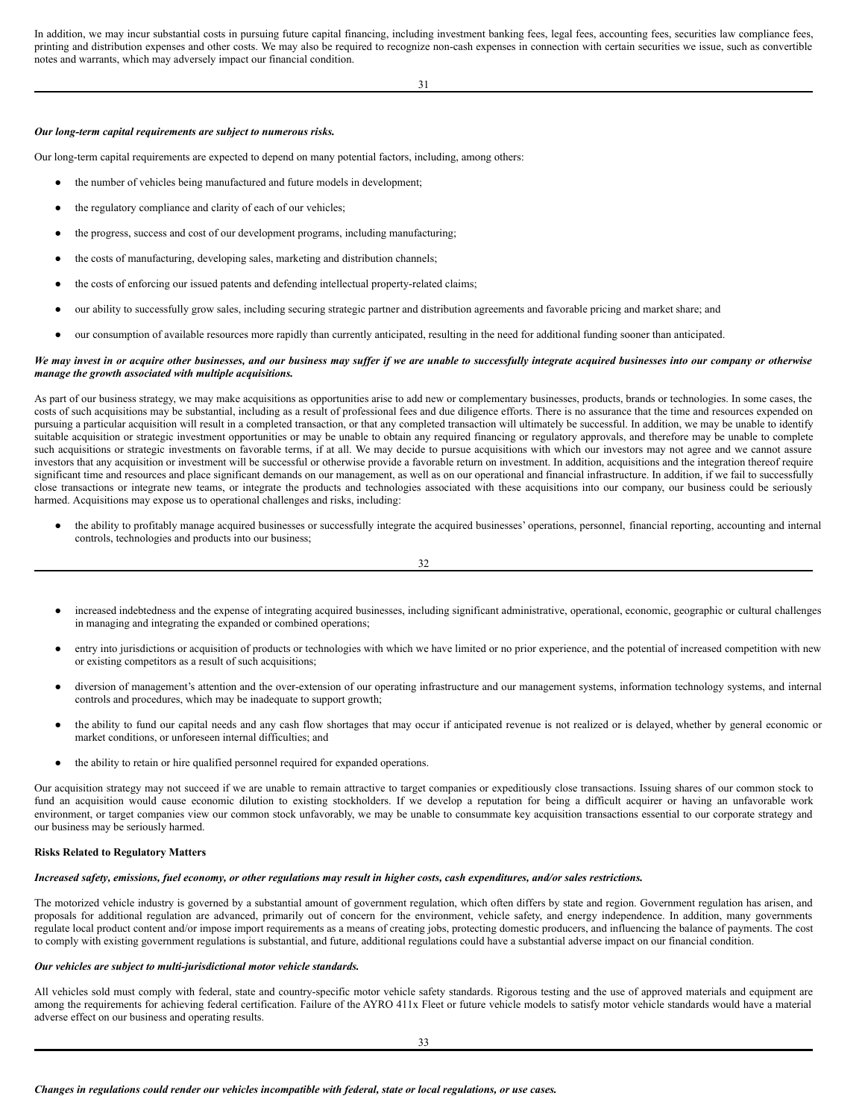In addition, we may incur substantial costs in pursuing future capital financing, including investment banking fees, legal fees, accounting fees, securities law compliance fees, printing and distribution expenses and other costs. We may also be required to recognize non-cash expenses in connection with certain securities we issue, such as convertible notes and warrants, which may adversely impact our financial condition.

31

# *Our long-term capital requirements are subject to numerous risks.*

Our long-term capital requirements are expected to depend on many potential factors, including, among others:

- the number of vehicles being manufactured and future models in development;
- the regulatory compliance and clarity of each of our vehicles;
- the progress, success and cost of our development programs, including manufacturing;
- the costs of manufacturing, developing sales, marketing and distribution channels;
- the costs of enforcing our issued patents and defending intellectual property-related claims;
- our ability to successfully grow sales, including securing strategic partner and distribution agreements and favorable pricing and market share; and
- our consumption of available resources more rapidly than currently anticipated, resulting in the need for additional funding sooner than anticipated.

# We may invest in or acquire other businesses, and our business may suffer if we are unable to successfully integrate acquired businesses into our company or otherwise *manage the growth associated with multiple acquisitions.*

As part of our business strategy, we may make acquisitions as opportunities arise to add new or complementary businesses, products, brands or technologies. In some cases, the costs of such acquisitions may be substantial, including as a result of professional fees and due diligence efforts. There is no assurance that the time and resources expended on pursuing a particular acquisition will result in a completed transaction, or that any completed transaction will ultimately be successful. In addition, we may be unable to identify suitable acquisition or strategic investment opportunities or may be unable to obtain any required financing or regulatory approvals, and therefore may be unable to complete such acquisitions or strategic investments on favorable terms, if at all. We may decide to pursue acquisitions with which our investors may not agree and we cannot assure investors that any acquisition or investment will be successful or otherwise provide a favorable return on investment. In addition, acquisitions and the integration thereof require significant time and resources and place significant demands on our management, as well as on our operational and financial infrastructure. In addition, if we fail to successfully close transactions or integrate new teams, or integrate the products and technologies associated with these acquisitions into our company, our business could be seriously harmed. Acquisitions may expose us to operational challenges and risks, including:

the ability to profitably manage acquired businesses or successfully integrate the acquired businesses' operations, personnel, financial reporting, accounting and internal controls, technologies and products into our business;

| ۰.<br>I<br>I<br>×<br>۰. |
|-------------------------|
|-------------------------|

- increased indebtedness and the expense of integrating acquired businesses, including significant administrative, operational, economic, geographic or cultural challenges in managing and integrating the expanded or combined operations;
- entry into jurisdictions or acquisition of products or technologies with which we have limited or no prior experience, and the potential of increased competition with new or existing competitors as a result of such acquisitions;
- diversion of management's attention and the over-extension of our operating infrastructure and our management systems, information technology systems, and internal controls and procedures, which may be inadequate to support growth;
- the ability to fund our capital needs and any cash flow shortages that may occur if anticipated revenue is not realized or is delayed, whether by general economic or market conditions, or unforeseen internal difficulties; and
- the ability to retain or hire qualified personnel required for expanded operations.

Our acquisition strategy may not succeed if we are unable to remain attractive to target companies or expeditiously close transactions. Issuing shares of our common stock to fund an acquisition would cause economic dilution to existing stockholders. If we develop a reputation for being a difficult acquirer or having an unfavorable work environment, or target companies view our common stock unfavorably, we may be unable to consummate key acquisition transactions essential to our corporate strategy and our business may be seriously harmed.

# **Risks Related to Regulatory Matters**

# Increased safety, emissions, fuel economy, or other regulations may result in higher costs, cash expenditures, and/or sales restrictions.

The motorized vehicle industry is governed by a substantial amount of government regulation, which often differs by state and region. Government regulation has arisen, and proposals for additional regulation are advanced, primarily out of concern for the environment, vehicle safety, and energy independence. In addition, many governments regulate local product content and/or impose import requirements as a means of creating jobs, protecting domestic producers, and influencing the balance of payments. The cost to comply with existing government regulations is substantial, and future, additional regulations could have a substantial adverse impact on our financial condition.

# *Our vehicles are subject to multi-jurisdictional motor vehicle standards.*

All vehicles sold must comply with federal, state and country-specific motor vehicle safety standards. Rigorous testing and the use of approved materials and equipment are among the requirements for achieving federal certification. Failure of the AYRO 411x Fleet or future vehicle models to satisfy motor vehicle standards would have a material adverse effect on our business and operating results.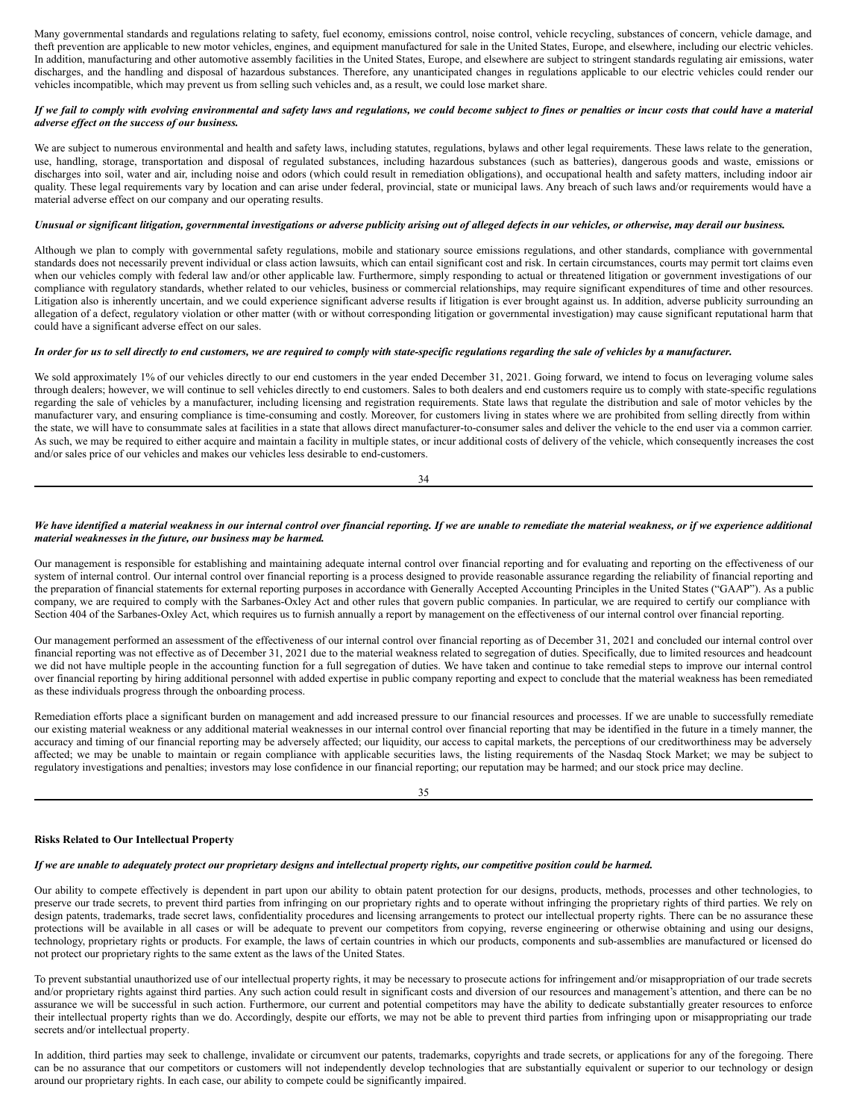Many governmental standards and regulations relating to safety, fuel economy, emissions control, noise control, vehicle recycling, substances of concern, vehicle damage, and theft prevention are applicable to new motor vehicles, engines, and equipment manufactured for sale in the United States, Europe, and elsewhere, including our electric vehicles. In addition, manufacturing and other automotive assembly facilities in the United States, Europe, and elsewhere are subject to stringent standards regulating air emissions, water discharges, and the handling and disposal of hazardous substances. Therefore, any unanticipated changes in regulations applicable to our electric vehicles could render our vehicles incompatible, which may prevent us from selling such vehicles and, as a result, we could lose market share.

# If we fail to comply with evolving environmental and safety laws and regulations, we could become subject to fines or penalties or incur costs that could have a material *adverse ef ect on the success of our business.*

We are subject to numerous environmental and health and safety laws, including statutes, regulations, bylaws and other legal requirements. These laws relate to the generation, use, handling, storage, transportation and disposal of regulated substances, including hazardous substances (such as batteries), dangerous goods and waste, emissions or discharges into soil, water and air, including noise and odors (which could result in remediation obligations), and occupational health and safety matters, including indoor air quality. These legal requirements vary by location and can arise under federal, provincial, state or municipal laws. Any breach of such laws and/or requirements would have a material adverse effect on our company and our operating results.

# Unusual or significant litigation, governmental investigations or adverse publicity arising out of alleged defects in our vehicles, or otherwise, may derail our business.

Although we plan to comply with governmental safety regulations, mobile and stationary source emissions regulations, and other standards, compliance with governmental standards does not necessarily prevent individual or class action lawsuits, which can entail significant cost and risk. In certain circumstances, courts may permit tort claims even when our vehicles comply with federal law and/or other applicable law. Furthermore, simply responding to actual or threatened litigation or government investigations of our compliance with regulatory standards, whether related to our vehicles, business or commercial relationships, may require significant expenditures of time and other resources. Litigation also is inherently uncertain, and we could experience significant adverse results if litigation is ever brought against us. In addition, adverse publicity surrounding an allegation of a defect, regulatory violation or other matter (with or without corresponding litigation or governmental investigation) may cause significant reputational harm that could have a significant adverse effect on our sales.

# In order for us to sell directly to end customers, we are required to comply with state-specific regulations regarding the sale of vehicles by a manufacturer.

We sold approximately 1% of our vehicles directly to our end customers in the year ended December 31, 2021. Going forward, we intend to focus on leveraging volume sales through dealers; however, we will continue to sell vehicles directly to end customers. Sales to both dealers and end customers require us to comply with state-specific regulations regarding the sale of vehicles by a manufacturer, including licensing and registration requirements. State laws that regulate the distribution and sale of motor vehicles by the manufacturer vary, and ensuring compliance is time-consuming and costly. Moreover, for customers living in states where we are prohibited from selling directly from within the state, we will have to consummate sales at facilities in a state that allows direct manufacturer-to-consumer sales and deliver the vehicle to the end user via a common carrier. As such, we may be required to either acquire and maintain a facility in multiple states, or incur additional costs of delivery of the vehicle, which consequently increases the cost and/or sales price of our vehicles and makes our vehicles less desirable to end-customers.

#### 34

# We have identified a material weakness in our internal control over financial reporting. If we are unable to remediate the material weakness, or if we experience additional *material weaknesses in the future, our business may be harmed.*

Our management is responsible for establishing and maintaining adequate internal control over financial reporting and for evaluating and reporting on the effectiveness of our system of internal control. Our internal control over financial reporting is a process designed to provide reasonable assurance regarding the reliability of financial reporting and the preparation of financial statements for external reporting purposes in accordance with Generally Accepted Accounting Principles in the United States ("GAAP"). As a public company, we are required to comply with the Sarbanes-Oxley Act and other rules that govern public companies. In particular, we are required to certify our compliance with Section 404 of the Sarbanes-Oxley Act, which requires us to furnish annually a report by management on the effectiveness of our internal control over financial reporting.

Our management performed an assessment of the effectiveness of our internal control over financial reporting as of December 31, 2021 and concluded our internal control over financial reporting was not effective as of December 31, 2021 due to the material weakness related to segregation of duties. Specifically, due to limited resources and headcount we did not have multiple people in the accounting function for a full segregation of duties. We have taken and continue to take remedial steps to improve our internal control over financial reporting by hiring additional personnel with added expertise in public company reporting and expect to conclude that the material weakness has been remediated as these individuals progress through the onboarding process.

Remediation efforts place a significant burden on management and add increased pressure to our financial resources and processes. If we are unable to successfully remediate our existing material weakness or any additional material weaknesses in our internal control over financial reporting that may be identified in the future in a timely manner, the accuracy and timing of our financial reporting may be adversely affected; our liquidity, our access to capital markets, the perceptions of our creditworthiness may be adversely affected; we may be unable to maintain or regain compliance with applicable securities laws, the listing requirements of the Nasdaq Stock Market; we may be subject to regulatory investigations and penalties; investors may lose confidence in our financial reporting; our reputation may be harmed; and our stock price may decline.

#### 35

# **Risks Related to Our Intellectual Property**

# If we are unable to adequately protect our proprietary designs and intellectual property rights, our competitive position could be harmed.

Our ability to compete effectively is dependent in part upon our ability to obtain patent protection for our designs, products, methods, processes and other technologies, to preserve our trade secrets, to prevent third parties from infringing on our proprietary rights and to operate without infringing the proprietary rights of third parties. We rely on design patents, trademarks, trade secret laws, confidentiality procedures and licensing arrangements to protect our intellectual property rights. There can be no assurance these protections will be available in all cases or will be adequate to prevent our competitors from copying, reverse engineering or otherwise obtaining and using our designs, technology, proprietary rights or products. For example, the laws of certain countries in which our products, components and sub-assemblies are manufactured or licensed do not protect our proprietary rights to the same extent as the laws of the United States.

To prevent substantial unauthorized use of our intellectual property rights, it may be necessary to prosecute actions for infringement and/or misappropriation of our trade secrets and/or proprietary rights against third parties. Any such action could result in significant costs and diversion of our resources and management's attention, and there can be no assurance we will be successful in such action. Furthermore, our current and potential competitors may have the ability to dedicate substantially greater resources to enforce their intellectual property rights than we do. Accordingly, despite our efforts, we may not be able to prevent third parties from infringing upon or misappropriating our trade secrets and/or intellectual property.

In addition, third parties may seek to challenge, invalidate or circumvent our patents, trademarks, copyrights and trade secrets, or applications for any of the foregoing. There can be no assurance that our competitors or customers will not independently develop technologies that are substantially equivalent or superior to our technology or design around our proprietary rights. In each case, our ability to compete could be significantly impaired.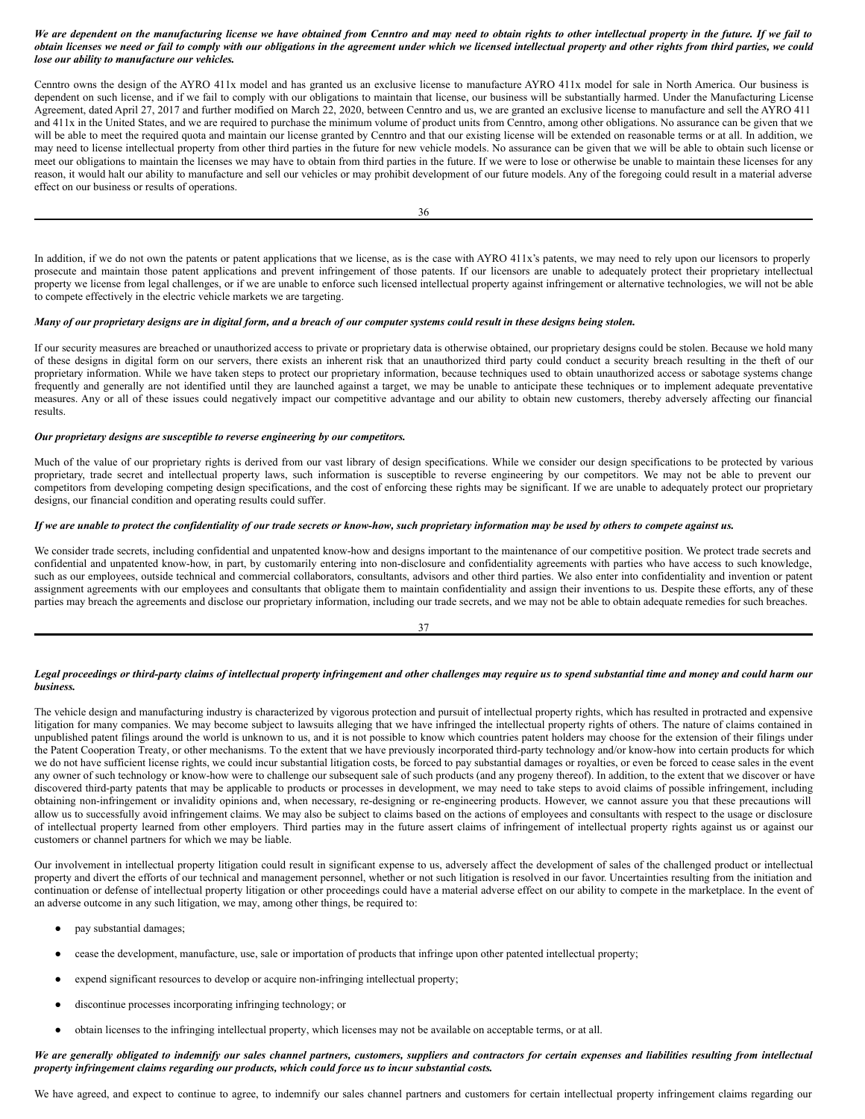We are dependent on the manufacturing license we have obtained from Cenntro and may need to obtain rights to other intellectual property in the future. If we fail to obtain licenses we need or fail to comply with our obligations in the agreement under which we licensed intellectual property and other rights from third parties, we could *lose our ability to manufacture our vehicles.*

Cenntro owns the design of the AYRO 411x model and has granted us an exclusive license to manufacture AYRO 411x model for sale in North America. Our business is dependent on such license, and if we fail to comply with our obligations to maintain that license, our business will be substantially harmed. Under the Manufacturing License Agreement, dated April 27, 2017 and further modified on March 22, 2020, between Cenntro and us, we are granted an exclusive license to manufacture and sell the AYRO 411 and 411x in the United States, and we are required to purchase the minimum volume of product units from Cenntro, among other obligations. No assurance can be given that we will be able to meet the required quota and maintain our license granted by Cenntro and that our existing license will be extended on reasonable terms or at all. In addition, we may need to license intellectual property from other third parties in the future for new vehicle models. No assurance can be given that we will be able to obtain such license or meet our obligations to maintain the licenses we may have to obtain from third parties in the future. If we were to lose or otherwise be unable to maintain these licenses for any reason, it would halt our ability to manufacture and sell our vehicles or may prohibit development of our future models. Any of the foregoing could result in a material adverse effect on our business or results of operations.

In addition, if we do not own the patents or patent applications that we license, as is the case with AYRO 411x's patents, we may need to rely upon our licensors to properly prosecute and maintain those patent applications and prevent infringement of those patents. If our licensors are unable to adequately protect their proprietary intellectual property we license from legal challenges, or if we are unable to enforce such licensed intellectual property against infringement or alternative technologies, we will not be able to compete effectively in the electric vehicle markets we are targeting.

# Many of our proprietary designs are in digital form, and a breach of our computer systems could result in these designs being stolen.

If our security measures are breached or unauthorized access to private or proprietary data is otherwise obtained, our proprietary designs could be stolen. Because we hold many of these designs in digital form on our servers, there exists an inherent risk that an unauthorized third party could conduct a security breach resulting in the theft of our proprietary information. While we have taken steps to protect our proprietary information, because techniques used to obtain unauthorized access or sabotage systems change frequently and generally are not identified until they are launched against a target, we may be unable to anticipate these techniques or to implement adequate preventative measures. Any or all of these issues could negatively impact our competitive advantage and our ability to obtain new customers, thereby adversely affecting our financial results.

# *Our proprietary designs are susceptible to reverse engineering by our competitors.*

Much of the value of our proprietary rights is derived from our vast library of design specifications. While we consider our design specifications to be protected by various proprietary, trade secret and intellectual property laws, such information is susceptible to reverse engineering by our competitors. We may not be able to prevent our competitors from developing competing design specifications, and the cost of enforcing these rights may be significant. If we are unable to adequately protect our proprietary designs, our financial condition and operating results could suffer.

# If we are unable to protect the confidentiality of our trade secrets or know-how, such proprietary information may be used by others to compete against us.

We consider trade secrets, including confidential and unpatented know-how and designs important to the maintenance of our competitive position. We protect trade secrets and confidential and unpatented know-how, in part, by customarily entering into non-disclosure and confidentiality agreements with parties who have access to such knowledge, such as our employees, outside technical and commercial collaborators, consultants, advisors and other third parties. We also enter into confidentiality and invention or patent assignment agreements with our employees and consultants that obligate them to maintain confidentiality and assign their inventions to us. Despite these efforts, any of these parties may breach the agreements and disclose our proprietary information, including our trade secrets, and we may not be able to obtain adequate remedies for such breaches.

| I<br>I<br>×<br>۰. |  |
|-------------------|--|

# Legal proceedings or third-party claims of intellectual property infringement and other challenges may require us to spend substantial time and money and could harm our *business.*

The vehicle design and manufacturing industry is characterized by vigorous protection and pursuit of intellectual property rights, which has resulted in protracted and expensive litigation for many companies. We may become subject to lawsuits alleging that we have infringed the intellectual property rights of others. The nature of claims contained in unpublished patent filings around the world is unknown to us, and it is not possible to know which countries patent holders may choose for the extension of their filings under the Patent Cooperation Treaty, or other mechanisms. To the extent that we have previously incorporated third-party technology and/or know-how into certain products for which we do not have sufficient license rights, we could incur substantial litigation costs, be forced to pay substantial damages or royalties, or even be forced to cease sales in the event any owner of such technology or know-how were to challenge our subsequent sale of such products (and any progeny thereof). In addition, to the extent that we discover or have discovered third-party patents that may be applicable to products or processes in development, we may need to take steps to avoid claims of possible infringement, including obtaining non-infringement or invalidity opinions and, when necessary, re-designing or re-engineering products. However, we cannot assure you that these precautions will allow us to successfully avoid infringement claims. We may also be subject to claims based on the actions of employees and consultants with respect to the usage or disclosure of intellectual property learned from other employers. Third parties may in the future assert claims of infringement of intellectual property rights against us or against our customers or channel partners for which we may be liable.

Our involvement in intellectual property litigation could result in significant expense to us, adversely affect the development of sales of the challenged product or intellectual property and divert the efforts of our technical and management personnel, whether or not such litigation is resolved in our favor. Uncertainties resulting from the initiation and continuation or defense of intellectual property litigation or other proceedings could have a material adverse effect on our ability to compete in the marketplace. In the event of an adverse outcome in any such litigation, we may, among other things, be required to:

- pay substantial damages;
- cease the development, manufacture, use, sale or importation of products that infringe upon other patented intellectual property;
- expend significant resources to develop or acquire non-infringing intellectual property;
- discontinue processes incorporating infringing technology; or
- obtain licenses to the infringing intellectual property, which licenses may not be available on acceptable terms, or at all.

We are generally obligated to indemnify our sales channel partners, customers, suppliers and contractors for certain expenses and liabilities resulting from intellectual *property infringement claims regarding our products, which could force us to incur substantial costs.*

We have agreed, and expect to continue to agree, to indemnify our sales channel partners and customers for certain intellectual property infringement claims regarding our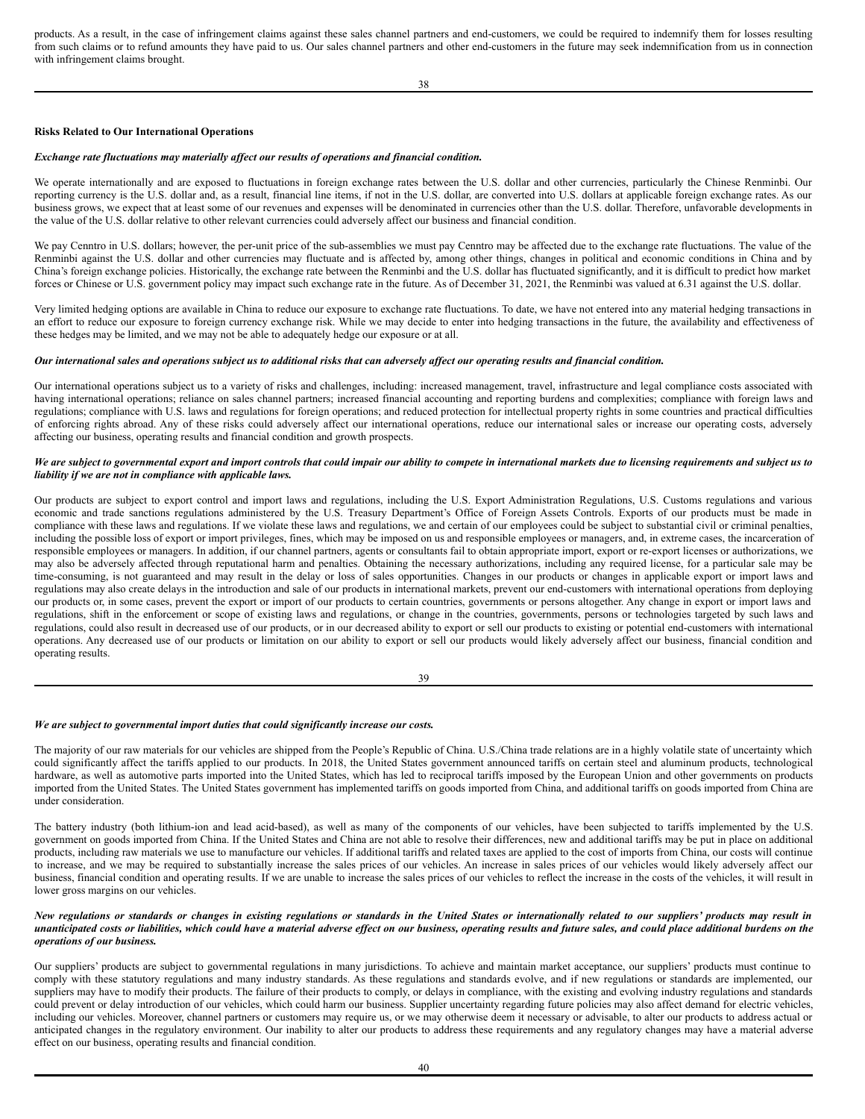products. As a result, in the case of infringement claims against these sales channel partners and end-customers, we could be required to indemnify them for losses resulting from such claims or to refund amounts they have paid to us. Our sales channel partners and other end-customers in the future may seek indemnification from us in connection with infringement claims brought.

# **Risks Related to Our International Operations**

# *Exchange rate fluctuations may materially af ect our results of operations and financial condition.*

We operate internationally and are exposed to fluctuations in foreign exchange rates between the U.S. dollar and other currencies, particularly the Chinese Renminbi. Our reporting currency is the U.S. dollar and, as a result, financial line items, if not in the U.S. dollar, are converted into U.S. dollars at applicable foreign exchange rates. As our business grows, we expect that at least some of our revenues and expenses will be denominated in currencies other than the U.S. dollar. Therefore, unfavorable developments in the value of the U.S. dollar relative to other relevant currencies could adversely affect our business and financial condition.

We pay Cenntro in U.S. dollars; however, the per-unit price of the sub-assemblies we must pay Cenntro may be affected due to the exchange rate fluctuations. The value of the Renminbi against the U.S. dollar and other currencies may fluctuate and is affected by, among other things, changes in political and economic conditions in China and by China's foreign exchange policies. Historically, the exchange rate between the Renminbi and the U.S. dollar has fluctuated significantly, and it is difficult to predict how market forces or Chinese or U.S. government policy may impact such exchange rate in the future. As of December 31, 2021, the Renminbi was valued at 6.31 against the U.S. dollar.

Very limited hedging options are available in China to reduce our exposure to exchange rate fluctuations. To date, we have not entered into any material hedging transactions in an effort to reduce our exposure to foreign currency exchange risk. While we may decide to enter into hedging transactions in the future, the availability and effectiveness of these hedges may be limited, and we may not be able to adequately hedge our exposure or at all.

#### Our international sales and operations subject us to additional risks that can adversely affect our operating results and financial condition.

Our international operations subject us to a variety of risks and challenges, including: increased management, travel, infrastructure and legal compliance costs associated with having international operations; reliance on sales channel partners; increased financial accounting and reporting burdens and complexities; compliance with foreign laws and regulations; compliance with U.S. laws and regulations for foreign operations; and reduced protection for intellectual property rights in some countries and practical difficulties of enforcing rights abroad. Any of these risks could adversely affect our international operations, reduce our international sales or increase our operating costs, adversely affecting our business, operating results and financial condition and growth prospects.

# We are subject to governmental export and import controls that could impair our ability to compete in international markets due to licensing requirements and subject us to *liability if we are not in compliance with applicable laws.*

Our products are subject to export control and import laws and regulations, including the U.S. Export Administration Regulations, U.S. Customs regulations and various economic and trade sanctions regulations administered by the U.S. Treasury Department's Office of Foreign Assets Controls. Exports of our products must be made in compliance with these laws and regulations. If we violate these laws and regulations, we and certain of our employees could be subject to substantial civil or criminal penalties, including the possible loss of export or import privileges, fines, which may be imposed on us and responsible employees or managers, and, in extreme cases, the incarceration of responsible employees or managers. In addition, if our channel partners, agents or consultants fail to obtain appropriate import, export or re-export licenses or authorizations, we may also be adversely affected through reputational harm and penalties. Obtaining the necessary authorizations, including any required license, for a particular sale may be time-consuming, is not guaranteed and may result in the delay or loss of sales opportunities. Changes in our products or changes in applicable export or import laws and regulations may also create delays in the introduction and sale of our products in international markets, prevent our end-customers with international operations from deploying our products or, in some cases, prevent the export or import of our products to certain countries, governments or persons altogether. Any change in export or import laws and regulations, shift in the enforcement or scope of existing laws and regulations, or change in the countries, governments, persons or technologies targeted by such laws and regulations, could also result in decreased use of our products, or in our decreased ability to export or sell our products to existing or potential end-customers with international operations. Any decreased use of our products or limitation on our ability to export or sell our products would likely adversely affect our business, financial condition and operating results.

| ٦<br>۰.<br>I<br>۰,<br>I<br>×<br>٧<br>۰. |
|-----------------------------------------|
|-----------------------------------------|

# *We are subject to governmental import duties that could significantly increase our costs.*

The majority of our raw materials for our vehicles are shipped from the People's Republic of China. U.S./China trade relations are in a highly volatile state of uncertainty which could significantly affect the tariffs applied to our products. In 2018, the United States government announced tariffs on certain steel and aluminum products, technological hardware, as well as automotive parts imported into the United States, which has led to reciprocal tariffs imposed by the European Union and other governments on products imported from the United States. The United States government has implemented tariffs on goods imported from China, and additional tariffs on goods imported from China are under consideration.

The battery industry (both lithium-ion and lead acid-based), as well as many of the components of our vehicles, have been subjected to tariffs implemented by the U.S. government on goods imported from China. If the United States and China are not able to resolve their differences, new and additional tariffs may be put in place on additional products, including raw materials we use to manufacture our vehicles. If additional tariffs and related taxes are applied to the cost of imports from China, our costs will continue to increase, and we may be required to substantially increase the sales prices of our vehicles. An increase in sales prices of our vehicles would likely adversely affect our business, financial condition and operating results. If we are unable to increase the sales prices of our vehicles to reflect the increase in the costs of the vehicles, it will result in lower gross margins on our vehicles.

# New regulations or standards or changes in existing regulations or standards in the United States or internationally related to our suppliers' products may result in unanticipated costs or liabilities, which could have a material adverse effect on our business, operating results and future sales, and could place additional burdens on the *operations of our business.*

Our suppliers' products are subject to governmental regulations in many jurisdictions. To achieve and maintain market acceptance, our suppliers' products must continue to comply with these statutory regulations and many industry standards. As these regulations and standards evolve, and if new regulations or standards are implemented, our suppliers may have to modify their products. The failure of their products to comply, or delays in compliance, with the existing and evolving industry regulations and standards could prevent or delay introduction of our vehicles, which could harm our business. Supplier uncertainty regarding future policies may also affect demand for electric vehicles, including our vehicles. Moreover, channel partners or customers may require us, or we may otherwise deem it necessary or advisable, to alter our products to address actual or anticipated changes in the regulatory environment. Our inability to alter our products to address these requirements and any regulatory changes may have a material adverse effect on our business, operating results and financial condition.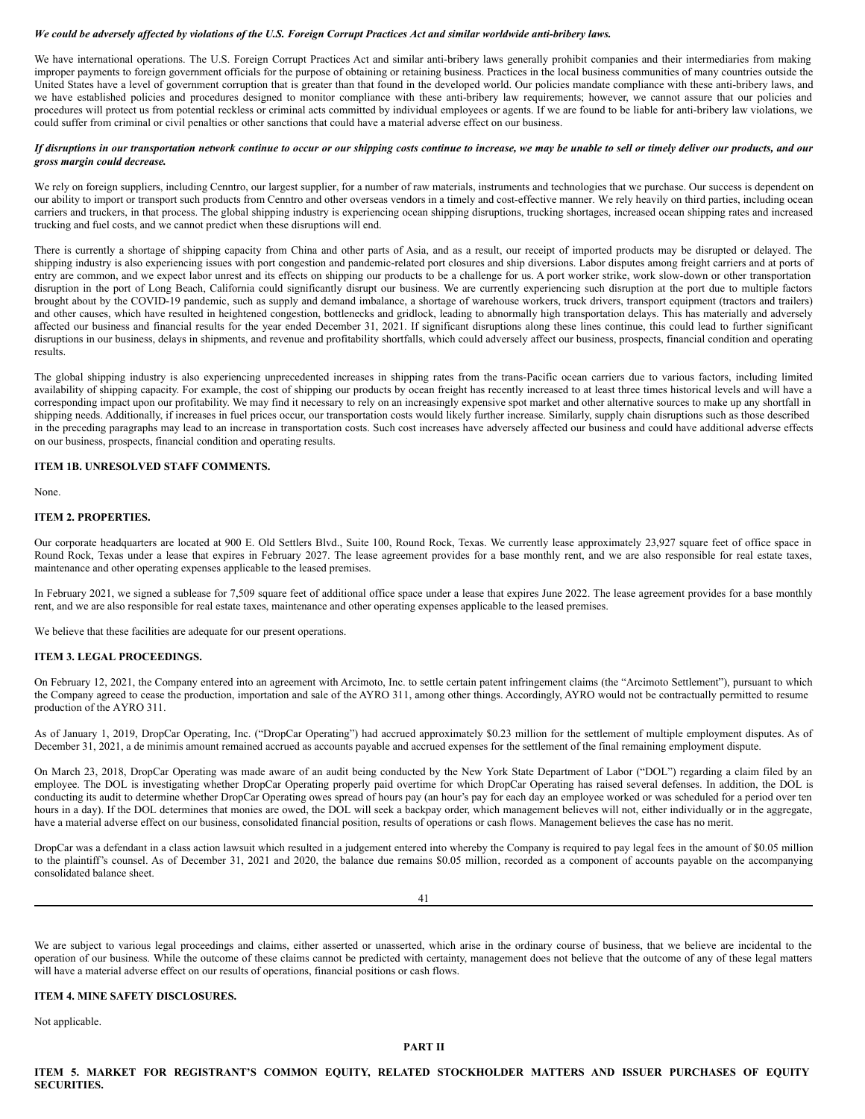#### We could be adversely affected by violations of the U.S. Foreign Corrupt Practices Act and similar worldwide anti-bribery laws.

We have international operations. The U.S. Foreign Corrupt Practices Act and similar anti-bribery laws generally prohibit companies and their intermediaries from making improper payments to foreign government officials for the purpose of obtaining or retaining business. Practices in the local business communities of many countries outside the United States have a level of government corruption that is greater than that found in the developed world. Our policies mandate compliance with these anti-bribery laws, and we have established policies and procedures designed to monitor compliance with these anti-bribery law requirements; however, we cannot assure that our policies and procedures will protect us from potential reckless or criminal acts committed by individual employees or agents. If we are found to be liable for anti-bribery law violations, we could suffer from criminal or civil penalties or other sanctions that could have a material adverse effect on our business.

# If disruptions in our transportation network continue to occur or our shipping costs continue to increase, we may be unable to sell or timely deliver our products, and our *gross margin could decrease.*

We rely on foreign suppliers, including Cenntro, our largest supplier, for a number of raw materials, instruments and technologies that we purchase. Our success is dependent on our ability to import or transport such products from Cenntro and other overseas vendors in a timely and cost-effective manner. We rely heavily on third parties, including ocean carriers and truckers, in that process. The global shipping industry is experiencing ocean shipping disruptions, trucking shortages, increased ocean shipping rates and increased trucking and fuel costs, and we cannot predict when these disruptions will end.

There is currently a shortage of shipping capacity from China and other parts of Asia, and as a result, our receipt of imported products may be disrupted or delayed. The shipping industry is also experiencing issues with port congestion and pandemic-related port closures and ship diversions. Labor disputes among freight carriers and at ports of entry are common, and we expect labor unrest and its effects on shipping our products to be a challenge for us. A port worker strike, work slow-down or other transportation disruption in the port of Long Beach, California could significantly disrupt our business. We are currently experiencing such disruption at the port due to multiple factors brought about by the COVID-19 pandemic, such as supply and demand imbalance, a shortage of warehouse workers, truck drivers, transport equipment (tractors and trailers) and other causes, which have resulted in heightened congestion, bottlenecks and gridlock, leading to abnormally high transportation delays. This has materially and adversely affected our business and financial results for the year ended December 31, 2021. If significant disruptions along these lines continue, this could lead to further significant disruptions in our business, delays in shipments, and revenue and profitability shortfalls, which could adversely affect our business, prospects, financial condition and operating results.

The global shipping industry is also experiencing unprecedented increases in shipping rates from the trans-Pacific ocean carriers due to various factors, including limited availability of shipping capacity. For example, the cost of shipping our products by ocean freight has recently increased to at least three times historical levels and will have a corresponding impact upon our profitability. We may find it necessary to rely on an increasingly expensive spot market and other alternative sources to make up any shortfall in shipping needs. Additionally, if increases in fuel prices occur, our transportation costs would likely further increase. Similarly, supply chain disruptions such as those described in the preceding paragraphs may lead to an increase in transportation costs. Such cost increases have adversely affected our business and could have additional adverse effects on our business, prospects, financial condition and operating results.

# **ITEM 1B. UNRESOLVED STAFF COMMENTS.**

None.

# **ITEM 2. PROPERTIES.**

Our corporate headquarters are located at 900 E. Old Settlers Blvd., Suite 100, Round Rock, Texas. We currently lease approximately 23,927 square feet of office space in Round Rock, Texas under a lease that expires in February 2027. The lease agreement provides for a base monthly rent, and we are also responsible for real estate taxes, maintenance and other operating expenses applicable to the leased premises.

In February 2021, we signed a sublease for 7,509 square feet of additional office space under a lease that expires June 2022. The lease agreement provides for a base monthly rent, and we are also responsible for real estate taxes, maintenance and other operating expenses applicable to the leased premises.

We believe that these facilities are adequate for our present operations.

# **ITEM 3. LEGAL PROCEEDINGS.**

On February 12, 2021, the Company entered into an agreement with Arcimoto, Inc. to settle certain patent infringement claims (the "Arcimoto Settlement"), pursuant to which the Company agreed to cease the production, importation and sale of the AYRO 311, among other things. Accordingly, AYRO would not be contractually permitted to resume production of the AYRO 311.

As of January 1, 2019, DropCar Operating, Inc. ("DropCar Operating") had accrued approximately \$0.23 million for the settlement of multiple employment disputes. As of December 31, 2021, a de minimis amount remained accrued as accounts payable and accrued expenses for the settlement of the final remaining employment dispute.

On March 23, 2018, DropCar Operating was made aware of an audit being conducted by the New York State Department of Labor ("DOL") regarding a claim filed by an employee. The DOL is investigating whether DropCar Operating properly paid overtime for which DropCar Operating has raised several defenses. In addition, the DOL is conducting its audit to determine whether DropCar Operating owes spread of hours pay (an hour's pay for each day an employee worked or was scheduled for a period over ten hours in a day). If the DOL determines that monies are owed, the DOL will seek a backpay order, which management believes will not, either individually or in the aggregate, have a material adverse effect on our business, consolidated financial position, results of operations or cash flows. Management believes the case has no merit.

DropCar was a defendant in a class action lawsuit which resulted in a judgement entered into whereby the Company is required to pay legal fees in the amount of \$0.05 million to the plaintiff's counsel. As of December 31, 2021 and 2020, the balance due remains \$0.05 million, recorded as a component of accounts payable on the accompanying consolidated balance sheet.

41

We are subject to various legal proceedings and claims, either asserted or unasserted, which arise in the ordinary course of business, that we believe are incidental to the operation of our business. While the outcome of these claims cannot be predicted with certainty, management does not believe that the outcome of any of these legal matters will have a material adverse effect on our results of operations, financial positions or cash flows.

# **ITEM 4. MINE SAFETY DISCLOSURES.**

Not applicable.

# **PART II**

**ITEM 5. MARKET FOR REGISTRANT'S COMMON EQUITY, RELATED STOCKHOLDER MATTERS AND ISSUER PURCHASES OF EQUITY SECURITIES.**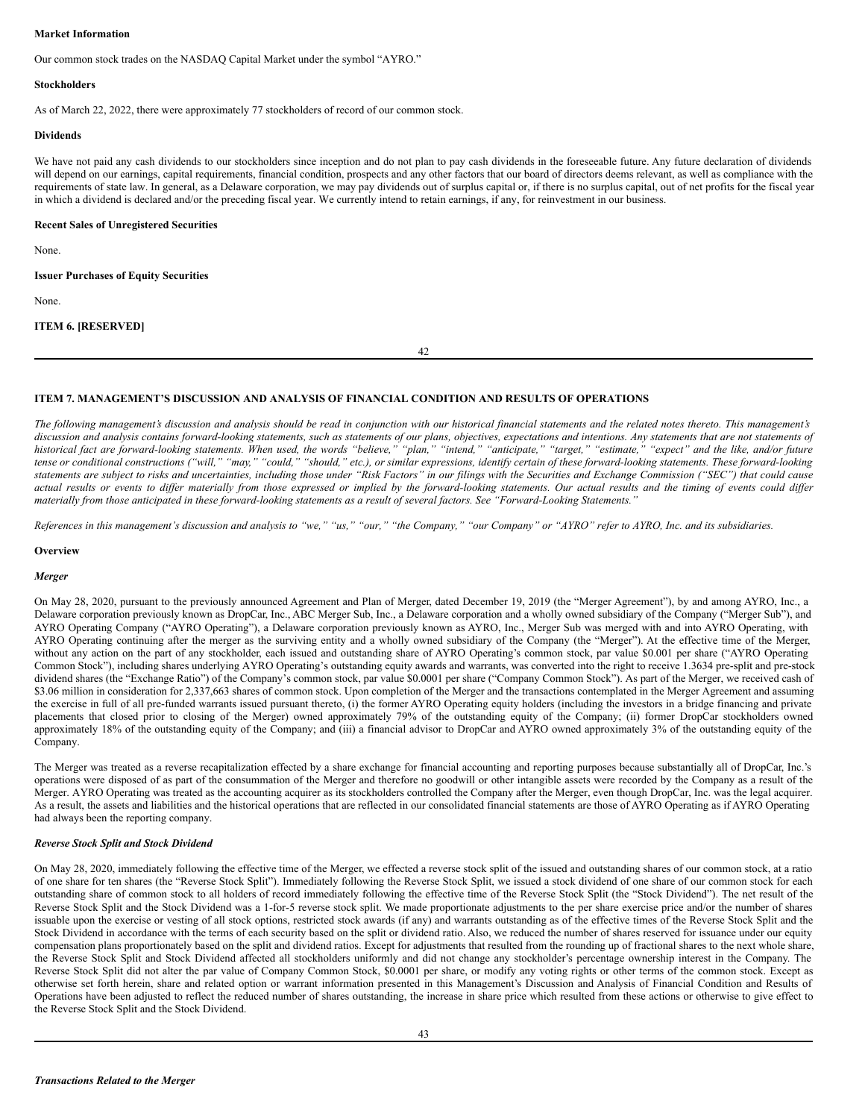# **Market Information**

Our common stock trades on the NASDAQ Capital Market under the symbol "AYRO."

#### **Stockholders**

As of March 22, 2022, there were approximately 77 stockholders of record of our common stock.

# **Dividends**

We have not paid any cash dividends to our stockholders since inception and do not plan to pay cash dividends in the foreseeable future. Any future declaration of dividends will depend on our earnings, capital requirements, financial condition, prospects and any other factors that our board of directors deems relevant, as well as compliance with the requirements of state law. In general, as a Delaware corporation, we may pay dividends out of surplus capital or, if there is no surplus capital, out of net profits for the fiscal year in which a dividend is declared and/or the preceding fiscal year. We currently intend to retain earnings, if any, for reinvestment in our business.

#### **Recent Sales of Unregistered Securities**

None.

#### **Issuer Purchases of Equity Securities**

None.

# **ITEM 6. [RESERVED]**

42

# **ITEM 7. MANAGEMENT'S DISCUSSION AND ANALYSIS OF FINANCIAL CONDITION AND RESULTS OF OPERATIONS**

The following management's discussion and analysis should be read in conjunction with our historical financial statements and the related notes thereto. This management's discussion and analysis contains forward-looking statements, such as statements of our plans, objectives, expectations and intentions. Any statements that are not statements of historical fact are forward-looking statements. When used, the words "believe," "plan," "intend," "anticipate," "target," "estimate," "expect" and the like, and/or future tense or conditional constructions ("will," "may," "could," "should," etc.), or similar expressions, identify certain of these forward-looking statements. These forward-looking statements are subject to risks and uncertainties, including those under "Risk Factors" in our filings with the Securities and Exchange Commission ("SEC") that could cause actual results or events to differ materially from those expressed or implied by the forward-looking statements. Our actual results and the timing of events could differ materially from those anticipated in these forward-looking statements as a result of several factors. See "Forward-Looking Statements."

References in this management's discussion and analysis to "we," "us," "our," "the Company," "our Company" or "AYRO" refer to AYRO, Inc. and its subsidiaries.

# **Overview**

#### *Merger*

On May 28, 2020, pursuant to the previously announced Agreement and Plan of Merger, dated December 19, 2019 (the "Merger Agreement"), by and among AYRO, Inc., a Delaware corporation previously known as DropCar, Inc., ABC Merger Sub, Inc., a Delaware corporation and a wholly owned subsidiary of the Company ("Merger Sub"), and AYRO Operating Company ("AYRO Operating"), a Delaware corporation previously known as AYRO, Inc., Merger Sub was merged with and into AYRO Operating, with AYRO Operating continuing after the merger as the surviving entity and a wholly owned subsidiary of the Company (the "Merger"). At the effective time of the Merger, without any action on the part of any stockholder, each issued and outstanding share of AYRO Operating's common stock, par value \$0.001 per share ("AYRO Operating Common Stock"), including shares underlying AYRO Operating's outstanding equity awards and warrants, was converted into the right to receive 1.3634 pre-split and pre-stock dividend shares (the "Exchange Ratio") of the Company's common stock, par value \$0.0001 per share ("Company Common Stock"). As part of the Merger, we received cash of \$3.06 million in consideration for 2,337,663 shares of common stock. Upon completion of the Merger and the transactions contemplated in the Merger Agreement and assuming the exercise in full of all pre-funded warrants issued pursuant thereto, (i) the former AYRO Operating equity holders (including the investors in a bridge financing and private placements that closed prior to closing of the Merger) owned approximately 79% of the outstanding equity of the Company; (ii) former DropCar stockholders owned approximately 18% of the outstanding equity of the Company; and (iii) a financial advisor to DropCar and AYRO owned approximately 3% of the outstanding equity of the Company.

The Merger was treated as a reverse recapitalization effected by a share exchange for financial accounting and reporting purposes because substantially all of DropCar, Inc.'s operations were disposed of as part of the consummation of the Merger and therefore no goodwill or other intangible assets were recorded by the Company as a result of the Merger. AYRO Operating was treated as the accounting acquirer as its stockholders controlled the Company after the Merger, even though DropCar, Inc. was the legal acquirer. As a result, the assets and liabilities and the historical operations that are reflected in our consolidated financial statements are those of AYRO Operating as if AYRO Operating had always been the reporting company.

# *Reverse Stock Split and Stock Dividend*

On May 28, 2020, immediately following the effective time of the Merger, we effected a reverse stock split of the issued and outstanding shares of our common stock, at a ratio of one share for ten shares (the "Reverse Stock Split"). Immediately following the Reverse Stock Split, we issued a stock dividend of one share of our common stock for each outstanding share of common stock to all holders of record immediately following the effective time of the Reverse Stock Split (the "Stock Dividend"). The net result of the Reverse Stock Split and the Stock Dividend was a 1-for-5 reverse stock split. We made proportionate adjustments to the per share exercise price and/or the number of shares issuable upon the exercise or vesting of all stock options, restricted stock awards (if any) and warrants outstanding as of the effective times of the Reverse Stock Split and the Stock Dividend in accordance with the terms of each security based on the split or dividend ratio. Also, we reduced the number of shares reserved for issuance under our equity compensation plans proportionately based on the split and dividend ratios. Except for adjustments that resulted from the rounding up of fractional shares to the next whole share, the Reverse Stock Split and Stock Dividend affected all stockholders uniformly and did not change any stockholder's percentage ownership interest in the Company. The Reverse Stock Split did not alter the par value of Company Common Stock, \$0.0001 per share, or modify any voting rights or other terms of the common stock. Except as otherwise set forth herein, share and related option or warrant information presented in this Management's Discussion and Analysis of Financial Condition and Results of Operations have been adjusted to reflect the reduced number of shares outstanding, the increase in share price which resulted from these actions or otherwise to give effect to the Reverse Stock Split and the Stock Dividend.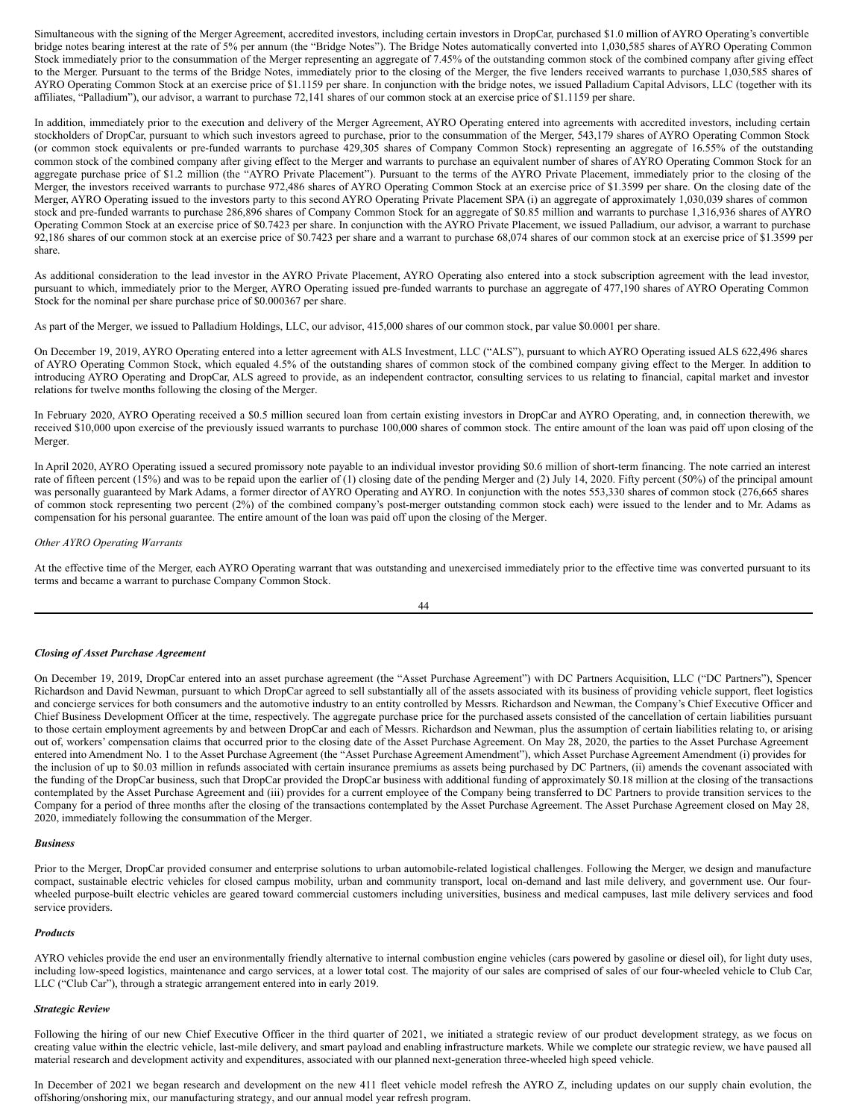Simultaneous with the signing of the Merger Agreement, accredited investors, including certain investors in DropCar, purchased \$1.0 million of AYRO Operating's convertible bridge notes bearing interest at the rate of 5% per annum (the "Bridge Notes"). The Bridge Notes automatically converted into 1,030,585 shares of AYRO Operating Common Stock immediately prior to the consummation of the Merger representing an aggregate of 7.45% of the outstanding common stock of the combined company after giving effect to the Merger. Pursuant to the terms of the Bridge Notes, immediately prior to the closing of the Merger, the five lenders received warrants to purchase 1,030,585 shares of AYRO Operating Common Stock at an exercise price of \$1.1159 per share. In conjunction with the bridge notes, we issued Palladium Capital Advisors, LLC (together with its affiliates, "Palladium"), our advisor, a warrant to purchase 72,141 shares of our common stock at an exercise price of \$1.1159 per share.

In addition, immediately prior to the execution and delivery of the Merger Agreement, AYRO Operating entered into agreements with accredited investors, including certain stockholders of DropCar, pursuant to which such investors agreed to purchase, prior to the consummation of the Merger, 543,179 shares of AYRO Operating Common Stock (or common stock equivalents or pre-funded warrants to purchase 429,305 shares of Company Common Stock) representing an aggregate of 16.55% of the outstanding common stock of the combined company after giving effect to the Merger and warrants to purchase an equivalent number of shares of AYRO Operating Common Stock for an aggregate purchase price of \$1.2 million (the "AYRO Private Placement"). Pursuant to the terms of the AYRO Private Placement, immediately prior to the closing of the Merger, the investors received warrants to purchase 972,486 shares of AYRO Operating Common Stock at an exercise price of \$1.3599 per share. On the closing date of the Merger, AYRO Operating issued to the investors party to this second AYRO Operating Private Placement SPA (i) an aggregate of approximately 1,030,039 shares of common stock and pre-funded warrants to purchase 286,896 shares of Company Common Stock for an aggregate of \$0.85 million and warrants to purchase 1,316,936 shares of AYRO Operating Common Stock at an exercise price of \$0.7423 per share. In conjunction with the AYRO Private Placement, we issued Palladium, our advisor, a warrant to purchase 92,186 shares of our common stock at an exercise price of \$0.7423 per share and a warrant to purchase 68,074 shares of our common stock at an exercise price of \$1.3599 per share.

As additional consideration to the lead investor in the AYRO Private Placement, AYRO Operating also entered into a stock subscription agreement with the lead investor, pursuant to which, immediately prior to the Merger, AYRO Operating issued pre-funded warrants to purchase an aggregate of 477,190 shares of AYRO Operating Common Stock for the nominal per share purchase price of \$0.000367 per share.

As part of the Merger, we issued to Palladium Holdings, LLC, our advisor, 415,000 shares of our common stock, par value \$0.0001 per share.

On December 19, 2019, AYRO Operating entered into a letter agreement with ALS Investment, LLC ("ALS"), pursuant to which AYRO Operating issued ALS 622,496 shares of AYRO Operating Common Stock, which equaled 4.5% of the outstanding shares of common stock of the combined company giving effect to the Merger. In addition to introducing AYRO Operating and DropCar, ALS agreed to provide, as an independent contractor, consulting services to us relating to financial, capital market and investor relations for twelve months following the closing of the Merger.

In February 2020, AYRO Operating received a \$0.5 million secured loan from certain existing investors in DropCar and AYRO Operating, and, in connection therewith, we received \$10,000 upon exercise of the previously issued warrants to purchase 100,000 shares of common stock. The entire amount of the loan was paid off upon closing of the Merger.

In April 2020, AYRO Operating issued a secured promissory note payable to an individual investor providing \$0.6 million of short-term financing. The note carried an interest rate of fifteen percent (15%) and was to be repaid upon the earlier of (1) closing date of the pending Merger and (2) July 14, 2020. Fifty percent (50%) of the principal amount was personally guaranteed by Mark Adams, a former director of AYRO Operating and AYRO. In conjunction with the notes 553,330 shares of common stock (276,665 shares of common stock representing two percent (2%) of the combined company's post-merger outstanding common stock each) were issued to the lender and to Mr. Adams as compensation for his personal guarantee. The entire amount of the loan was paid off upon the closing of the Merger.

# *Other AYRO Operating Warrants*

At the effective time of the Merger, each AYRO Operating warrant that was outstanding and unexercised immediately prior to the effective time was converted pursuant to its terms and became a warrant to purchase Company Common Stock.

| I<br>٧ |
|--------|
|--------|

# *Closing of Asset Purchase Agreement*

On December 19, 2019, DropCar entered into an asset purchase agreement (the "Asset Purchase Agreement") with DC Partners Acquisition, LLC ("DC Partners"), Spencer Richardson and David Newman, pursuant to which DropCar agreed to sell substantially all of the assets associated with its business of providing vehicle support, fleet logistics and concierge services for both consumers and the automotive industry to an entity controlled by Messrs. Richardson and Newman, the Company's Chief Executive Officer and Chief Business Development Officer at the time, respectively. The aggregate purchase price for the purchased assets consisted of the cancellation of certain liabilities pursuant to those certain employment agreements by and between DropCar and each of Messrs. Richardson and Newman, plus the assumption of certain liabilities relating to, or arising out of, workers' compensation claims that occurred prior to the closing date of the Asset Purchase Agreement. On May 28, 2020, the parties to the Asset Purchase Agreement entered into Amendment No. 1 to the Asset Purchase Agreement (the "Asset Purchase Agreement Amendment"), which Asset Purchase Agreement Amendment (i) provides for the inclusion of up to \$0.03 million in refunds associated with certain insurance premiums as assets being purchased by DC Partners, (ii) amends the covenant associated with the funding of the DropCar business, such that DropCar provided the DropCar business with additional funding of approximately \$0.18 million at the closing of the transactions contemplated by the Asset Purchase Agreement and (iii) provides for a current employee of the Company being transferred to DC Partners to provide transition services to the Company for a period of three months after the closing of the transactions contemplated by the Asset Purchase Agreement. The Asset Purchase Agreement closed on May 28, 2020, immediately following the consummation of the Merger.

#### *Business*

Prior to the Merger, DropCar provided consumer and enterprise solutions to urban automobile-related logistical challenges. Following the Merger, we design and manufacture compact, sustainable electric vehicles for closed campus mobility, urban and community transport, local on-demand and last mile delivery, and government use. Our fourwheeled purpose-built electric vehicles are geared toward commercial customers including universities, business and medical campuses, last mile delivery services and food service providers.

# *Products*

AYRO vehicles provide the end user an environmentally friendly alternative to internal combustion engine vehicles (cars powered by gasoline or diesel oil), for light duty uses, including low-speed logistics, maintenance and cargo services, at a lower total cost. The majority of our sales are comprised of sales of our four-wheeled vehicle to Club Car, LLC ("Club Car"), through a strategic arrangement entered into in early 2019.

# *Strategic Review*

Following the hiring of our new Chief Executive Officer in the third quarter of 2021, we initiated a strategic review of our product development strategy, as we focus on creating value within the electric vehicle, last-mile delivery, and smart payload and enabling infrastructure markets. While we complete our strategic review, we have paused all material research and development activity and expenditures, associated with our planned next-generation three-wheeled high speed vehicle.

In December of 2021 we began research and development on the new 411 fleet vehicle model refresh the AYRO Z, including updates on our supply chain evolution, the offshoring/onshoring mix, our manufacturing strategy, and our annual model year refresh program.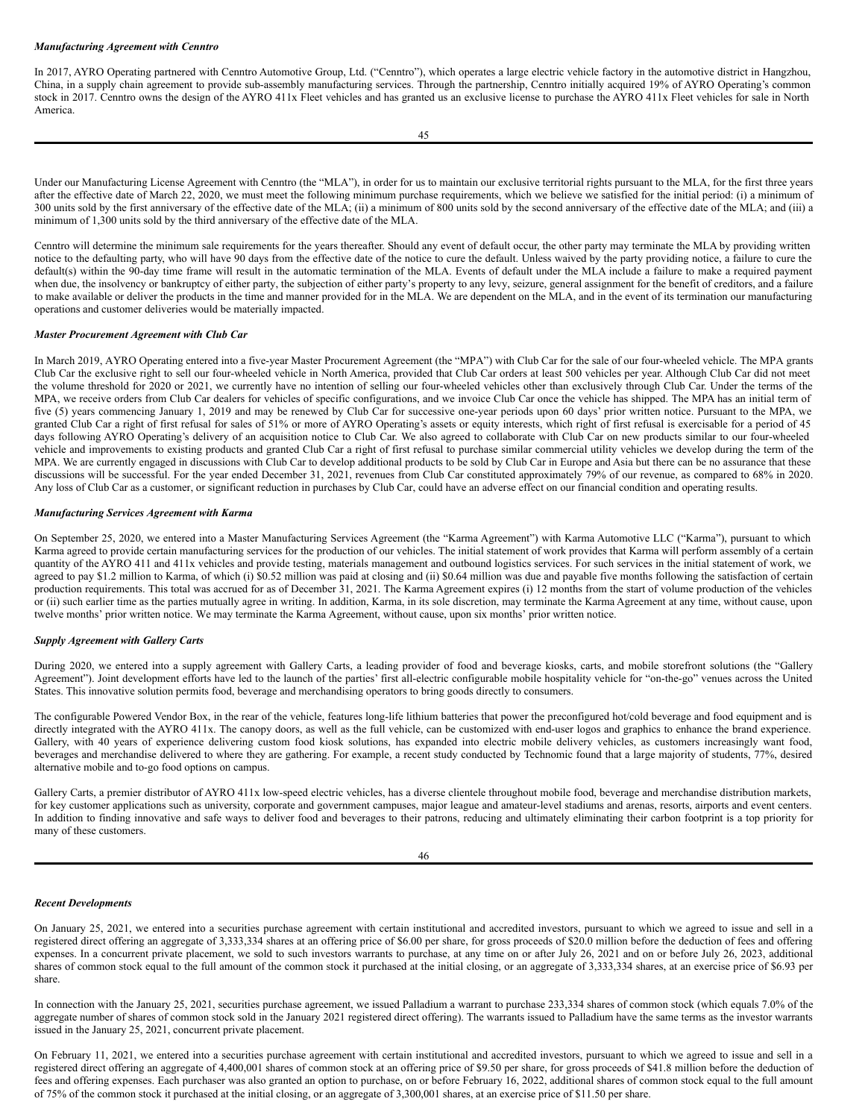# *Manufacturing Agreement with Cenntro*

In 2017, AYRO Operating partnered with Cenntro Automotive Group, Ltd. ("Cenntro"), which operates a large electric vehicle factory in the automotive district in Hangzhou, China, in a supply chain agreement to provide sub-assembly manufacturing services. Through the partnership, Cenntro initially acquired 19% of AYRO Operating's common stock in 2017. Cenntro owns the design of the AYRO 411x Fleet vehicles and has granted us an exclusive license to purchase the AYRO 411x Fleet vehicles for sale in North America.

45

Under our Manufacturing License Agreement with Cenntro (the "MLA"), in order for us to maintain our exclusive territorial rights pursuant to the MLA, for the first three years after the effective date of March 22, 2020, we must meet the following minimum purchase requirements, which we believe we satisfied for the initial period: (i) a minimum of 300 units sold by the first anniversary of the effective date of the MLA; (ii) a minimum of 800 units sold by the second anniversary of the effective date of the MLA; and (iii) a minimum of 1,300 units sold by the third anniversary of the effective date of the MLA.

Cenntro will determine the minimum sale requirements for the years thereafter. Should any event of default occur, the other party may terminate the MLA by providing written notice to the defaulting party, who will have 90 days from the effective date of the notice to cure the default. Unless waived by the party providing notice, a failure to cure the default(s) within the 90-day time frame will result in the automatic termination of the MLA. Events of default under the MLA include a failure to make a required payment when due, the insolvency or bankruptcy of either party, the subjection of either party's property to any levy, seizure, general assignment for the benefit of creditors, and a failure to make available or deliver the products in the time and manner provided for in the MLA. We are dependent on the MLA, and in the event of its termination our manufacturing operations and customer deliveries would be materially impacted.

# *Master Procurement Agreement with Club Car*

In March 2019, AYRO Operating entered into a five-year Master Procurement Agreement (the "MPA") with Club Car for the sale of our four-wheeled vehicle. The MPA grants Club Car the exclusive right to sell our four-wheeled vehicle in North America, provided that Club Car orders at least 500 vehicles per year. Although Club Car did not meet the volume threshold for 2020 or 2021, we currently have no intention of selling our four-wheeled vehicles other than exclusively through Club Car. Under the terms of the MPA, we receive orders from Club Car dealers for vehicles of specific configurations, and we invoice Club Car once the vehicle has shipped. The MPA has an initial term of five (5) years commencing January 1, 2019 and may be renewed by Club Car for successive one-year periods upon 60 days' prior written notice. Pursuant to the MPA, we granted Club Car a right of first refusal for sales of 51% or more of AYRO Operating's assets or equity interests, which right of first refusal is exercisable for a period of 45 days following AYRO Operating's delivery of an acquisition notice to Club Car. We also agreed to collaborate with Club Car on new products similar to our four-wheeled vehicle and improvements to existing products and granted Club Car a right of first refusal to purchase similar commercial utility vehicles we develop during the term of the MPA. We are currently engaged in discussions with Club Car to develop additional products to be sold by Club Car in Europe and Asia but there can be no assurance that these discussions will be successful. For the year ended December 31, 2021, revenues from Club Car constituted approximately 79% of our revenue, as compared to 68% in 2020. Any loss of Club Car as a customer, or significant reduction in purchases by Club Car, could have an adverse effect on our financial condition and operating results.

# *Manufacturing Services Agreement with Karma*

On September 25, 2020, we entered into a Master Manufacturing Services Agreement (the "Karma Agreement") with Karma Automotive LLC ("Karma"), pursuant to which Karma agreed to provide certain manufacturing services for the production of our vehicles. The initial statement of work provides that Karma will perform assembly of a certain quantity of the AYRO 411 and 411x vehicles and provide testing, materials management and outbound logistics services. For such services in the initial statement of work, we agreed to pay \$1.2 million to Karma, of which (i) \$0.52 million was paid at closing and (ii) \$0.64 million was due and payable five months following the satisfaction of certain production requirements. This total was accrued for as of December 31, 2021. The Karma Agreement expires (i) 12 months from the start of volume production of the vehicles or (ii) such earlier time as the parties mutually agree in writing. In addition, Karma, in its sole discretion, may terminate the Karma Agreement at any time, without cause, upon twelve months' prior written notice. We may terminate the Karma Agreement, without cause, upon six months' prior written notice.

#### *Supply Agreement with Gallery Carts*

During 2020, we entered into a supply agreement with Gallery Carts, a leading provider of food and beverage kiosks, carts, and mobile storefront solutions (the "Gallery Agreement"). Joint development efforts have led to the launch of the parties' first all-electric configurable mobile hospitality vehicle for "on-the-go" venues across the United States. This innovative solution permits food, beverage and merchandising operators to bring goods directly to consumers.

The configurable Powered Vendor Box, in the rear of the vehicle, features long-life lithium batteries that power the preconfigured hot/cold beverage and food equipment and is directly integrated with the AYRO 411x. The canopy doors, as well as the full vehicle, can be customized with end-user logos and graphics to enhance the brand experience. Gallery, with 40 years of experience delivering custom food kiosk solutions, has expanded into electric mobile delivery vehicles, as customers increasingly want food, beverages and merchandise delivered to where they are gathering. For example, a recent study conducted by Technomic found that a large majority of students, 77%, desired alternative mobile and to-go food options on campus.

Gallery Carts, a premier distributor of AYRO 411x low-speed electric vehicles, has a diverse clientele throughout mobile food, beverage and merchandise distribution markets, for key customer applications such as university, corporate and government campuses, major league and amateur-level stadiums and arenas, resorts, airports and event centers. In addition to finding innovative and safe ways to deliver food and beverages to their patrons, reducing and ultimately eliminating their carbon footprint is a top priority for many of these customers.

#### 46

#### *Recent Developments*

On January 25, 2021, we entered into a securities purchase agreement with certain institutional and accredited investors, pursuant to which we agreed to issue and sell in a registered direct offering an aggregate of 3,333,334 shares at an offering price of \$6.00 per share, for gross proceeds of \$20.0 million before the deduction of fees and offering expenses. In a concurrent private placement, we sold to such investors warrants to purchase, at any time on or after July 26, 2021 and on or before July 26, 2023, additional shares of common stock equal to the full amount of the common stock it purchased at the initial closing, or an aggregate of 3,333,334 shares, at an exercise price of \$6.93 per share.

In connection with the January 25, 2021, securities purchase agreement, we issued Palladium a warrant to purchase 233,334 shares of common stock (which equals 7.0% of the aggregate number of shares of common stock sold in the January 2021 registered direct offering). The warrants issued to Palladium have the same terms as the investor warrants issued in the January 25, 2021, concurrent private placement.

On February 11, 2021, we entered into a securities purchase agreement with certain institutional and accredited investors, pursuant to which we agreed to issue and sell in a registered direct offering an aggregate of 4,400,001 shares of common stock at an offering price of \$9.50 per share, for gross proceeds of \$41.8 million before the deduction of fees and offering expenses. Each purchaser was also granted an option to purchase, on or before February 16, 2022, additional shares of common stock equal to the full amount of 75% of the common stock it purchased at the initial closing, or an aggregate of 3,300,001 shares, at an exercise price of \$11.50 per share.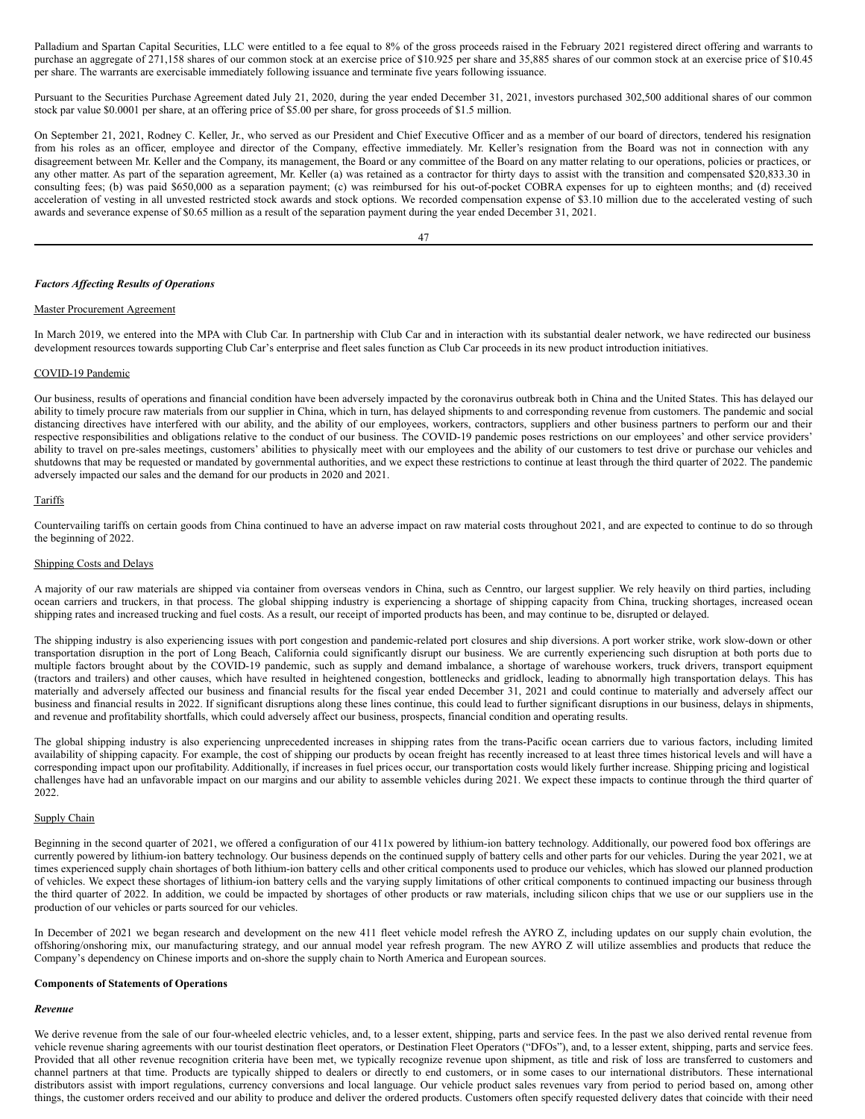Palladium and Spartan Capital Securities, LLC were entitled to a fee equal to 8% of the gross proceeds raised in the February 2021 registered direct offering and warrants to purchase an aggregate of 271,158 shares of our common stock at an exercise price of \$10.925 per share and 35,885 shares of our common stock at an exercise price of \$10.45 per share. The warrants are exercisable immediately following issuance and terminate five years following issuance.

Pursuant to the Securities Purchase Agreement dated July 21, 2020, during the year ended December 31, 2021, investors purchased 302,500 additional shares of our common stock par value \$0.0001 per share, at an offering price of \$5.00 per share, for gross proceeds of \$1.5 million.

On September 21, 2021, Rodney C. Keller, Jr., who served as our President and Chief Executive Officer and as a member of our board of directors, tendered his resignation from his roles as an officer, employee and director of the Company, effective immediately. Mr. Keller's resignation from the Board was not in connection with any disagreement between Mr. Keller and the Company, its management, the Board or any committee of the Board on any matter relating to our operations, policies or practices, or any other matter. As part of the separation agreement, Mr. Keller (a) was retained as a contractor for thirty days to assist with the transition and compensated \$20,833.30 in consulting fees; (b) was paid \$650,000 as a separation payment; (c) was reimbursed for his out-of-pocket COBRA expenses for up to eighteen months; and (d) received acceleration of vesting in all unvested restricted stock awards and stock options. We recorded compensation expense of \$3.10 million due to the accelerated vesting of such awards and severance expense of \$0.65 million as a result of the separation payment during the year ended December 31, 2021.

47

#### *Factors Af ecting Results of Operations*

# Master Procurement Agreement

In March 2019, we entered into the MPA with Club Car. In partnership with Club Car and in interaction with its substantial dealer network, we have redirected our business development resources towards supporting Club Car's enterprise and fleet sales function as Club Car proceeds in its new product introduction initiatives.

#### COVID-19 Pandemic

Our business, results of operations and financial condition have been adversely impacted by the coronavirus outbreak both in China and the United States. This has delayed our ability to timely procure raw materials from our supplier in China, which in turn, has delayed shipments to and corresponding revenue from customers. The pandemic and social distancing directives have interfered with our ability, and the ability of our employees, workers, contractors, suppliers and other business partners to perform our and their respective responsibilities and obligations relative to the conduct of our business. The COVID-19 pandemic poses restrictions on our employees' and other service providers' ability to travel on pre-sales meetings, customers' abilities to physically meet with our employees and the ability of our customers to test drive or purchase our vehicles and shutdowns that may be requested or mandated by governmental authorities, and we expect these restrictions to continue at least through the third quarter of 2022. The pandemic adversely impacted our sales and the demand for our products in 2020 and 2021.

# **Tariffs**

Countervailing tariffs on certain goods from China continued to have an adverse impact on raw material costs throughout 2021, and are expected to continue to do so through the beginning of 2022.

# Shipping Costs and Delays

A majority of our raw materials are shipped via container from overseas vendors in China, such as Cenntro, our largest supplier. We rely heavily on third parties, including ocean carriers and truckers, in that process. The global shipping industry is experiencing a shortage of shipping capacity from China, trucking shortages, increased ocean shipping rates and increased trucking and fuel costs. As a result, our receipt of imported products has been, and may continue to be, disrupted or delayed.

The shipping industry is also experiencing issues with port congestion and pandemic-related port closures and ship diversions. A port worker strike, work slow-down or other transportation disruption in the port of Long Beach, California could significantly disrupt our business. We are currently experiencing such disruption at both ports due to multiple factors brought about by the COVID-19 pandemic, such as supply and demand imbalance, a shortage of warehouse workers, truck drivers, transport equipment (tractors and trailers) and other causes, which have resulted in heightened congestion, bottlenecks and gridlock, leading to abnormally high transportation delays. This has materially and adversely affected our business and financial results for the fiscal year ended December 31, 2021 and could continue to materially and adversely affect our business and financial results in 2022. If significant disruptions along these lines continue, this could lead to further significant disruptions in our business, delays in shipments, and revenue and profitability shortfalls, which could adversely affect our business, prospects, financial condition and operating results.

The global shipping industry is also experiencing unprecedented increases in shipping rates from the trans-Pacific ocean carriers due to various factors, including limited availability of shipping capacity. For example, the cost of shipping our products by ocean freight has recently increased to at least three times historical levels and will have a corresponding impact upon our profitability. Additionally, if increases in fuel prices occur, our transportation costs would likely further increase. Shipping pricing and logistical challenges have had an unfavorable impact on our margins and our ability to assemble vehicles during 2021. We expect these impacts to continue through the third quarter of 2022.

#### Supply Chain

Beginning in the second quarter of 2021, we offered a configuration of our 411x powered by lithium-ion battery technology. Additionally, our powered food box offerings are currently powered by lithium-ion battery technology. Our business depends on the continued supply of battery cells and other parts for our vehicles. During the year 2021, we at times experienced supply chain shortages of both lithium-ion battery cells and other critical components used to produce our vehicles, which has slowed our planned production of vehicles. We expect these shortages of lithium-ion battery cells and the varying supply limitations of other critical components to continued impacting our business through the third quarter of 2022. In addition, we could be impacted by shortages of other products or raw materials, including silicon chips that we use or our suppliers use in the production of our vehicles or parts sourced for our vehicles.

In December of 2021 we began research and development on the new 411 fleet vehicle model refresh the AYRO Z, including updates on our supply chain evolution, the offshoring/onshoring mix, our manufacturing strategy, and our annual model year refresh program. The new AYRO Z will utilize assemblies and products that reduce the Company's dependency on Chinese imports and on-shore the supply chain to North America and European sources.

# **Components of Statements of Operations**

# *Revenue*

We derive revenue from the sale of our four-wheeled electric vehicles, and, to a lesser extent, shipping, parts and service fees. In the past we also derived rental revenue from vehicle revenue sharing agreements with our tourist destination fleet operators, or Destination Fleet Operators ("DFOs"), and, to a lesser extent, shipping, parts and service fees. Provided that all other revenue recognition criteria have been met, we typically recognize revenue upon shipment, as title and risk of loss are transferred to customers and channel partners at that time. Products are typically shipped to dealers or directly to end customers, or in some cases to our international distributors. These international distributors assist with import regulations, currency conversions and local language. Our vehicle product sales revenues vary from period to period based on, among other things, the customer orders received and our ability to produce and deliver the ordered products. Customers often specify requested delivery dates that coincide with their need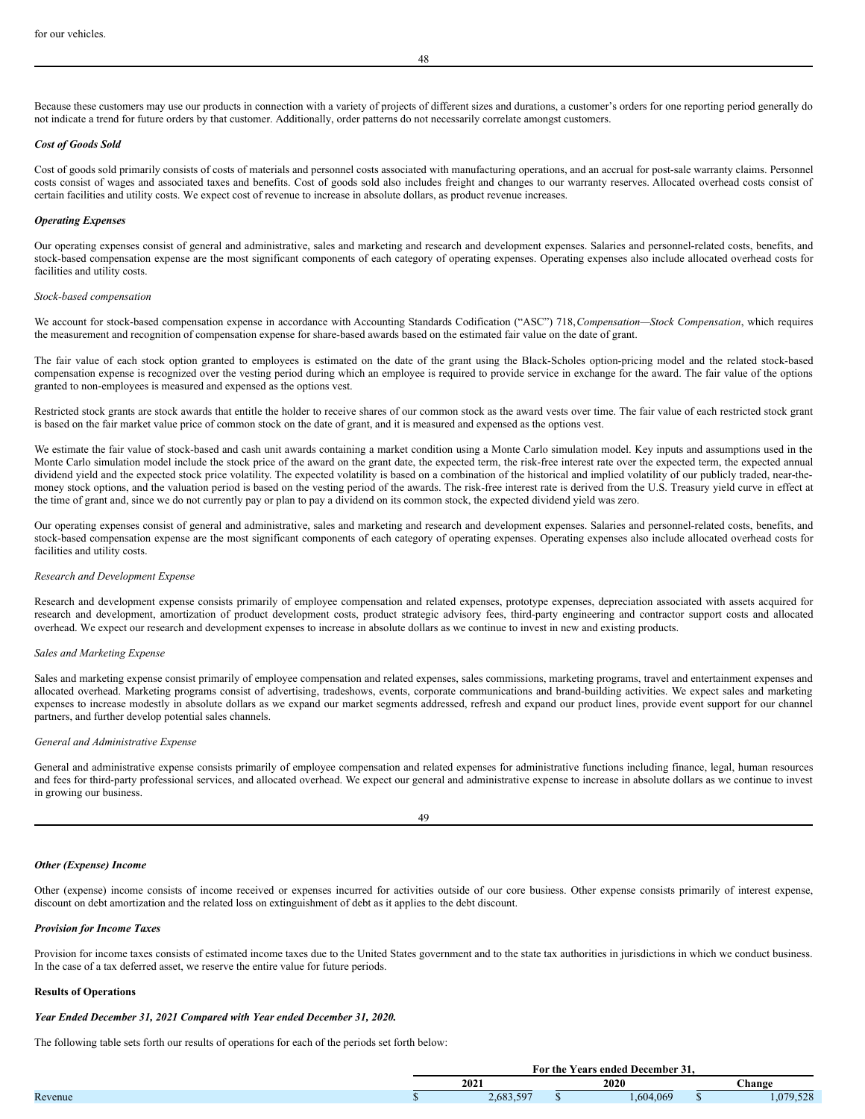Because these customers may use our products in connection with a variety of projects of different sizes and durations, a customer's orders for one reporting period generally do not indicate a trend for future orders by that customer. Additionally, order patterns do not necessarily correlate amongst customers.

#### *Cost of Goods Sold*

Cost of goods sold primarily consists of costs of materials and personnel costs associated with manufacturing operations, and an accrual for post-sale warranty claims. Personnel costs consist of wages and associated taxes and benefits. Cost of goods sold also includes freight and changes to our warranty reserves. Allocated overhead costs consist of certain facilities and utility costs. We expect cost of revenue to increase in absolute dollars, as product revenue increases.

# *Operating Expenses*

Our operating expenses consist of general and administrative, sales and marketing and research and development expenses. Salaries and personnel-related costs, benefits, and stock-based compensation expense are the most significant components of each category of operating expenses. Operating expenses also include allocated overhead costs for facilities and utility costs.

#### *Stock-based compensation*

We account for stock-based compensation expense in accordance with Accounting Standards Codification ("ASC") 718,*Compensation—Stock Compensation*, which requires the measurement and recognition of compensation expense for share-based awards based on the estimated fair value on the date of grant.

The fair value of each stock option granted to employees is estimated on the date of the grant using the Black-Scholes option-pricing model and the related stock-based compensation expense is recognized over the vesting period during which an employee is required to provide service in exchange for the award. The fair value of the options granted to non-employees is measured and expensed as the options vest.

Restricted stock grants are stock awards that entitle the holder to receive shares of our common stock as the award vests over time. The fair value of each restricted stock grant is based on the fair market value price of common stock on the date of grant, and it is measured and expensed as the options vest.

We estimate the fair value of stock-based and cash unit awards containing a market condition using a Monte Carlo simulation model. Key inputs and assumptions used in the Monte Carlo simulation model include the stock price of the award on the grant date, the expected term, the risk-free interest rate over the expected term, the expected annual dividend yield and the expected stock price volatility. The expected volatility is based on a combination of the historical and implied volatility of our publicly traded, near-themoney stock options, and the valuation period is based on the vesting period of the awards. The risk-free interest rate is derived from the U.S. Treasury yield curve in effect at the time of grant and, since we do not currently pay or plan to pay a dividend on its common stock, the expected dividend yield was zero.

Our operating expenses consist of general and administrative, sales and marketing and research and development expenses. Salaries and personnel-related costs, benefits, and stock-based compensation expense are the most significant components of each category of operating expenses. Operating expenses also include allocated overhead costs for facilities and utility costs.

#### *Research and Development Expense*

Research and development expense consists primarily of employee compensation and related expenses, prototype expenses, depreciation associated with assets acquired for research and development, amortization of product development costs, product strategic advisory fees, third-party engineering and contractor support costs and allocated overhead. We expect our research and development expenses to increase in absolute dollars as we continue to invest in new and existing products.

#### *Sales and Marketing Expense*

Sales and marketing expense consist primarily of employee compensation and related expenses, sales commissions, marketing programs, travel and entertainment expenses and allocated overhead. Marketing programs consist of advertising, tradeshows, events, corporate communications and brand-building activities. We expect sales and marketing expenses to increase modestly in absolute dollars as we expand our market segments addressed, refresh and expand our product lines, provide event support for our channel partners, and further develop potential sales channels.

#### *General and Administrative Expense*

General and administrative expense consists primarily of employee compensation and related expenses for administrative functions including finance, legal, human resources and fees for third-party professional services, and allocated overhead. We expect our general and administrative expense to increase in absolute dollars as we continue to invest in growing our business.

49

#### *Other (Expense) Income*

Other (expense) income consists of income received or expenses incurred for activities outside of our core business. Other expense consists primarily of interest expense, discount on debt amortization and the related loss on extinguishment of debt as it applies to the debt discount.

#### *Provision for Income Taxes*

Provision for income taxes consists of estimated income taxes due to the United States government and to the state tax authorities in jurisdictions in which we conduct business. In the case of a tax deferred asset, we reserve the entire value for future periods.

# **Results of Operations**

# *Year Ended December 31, 2021 Compared with Year ended December 31, 2020.*

The following table sets forth our results of operations for each of the periods set forth below:

|         | For the Years ended December 31. |  |          |  |          |
|---------|----------------------------------|--|----------|--|----------|
|         | 2021                             |  | 2020     |  | Change   |
| Revenue | 2,683,597                        |  | .604.069 |  | .079.528 |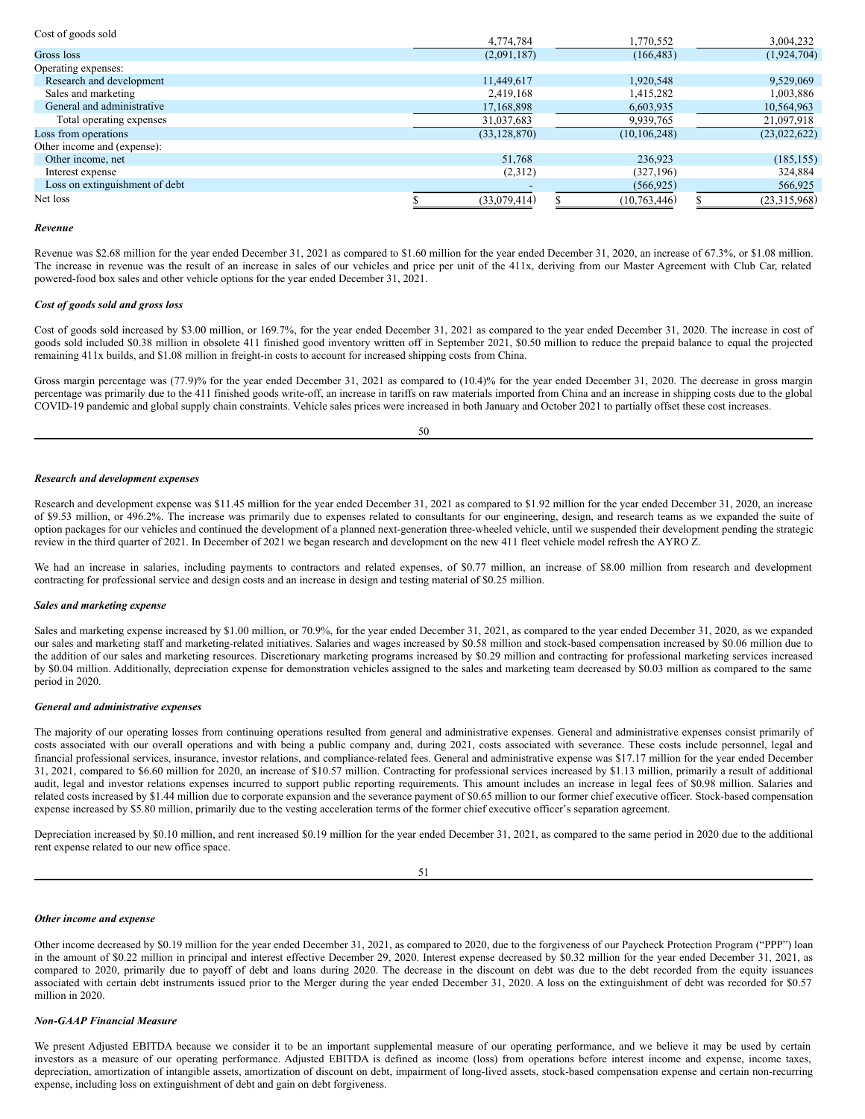| Cost of goods sold             |                |                |              |
|--------------------------------|----------------|----------------|--------------|
|                                | 4,774,784      | 1,770,552      | 3,004,232    |
| Gross loss                     | (2,091,187)    | (166, 483)     | (1,924,704)  |
| Operating expenses:            |                |                |              |
| Research and development       | 11,449,617     | 1,920,548      | 9,529,069    |
| Sales and marketing            | 2,419,168      | 1,415,282      | 1,003,886    |
| General and administrative     | 17,168,898     | 6,603,935      | 10,564,963   |
| Total operating expenses       | 31,037,683     | 9,939,765      | 21,097,918   |
| Loss from operations           | (33, 128, 870) | (10, 106, 248) | (23,022,622) |
| Other income and (expense):    |                |                |              |
| Other income, net              | 51.768         | 236,923        | (185, 155)   |
| Interest expense               | (2,312)        | (327, 196)     | 324,884      |
| Loss on extinguishment of debt |                | (566, 925)     | 566,925      |
| Net loss                       | (33,079,414)   | (10,763,446)   | (23,315,968) |

# *Revenue*

Revenue was \$2.68 million for the year ended December 31, 2021 as compared to \$1.60 million for the year ended December 31, 2020, an increase of 67.3%, or \$1.08 million. The increase in revenue was the result of an increase in sales of our vehicles and price per unit of the 411x, deriving from our Master Agreement with Club Car, related powered-food box sales and other vehicle options for the year ended December 31, 2021.

# *Cost of goods sold and gross loss*

Cost of goods sold increased by \$3.00 million, or 169.7%, for the year ended December 31, 2021 as compared to the year ended December 31, 2020. The increase in cost of goods sold included \$0.38 million in obsolete 411 finished good inventory written off in September 2021, \$0.50 million to reduce the prepaid balance to equal the projected remaining 411x builds, and \$1.08 million in freight-in costs to account for increased shipping costs from China.

Gross margin percentage was (77.9)% for the year ended December 31, 2021 as compared to (10.4)% for the year ended December 31, 2020. The decrease in gross margin percentage was primarily due to the 411 finished goods write-off, an increase in tariffs on raw materials imported from China and an increase in shipping costs due to the global COVID-19 pandemic and global supply chain constraints. Vehicle sales prices were increased in both January and October 2021 to partially offset these cost increases.

|                  | I            |
|------------------|--------------|
| I<br>I<br>$\sim$ | ٦<br>×<br>۰. |

# *Research and development expenses*

Research and development expense was \$11.45 million for the year ended December 31, 2021 as compared to \$1.92 million for the year ended December 31, 2020, an increase of \$9.53 million, or 496.2%. The increase was primarily due to expenses related to consultants for our engineering, design, and research teams as we expanded the suite of option packages for our vehicles and continued the development of a planned next-generation three-wheeled vehicle, until we suspended their development pending the strategic review in the third quarter of 2021. In December of 2021 we began research and development on the new 411 fleet vehicle model refresh the AYRO Z.

We had an increase in salaries, including payments to contractors and related expenses, of \$0.77 million, an increase of \$8.00 million from research and development contracting for professional service and design costs and an increase in design and testing material of \$0.25 million.

# *Sales and marketing expense*

Sales and marketing expense increased by \$1.00 million, or 70.9%, for the year ended December 31, 2021, as compared to the year ended December 31, 2020, as we expanded our sales and marketing staff and marketing-related initiatives. Salaries and wages increased by \$0.58 million and stock-based compensation increased by \$0.06 million due to the addition of our sales and marketing resources. Discretionary marketing programs increased by \$0.29 million and contracting for professional marketing services increased by \$0.04 million. Additionally, depreciation expense for demonstration vehicles assigned to the sales and marketing team decreased by \$0.03 million as compared to the same period in 2020.

#### *General and administrative expenses*

The majority of our operating losses from continuing operations resulted from general and administrative expenses. General and administrative expenses consist primarily of costs associated with our overall operations and with being a public company and, during 2021, costs associated with severance. These costs include personnel, legal and financial professional services, insurance, investor relations, and compliance-related fees. General and administrative expense was \$17.17 million for the year ended December 31, 2021, compared to \$6.60 million for 2020, an increase of \$10.57 million. Contracting for professional services increased by \$1.13 million, primarily a result of additional audit, legal and investor relations expenses incurred to support public reporting requirements. This amount includes an increase in legal fees of \$0.98 million. Salaries and related costs increased by \$1.44 million due to corporate expansion and the severance payment of \$0.65 million to our former chief executive officer. Stock-based compensation expense increased by \$5.80 million, primarily due to the vesting acceleration terms of the former chief executive officer's separation agreement.

Depreciation increased by \$0.10 million, and rent increased \$0.19 million for the year ended December 31, 2021, as compared to the same period in 2020 due to the additional rent expense related to our new office space.

| I<br>I<br>×<br>۰. |  |
|-------------------|--|

# *Other income and expense*

Other income decreased by \$0.19 million for the year ended December 31, 2021, as compared to 2020, due to the forgiveness of our Paycheck Protection Program ("PPP") loan in the amount of \$0.22 million in principal and interest effective December 29, 2020. Interest expense decreased by \$0.32 million for the year ended December 31, 2021, as compared to 2020, primarily due to payoff of debt and loans during 2020. The decrease in the discount on debt was due to the debt recorded from the equity issuances associated with certain debt instruments issued prior to the Merger during the year ended December 31, 2020. A loss on the extinguishment of debt was recorded for \$0.57 million in 2020.

# *Non-GAAP Financial Measure*

We present Adjusted EBITDA because we consider it to be an important supplemental measure of our operating performance, and we believe it may be used by certain investors as a measure of our operating performance. Adjusted EBITDA is defined as income (loss) from operations before interest income and expense, income taxes, depreciation, amortization of intangible assets, amortization of discount on debt, impairment of long-lived assets, stock-based compensation expense and certain non-recurring expense, including loss on extinguishment of debt and gain on debt forgiveness.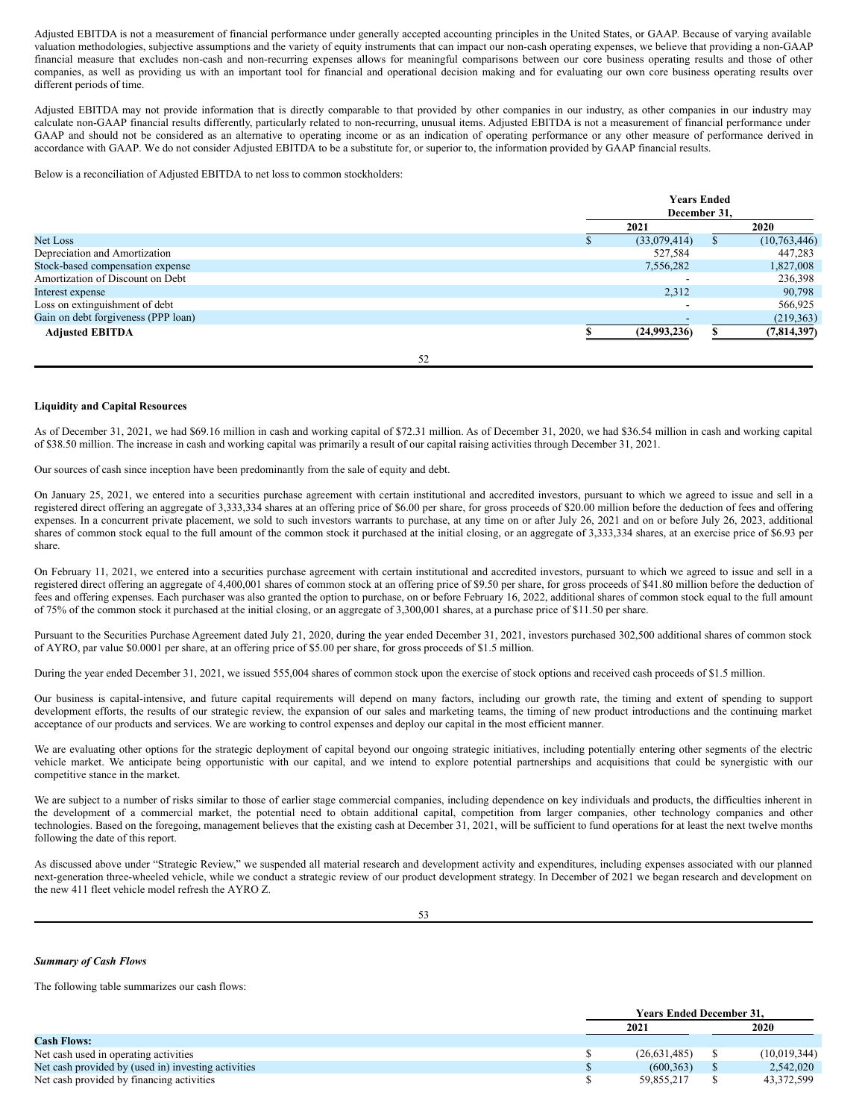Adjusted EBITDA is not a measurement of financial performance under generally accepted accounting principles in the United States, or GAAP. Because of varying available valuation methodologies, subjective assumptions and the variety of equity instruments that can impact our non-cash operating expenses, we believe that providing a non-GAAP financial measure that excludes non-cash and non-recurring expenses allows for meaningful comparisons between our core business operating results and those of other companies, as well as providing us with an important tool for financial and operational decision making and for evaluating our own core business operating results over different periods of time.

Adjusted EBITDA may not provide information that is directly comparable to that provided by other companies in our industry, as other companies in our industry may calculate non-GAAP financial results differently, particularly related to non-recurring, unusual items. Adjusted EBITDA is not a measurement of financial performance under GAAP and should not be considered as an alternative to operating income or as an indication of operating performance or any other measure of performance derived in accordance with GAAP. We do not consider Adjusted EBITDA to be a substitute for, or superior to, the information provided by GAAP financial results.

Below is a reconciliation of Adjusted EBITDA to net loss to common stockholders:

|                                     |    | <b>Years Ended</b> |              |  |              |
|-------------------------------------|----|--------------------|--------------|--|--------------|
|                                     |    |                    | December 31, |  |              |
|                                     |    |                    | 2021         |  | 2020         |
| Net Loss                            |    |                    | (33,079,414) |  | (10,763,446) |
| Depreciation and Amortization       |    |                    | 527,584      |  | 447,283      |
| Stock-based compensation expense    |    |                    | 7,556,282    |  | 1,827,008    |
| Amortization of Discount on Debt    |    |                    |              |  | 236,398      |
| Interest expense                    |    |                    | 2,312        |  | 90,798       |
| Loss on extinguishment of debt      |    |                    |              |  | 566,925      |
| Gain on debt forgiveness (PPP loan) |    |                    |              |  | (219, 363)   |
| <b>Adjusted EBITDA</b>              |    |                    | (24,993,236) |  | (7,814,397)  |
|                                     | 52 |                    |              |  |              |

# **Liquidity and Capital Resources**

As of December 31, 2021, we had \$69.16 million in cash and working capital of \$72.31 million. As of December 31, 2020, we had \$36.54 million in cash and working capital of \$38.50 million. The increase in cash and working capital was primarily a result of our capital raising activities through December 31, 2021.

Our sources of cash since inception have been predominantly from the sale of equity and debt.

On January 25, 2021, we entered into a securities purchase agreement with certain institutional and accredited investors, pursuant to which we agreed to issue and sell in a registered direct offering an aggregate of 3,333,334 shares at an offering price of \$6.00 per share, for gross proceeds of \$20.00 million before the deduction of fees and offering expenses. In a concurrent private placement, we sold to such investors warrants to purchase, at any time on or after July 26, 2021 and on or before July 26, 2023, additional shares of common stock equal to the full amount of the common stock it purchased at the initial closing, or an aggregate of 3,333,334 shares, at an exercise price of \$6.93 per share.

On February 11, 2021, we entered into a securities purchase agreement with certain institutional and accredited investors, pursuant to which we agreed to issue and sell in a registered direct offering an aggregate of 4,400,001 shares of common stock at an offering price of \$9.50 per share, for gross proceeds of \$41.80 million before the deduction of fees and offering expenses. Each purchaser was also granted the option to purchase, on or before February 16, 2022, additional shares of common stock equal to the full amount of 75% of the common stock it purchased at the initial closing, or an aggregate of 3,300,001 shares, at a purchase price of \$11.50 per share.

Pursuant to the Securities Purchase Agreement dated July 21, 2020, during the year ended December 31, 2021, investors purchased 302,500 additional shares of common stock of AYRO, par value \$0.0001 per share, at an offering price of \$5.00 per share, for gross proceeds of \$1.5 million.

During the year ended December 31, 2021, we issued 555,004 shares of common stock upon the exercise of stock options and received cash proceeds of \$1.5 million.

Our business is capital-intensive, and future capital requirements will depend on many factors, including our growth rate, the timing and extent of spending to support development efforts, the results of our strategic review, the expansion of our sales and marketing teams, the timing of new product introductions and the continuing market acceptance of our products and services. We are working to control expenses and deploy our capital in the most efficient manner.

We are evaluating other options for the strategic deployment of capital beyond our ongoing strategic initiatives, including potentially entering other segments of the electric vehicle market. We anticipate being opportunistic with our capital, and we intend to explore potential partnerships and acquisitions that could be synergistic with our competitive stance in the market.

We are subject to a number of risks similar to those of earlier stage commercial companies, including dependence on key individuals and products, the difficulties inherent in the development of a commercial market, the potential need to obtain additional capital, competition from larger companies, other technology companies and other technologies. Based on the foregoing, management believes that the existing cash at December 31, 2021, will be sufficient to fund operations for at least the next twelve months following the date of this report.

As discussed above under "Strategic Review," we suspended all material research and development activity and expenditures, including expenses associated with our planned next-generation three-wheeled vehicle, while we conduct a strategic review of our product development strategy. In December of 2021 we began research and development on the new 411 fleet vehicle model refresh the AYRO Z.

# *Summary of Cash Flows*

The following table summarizes our cash flows:

|                                                     | <b>Years Ended December 31.</b> |  |               |
|-----------------------------------------------------|---------------------------------|--|---------------|
|                                                     | 2020<br>2021                    |  |               |
| <b>Cash Flows:</b>                                  |                                 |  |               |
| Net cash used in operating activities               | (26.631.485)                    |  | (10.019, 344) |
| Net cash provided by (used in) investing activities | (600.363)                       |  | 2.542,020     |
| Net cash provided by financing activities           | 59.855.217                      |  | 43,372,599    |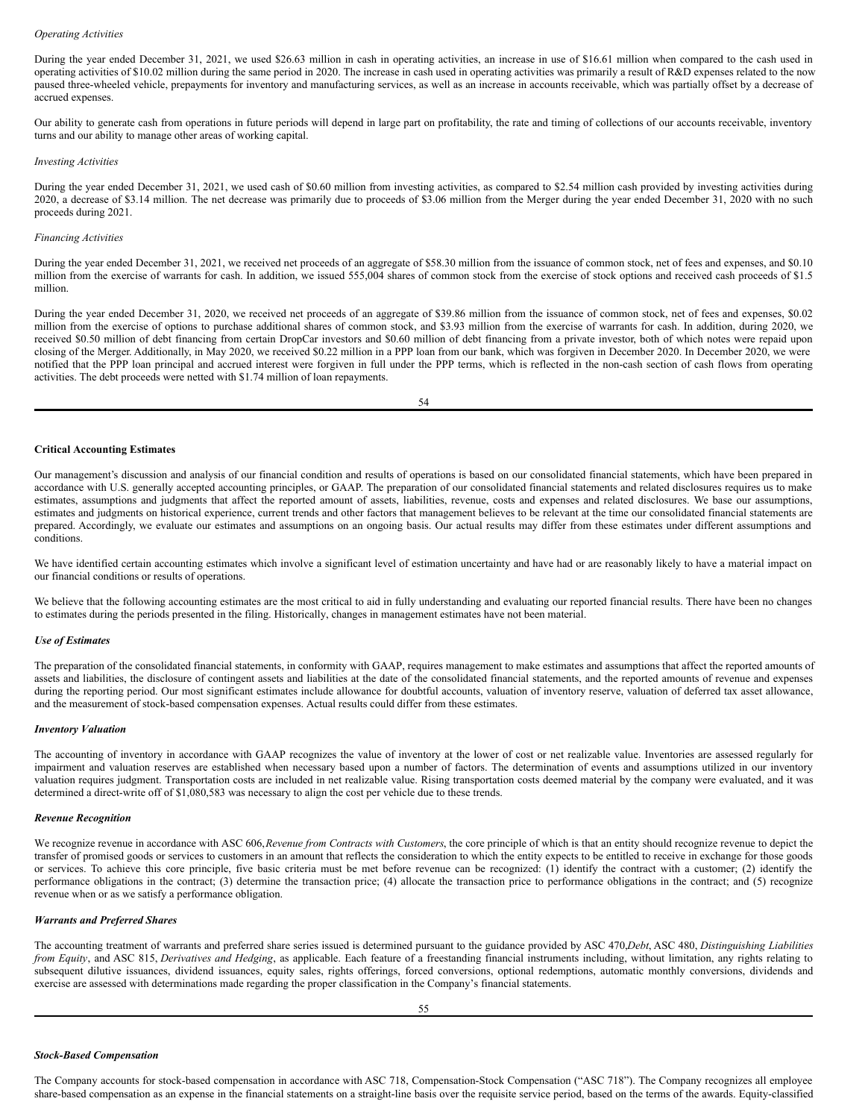#### *Operating Activities*

During the year ended December 31, 2021, we used \$26.63 million in cash in operating activities, an increase in use of \$16.61 million when compared to the cash used in operating activities of \$10.02 million during the same period in 2020. The increase in cash used in operating activities was primarily a result of R&D expenses related to the now paused three-wheeled vehicle, prepayments for inventory and manufacturing services, as well as an increase in accounts receivable, which was partially offset by a decrease of accrued expenses.

Our ability to generate cash from operations in future periods will depend in large part on profitability, the rate and timing of collections of our accounts receivable, inventory turns and our ability to manage other areas of working capital.

#### *Investing Activities*

During the year ended December 31, 2021, we used cash of \$0.60 million from investing activities, as compared to \$2.54 million cash provided by investing activities during 2020, a decrease of \$3.14 million. The net decrease was primarily due to proceeds of \$3.06 million from the Merger during the year ended December 31, 2020 with no such proceeds during 2021.

# *Financing Activities*

During the year ended December 31, 2021, we received net proceeds of an aggregate of \$58.30 million from the issuance of common stock, net of fees and expenses, and \$0.10 million from the exercise of warrants for cash. In addition, we issued 555,004 shares of common stock from the exercise of stock options and received cash proceeds of \$1.5 million.

During the year ended December 31, 2020, we received net proceeds of an aggregate of \$39.86 million from the issuance of common stock, net of fees and expenses, \$0.02 million from the exercise of options to purchase additional shares of common stock, and \$3.93 million from the exercise of warrants for cash. In addition, during 2020, we received \$0.50 million of debt financing from certain DropCar investors and \$0.60 million of debt financing from a private investor, both of which notes were repaid upon closing of the Merger. Additionally, in May 2020, we received \$0.22 million in a PPP loan from our bank, which was forgiven in December 2020. In December 2020, we were notified that the PPP loan principal and accrued interest were forgiven in full under the PPP terms, which is reflected in the non-cash section of cash flows from operating activities. The debt proceeds were netted with \$1.74 million of loan repayments.

#### **Critical Accounting Estimates**

Our management's discussion and analysis of our financial condition and results of operations is based on our consolidated financial statements, which have been prepared in accordance with U.S. generally accepted accounting principles, or GAAP. The preparation of our consolidated financial statements and related disclosures requires us to make estimates, assumptions and judgments that affect the reported amount of assets, liabilities, revenue, costs and expenses and related disclosures. We base our assumptions, estimates and judgments on historical experience, current trends and other factors that management believes to be relevant at the time our consolidated financial statements are prepared. Accordingly, we evaluate our estimates and assumptions on an ongoing basis. Our actual results may differ from these estimates under different assumptions and conditions.

We have identified certain accounting estimates which involve a significant level of estimation uncertainty and have had or are reasonably likely to have a material impact on our financial conditions or results of operations.

We believe that the following accounting estimates are the most critical to aid in fully understanding and evaluating our reported financial results. There have been no changes to estimates during the periods presented in the filing. Historically, changes in management estimates have not been material.

#### *Use of Estimates*

The preparation of the consolidated financial statements, in conformity with GAAP, requires management to make estimates and assumptions that affect the reported amounts of assets and liabilities, the disclosure of contingent assets and liabilities at the date of the consolidated financial statements, and the reported amounts of revenue and expenses during the reporting period. Our most significant estimates include allowance for doubtful accounts, valuation of inventory reserve, valuation of deferred tax asset allowance, and the measurement of stock-based compensation expenses. Actual results could differ from these estimates.

#### *Inventory Valuation*

The accounting of inventory in accordance with GAAP recognizes the value of inventory at the lower of cost or net realizable value. Inventories are assessed regularly for impairment and valuation reserves are established when necessary based upon a number of factors. The determination of events and assumptions utilized in our inventory valuation requires judgment. Transportation costs are included in net realizable value. Rising transportation costs deemed material by the company were evaluated, and it was determined a direct-write off of \$1,080,583 was necessary to align the cost per vehicle due to these trends.

#### *Revenue Recognition*

We recognize revenue in accordance with ASC 606,*Revenue from Contracts with Customers*, the core principle of which is that an entity should recognize revenue to depict the transfer of promised goods or services to customers in an amount that reflects the consideration to which the entity expects to be entitled to receive in exchange for those goods or services. To achieve this core principle, five basic criteria must be met before revenue can be recognized: (1) identify the contract with a customer; (2) identify the performance obligations in the contract; (3) determine the transaction price; (4) allocate the transaction price to performance obligations in the contract; and (5) recognize revenue when or as we satisfy a performance obligation.

#### *Warrants and Preferred Shares*

The accounting treatment of warrants and preferred share series issued is determined pursuant to the guidance provided by ASC 470,*Debt*, ASC 480, *Distinguishing Liabilities from Equity*, and ASC 815, *Derivatives and Hedging*, as applicable. Each feature of a freestanding financial instruments including, without limitation, any rights relating to subsequent dilutive issuances, dividend issuances, equity sales, rights offerings, forced conversions, optional redemptions, automatic monthly conversions, dividends and exercise are assessed with determinations made regarding the proper classification in the Company's financial statements.

# *Stock-Based Compensation*

The Company accounts for stock-based compensation in accordance with ASC 718, Compensation-Stock Compensation ("ASC 718"). The Company recognizes all employee share-based compensation as an expense in the financial statements on a straight-line basis over the requisite service period, based on the terms of the awards. Equity-classified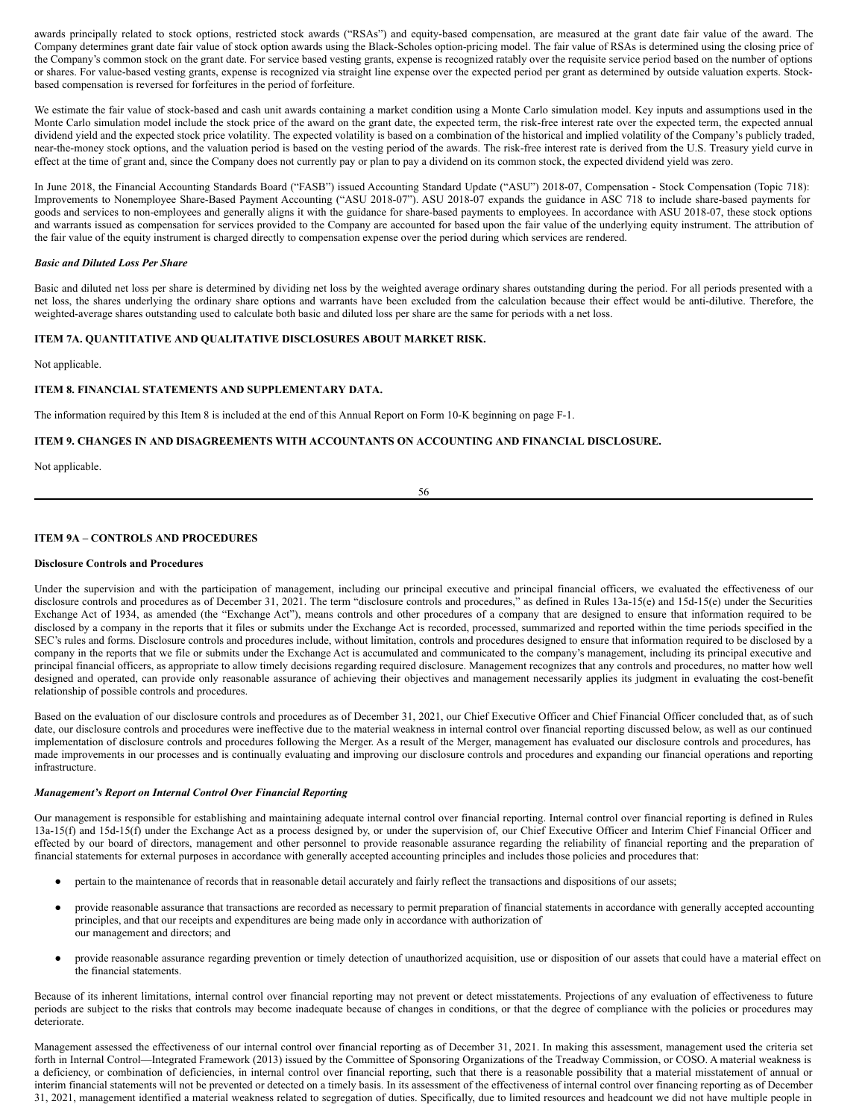awards principally related to stock options, restricted stock awards ("RSAs") and equity-based compensation, are measured at the grant date fair value of the award. The Company determines grant date fair value of stock option awards using the Black-Scholes option-pricing model. The fair value of RSAs is determined using the closing price of the Company's common stock on the grant date. For service based vesting grants, expense is recognized ratably over the requisite service period based on the number of options or shares. For value-based vesting grants, expense is recognized via straight line expense over the expected period per grant as determined by outside valuation experts. Stockbased compensation is reversed for forfeitures in the period of forfeiture.

We estimate the fair value of stock-based and cash unit awards containing a market condition using a Monte Carlo simulation model. Key inputs and assumptions used in the Monte Carlo simulation model include the stock price of the award on the grant date, the expected term, the risk-free interest rate over the expected term, the expected annual dividend yield and the expected stock price volatility. The expected volatility is based on a combination of the historical and implied volatility of the Company's publicly traded, near-the-money stock options, and the valuation period is based on the vesting period of the awards. The risk-free interest rate is derived from the U.S. Treasury yield curve in effect at the time of grant and, since the Company does not currently pay or plan to pay a dividend on its common stock, the expected dividend yield was zero.

In June 2018, the Financial Accounting Standards Board ("FASB") issued Accounting Standard Update ("ASU") 2018-07, Compensation - Stock Compensation (Topic 718): Improvements to Nonemployee Share-Based Payment Accounting ("ASU 2018-07"). ASU 2018-07 expands the guidance in ASC 718 to include share-based payments for goods and services to non-employees and generally aligns it with the guidance for share-based payments to employees. In accordance with ASU 2018-07, these stock options and warrants issued as compensation for services provided to the Company are accounted for based upon the fair value of the underlying equity instrument. The attribution of the fair value of the equity instrument is charged directly to compensation expense over the period during which services are rendered.

# *Basic and Diluted Loss Per Share*

Basic and diluted net loss per share is determined by dividing net loss by the weighted average ordinary shares outstanding during the period. For all periods presented with a net loss, the shares underlying the ordinary share options and warrants have been excluded from the calculation because their effect would be anti-dilutive. Therefore, the weighted-average shares outstanding used to calculate both basic and diluted loss per share are the same for periods with a net loss.

# **ITEM 7A. QUANTITATIVE AND QUALITATIVE DISCLOSURES ABOUT MARKET RISK.**

Not applicable.

# **ITEM 8. FINANCIAL STATEMENTS AND SUPPLEMENTARY DATA.**

The information required by this Item 8 is included at the end of this Annual Report on Form 10-K beginning on page F-1.

# **ITEM 9. CHANGES IN AND DISAGREEMENTS WITH ACCOUNTANTS ON ACCOUNTING AND FINANCIAL DISCLOSURE.**

Not applicable.

# 56

# **ITEM 9A – CONTROLS AND PROCEDURES**

#### **Disclosure Controls and Procedures**

Under the supervision and with the participation of management, including our principal executive and principal financial officers, we evaluated the effectiveness of our disclosure controls and procedures as of December 31, 2021. The term "disclosure controls and procedures," as defined in Rules 13a-15(e) and 15d-15(e) under the Securities Exchange Act of 1934, as amended (the "Exchange Act"), means controls and other procedures of a company that are designed to ensure that information required to be disclosed by a company in the reports that it files or submits under the Exchange Act is recorded, processed, summarized and reported within the time periods specified in the SEC's rules and forms. Disclosure controls and procedures include, without limitation, controls and procedures designed to ensure that information required to be disclosed by a company in the reports that we file or submits under the Exchange Act is accumulated and communicated to the company's management, including its principal executive and principal financial officers, as appropriate to allow timely decisions regarding required disclosure. Management recognizes that any controls and procedures, no matter how well designed and operated, can provide only reasonable assurance of achieving their objectives and management necessarily applies its judgment in evaluating the cost-benefit relationship of possible controls and procedures.

Based on the evaluation of our disclosure controls and procedures as of December 31, 2021, our Chief Executive Officer and Chief Financial Officer concluded that, as of such date, our disclosure controls and procedures were ineffective due to the material weakness in internal control over financial reporting discussed below, as well as our continued implementation of disclosure controls and procedures following the Merger. As a result of the Merger, management has evaluated our disclosure controls and procedures, has made improvements in our processes and is continually evaluating and improving our disclosure controls and procedures and expanding our financial operations and reporting infrastructure.

#### *Management's Report on Internal Control Over Financial Reporting*

Our management is responsible for establishing and maintaining adequate internal control over financial reporting. Internal control over financial reporting is defined in Rules 13a-15(f) and 15d-15(f) under the Exchange Act as a process designed by, or under the supervision of, our Chief Executive Officer and Interim Chief Financial Officer and effected by our board of directors, management and other personnel to provide reasonable assurance regarding the reliability of financial reporting and the preparation of financial statements for external purposes in accordance with generally accepted accounting principles and includes those policies and procedures that:

- pertain to the maintenance of records that in reasonable detail accurately and fairly reflect the transactions and dispositions of our assets;
- provide reasonable assurance that transactions are recorded as necessary to permit preparation of financial statements in accordance with generally accepted accounting principles, and that our receipts and expenditures are being made only in accordance with authorization of our management and directors; and
- provide reasonable assurance regarding prevention or timely detection of unauthorized acquisition, use or disposition of our assets that could have a material effect on the financial statements.

Because of its inherent limitations, internal control over financial reporting may not prevent or detect misstatements. Projections of any evaluation of effectiveness to future periods are subject to the risks that controls may become inadequate because of changes in conditions, or that the degree of compliance with the policies or procedures may deteriorate.

Management assessed the effectiveness of our internal control over financial reporting as of December 31, 2021. In making this assessment, management used the criteria set forth in Internal Control—Integrated Framework (2013) issued by the Committee of Sponsoring Organizations of the Treadway Commission, or COSO. A material weakness is a deficiency, or combination of deficiencies, in internal control over financial reporting, such that there is a reasonable possibility that a material misstatement of annual or interim financial statements will not be prevented or detected on a timely basis. In its assessment of the effectiveness of internal control over financing reporting as of December 31, 2021, management identified a material weakness related to segregation of duties. Specifically, due to limited resources and headcount we did not have multiple people in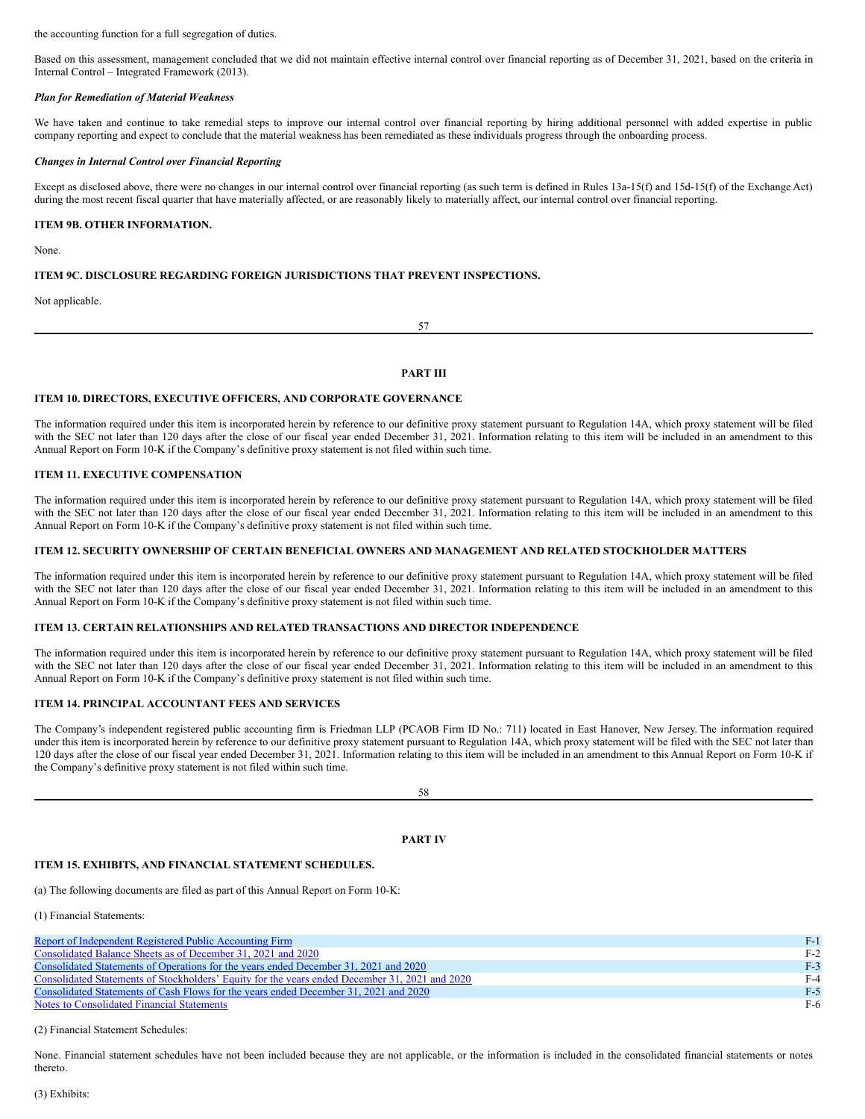the accounting function for a full segregation of duties.

Based on this assessment, management concluded that we did not maintain effective internal control over financial reporting as of December 31, 2021, based on the criteria in Internal Control – Integrated Framework (2013).

# *Plan for Remediation of Material Weakness*

We have taken and continue to take remedial steps to improve our internal control over financial reporting by hiring additional personnel with added expertise in public company reporting and expect to conclude that the material weakness has been remediated as these individuals progress through the onboarding process.

# *Changes in Internal Control over Financial Reporting*

Except as disclosed above, there were no changes in our internal control over financial reporting (as such term is defined in Rules 13a-15(f) and 15d-15(f) of the Exchange Act) during the most recent fiscal quarter that have materially affected, or are reasonably likely to materially affect, our internal control over financial reporting.

# **ITEM 9B. OTHER INFORMATION.**

None.

# **ITEM 9C. DISCLOSURE REGARDING FOREIGN JURISDICTIONS THAT PREVENT INSPECTIONS.**

Not applicable.

57

# **PART III**

# **ITEM 10. DIRECTORS, EXECUTIVE OFFICERS, AND CORPORATE GOVERNANCE**

The information required under this item is incorporated herein by reference to our definitive proxy statement pursuant to Regulation 14A, which proxy statement will be filed with the SEC not later than 120 days after the close of our fiscal year ended December 31, 2021. Information relating to this item will be included in an amendment to this Annual Report on Form 10-K if the Company's definitive proxy statement is not filed within such time.

# **ITEM 11. EXECUTIVE COMPENSATION**

The information required under this item is incorporated herein by reference to our definitive proxy statement pursuant to Regulation 14A, which proxy statement will be filed with the SEC not later than 120 days after the close of our fiscal year ended December 31, 2021. Information relating to this item will be included in an amendment to this Annual Report on Form 10-K if the Company's definitive proxy statement is not filed within such time.

# **ITEM 12. SECURITY OWNERSHIP OF CERTAIN BENEFICIAL OWNERS AND MANAGEMENT AND RELATED STOCKHOLDER MATTERS**

The information required under this item is incorporated herein by reference to our definitive proxy statement pursuant to Regulation 14A, which proxy statement will be filed with the SEC not later than 120 days after the close of our fiscal year ended December 31, 2021. Information relating to this item will be included in an amendment to this Annual Report on Form 10-K if the Company's definitive proxy statement is not filed within such time.

# **ITEM 13. CERTAIN RELATIONSHIPS AND RELATED TRANSACTIONS AND DIRECTOR INDEPENDENCE**

The information required under this item is incorporated herein by reference to our definitive proxy statement pursuant to Regulation 14A, which proxy statement will be filed with the SEC not later than 120 days after the close of our fiscal year ended December 31, 2021. Information relating to this item will be included in an amendment to this Annual Report on Form 10-K if the Company's definitive proxy statement is not filed within such time.

# **ITEM 14. PRINCIPAL ACCOUNTANT FEES AND SERVICES**

The Company's independent registered public accounting firm is Friedman LLP (PCAOB Firm ID No.: 711) located in East Hanover, New Jersey. The information required under this item is incorporated herein by reference to our definitive proxy statement pursuant to Regulation 14A, which proxy statement will be filed with the SEC not later than 120 days after the close of our fiscal year ended December 31, 2021. Information relating to this item will be included in an amendment to this Annual Report on Form 10-K if the Company's definitive proxy statement is not filed within such time.

| 58                                                                                |       |
|-----------------------------------------------------------------------------------|-------|
|                                                                                   |       |
| <b>PART IV</b>                                                                    |       |
| ITEM 15. EXHIBITS, AND FINANCIAL STATEMENT SCHEDULES.                             |       |
| (a) The following documents are filed as part of this Annual Report on Form 10-K: |       |
| (1) Financial Statements:                                                         |       |
| Report of Independent Registered Public Accounting Firm                           | $F-1$ |

| Consolidated Balance Sheets as of December 31, 2021 and 2020                                   | $F-2$ |
|------------------------------------------------------------------------------------------------|-------|
| Consolidated Statements of Operations for the years ended December 31, 2021 and 2020           | $F-3$ |
| Consolidated Statements of Stockholders' Equity for the years ended December 31, 2021 and 2020 | $F-4$ |
| Consolidated Statements of Cash Flows for the years ended December 31, 2021 and 2020           | $F-5$ |
| Notes to Consolidated Financial Statements                                                     | F-6   |

(2) Financial Statement Schedules:

None. Financial statement schedules have not been included because they are not applicable, or the information is included in the consolidated financial statements or notes thereto.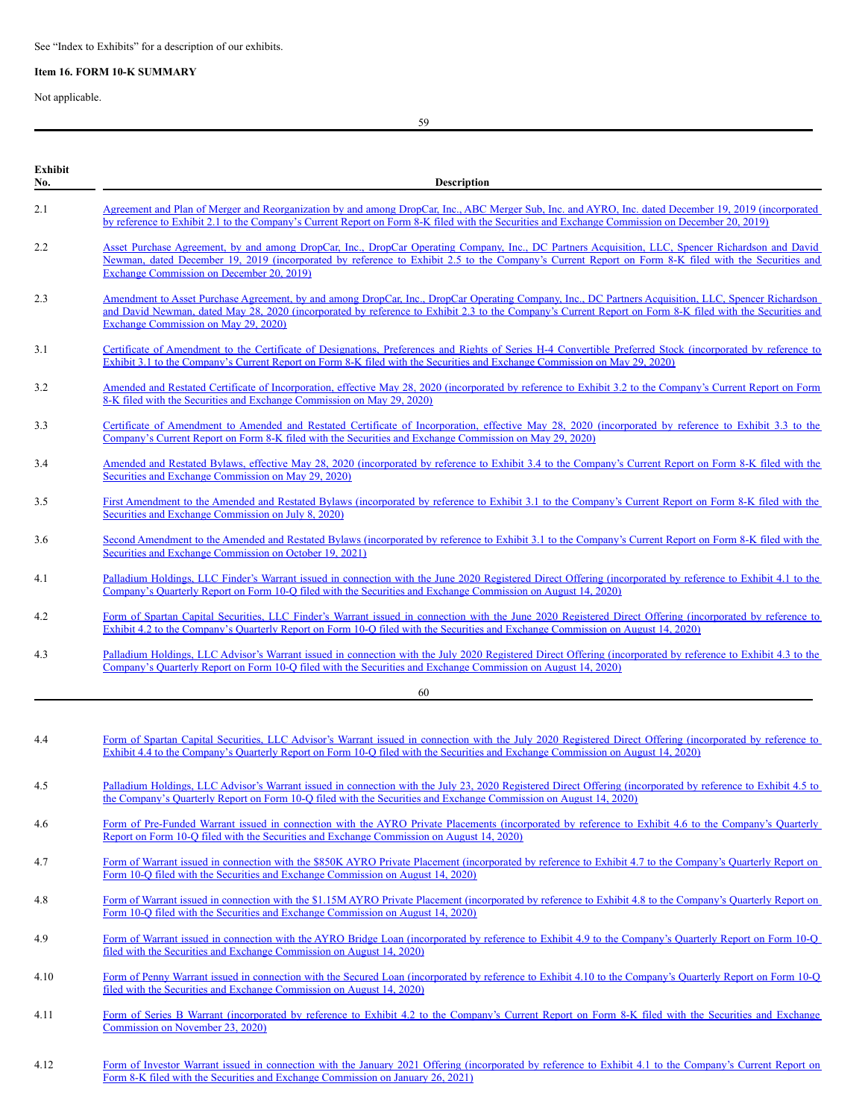# **Item 16. FORM 10-K SUMMARY**

Not applicable.

| I<br>I<br>- | ë<br>۰.<br>۰,<br>٧ |  |
|-------------|--------------------|--|

| Exhibit<br>No. | Description                                                                                                                                                                                                                                                                                                                                              |
|----------------|----------------------------------------------------------------------------------------------------------------------------------------------------------------------------------------------------------------------------------------------------------------------------------------------------------------------------------------------------------|
| 2.1            | Agreement and Plan of Merger and Reorganization by and among DropCar, Inc., ABC Merger Sub, Inc. and AYRO, Inc. dated December 19, 2019 (incorporated<br>by reference to Exhibit 2.1 to the Company's Current Report on Form 8-K filed with the Securities and Exchange Commission on December 20, 2019)                                                 |
| 2.2            | Asset Purchase Agreement, by and among DropCar, Inc., DropCar Operating Company, Inc., DC Partners Acquisition, LLC, Spencer Richardson and David<br>Newman, dated December 19, 2019 (incorporated by reference to Exhibit 2.5 to the Company's Current Report on Form 8-K filed with the Securities and<br>Exchange Commission on December 20, 2019)    |
| 2.3            | Amendment to Asset Purchase Agreement, by and among DropCar, Inc., DropCar Operating Company, Inc., DC Partners Acquisition, LLC, Spencer Richardson<br>and David Newman, dated May 28, 2020 (incorporated by reference to Exhibit 2.3 to the Company's Current Report on Form 8-K filed with the Securities and<br>Exchange Commission on May 29, 2020) |
| 3.1            | Certificate of Amendment to the Certificate of Designations, Preferences and Rights of Series H-4 Convertible Preferred Stock (incorporated by reference to<br>Exhibit 3.1 to the Company's Current Report on Form 8-K filed with the Securities and Exchange Commission on May 29, 2020)                                                                |
| 3.2            | Amended and Restated Certificate of Incorporation, effective May 28, 2020 (incorporated by reference to Exhibit 3.2 to the Company's Current Report on Form<br>8-K filed with the Securities and Exchange Commission on May 29, 2020)                                                                                                                    |
| 3.3            | Certificate of Amendment to Amended and Restated Certificate of Incorporation, effective May 28, 2020 (incorporated by reference to Exhibit 3.3 to the<br>Company's Current Report on Form 8-K filed with the Securities and Exchange Commission on May 29, 2020)                                                                                        |
| 3.4            | Amended and Restated Bylaws, effective May 28, 2020 (incorporated by reference to Exhibit 3.4 to the Company's Current Report on Form 8-K filed with the<br>Securities and Exchange Commission on May 29, 2020)                                                                                                                                          |
| 3.5            | First Amendment to the Amended and Restated Bylaws (incorporated by reference to Exhibit 3.1 to the Company's Current Report on Form 8-K filed with the<br>Securities and Exchange Commission on July 8, 2020)                                                                                                                                           |
| 3.6            | Second Amendment to the Amended and Restated Bylaws (incorporated by reference to Exhibit 3.1 to the Company's Current Report on Form 8-K filed with the<br>Securities and Exchange Commission on October 19, 2021)                                                                                                                                      |
| 4.1            | Palladium Holdings, LLC Finder's Warrant issued in connection with the June 2020 Registered Direct Offering (incorporated by reference to Exhibit 4.1 to the<br>Company's Quarterly Report on Form 10-Q filed with the Securities and Exchange Commission on August 14, 2020)                                                                            |
| 4.2            | Form of Spartan Capital Securities, LLC Finder's Warrant issued in connection with the June 2020 Registered Direct Offering (incorporated by reference to<br>Exhibit 4.2 to the Company's Quarterly Report on Form 10-Q filed with the Securities and Exchange Commission on August 14, 2020)                                                            |
| 4.3            | Palladium Holdings, LLC Advisor's Warrant issued in connection with the July 2020 Registered Direct Offering (incorporated by reference to Exhibit 4.3 to the<br>Company's Quarterly Report on Form 10-Q filed with the Securities and Exchange Commission on August 14, 2020)                                                                           |
|                | 60                                                                                                                                                                                                                                                                                                                                                       |
| 4.4            | Form of Spartan Capital Securities, LLC Advisor's Warrant issued in connection with the July 2020 Registered Direct Offering (incorporated by reference to<br>Exhibit 4.4 to the Company's Quarterly Report on Form 10-Q filed with the Securities and Exchange Commission on August 14, 2020)                                                           |
| 4.5            | Palladium Holdings, LLC Advisor's Warrant issued in connection with the July 23, 2020 Registered Direct Offering (incorporated by reference to Exhibit 4.5 to<br>the Company's Quarterly Report on Form 10-Q filed with the Securities and Exchange Commission on August 14, 2020)                                                                       |
| 4.6            | Form of Pre-Funded Warrant issued in connection with the AYRO Private Placements (incorporated by reference to Exhibit 4.6 to the Company's Quarterly<br>Report on Form 10-Q filed with the Securities and Exchange Commission on August 14, 2020)                                                                                                       |
| 4.7            | Form of Warrant issued in connection with the \$850K AYRO Private Placement (incorporated by reference to Exhibit 4.7 to the Company's Quarterly Report on<br>Form 10-O filed with the Securities and Exchange Commission on August 14, 2020)                                                                                                            |
| 4.8            | Form of Warrant issued in connection with the \$1.15M AYRO Private Placement (incorporated by reference to Exhibit 4.8 to the Company's Quarterly Report on<br>Form 10-O filed with the Securities and Exchange Commission on August 14, 2020)                                                                                                           |
| 4.9            | Form of Warrant issued in connection with the AYRO Bridge Loan (incorporated by reference to Exhibit 4.9 to the Company's Ouarterly Report on Form 10-O<br>filed with the Securities and Exchange Commission on August 14, 2020)                                                                                                                         |
| 4.10           | Form of Penny Warrant issued in connection with the Secured Loan (incorporated by reference to Exhibit 4.10 to the Company's Quarterly Report on Form 10-Q<br>filed with the Securities and Exchange Commission on August 14, 2020)                                                                                                                      |
| 4.11           | Form of Series B Warrant (incorporated by reference to Exhibit 4.2 to the Company's Current Report on Form 8-K filed with the Securities and Exchange<br>Commission on November 23, 2020)                                                                                                                                                                |
| 4.12           | Form of Investor Warrant issued in connection with the January 2021 Offering (incorporated by reference to Exhibit 4.1 to the Company's Current Report on<br>Form 8-K filed with the Securities and Exchange Commission on January 26, 2021)                                                                                                             |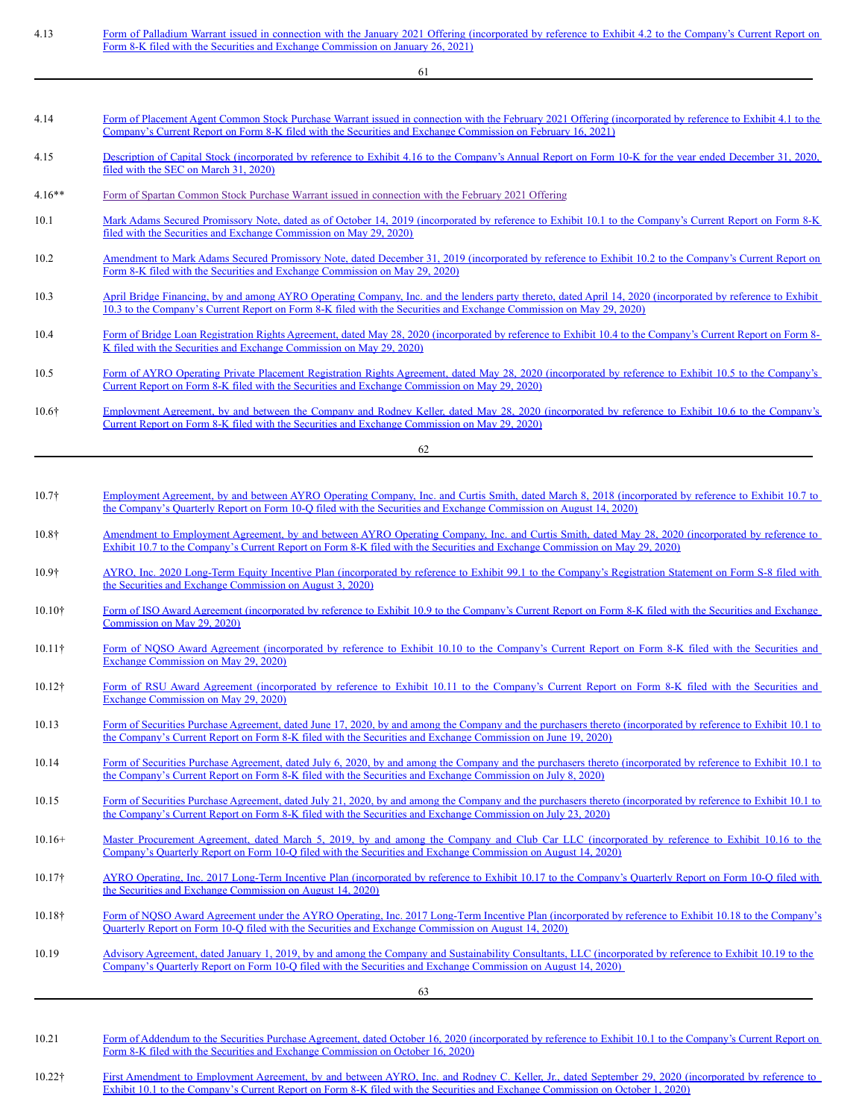|                | 61                                                                                                                                                                                                                                                                                 |
|----------------|------------------------------------------------------------------------------------------------------------------------------------------------------------------------------------------------------------------------------------------------------------------------------------|
|                |                                                                                                                                                                                                                                                                                    |
| 4.14           | Form of Placement Agent Common Stock Purchase Warrant issued in connection with the February 2021 Offering (incorporated by reference to Exhibit 4.1 to the<br>Company's Current Report on Form 8-K filed with the Securities and Exchange Commission on February 16, 2021)        |
| 4.15           | Description of Capital Stock (incorporated by reference to Exhibit 4.16 to the Company's Annual Report on Form 10-K for the year ended December 31, 2020,<br>filed with the SEC on March 31, 2020)                                                                                 |
| $4.16**$       | Form of Spartan Common Stock Purchase Warrant issued in connection with the February 2021 Offering                                                                                                                                                                                 |
| 10.1           | Mark Adams Secured Promissory Note, dated as of October 14, 2019 (incorporated by reference to Exhibit 10.1 to the Company's Current Report on Form 8-K<br>filed with the Securities and Exchange Commission on May 29, 2020)                                                      |
| 10.2           | Amendment to Mark Adams Secured Promissory Note, dated December 31, 2019 (incorporated by reference to Exhibit 10.2 to the Company's Current Report on<br>Form 8-K filed with the Securities and Exchange Commission on May 29, 2020)                                              |
| 10.3           | April Bridge Financing, by and among AYRO Operating Company, Inc. and the lenders party thereto, dated April 14, 2020 (incorporated by reference to Exhibit<br>10.3 to the Company's Current Report on Form 8-K filed with the Securities and Exchange Commission on May 29, 2020) |
| 10.4           | Form of Bridge Loan Registration Rights Agreement, dated May 28, 2020 (incorporated by reference to Exhibit 10.4 to the Company's Current Report on Form 8-<br>K filed with the Securities and Exchange Commission on May 29, 2020)                                                |
|                |                                                                                                                                                                                                                                                                                    |
| 10.5           | Form of AYRO Operating Private Placement Registration Rights Agreement, dated May 28, 2020 (incorporated by reference to Exhibit 10.5 to the Company's<br>Current Report on Form 8-K filed with the Securities and Exchange Commission on May 29, 2020)                            |
| $10.6\dagger$  | Employment Agreement, by and between the Company and Rodney Keller, dated May 28, 2020 (incorporated by reference to Exhibit 10.6 to the Company's<br>Current Report on Form 8-K filed with the Securities and Exchange Commission on May 29, 2020)                                |
|                | 62                                                                                                                                                                                                                                                                                 |
|                |                                                                                                                                                                                                                                                                                    |
| $10.7\dagger$  | Employment Agreement, by and between AYRO Operating Company, Inc. and Curtis Smith, dated March 8, 2018 (incorporated by reference to Exhibit 10.7 to<br>the Company's Quarterly Report on Form 10-Q filed with the Securities and Exchange Commission on August 14, 2020)         |
| $10.8\dagger$  | Amendment to Employment Agreement, by and between AYRO Operating Company, Inc. and Curtis Smith, dated May 28, 2020 (incorporated by reference to<br>Exhibit 10.7 to the Company's Current Report on Form 8-K filed with the Securities and Exchange Commission on May 29, 2020)   |
| $10.9\dagger$  | AYRO, Inc. 2020 Long-Term Equity Incentive Plan (incorporated by reference to Exhibit 99.1 to the Company's Registration Statement on Form S-8 filed with<br>the Securities and Exchange Commission on August 3, 2020)                                                             |
| $10.10\dagger$ | Form of ISO Award Agreement (incorporated by reference to Exhibit 10.9 to the Company's Current Report on Form 8-K filed with the Securities and Exchange<br>Commission on May 29, 2020)                                                                                           |
| $10.11\dagger$ | Form of NOSO Award Agreement (incorporated by reference to Exhibit 10.10 to the Company's Current Report on Form 8-K filed with the Securities and<br>Exchange Commission on May 29, 2020)                                                                                         |
| $10.12\dagger$ | Form of RSU Award Agreement (incorporated by reference to Exhibit 10.11 to the Company's Current Report on Form 8-K filed with the Securities and<br>Exchange Commission on May 29, 2020)                                                                                          |
| 10.13          | Form of Securities Purchase Agreement, dated June 17, 2020, by and among the Company and the purchasers thereto (incorporated by reference to Exhibit 10.1 to<br>the Company's Current Report on Form 8-K filed with the Securities and Exchange Commission on June 19, 2020)      |
| 10.14          | Form of Securities Purchase Agreement, dated July 6, 2020, by and among the Company and the purchasers thereto (incorporated by reference to Exhibit 10.1 to<br>the Company's Current Report on Form 8-K filed with the Securities and Exchange Commission on July 8, 2020)        |
| 10.15          | Form of Securities Purchase Agreement, dated July 21, 2020, by and among the Company and the purchasers thereto (incorporated by reference to Exhibit 10.1 to<br>the Company's Current Report on Form 8-K filed with the Securities and Exchange Commission on July 23, 2020)      |
| $10.16+$       | Master Procurement Agreement, dated March 5, 2019, by and among the Company and Club Car LLC (incorporated by reference to Exhibit 10.16 to the<br>Company's Quarterly Report on Form 10-Q filed with the Securities and Exchange Commission on August 14, 2020)                   |
| $10.17\dagger$ | AYRO Operating, Inc. 2017 Long-Term Incentive Plan (incorporated by reference to Exhibit 10.17 to the Company's Quarterly Report on Form 10-Q filed with<br>the Securities and Exchange Commission on August 14, 2020)                                                             |
| $10.18\dagger$ | Form of NOSO Award Agreement under the AYRO Operating, Inc. 2017 Long-Term Incentive Plan (incorporated by reference to Exhibit 10.18 to the Company's<br>Ouarterly Report on Form 10-O filed with the Securities and Exchange Commission on August 14, 2020)                      |
| 10.19          | Advisory Agreement, dated January 1, 2019, by and among the Company and Sustainability Consultants, LLC (incorporated by reference to Exhibit 10.19 to the<br>Company's Quarterly Report on Form 10-Q filed with the Securities and Exchange Commission on August 14, 2020)        |
|                | 63                                                                                                                                                                                                                                                                                 |

Form 8-K filed with the Securities and Exchange Commission on October 16, 2020)

<sup>10.22†</sup> First Amendment to Employment Agreement, by and between AYRO, Inc. and Rodney C. Keller, Jr., dated September 29, 2020 [\(incorporated](https://www.sec.gov/Archives/edgar/data/1086745/000149315220018686/ex10-1.htm) by reference to Exhibit 10.1 to the Company's Current Report on Form 8-K filed with the Securities and Exchange Commission on October 1, 2020)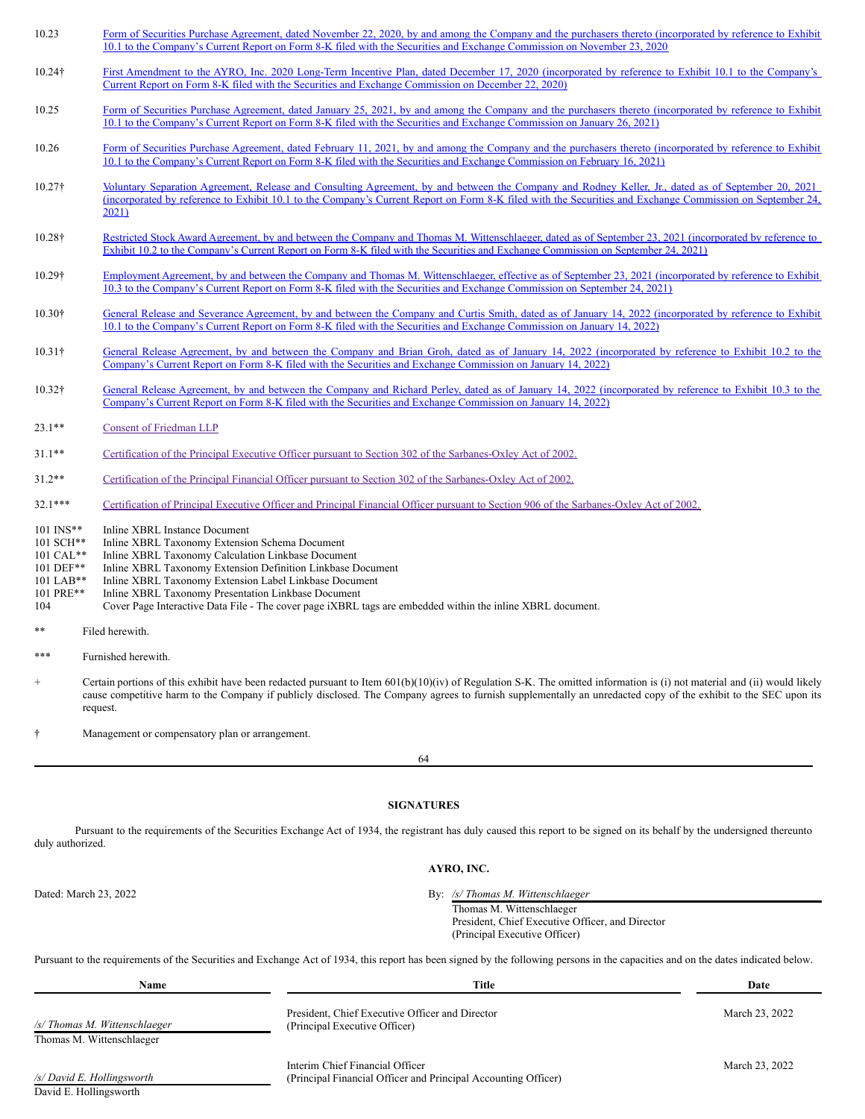| 10.23 | Form of Securities Purchase Agreement, dated November 22, 2020, by and among the Company and the purchasers thereto (incorporated by reference to Exhibit |  |  |  |
|-------|-----------------------------------------------------------------------------------------------------------------------------------------------------------|--|--|--|
|       | 10.1 to the Company's Current Report on Form 8-K filed with the Securities and Exchange Commission on November 23, 2020                                   |  |  |  |

- 10.24† First Amendment to the AYRO, Inc. 2020 Long-Term Incentive Plan, dated December 17, 2020 [\(incorporated](https://www.sec.gov/Archives/edgar/data/1086745/000149315220024090/ex10-1.htm) by reference to Exhibit 10.1 to the Company's Current Report on Form 8-K filed with the Securities and Exchange Commission on December 22, 2020)
- 10.25 Form of Securities Purchase Agreement, dated January 25, 2021, by and among the Company and the purchasers thereto [\(incorporated](https://www.sec.gov/Archives/edgar/data/1086745/000149315221001785/ex10-1.htm) by reference to Exhibit 10.1 to the Company's Current Report on Form 8-K filed with the Securities and Exchange Commission on January 26, 2021)
- 10.26 Form of Securities Purchase Agreement, dated February 11, 2021, by and among the Company and the purchasers thereto [\(incorporated](https://www.sec.gov/Archives/edgar/data/1086745/000149315221003757/ex10-1.htm) by reference to Exhibit 10.1 to the Company's Current Report on Form 8-K filed with the Securities and Exchange Commission on February 16, 2021)
- 10.27† Voluntary Separation Agreement, Release and Consulting Agreement, by and between the Company and Rodney Keller, Jr., dated as of September 20, 2021 [\(incorporated](https://www.sec.gov/Archives/edgar/data/1086745/000149315221023617/ex10-1.htm) by reference to Exhibit 10.1 to the Company's Current Report on Form 8-K filed with the Securities and Exchange Commission on September 24, 2021)
- 10.28† Restricted Stock Award Agreement, by and between the Company and Thomas M. [Wittenschlaeger,](https://www.sec.gov/Archives/edgar/data/1086745/000149315221023617/ex10-2.htm) dated as of September 23, 2021 (incorporated by reference to Exhibit 10.2 to the Company's Current Report on Form 8-K filed with the Securities and Exchange Commission on September 24, 2021)
- 10.29† Employment Agreement, by and between the Company and Thomas M. [Wittenschlaeger,](https://www.sec.gov/Archives/edgar/data/1086745/000149315221023617/ex10-3.htm) effective as of September 23, 2021 (incorporated by reference to Exhibit 10.3 to the Company's Current Report on Form 8-K filed with the Securities and Exchange Commission on September 24, 2021)
- 10.30† General Release and Severance Agreement, by and between the Company and Curtis Smith, dated as of January 14, 2022 [\(incorporated](https://www.sec.gov/Archives/edgar/data/1086745/000149315222001316/ex10-1.htm) by reference to Exhibit 10.1 to the Company's Current Report on Form 8-K filed with the Securities and Exchange Commission on January 14, 2022)
- 10.31† General Release Agreement, by and between the Company and Brian Groh, dated as of January 14, 2022 [\(incorporated](https://www.sec.gov/Archives/edgar/data/1086745/000149315222001316/ex10-2.htm) by reference to Exhibit 10.2 to the Company's Current Report on Form 8-K filed with the Securities and Exchange Commission on January 14, 2022)
- 10.32† General Release Agreement, by and between the Company and Richard Perley, dated as of January 14, 2022 [\(incorporated](https://www.sec.gov/Archives/edgar/data/1086745/000149315222001316/ex10-3.htm) by reference to Exhibit 10.3 to the Company's Current Report on Form 8-K filed with the Securities and Exchange Commission on January 14, 2022)
- 23.1\*\* Consent of [Friedman](#page-64-0) LLP
- 31.1\*\* Certification of the Principal Executive Officer pursuant to Section 302 of the [Sarbanes-Oxley](#page-65-0) Act of 2002.
- 31.2\*\* Certification of the Principal Financial Officer pursuant to Section 302 of the [Sarbanes-Oxley](#page-66-0) Act of 2002.
- 32.1\*\*\* Certification of Principal Executive Officer and Principal Financial Officer pursuant to Section 906 of the [Sarbanes-Oxley](#page-67-0) Act of 2002.
- 101 INS\*\* Inline XBRL Instance Document
- 101 SCH\*\* Inline XBRL Taxonomy Extension Schema Document
- 101 CAL\*\* Inline XBRL Taxonomy Calculation Linkbase Document
- 101 DEF\*\* Inline XBRL Taxonomy Extension Definition Linkbase Document
- 101 LAB\*\* Inline XBRL Taxonomy Extension Label Linkbase Document
- 101 PRE\*\* Inline XBRL Taxonomy Presentation Linkbase Document
- 104 Cover Page Interactive Data File The cover page iXBRL tags are embedded within the inline XBRL document.
- Filed herewith.
- \*\*\* Furnished herewith.
- Certain portions of this exhibit have been redacted pursuant to Item  $601(b)(10)(iv)$  of Regulation S-K. The omitted information is (i) not material and (ii) would likely cause competitive harm to the Company if publicly disclosed. The Company agrees to furnish supplementally an unredacted copy of the exhibit to the SEC upon its request.
- † Management or compensatory plan or arrangement.

64

# **SIGNATURES**

Pursuant to the requirements of the Securities Exchange Act of 1934, the registrant has duly caused this report to be signed on its behalf by the undersigned thereunto duly authorized.

# **AYRO, INC.**

Dated: March 23, 2022 By: */s/ Thomas M. Wittenschlaeger*

Thomas M. Wittenschlaeger President, Chief Executive Officer, and Director (Principal Executive Officer)

Pursuant to the requirements of the Securities and Exchange Act of 1934, this report has been signed by the following persons in the capacities and on the dates indicated below.

| Name                                                       | Title                                                                                             | Date           |
|------------------------------------------------------------|---------------------------------------------------------------------------------------------------|----------------|
| /s/ Thomas M. Wittenschlaeger<br>Thomas M. Wittenschlaeger | President, Chief Executive Officer and Director<br>(Principal Executive Officer)                  | March 23, 2022 |
| /s/ David E. Hollingsworth<br>David E. Hollingsworth       | Interim Chief Financial Officer<br>(Principal Financial Officer and Principal Accounting Officer) | March 23, 2022 |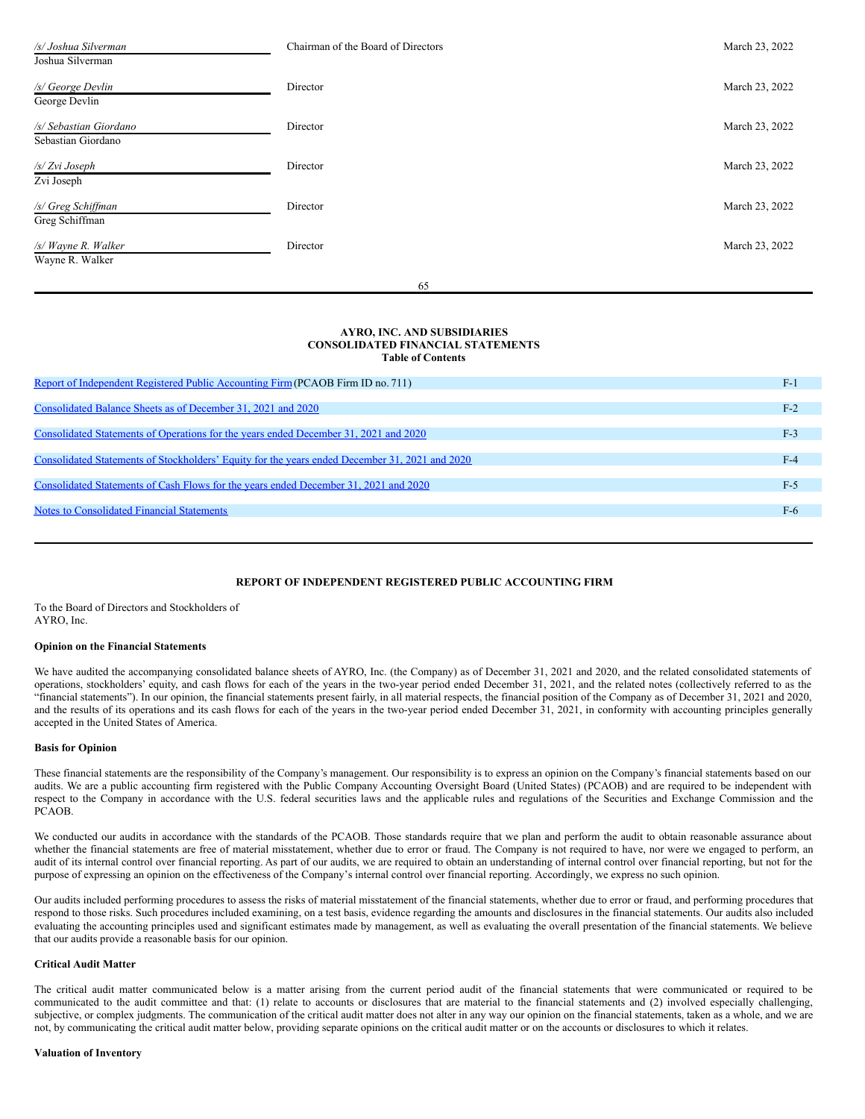| /s/ Joshua Silverman<br>Joshua Silverman     | Chairman of the Board of Directors | March 23, 2022 |
|----------------------------------------------|------------------------------------|----------------|
| /s/ George Devlin<br>George Devlin           | Director                           | March 23, 2022 |
| /s/ Sebastian Giordano<br>Sebastian Giordano | Director                           | March 23, 2022 |
| /s/ Zvi Joseph<br>Zvi Joseph                 | Director                           | March 23, 2022 |
| /s/ Greg Schiffman<br>Greg Schiffman         | Director                           | March 23, 2022 |
| /s/ Wayne R. Walker<br>Wayne R. Walker       | Director                           | March 23, 2022 |
|                                              | 65                                 |                |

#### **AYRO, INC. AND SUBSIDIARIES CONSOLIDATED FINANCIAL STATEMENTS Table of Contents**

| Report of Independent Registered Public Accounting Firm (PCAOB Firm ID no. 711)                | $F-1$ |
|------------------------------------------------------------------------------------------------|-------|
|                                                                                                |       |
| Consolidated Balance Sheets as of December 31, 2021 and 2020                                   | $F-2$ |
|                                                                                                |       |
| Consolidated Statements of Operations for the years ended December 31, 2021 and 2020           | $F-3$ |
|                                                                                                |       |
| Consolidated Statements of Stockholders' Equity for the years ended December 31, 2021 and 2020 | $F-4$ |
|                                                                                                |       |
| Consolidated Statements of Cash Flows for the years ended December 31, 2021 and 2020           | $F-5$ |
|                                                                                                |       |
| <b>Notes to Consolidated Financial Statements</b>                                              | $F-6$ |
|                                                                                                |       |

# **REPORT OF INDEPENDENT REGISTERED PUBLIC ACCOUNTING FIRM**

To the Board of Directors and Stockholders of AYRO, Inc.

# **Opinion on the Financial Statements**

We have audited the accompanying consolidated balance sheets of AYRO, Inc. (the Company) as of December 31, 2021 and 2020, and the related consolidated statements of operations, stockholders' equity, and cash flows for each of the years in the two-year period ended December 31, 2021, and the related notes (collectively referred to as the "financial statements"). In our opinion, the financial statements present fairly, in all material respects, the financial position of the Company as of December 31, 2021 and 2020, and the results of its operations and its cash flows for each of the years in the two-year period ended December 31, 2021, in conformity with accounting principles generally accepted in the United States of America.

#### **Basis for Opinion**

These financial statements are the responsibility of the Company's management. Our responsibility is to express an opinion on the Company's financial statements based on our audits. We are a public accounting firm registered with the Public Company Accounting Oversight Board (United States) (PCAOB) and are required to be independent with respect to the Company in accordance with the U.S. federal securities laws and the applicable rules and regulations of the Securities and Exchange Commission and the PCAOB.

We conducted our audits in accordance with the standards of the PCAOB. Those standards require that we plan and perform the audit to obtain reasonable assurance about whether the financial statements are free of material misstatement, whether due to error or fraud. The Company is not required to have, nor were we engaged to perform, an audit of its internal control over financial reporting. As part of our audits, we are required to obtain an understanding of internal control over financial reporting, but not for the purpose of expressing an opinion on the effectiveness of the Company's internal control over financial reporting. Accordingly, we express no such opinion.

Our audits included performing procedures to assess the risks of material misstatement of the financial statements, whether due to error or fraud, and performing procedures that respond to those risks. Such procedures included examining, on a test basis, evidence regarding the amounts and disclosures in the financial statements. Our audits also included evaluating the accounting principles used and significant estimates made by management, as well as evaluating the overall presentation of the financial statements. We believe that our audits provide a reasonable basis for our opinion.

# **Critical Audit Matter**

The critical audit matter communicated below is a matter arising from the current period audit of the financial statements that were communicated or required to be communicated to the audit committee and that: (1) relate to accounts or disclosures that are material to the financial statements and (2) involved especially challenging, subjective, or complex judgments. The communication of the critical audit matter does not alter in any way our opinion on the financial statements, taken as a whole, and we are not, by communicating the critical audit matter below, providing separate opinions on the critical audit matter or on the accounts or disclosures to which it relates.

#### **Valuation of Inventory**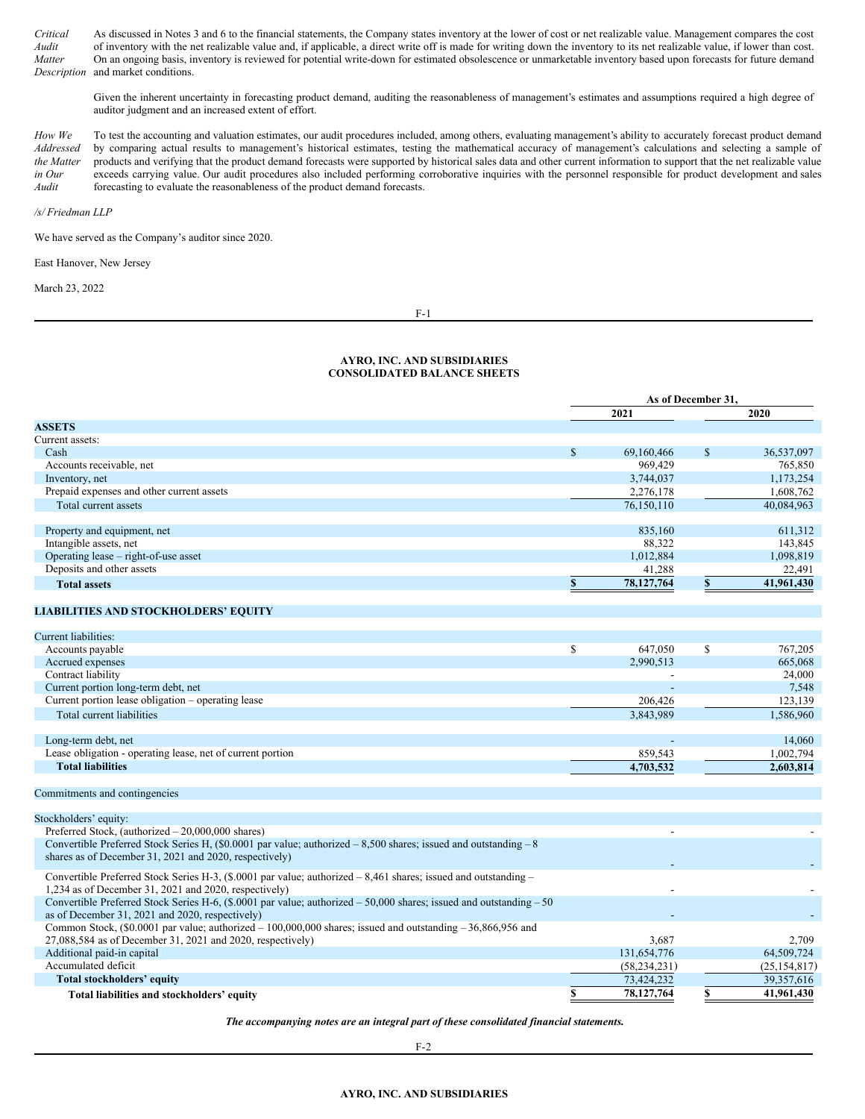*Critical Audit Matter Description* and market conditions. As discussed in Notes 3 and 6 to the financial statements, the Company states inventory at the lower of cost or net realizable value. Management compares the cost of inventory with the net realizable value and, if applicable, a direct write off is made for writing down the inventory to its net realizable value, if lower than cost. On an ongoing basis, inventory is reviewed for potential write-down for estimated obsolescence or unmarketable inventory based upon forecasts for future demand

Given the inherent uncertainty in forecasting product demand, auditing the reasonableness of management's estimates and assumptions required a high degree of auditor judgment and an increased extent of effort.

*How We Addressed the Matter in Our Audit* To test the accounting and valuation estimates, our audit procedures included, among others, evaluating management's ability to accurately forecast product demand by comparing actual results to management's historical estimates, testing the mathematical accuracy of management's calculations and selecting a sample of products and verifying that the product demand forecasts were supported by historical sales data and other current information to support that the net realizable value exceeds carrying value. Our audit procedures also included performing corroborative inquiries with the personnel responsible for product development and sales forecasting to evaluate the reasonableness of the product demand forecasts.

# */s/ Friedman LLP*

We have served as the Company's auditor since 2020.

East Hanover, New Jersey

March 23, 2022

F-1

# **AYRO, INC. AND SUBSIDIARIES CONSOLIDATED BALANCE SHEETS**

|                                             | As of December 31, |              |            |  |
|---------------------------------------------|--------------------|--------------|------------|--|
|                                             | 2021               |              | 2020       |  |
| <b>ASSETS</b>                               |                    |              |            |  |
| Current assets:                             |                    |              |            |  |
| Cash                                        | \$<br>69,160,466   | $\mathbb{S}$ | 36,537,097 |  |
| Accounts receivable, net                    | 969,429            |              | 765,850    |  |
| Inventory, net                              | 3,744,037          |              | 1,173,254  |  |
| Prepaid expenses and other current assets   | 2,276,178          |              | 1,608,762  |  |
| Total current assets                        | 76,150,110         |              | 40,084,963 |  |
|                                             |                    |              |            |  |
| Property and equipment, net                 | 835,160            |              | 611,312    |  |
| Intangible assets, net                      | 88,322             |              | 143,845    |  |
| Operating lease – right-of-use asset        | 1,012,884          |              | 1,098,819  |  |
| Deposits and other assets                   | 41,288             |              | 22,491     |  |
| <b>Total assets</b>                         | 78,127,764         |              | 41,961,430 |  |
| <b>LIABILITIES AND STOCKHOLDERS' EQUITY</b> |                    |              |            |  |

| Current liabilities:                                       |                          |           |
|------------------------------------------------------------|--------------------------|-----------|
| Accounts payable                                           | 647,050                  | 767,205   |
| Accrued expenses                                           | 2,990,513                | 665,068   |
| Contract liability                                         |                          | 24,000    |
| Current portion long-term debt, net                        | $\overline{\phantom{0}}$ | 7,548     |
| Current portion lease obligation – operating lease         | 206,426                  | 123,139   |
| Total current liabilities                                  | 3,843,989                | 1,586,960 |
|                                                            |                          |           |
| Long-term debt, net                                        |                          | 14,060    |
| Lease obligation - operating lease, net of current portion | 859,543                  | 1,002,794 |
| <b>Total liabilities</b>                                   | 4,703,532                | 2,603,814 |

Commitments and contingencies

| Communicins and contingencies                                                                                         |                |                |
|-----------------------------------------------------------------------------------------------------------------------|----------------|----------------|
|                                                                                                                       |                |                |
| Stockholders' equity:                                                                                                 |                |                |
| Preferred Stock, (authorized $-20,000,000$ shares)                                                                    |                |                |
| Convertible Preferred Stock Series H, $(\$0.0001$ par value; authorized $-8,500$ shares; issued and outstanding $-8$  |                |                |
| shares as of December 31, 2021 and 2020, respectively                                                                 |                |                |
|                                                                                                                       |                |                |
| Convertible Preferred Stock Series H-3, (\$.0001 par value; authorized $-8,461$ shares; issued and outstanding $-$    |                |                |
| 1,234 as of December 31, 2021 and 2020, respectively)                                                                 |                |                |
| Convertible Preferred Stock Series H-6, (\$.0001 par value; authorized $-50,000$ shares; issued and outstanding $-50$ |                |                |
| as of December 31, 2021 and 2020, respectively)                                                                       |                |                |
| Common Stock, $(\$0.0001$ par value; authorized $-100,000,000$ shares; issued and outstanding $-36,866,956$ and       |                |                |
| $27,088,584$ as of December 31, 2021 and 2020, respectively                                                           | 3,687          | 2.709          |
| Additional paid-in capital                                                                                            | 131,654,776    | 64,509,724     |
| Accumulated deficit                                                                                                   | (58, 234, 231) | (25, 154, 817) |
| Total stockholders' equity                                                                                            | 73,424,232     | 39, 357, 616   |
| Total liabilities and stockholders' equity                                                                            | 78,127,764     | 41,961,430     |

*The accompanying notes are an integral part of these consolidated financial statements.*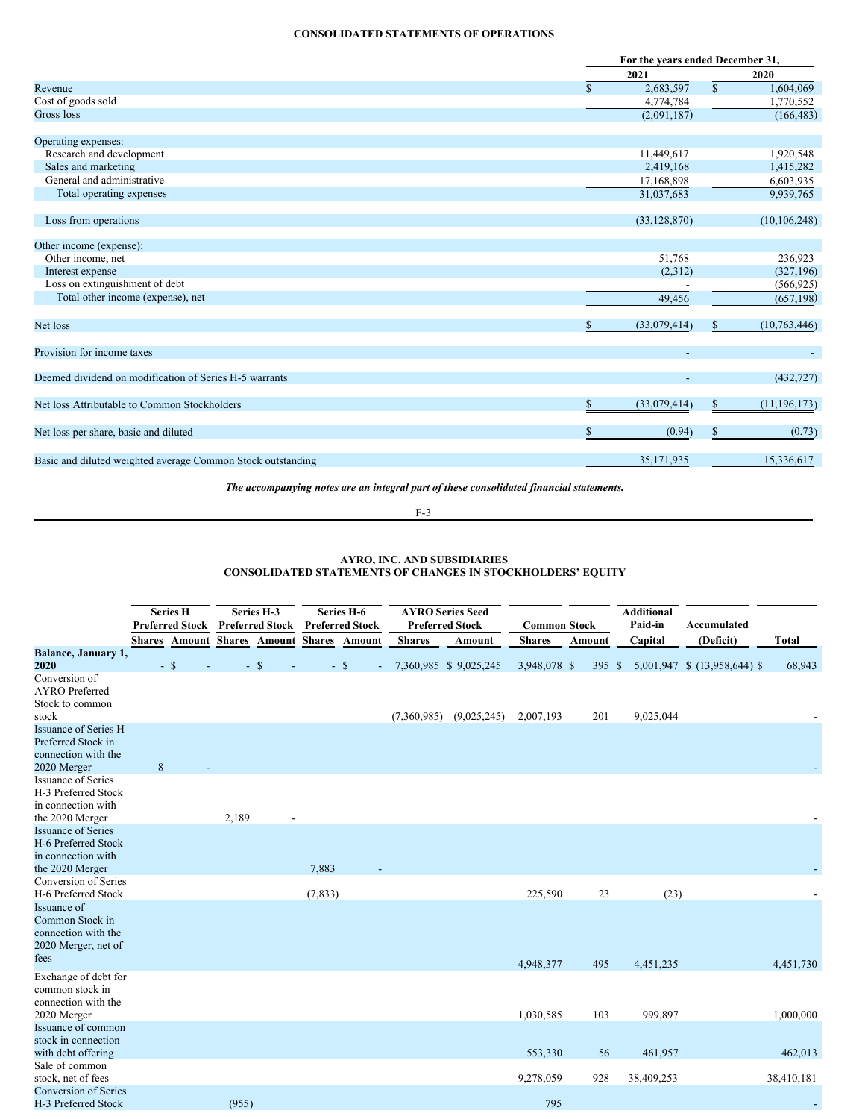# **CONSOLIDATED STATEMENTS OF OPERATIONS**

|                                                             | For the years ended December 31, |              |                |  |
|-------------------------------------------------------------|----------------------------------|--------------|----------------|--|
|                                                             | 2021                             |              | 2020           |  |
| Revenue                                                     | \$<br>2,683,597                  | $\mathbb{S}$ | 1,604,069      |  |
| Cost of goods sold                                          | 4,774,784                        |              | 1,770,552      |  |
| Gross loss                                                  | (2,091,187)                      |              | (166, 483)     |  |
| Operating expenses:                                         |                                  |              |                |  |
| Research and development                                    | 11,449,617                       |              | 1,920,548      |  |
| Sales and marketing                                         | 2,419,168                        |              | 1,415,282      |  |
| General and administrative                                  | 17,168,898                       |              | 6,603,935      |  |
| Total operating expenses                                    | 31,037,683                       |              | 9,939,765      |  |
| Loss from operations                                        | (33, 128, 870)                   |              | (10, 106, 248) |  |
| Other income (expense):                                     |                                  |              |                |  |
| Other income, net                                           | 51,768                           |              | 236,923        |  |
| Interest expense                                            | (2,312)                          |              | (327, 196)     |  |
| Loss on extinguishment of debt                              |                                  |              | (566, 925)     |  |
| Total other income (expense), net                           | 49.456                           |              | (657, 198)     |  |
| Net loss                                                    | (33,079,414)                     |              | (10,763,446)   |  |
| Provision for income taxes                                  |                                  |              |                |  |
| Deemed dividend on modification of Series H-5 warrants      |                                  |              | (432, 727)     |  |
| Net loss Attributable to Common Stockholders                | (33,079,414)                     |              | (11, 196, 173) |  |
| Net loss per share, basic and diluted                       | (0.94)                           | S            | (0.73)         |  |
| Basic and diluted weighted average Common Stock outstanding | 35,171,935                       |              | 15,336,617     |  |

*The accompanying notes are an integral part of these consolidated financial statements.*

F-3

# **AYRO, INC. AND SUBSIDIARIES CONSOLIDATED STATEMENTS OF CHANGES IN STOCKHOLDERS' EQUITY**

|                                                                                           |   | <b>Series H</b><br><b>Preferred Stock</b> |        | Series H-3<br><b>Preferred Stock</b>             |          | Series H-6<br><b>Preferred Stock</b> |               | <b>AYRO Series Seed</b><br><b>Preferred Stock</b> | <b>Common Stock</b> |         | <b>Additional</b><br>Paid-in | Accumulated                  |              |
|-------------------------------------------------------------------------------------------|---|-------------------------------------------|--------|--------------------------------------------------|----------|--------------------------------------|---------------|---------------------------------------------------|---------------------|---------|------------------------------|------------------------------|--------------|
|                                                                                           |   |                                           |        | <b>Shares Amount Shares Amount Shares Amount</b> |          |                                      | <b>Shares</b> | Amount                                            | <b>Shares</b>       | Amount  | Capital                      | (Deficit)                    | <b>Total</b> |
| Balance, January 1,<br>2020                                                               |   | $-$ \$                                    | $\sim$ | $\mathcal{S}$                                    |          | $-$ \$                               |               | 7,360,985 \$9,025,245                             | 3,948,078 \$        | 395 $$$ |                              | 5,001,947 \$ (13,958,644) \$ | 68,943       |
| Conversion of<br><b>AYRO</b> Preferred<br>Stock to common<br>stock                        |   |                                           |        |                                                  |          |                                      | (7,360,985)   | (9,025,245)                                       | 2,007,193           | 201     | 9,025,044                    |                              |              |
| <b>Issuance of Series H</b><br>Preferred Stock in<br>connection with the<br>2020 Merger   | 8 |                                           |        |                                                  |          |                                      |               |                                                   |                     |         |                              |                              |              |
| <b>Issuance of Series</b><br>H-3 Preferred Stock<br>in connection with<br>the 2020 Merger |   |                                           | 2,189  |                                                  |          |                                      |               |                                                   |                     |         |                              |                              |              |
| <b>Issuance of Series</b><br>H-6 Preferred Stock<br>in connection with<br>the 2020 Merger |   |                                           |        |                                                  | 7,883    |                                      |               |                                                   |                     |         |                              |                              |              |
| Conversion of Series<br>H-6 Preferred Stock                                               |   |                                           |        |                                                  | (7, 833) |                                      |               |                                                   | 225,590             | 23      | (23)                         |                              |              |
| Issuance of<br>Common Stock in<br>connection with the<br>2020 Merger, net of<br>fees      |   |                                           |        |                                                  |          |                                      |               |                                                   | 4,948,377           | 495     | 4,451,235                    |                              | 4,451,730    |
| Exchange of debt for<br>common stock in<br>connection with the<br>2020 Merger             |   |                                           |        |                                                  |          |                                      |               |                                                   | 1,030,585           | 103     | 999,897                      |                              | 1,000,000    |
| Issuance of common<br>stock in connection<br>with debt offering                           |   |                                           |        |                                                  |          |                                      |               |                                                   | 553,330             | 56      | 461,957                      |                              | 462,013      |
| Sale of common<br>stock, net of fees                                                      |   |                                           |        |                                                  |          |                                      |               |                                                   | 9,278,059           | 928     | 38,409,253                   |                              | 38,410,181   |
| <b>Conversion of Series</b><br>H-3 Preferred Stock                                        |   |                                           | (955)  |                                                  |          |                                      |               |                                                   | 795                 |         |                              |                              |              |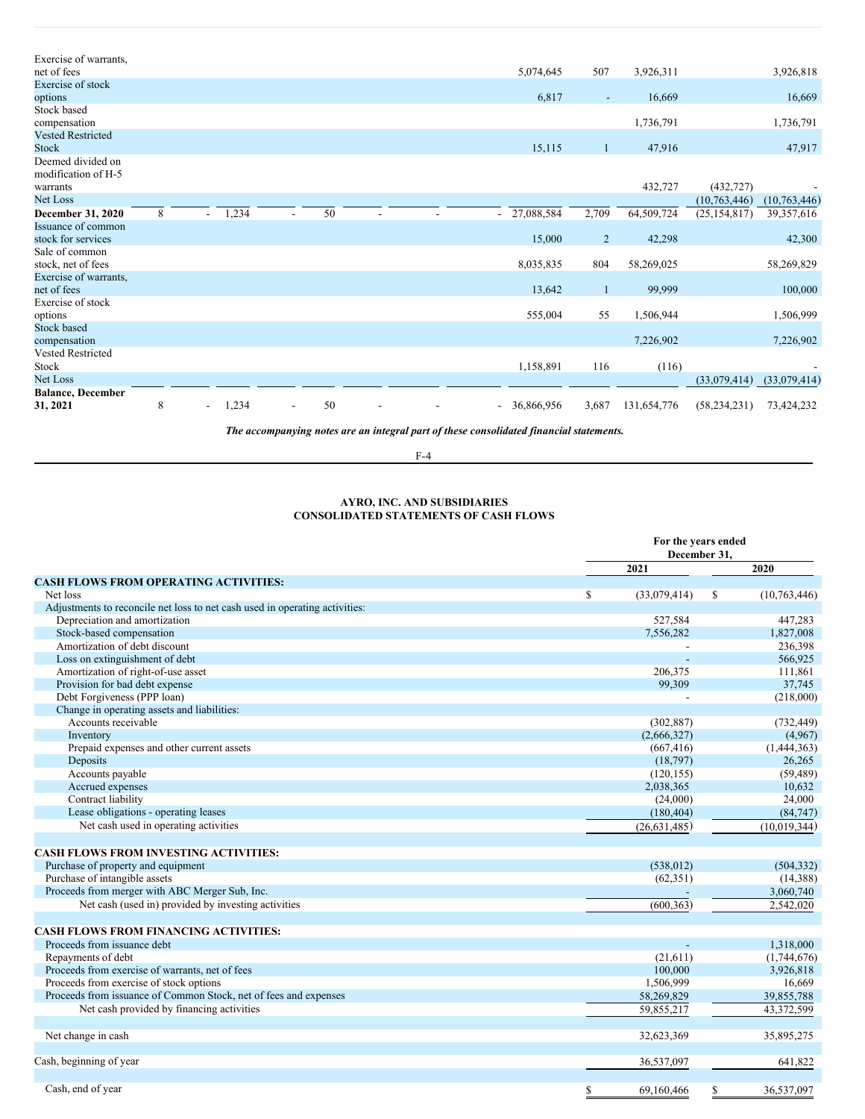| Exercise of warrants,                    |   |                          |       |                          |    |  |                          |            |                          |             |                |                |
|------------------------------------------|---|--------------------------|-------|--------------------------|----|--|--------------------------|------------|--------------------------|-------------|----------------|----------------|
| net of fees                              |   |                          |       |                          |    |  |                          | 5,074,645  | 507                      | 3,926,311   |                | 3,926,818      |
| Exercise of stock                        |   |                          |       |                          |    |  |                          | 6,817      |                          | 16,669      |                | 16,669         |
| options<br>Stock based                   |   |                          |       |                          |    |  |                          |            | $\overline{\phantom{a}}$ |             |                |                |
| compensation                             |   |                          |       |                          |    |  |                          |            |                          | 1,736,791   |                | 1,736,791      |
| <b>Vested Restricted</b>                 |   |                          |       |                          |    |  |                          |            |                          |             |                |                |
| <b>Stock</b>                             |   |                          |       |                          |    |  |                          | 15,115     | $\mathbf{1}$             | 47,916      |                | 47,917         |
| Deemed divided on<br>modification of H-5 |   |                          |       |                          |    |  |                          |            |                          |             |                |                |
| warrants                                 |   |                          |       |                          |    |  |                          |            |                          | 432,727     | (432, 727)     |                |
| Net Loss                                 |   |                          |       |                          |    |  |                          |            |                          |             | (10, 763, 446) | (10, 763, 446) |
| December 31, 2020                        | 8 | $\overline{\phantom{a}}$ | 1,234 | $\overline{\phantom{a}}$ | 50 |  | $\overline{\phantom{a}}$ | 27,088,584 | 2,709                    | 64,509,724  | (25, 154, 817) | 39,357,616     |
| Issuance of common                       |   |                          |       |                          |    |  |                          |            |                          |             |                |                |
| stock for services                       |   |                          |       |                          |    |  |                          | 15,000     | 2                        | 42,298      |                | 42,300         |
| Sale of common                           |   |                          |       |                          |    |  |                          |            |                          |             |                |                |
| stock, net of fees                       |   |                          |       |                          |    |  |                          | 8,035,835  | 804                      | 58,269,025  |                | 58,269,829     |
| Exercise of warrants,<br>net of fees     |   |                          |       |                          |    |  |                          | 13,642     | $\mathbf{1}$             | 99,999      |                | 100,000        |
| Exercise of stock                        |   |                          |       |                          |    |  |                          |            |                          |             |                |                |
| options                                  |   |                          |       |                          |    |  |                          | 555,004    | 55                       | 1,506,944   |                | 1,506,999      |
| Stock based<br>compensation              |   |                          |       |                          |    |  |                          |            |                          | 7,226,902   |                | 7,226,902      |
| Vested Restricted                        |   |                          |       |                          |    |  |                          |            |                          |             |                |                |
| Stock                                    |   |                          |       |                          |    |  |                          | 1,158,891  | 116                      | (116)       |                |                |
| Net Loss                                 |   |                          |       |                          |    |  |                          |            |                          |             | (33,079,414)   | (33,079,414)   |
| <b>Balance, December</b>                 |   |                          |       |                          |    |  |                          |            |                          |             |                |                |
| 31, 2021                                 | 8 | $\overline{\phantom{a}}$ | 1,234 | $\overline{\phantom{a}}$ | 50 |  | $\overline{\phantom{a}}$ | 36,866,956 | 3,687                    | 131,654,776 | (58, 234, 231) | 73,424,232     |

*The accompanying notes are an integral part of these consolidated financial statements.*

F-4

#### **AYRO, INC. AND SUBSIDIARIES CONSOLIDATED STATEMENTS OF CASH FLOWS**

|                                                                             | For the years ended<br>December 31, |                |    |                |
|-----------------------------------------------------------------------------|-------------------------------------|----------------|----|----------------|
|                                                                             |                                     | 2021           |    | 2020           |
| <b>CASH FLOWS FROM OPERATING ACTIVITIES:</b>                                |                                     |                |    |                |
| Net loss                                                                    | \$                                  | (33,079,414)   | S. | (10, 763, 446) |
| Adjustments to reconcile net loss to net cash used in operating activities: |                                     |                |    |                |
| Depreciation and amortization                                               |                                     | 527,584        |    | 447,283        |
| Stock-based compensation                                                    |                                     | 7,556,282      |    | 1,827,008      |
| Amortization of debt discount                                               |                                     |                |    | 236,398        |
| Loss on extinguishment of debt                                              |                                     |                |    | 566,925        |
| Amortization of right-of-use asset                                          |                                     | 206,375        |    | 111,861        |
| Provision for bad debt expense                                              |                                     | 99,309         |    | 37,745         |
| Debt Forgiveness (PPP loan)                                                 |                                     |                |    | (218,000)      |
| Change in operating assets and liabilities:                                 |                                     |                |    |                |
| Accounts receivable                                                         |                                     | (302, 887)     |    | (732, 449)     |
| Inventory                                                                   |                                     | (2,666,327)    |    | (4,967)        |
| Prepaid expenses and other current assets                                   |                                     | (667, 416)     |    | (1,444,363)    |
| Deposits                                                                    |                                     | (18, 797)      |    | 26,265         |
| Accounts payable                                                            |                                     | (120, 155)     |    | (59, 489)      |
| Accrued expenses                                                            |                                     | 2,038,365      |    | 10,632         |
| Contract liability                                                          |                                     | (24,000)       |    | 24,000         |
| Lease obligations - operating leases                                        |                                     | (180, 404)     |    | (84, 747)      |
| Net cash used in operating activities                                       |                                     | (26, 631, 485) |    | (10,019,344)   |
| <b>CASH FLOWS FROM INVESTING ACTIVITIES:</b>                                |                                     |                |    |                |
| Purchase of property and equipment                                          |                                     | (538, 012)     |    | (504, 332)     |
| Purchase of intangible assets                                               |                                     | (62, 351)      |    | (14,388)       |
| Proceeds from merger with ABC Merger Sub, Inc.                              |                                     |                |    | 3,060,740      |
| Net cash (used in) provided by investing activities                         |                                     | (600, 363)     |    | 2,542,020      |
| <b>CASH FLOWS FROM FINANCING ACTIVITIES:</b>                                |                                     |                |    |                |
| Proceeds from issuance debt                                                 |                                     |                |    | 1,318,000      |
| Repayments of debt                                                          |                                     | (21, 611)      |    | (1,744,676)    |
| Proceeds from exercise of warrants, net of fees                             |                                     | 100,000        |    | 3,926,818      |
| Proceeds from exercise of stock options                                     |                                     | 1,506,999      |    | 16,669         |
| Proceeds from issuance of Common Stock, net of fees and expenses            |                                     | 58,269,829     |    | 39,855,788     |
| Net cash provided by financing activities                                   |                                     | 59,855,217     |    | 43,372,599     |
|                                                                             |                                     |                |    |                |
| Net change in cash                                                          |                                     | 32,623,369     |    | 35,895,275     |
| Cash, beginning of year                                                     |                                     | 36,537,097     |    | 641,822        |
| Cash, end of year                                                           | \$                                  | 69,160,466     | \$ | 36,537,097     |
|                                                                             |                                     |                |    |                |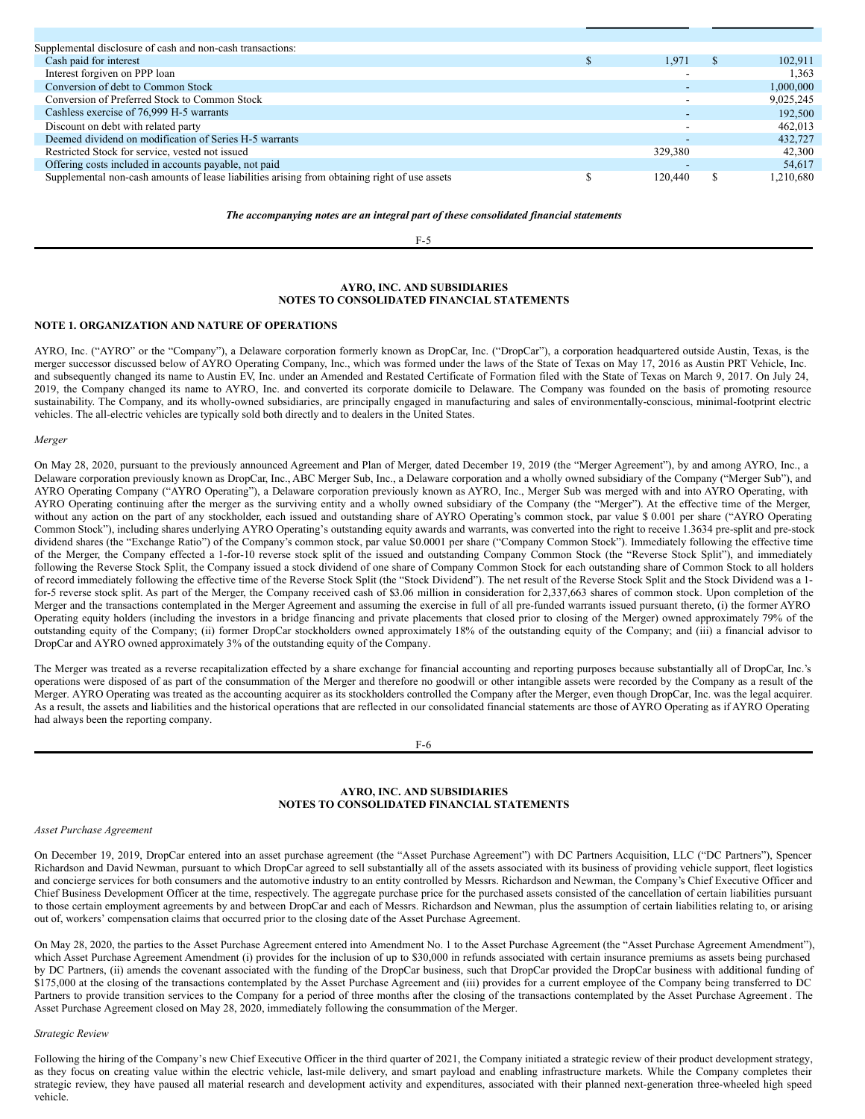| Supplemental disclosure of cash and non-cash transactions:                                    |                          |           |
|-----------------------------------------------------------------------------------------------|--------------------------|-----------|
| Cash paid for interest                                                                        | 1.971                    | 102.911   |
| Interest forgiven on PPP loan                                                                 | -                        | 1,363     |
| Conversion of debt to Common Stock                                                            | $\overline{\phantom{a}}$ | 1,000,000 |
| Conversion of Preferred Stock to Common Stock                                                 |                          | 9,025,245 |
| Cashless exercise of 76,999 H-5 warrants                                                      |                          | 192,500   |
| Discount on debt with related party                                                           |                          | 462,013   |
| Deemed dividend on modification of Series H-5 warrants                                        |                          | 432.727   |
| Restricted Stock for service, vested not issued                                               | 329,380                  | 42,300    |
| Offering costs included in accounts payable, not paid                                         | -                        | 54.617    |
| Supplemental non-cash amounts of lease liabilities arising from obtaining right of use assets | 120,440                  | 1,210,680 |

*The accompanying notes are an integral part of these consolidated financial statements.*

F-5

# **AYRO, INC. AND SUBSIDIARIES NOTES TO CONSOLIDATED FINANCIAL STATEMENTS**

# **NOTE 1. ORGANIZATION AND NATURE OF OPERATIONS**

AYRO, Inc. ("AYRO" or the "Company"), a Delaware corporation formerly known as DropCar, Inc. ("DropCar"), a corporation headquartered outside Austin, Texas, is the merger successor discussed below of AYRO Operating Company, Inc., which was formed under the laws of the State of Texas on May 17, 2016 as Austin PRT Vehicle, Inc. and subsequently changed its name to Austin EV, Inc. under an Amended and Restated Certificate of Formation filed with the State of Texas on March 9, 2017. On July 24, 2019, the Company changed its name to AYRO, Inc. and converted its corporate domicile to Delaware. The Company was founded on the basis of promoting resource sustainability. The Company, and its wholly-owned subsidiaries, are principally engaged in manufacturing and sales of environmentally-conscious, minimal-footprint electric vehicles. The all-electric vehicles are typically sold both directly and to dealers in the United States.

# *Merger*

On May 28, 2020, pursuant to the previously announced Agreement and Plan of Merger, dated December 19, 2019 (the "Merger Agreement"), by and among AYRO, Inc., a Delaware corporation previously known as DropCar, Inc., ABC Merger Sub, Inc., a Delaware corporation and a wholly owned subsidiary of the Company ("Merger Sub"), and AYRO Operating Company ("AYRO Operating"), a Delaware corporation previously known as AYRO, Inc., Merger Sub was merged with and into AYRO Operating, with AYRO Operating continuing after the merger as the surviving entity and a wholly owned subsidiary of the Company (the "Merger"). At the effective time of the Merger, without any action on the part of any stockholder, each issued and outstanding share of AYRO Operating's common stock, par value \$ 0.001 per share ("AYRO Operating Common Stock"), including shares underlying AYRO Operating's outstanding equity awards and warrants, was converted into the right to receive 1.3634 pre-split and pre-stock dividend shares (the "Exchange Ratio") of the Company's common stock, par value \$0.0001 per share ("Company Common Stock"). Immediately following the effective time of the Merger, the Company effected a 1-for-10 reverse stock split of the issued and outstanding Company Common Stock (the "Reverse Stock Split"), and immediately following the Reverse Stock Split, the Company issued a stock dividend of one share of Company Common Stock for each outstanding share of Common Stock to all holders of record immediately following the effective time of the Reverse Stock Split (the "Stock Dividend"). The net result of the Reverse Stock Split and the Stock Dividend was a 1 for-5 reverse stock split. As part of the Merger, the Company received cash of \$3.06 million in consideration for 2,337,663 shares of common stock. Upon completion of the Merger and the transactions contemplated in the Merger Agreement and assuming the exercise in full of all pre-funded warrants issued pursuant thereto, (i) the former AYRO Operating equity holders (including the investors in a bridge financing and private placements that closed prior to closing of the Merger) owned approximately 79% of the outstanding equity of the Company; (ii) former DropCar stockholders owned approximately 18% of the outstanding equity of the Company; and (iii) a financial advisor to DropCar and AYRO owned approximately 3% of the outstanding equity of the Company.

The Merger was treated as a reverse recapitalization effected by a share exchange for financial accounting and reporting purposes because substantially all of DropCar, Inc.'s operations were disposed of as part of the consummation of the Merger and therefore no goodwill or other intangible assets were recorded by the Company as a result of the Merger. AYRO Operating was treated as the accounting acquirer as its stockholders controlled the Company after the Merger, even though DropCar, Inc. was the legal acquirer. As a result, the assets and liabilities and the historical operations that are reflected in our consolidated financial statements are those of AYRO Operating as if AYRO Operating had always been the reporting company.

F-6

# **AYRO, INC. AND SUBSIDIARIES NOTES TO CONSOLIDATED FINANCIAL STATEMENTS**

# *Asset Purchase Agreement*

On December 19, 2019, DropCar entered into an asset purchase agreement (the "Asset Purchase Agreement") with DC Partners Acquisition, LLC ("DC Partners"), Spencer Richardson and David Newman, pursuant to which DropCar agreed to sell substantially all of the assets associated with its business of providing vehicle support, fleet logistics and concierge services for both consumers and the automotive industry to an entity controlled by Messrs. Richardson and Newman, the Company's Chief Executive Officer and Chief Business Development Officer at the time, respectively. The aggregate purchase price for the purchased assets consisted of the cancellation of certain liabilities pursuant to those certain employment agreements by and between DropCar and each of Messrs. Richardson and Newman, plus the assumption of certain liabilities relating to, or arising out of, workers' compensation claims that occurred prior to the closing date of the Asset Purchase Agreement.

On May 28, 2020, the parties to the Asset Purchase Agreement entered into Amendment No. 1 to the Asset Purchase Agreement (the "Asset Purchase Agreement Amendment"), which Asset Purchase Agreement Amendment (i) provides for the inclusion of up to \$30,000 in refunds associated with certain insurance premiums as assets being purchased by DC Partners, (ii) amends the covenant associated with the funding of the DropCar business, such that DropCar provided the DropCar business with additional funding of \$175,000 at the closing of the transactions contemplated by the Asset Purchase Agreement and (iii) provides for a current employee of the Company being transferred to DC Partners to provide transition services to the Company for a period of three months after the closing of the transactions contemplated by the Asset Purchase Agreement . The Asset Purchase Agreement closed on May 28, 2020, immediately following the consummation of the Merger.

# *Strategic Review*

Following the hiring of the Company's new Chief Executive Officer in the third quarter of 2021, the Company initiated a strategic review of their product development strategy, as they focus on creating value within the electric vehicle, last-mile delivery, and smart payload and enabling infrastructure markets. While the Company completes their strategic review, they have paused all material research and development activity and expenditures, associated with their planned next-generation three-wheeled high speed vehicle.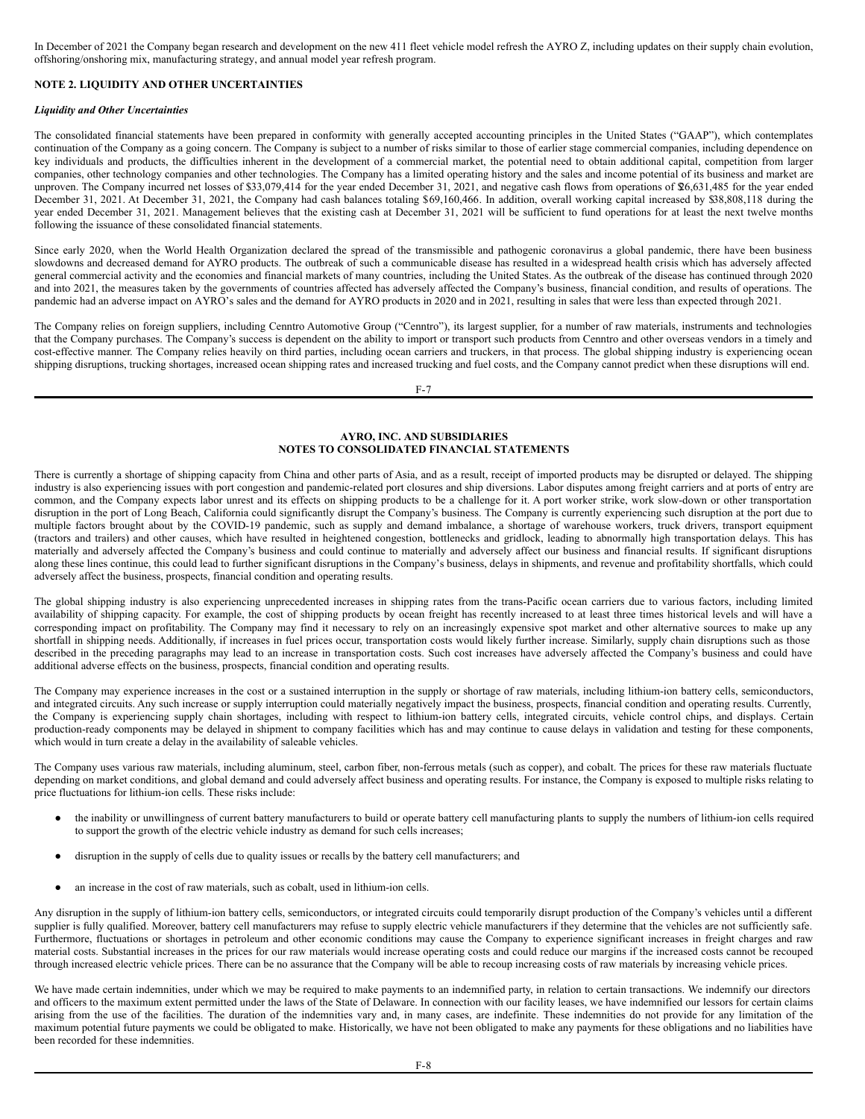In December of 2021 the Company began research and development on the new 411 fleet vehicle model refresh the AYRO Z, including updates on their supply chain evolution, offshoring/onshoring mix, manufacturing strategy, and annual model year refresh program.

# **NOTE 2. LIQUIDITY AND OTHER UNCERTAINTIES**

# *Liquidity and Other Uncertainties*

The consolidated financial statements have been prepared in conformity with generally accepted accounting principles in the United States ("GAAP"), which contemplates continuation of the Company as a going concern. The Company is subject to a number of risks similar to those of earlier stage commercial companies, including dependence on key individuals and products, the difficulties inherent in the development of a commercial market, the potential need to obtain additional capital, competition from larger companies, other technology companies and other technologies. The Company has a limited operating history and the sales and income potential of its business and market are unproven. The Company incurred net losses of \$33,079,414 for the year ended December 31, 2021, and negative cash flows from operations of \$6,631,485 for the year ended December 31, 2021. At December 31, 2021, the Company had cash balances totaling \$69,160,466. In addition, overall working capital increased by \$38,808,118 during the year ended December 31, 2021. Management believes that the existing cash at December 31, 2021 will be sufficient to fund operations for at least the next twelve months following the issuance of these consolidated financial statements.

Since early 2020, when the World Health Organization declared the spread of the transmissible and pathogenic coronavirus a global pandemic, there have been business slowdowns and decreased demand for AYRO products. The outbreak of such a communicable disease has resulted in a widespread health crisis which has adversely affected general commercial activity and the economies and financial markets of many countries, including the United States. As the outbreak of the disease has continued through 2020 and into 2021, the measures taken by the governments of countries affected has adversely affected the Company's business, financial condition, and results of operations. The pandemic had an adverse impact on AYRO's sales and the demand for AYRO products in 2020 and in 2021, resulting in sales that were less than expected through 2021.

The Company relies on foreign suppliers, including Cenntro Automotive Group ("Cenntro"), its largest supplier, for a number of raw materials, instruments and technologies that the Company purchases. The Company's success is dependent on the ability to import or transport such products from Cenntro and other overseas vendors in a timely and cost-effective manner. The Company relies heavily on third parties, including ocean carriers and truckers, in that process. The global shipping industry is experiencing ocean shipping disruptions, trucking shortages, increased ocean shipping rates and increased trucking and fuel costs, and the Company cannot predict when these disruptions will end.

# F-7

# **AYRO, INC. AND SUBSIDIARIES NOTES TO CONSOLIDATED FINANCIAL STATEMENTS**

There is currently a shortage of shipping capacity from China and other parts of Asia, and as a result, receipt of imported products may be disrupted or delayed. The shipping industry is also experiencing issues with port congestion and pandemic-related port closures and ship diversions. Labor disputes among freight carriers and at ports of entry are common, and the Company expects labor unrest and its effects on shipping products to be a challenge for it. A port worker strike, work slow-down or other transportation disruption in the port of Long Beach, California could significantly disrupt the Company's business. The Company is currently experiencing such disruption at the port due to multiple factors brought about by the COVID-19 pandemic, such as supply and demand imbalance, a shortage of warehouse workers, truck drivers, transport equipment (tractors and trailers) and other causes, which have resulted in heightened congestion, bottlenecks and gridlock, leading to abnormally high transportation delays. This has materially and adversely affected the Company's business and could continue to materially and adversely affect our business and financial results. If significant disruptions along these lines continue, this could lead to further significant disruptions in the Company's business, delays in shipments, and revenue and profitability shortfalls, which could adversely affect the business, prospects, financial condition and operating results.

The global shipping industry is also experiencing unprecedented increases in shipping rates from the trans-Pacific ocean carriers due to various factors, including limited availability of shipping capacity. For example, the cost of shipping products by ocean freight has recently increased to at least three times historical levels and will have a corresponding impact on profitability. The Company may find it necessary to rely on an increasingly expensive spot market and other alternative sources to make up any shortfall in shipping needs. Additionally, if increases in fuel prices occur, transportation costs would likely further increase. Similarly, supply chain disruptions such as those described in the preceding paragraphs may lead to an increase in transportation costs. Such cost increases have adversely affected the Company's business and could have additional adverse effects on the business, prospects, financial condition and operating results.

The Company may experience increases in the cost or a sustained interruption in the supply or shortage of raw materials, including lithium-ion battery cells, semiconductors, and integrated circuits. Any such increase or supply interruption could materially negatively impact the business, prospects, financial condition and operating results. Currently, the Company is experiencing supply chain shortages, including with respect to lithium-ion battery cells, integrated circuits, vehicle control chips, and displays. Certain production-ready components may be delayed in shipment to company facilities which has and may continue to cause delays in validation and testing for these components, which would in turn create a delay in the availability of saleable vehicles.

The Company uses various raw materials, including aluminum, steel, carbon fiber, non-ferrous metals (such as copper), and cobalt. The prices for these raw materials fluctuate depending on market conditions, and global demand and could adversely affect business and operating results. For instance, the Company is exposed to multiple risks relating to price fluctuations for lithium-ion cells. These risks include:

- the inability or unwillingness of current battery manufacturers to build or operate battery cell manufacturing plants to supply the numbers of lithium-ion cells required to support the growth of the electric vehicle industry as demand for such cells increases;
- disruption in the supply of cells due to quality issues or recalls by the battery cell manufacturers; and
- an increase in the cost of raw materials, such as cobalt, used in lithium-ion cells.

Any disruption in the supply of lithium-ion battery cells, semiconductors, or integrated circuits could temporarily disrupt production of the Company's vehicles until a different supplier is fully qualified. Moreover, battery cell manufacturers may refuse to supply electric vehicle manufacturers if they determine that the vehicles are not sufficiently safe. Furthermore, fluctuations or shortages in petroleum and other economic conditions may cause the Company to experience significant increases in freight charges and raw material costs. Substantial increases in the prices for our raw materials would increase operating costs and could reduce our margins if the increased costs cannot be recouped through increased electric vehicle prices. There can be no assurance that the Company will be able to recoup increasing costs of raw materials by increasing vehicle prices.

We have made certain indemnities, under which we may be required to make payments to an indemnified party, in relation to certain transactions. We indemnify our directors and officers to the maximum extent permitted under the laws of the State of Delaware. In connection with our facility leases, we have indemnified our lessors for certain claims arising from the use of the facilities. The duration of the indemnities vary and, in many cases, are indefinite. These indemnities do not provide for any limitation of the maximum potential future payments we could be obligated to make. Historically, we have not been obligated to make any payments for these obligations and no liabilities have been recorded for these indemnities.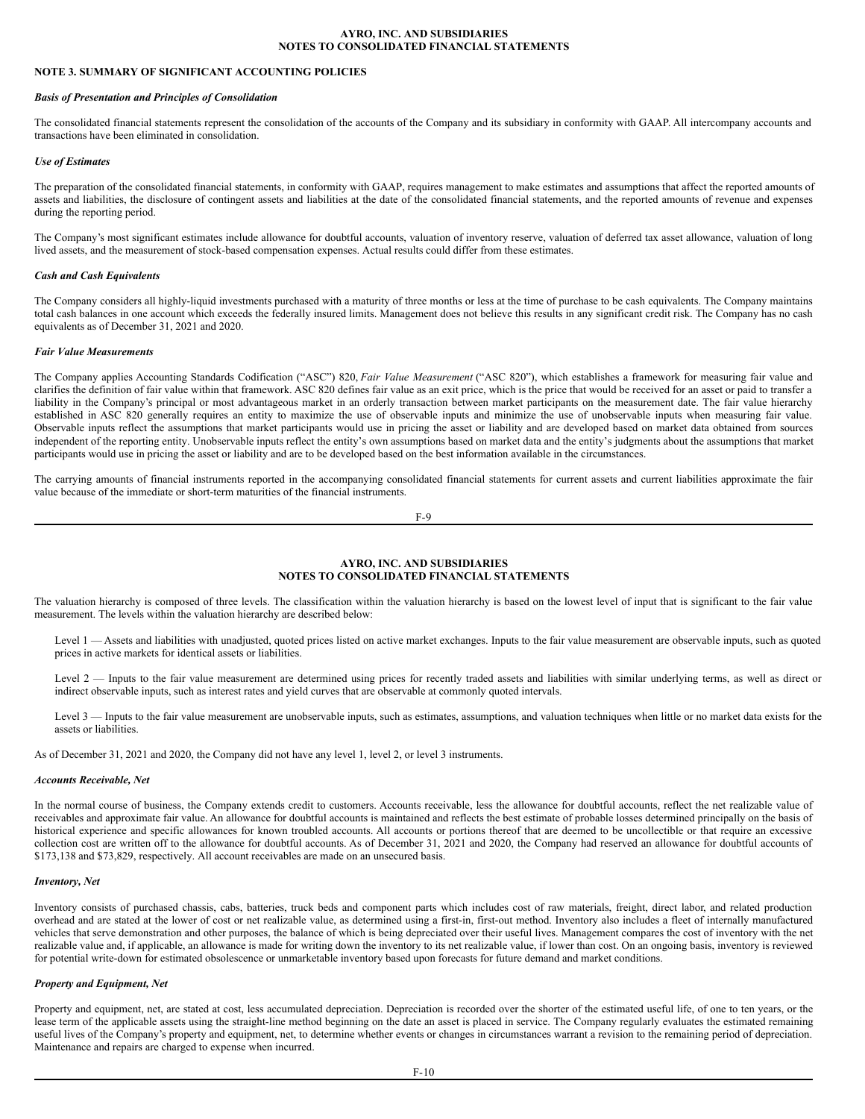# **AYRO, INC. AND SUBSIDIARIES NOTES TO CONSOLIDATED FINANCIAL STATEMENTS**

# **NOTE 3. SUMMARY OF SIGNIFICANT ACCOUNTING POLICIES**

#### *Basis of Presentation and Principles of Consolidation*

The consolidated financial statements represent the consolidation of the accounts of the Company and its subsidiary in conformity with GAAP. All intercompany accounts and transactions have been eliminated in consolidation.

# *Use of Estimates*

The preparation of the consolidated financial statements, in conformity with GAAP, requires management to make estimates and assumptions that affect the reported amounts of assets and liabilities, the disclosure of contingent assets and liabilities at the date of the consolidated financial statements, and the reported amounts of revenue and expenses during the reporting period.

The Company's most significant estimates include allowance for doubtful accounts, valuation of inventory reserve, valuation of deferred tax asset allowance, valuation of long lived assets, and the measurement of stock-based compensation expenses. Actual results could differ from these estimates.

# *Cash and Cash Equivalents*

The Company considers all highly-liquid investments purchased with a maturity of three months or less at the time of purchase to be cash equivalents. The Company maintains total cash balances in one account which exceeds the federally insured limits. Management does not believe this results in any significant credit risk. The Company has no cash equivalents as of December 31, 2021 and 2020.

#### *Fair Value Measurements*

The Company applies Accounting Standards Codification ("ASC") 820, *Fair Value Measurement* ("ASC 820"), which establishes a framework for measuring fair value and clarifies the definition of fair value within that framework. ASC 820 defines fair value as an exit price, which is the price that would be received for an asset or paid to transfer a liability in the Company's principal or most advantageous market in an orderly transaction between market participants on the measurement date. The fair value hierarchy established in ASC 820 generally requires an entity to maximize the use of observable inputs and minimize the use of unobservable inputs when measuring fair value. Observable inputs reflect the assumptions that market participants would use in pricing the asset or liability and are developed based on market data obtained from sources independent of the reporting entity. Unobservable inputs reflect the entity's own assumptions based on market data and the entity's judgments about the assumptions that market participants would use in pricing the asset or liability and are to be developed based on the best information available in the circumstances.

The carrying amounts of financial instruments reported in the accompanying consolidated financial statements for current assets and current liabilities approximate the fair value because of the immediate or short-term maturities of the financial instruments.

$$
F-9
$$

# **AYRO, INC. AND SUBSIDIARIES NOTES TO CONSOLIDATED FINANCIAL STATEMENTS**

The valuation hierarchy is composed of three levels. The classification within the valuation hierarchy is based on the lowest level of input that is significant to the fair value measurement. The levels within the valuation hierarchy are described below:

Level 1 — Assets and liabilities with unadjusted, quoted prices listed on active market exchanges. Inputs to the fair value measurement are observable inputs, such as quoted prices in active markets for identical assets or liabilities.

Level 2 — Inputs to the fair value measurement are determined using prices for recently traded assets and liabilities with similar underlying terms, as well as direct or indirect observable inputs, such as interest rates and yield curves that are observable at commonly quoted intervals.

Level 3 — Inputs to the fair value measurement are unobservable inputs, such as estimates, assumptions, and valuation techniques when little or no market data exists for the assets or liabilities.

As of December 31, 2021 and 2020, the Company did not have any level 1, level 2, or level 3 instruments.

# *Accounts Receivable, Net*

In the normal course of business, the Company extends credit to customers. Accounts receivable, less the allowance for doubtful accounts, reflect the net realizable value of receivables and approximate fair value. An allowance for doubtful accounts is maintained and reflects the best estimate of probable losses determined principally on the basis of historical experience and specific allowances for known troubled accounts. All accounts or portions thereof that are deemed to be uncollectible or that require an excessive collection cost are written off to the allowance for doubtful accounts. As of December 31, 2021 and 2020, the Company had reserved an allowance for doubtful accounts of \$173,138 and \$73,829, respectively. All account receivables are made on an unsecured basis.

#### *Inventory, Net*

Inventory consists of purchased chassis, cabs, batteries, truck beds and component parts which includes cost of raw materials, freight, direct labor, and related production overhead and are stated at the lower of cost or net realizable value, as determined using a first-in, first-out method. Inventory also includes a fleet of internally manufactured vehicles that serve demonstration and other purposes, the balance of which is being depreciated over their useful lives. Management compares the cost of inventory with the net realizable value and, if applicable, an allowance is made for writing down the inventory to its net realizable value, if lower than cost. On an ongoing basis, inventory is reviewed for potential write-down for estimated obsolescence or unmarketable inventory based upon forecasts for future demand and market conditions.

# *Property and Equipment, Net*

Property and equipment, net, are stated at cost, less accumulated depreciation. Depreciation is recorded over the shorter of the estimated useful life, of one to ten years, or the lease term of the applicable assets using the straight-line method beginning on the date an asset is placed in service. The Company regularly evaluates the estimated remaining useful lives of the Company's property and equipment, net, to determine whether events or changes in circumstances warrant a revision to the remaining period of depreciation. Maintenance and repairs are charged to expense when incurred.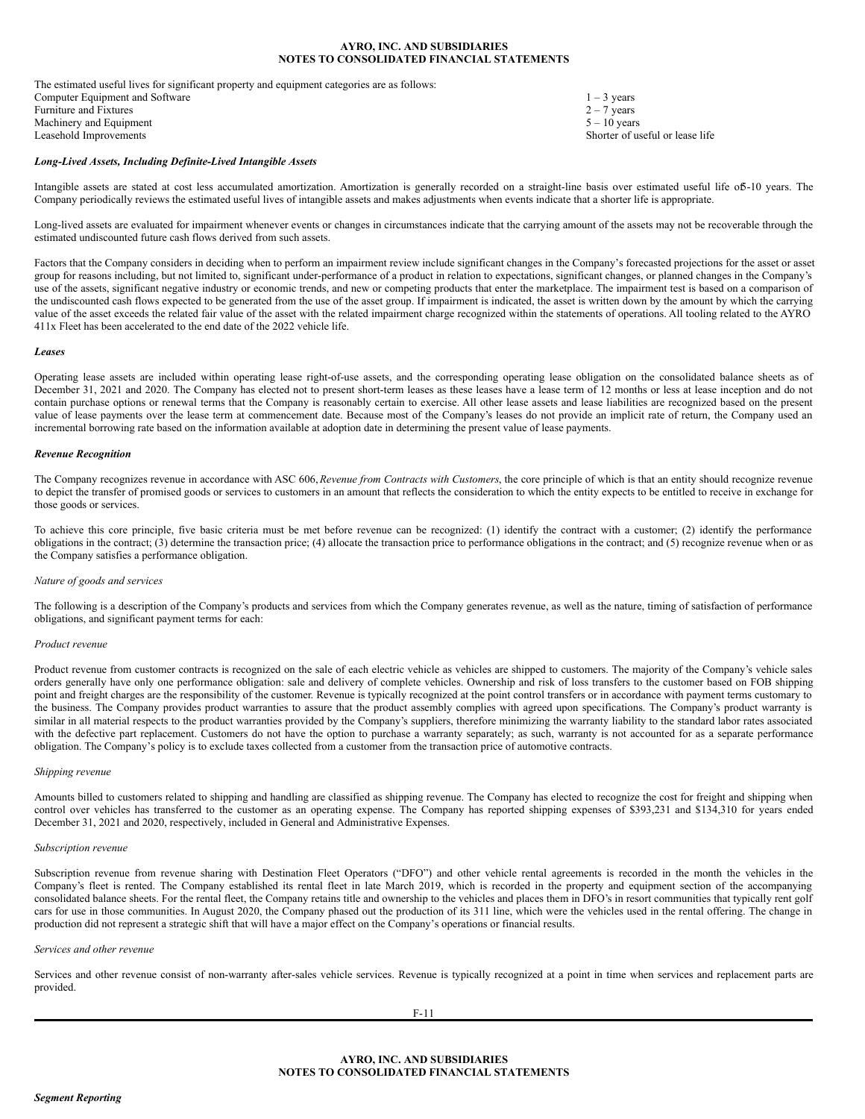# **AYRO, INC. AND SUBSIDIARIES NOTES TO CONSOLIDATED FINANCIAL STATEMENTS**

The estimated useful lives for significant property and equipment categories are as follows: Computer Equipment and Software 1 – 3 years 1 – 3 years 1 – 3 years 1 – 3 years 1 – 3 years 1 – 3 years 1 – 3 years 1 – 3 years 1 – 3 years 1 – 3 years 1 – 3 years 1 – 3 years 1 – 3 years 1 – 3 years 1 – 3 years 1 – 3 year Furniture and Fixtures 2 – 7 years 2 – 7 years 2 – 7 years 2 – 7 years 2 – 7 years 2 – 7 years 2 – 7 years 2 – 7 years 2 – 7 years 2 – 7 years 2 – 7 years 2 – 7 years 2 – 7 years 2 – 7 years 2 – 7 years 2 – 7 years 2 – 7 y Machinery and Equipment 5 – 10 years 5 – 10 years 5 – 10 years 5 – 10 years 5 – 10 years 5 – 10 years 5 – 10 years 5 – 10 years 5 – 10 years 5 – 10 years 5 – 10 years 5 – 10 years 5 – 10 years 5 – 10 years 5 – 10 years 5 – Leasehold Improvements Shorter of useful or lease life

# *Long-Lived Assets, Including Definite-Lived Intangible Assets*

Intangible assets are stated at cost less accumulated amortization. Amortization is generally recorded on a straight-line basis over estimated useful life of -10 years. The Company periodically reviews the estimated useful lives of intangible assets and makes adjustments when events indicate that a shorter life is appropriate.

Long-lived assets are evaluated for impairment whenever events or changes in circumstances indicate that the carrying amount of the assets may not be recoverable through the estimated undiscounted future cash flows derived from such assets.

Factors that the Company considers in deciding when to perform an impairment review include significant changes in the Company's forecasted projections for the asset or asset group for reasons including, but not limited to, significant under-performance of a product in relation to expectations, significant changes, or planned changes in the Company's use of the assets, significant negative industry or economic trends, and new or competing products that enter the marketplace. The impairment test is based on a comparison of the undiscounted cash flows expected to be generated from the use of the asset group. If impairment is indicated, the asset is written down by the amount by which the carrying value of the asset exceeds the related fair value of the asset with the related impairment charge recognized within the statements of operations. All tooling related to the AYRO 411x Fleet has been accelerated to the end date of the 2022 vehicle life.

#### *Leases*

Operating lease assets are included within operating lease right-of-use assets, and the corresponding operating lease obligation on the consolidated balance sheets as of December 31, 2021 and 2020. The Company has elected not to present short-term leases as these leases have a lease term of 12 months or less at lease inception and do not contain purchase options or renewal terms that the Company is reasonably certain to exercise. All other lease assets and lease liabilities are recognized based on the present value of lease payments over the lease term at commencement date. Because most of the Company's leases do not provide an implicit rate of return, the Company used an incremental borrowing rate based on the information available at adoption date in determining the present value of lease payments.

# *Revenue Recognition*

The Company recognizes revenue in accordance with ASC 606, *Revenue from Contracts with Customers*, the core principle of which is that an entity should recognize revenue to depict the transfer of promised goods or services to customers in an amount that reflects the consideration to which the entity expects to be entitled to receive in exchange for those goods or services.

To achieve this core principle, five basic criteria must be met before revenue can be recognized: (1) identify the contract with a customer; (2) identify the performance obligations in the contract; (3) determine the transaction price; (4) allocate the transaction price to performance obligations in the contract; and (5) recognize revenue when or as the Company satisfies a performance obligation.

# *Nature of goods and services*

The following is a description of the Company's products and services from which the Company generates revenue, as well as the nature, timing of satisfaction of performance obligations, and significant payment terms for each:

#### *Product revenue*

Product revenue from customer contracts is recognized on the sale of each electric vehicle as vehicles are shipped to customers. The majority of the Company's vehicle sales orders generally have only one performance obligation: sale and delivery of complete vehicles. Ownership and risk of loss transfers to the customer based on FOB shipping point and freight charges are the responsibility of the customer. Revenue is typically recognized at the point control transfers or in accordance with payment terms customary to the business. The Company provides product warranties to assure that the product assembly complies with agreed upon specifications. The Company's product warranty is similar in all material respects to the product warranties provided by the Company's suppliers, therefore minimizing the warranty liability to the standard labor rates associated with the defective part replacement. Customers do not have the option to purchase a warranty separately; as such, warranty is not accounted for as a separate performance obligation. The Company's policy is to exclude taxes collected from a customer from the transaction price of automotive contracts.

#### *Shipping revenue*

Amounts billed to customers related to shipping and handling are classified as shipping revenue. The Company has elected to recognize the cost for freight and shipping when control over vehicles has transferred to the customer as an operating expense. The Company has reported shipping expenses of \$393,231 and \$134,310 for years ended December 31, 2021 and 2020, respectively, included in General and Administrative Expenses.

#### *Subscription revenue*

Subscription revenue from revenue sharing with Destination Fleet Operators ("DFO") and other vehicle rental agreements is recorded in the month the vehicles in the Company's fleet is rented. The Company established its rental fleet in late March 2019, which is recorded in the property and equipment section of the accompanying consolidated balance sheets. For the rental fleet, the Company retains title and ownership to the vehicles and places them in DFO's in resort communities that typically rent golf cars for use in those communities. In August 2020, the Company phased out the production of its 311 line, which were the vehicles used in the rental offering. The change in production did not represent a strategic shift that will have a major effect on the Company's operations or financial results.

#### *Services and other revenue*

Services and other revenue consist of non-warranty after-sales vehicle services. Revenue is typically recognized at a point in time when services and replacement parts are provided.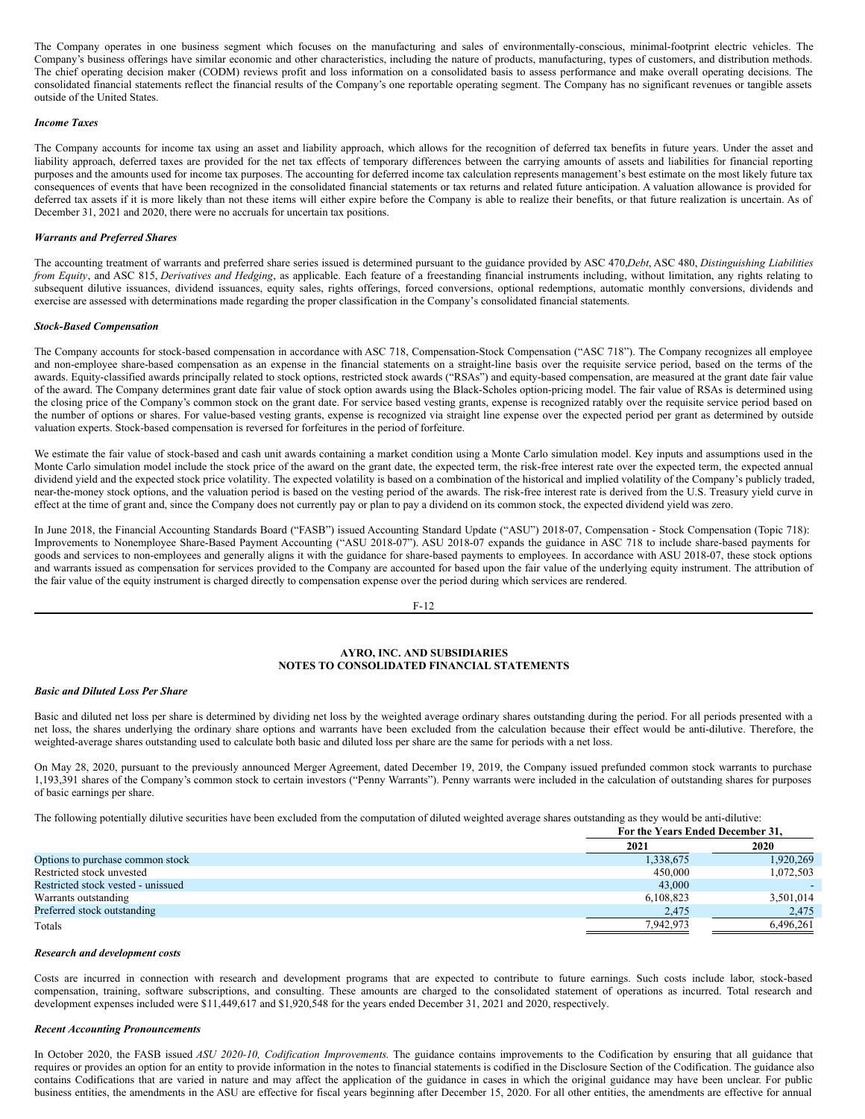The Company operates in one business segment which focuses on the manufacturing and sales of environmentally-conscious, minimal-footprint electric vehicles. The Company's business offerings have similar economic and other characteristics, including the nature of products, manufacturing, types of customers, and distribution methods. The chief operating decision maker (CODM) reviews profit and loss information on a consolidated basis to assess performance and make overall operating decisions. The consolidated financial statements reflect the financial results of the Company's one reportable operating segment. The Company has no significant revenues or tangible assets outside of the United States.

# *Income Taxes*

The Company accounts for income tax using an asset and liability approach, which allows for the recognition of deferred tax benefits in future years. Under the asset and liability approach, deferred taxes are provided for the net tax effects of temporary differences between the carrying amounts of assets and liabilities for financial reporting purposes and the amounts used for income tax purposes. The accounting for deferred income tax calculation represents management's best estimate on the most likely future tax consequences of events that have been recognized in the consolidated financial statements or tax returns and related future anticipation. A valuation allowance is provided for deferred tax assets if it is more likely than not these items will either expire before the Company is able to realize their benefits, or that future realization is uncertain. As of December 31, 2021 and 2020, there were no accruals for uncertain tax positions.

#### *Warrants and Preferred Shares*

The accounting treatment of warrants and preferred share series issued is determined pursuant to the guidance provided by ASC 470,*Debt*, ASC 480, *Distinguishing Liabilities from Equity*, and ASC 815, *Derivatives and Hedging*, as applicable. Each feature of a freestanding financial instruments including, without limitation, any rights relating to subsequent dilutive issuances, dividend issuances, equity sales, rights offerings, forced conversions, optional redemptions, automatic monthly conversions, dividends and exercise are assessed with determinations made regarding the proper classification in the Company's consolidated financial statements.

#### *Stock-Based Compensation*

The Company accounts for stock-based compensation in accordance with ASC 718, Compensation-Stock Compensation ("ASC 718"). The Company recognizes all employee and non-employee share-based compensation as an expense in the financial statements on a straight-line basis over the requisite service period, based on the terms of the awards. Equity-classified awards principally related to stock options, restricted stock awards ("RSAs") and equity-based compensation, are measured at the grant date fair value of the award. The Company determines grant date fair value of stock option awards using the Black-Scholes option-pricing model. The fair value of RSAs is determined using the closing price of the Company's common stock on the grant date. For service based vesting grants, expense is recognized ratably over the requisite service period based on the number of options or shares. For value-based vesting grants, expense is recognized via straight line expense over the expected period per grant as determined by outside valuation experts. Stock-based compensation is reversed for forfeitures in the period of forfeiture.

We estimate the fair value of stock-based and cash unit awards containing a market condition using a Monte Carlo simulation model. Key inputs and assumptions used in the Monte Carlo simulation model include the stock price of the award on the grant date, the expected term, the risk-free interest rate over the expected term, the expected annual dividend yield and the expected stock price volatility. The expected volatility is based on a combination of the historical and implied volatility of the Company's publicly traded, near-the-money stock options, and the valuation period is based on the vesting period of the awards. The risk-free interest rate is derived from the U.S. Treasury yield curve in effect at the time of grant and, since the Company does not currently pay or plan to pay a dividend on its common stock, the expected dividend yield was zero.

In June 2018, the Financial Accounting Standards Board ("FASB") issued Accounting Standard Update ("ASU") 2018-07, Compensation - Stock Compensation (Topic 718): Improvements to Nonemployee Share-Based Payment Accounting ("ASU 2018-07"). ASU 2018-07 expands the guidance in ASC 718 to include share-based payments for goods and services to non-employees and generally aligns it with the guidance for share-based payments to employees. In accordance with ASU 2018-07, these stock options and warrants issued as compensation for services provided to the Company are accounted for based upon the fair value of the underlying equity instrument. The attribution of the fair value of the equity instrument is charged directly to compensation expense over the period during which services are rendered.

F-12

# **AYRO, INC. AND SUBSIDIARIES NOTES TO CONSOLIDATED FINANCIAL STATEMENTS**

#### *Basic and Diluted Loss Per Share*

Basic and diluted net loss per share is determined by dividing net loss by the weighted average ordinary shares outstanding during the period. For all periods presented with a net loss, the shares underlying the ordinary share options and warrants have been excluded from the calculation because their effect would be anti-dilutive. Therefore, the weighted-average shares outstanding used to calculate both basic and diluted loss per share are the same for periods with a net loss.

On May 28, 2020, pursuant to the previously announced Merger Agreement, dated December 19, 2019, the Company issued prefunded common stock warrants to purchase 1,193,391 shares of the Company's common stock to certain investors ("Penny Warrants"). Penny warrants were included in the calculation of outstanding shares for purposes of basic earnings per share.

The following potentially dilutive securities have been excluded from the computation of diluted weighted average shares outstanding as they would be anti-dilutive:

|                                    | For the Years Ended December 31, |           |  |
|------------------------------------|----------------------------------|-----------|--|
|                                    | 2021                             | 2020      |  |
| Options to purchase common stock   | 1,338,675                        | 1,920,269 |  |
| Restricted stock unvested          | 450,000                          | 1,072,503 |  |
| Restricted stock vested - unissued | 43,000                           |           |  |
| Warrants outstanding               | 6,108,823                        | 3,501,014 |  |
| Preferred stock outstanding        | 2,475                            | 2,475     |  |
| Totals                             | 7,942,973                        | 6,496,261 |  |

#### *Research and development costs*

Costs are incurred in connection with research and development programs that are expected to contribute to future earnings. Such costs include labor, stock-based compensation, training, software subscriptions, and consulting. These amounts are charged to the consolidated statement of operations as incurred. Total research and development expenses included were \$11,449,617 and \$1,920,548 for the years ended December 31, 2021 and 2020, respectively.

#### *Recent Accounting Pronouncements*

In October 2020, the FASB issued *ASU 2020-10, Codification Improvements*. The guidance contains improvements to the Codification by ensuring that all guidance that requires or provides an option for an entity to provide information in the notes to financial statements is codified in the Disclosure Section of the Codification. The guidance also contains Codifications that are varied in nature and may affect the application of the guidance in cases in which the original guidance may have been unclear. For public business entities, the amendments in the ASU are effective for fiscal years beginning after December 15, 2020. For all other entities, the amendments are effective for annual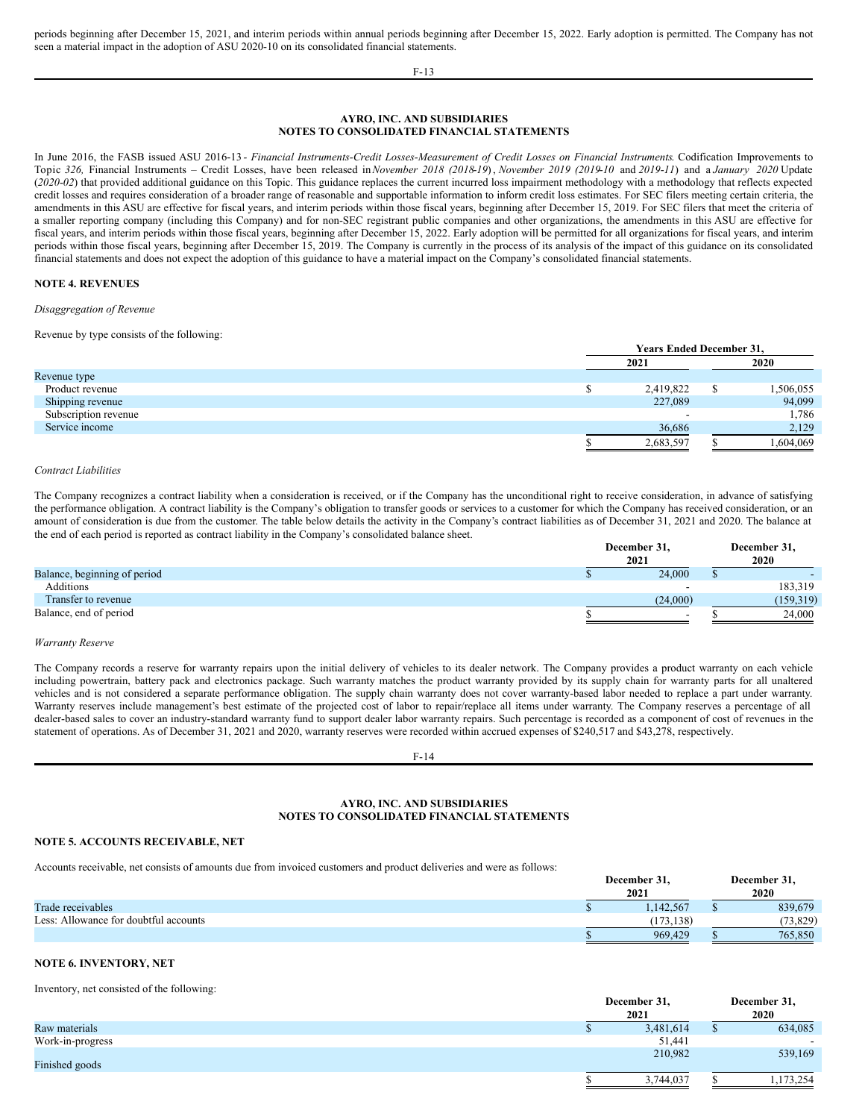periods beginning after December 15, 2021, and interim periods within annual periods beginning after December 15, 2022. Early adoption is permitted. The Company has not seen a material impact in the adoption of ASU 2020-10 on its consolidated financial statements.

F-13

# **AYRO, INC. AND SUBSIDIARIES NOTES TO CONSOLIDATED FINANCIAL STATEMENTS**

In June 2016, the FASB issued ASU 2016-13 - Financial Instruments-Credit Losses-Measurement of Credit Losses on Financial Instruments. Codification Improvements to Topic 326, Financial Instruments - Credit Losses, have been released in November 2018 (2018-19), November 2019 (2019-10 and 2019-11) and a January 2020 Update (*2020*-*02*) that provided additional guidance on this Topic. This guidance replaces the current incurred loss impairment methodology with a methodology that reflects expected credit losses and requires consideration of a broader range of reasonable and supportable information to inform credit loss estimates. For SEC filers meeting certain criteria, the amendments in this ASU are effective for fiscal years, and interim periods within those fiscal years, beginning after December 15, 2019. For SEC filers that meet the criteria of a smaller reporting company (including this Company) and for non-SEC registrant public companies and other organizations, the amendments in this ASU are effective for fiscal years, and interim periods within those fiscal years, beginning after December 15, 2022. Early adoption will be permitted for all organizations for fiscal years, and interim periods within those fiscal years, beginning after December 15, 2019. The Company is currently in the process of its analysis of the impact of this guidance on its consolidated financial statements and does not expect the adoption of this guidance to have a material impact on the Company's consolidated financial statements.

# **NOTE 4. REVENUES**

*Disaggregation of Revenue*

Revenue by type consists of the following:

|                      | <b>Years Ended December 31.</b> |  |          |  |
|----------------------|---------------------------------|--|----------|--|
|                      | 2021                            |  | 2020     |  |
| Revenue type         |                                 |  |          |  |
| Product revenue      | 2,419,822                       |  | ,506,055 |  |
| Shipping revenue     | 227,089                         |  | 94,099   |  |
| Subscription revenue | -                               |  | 1,786    |  |
| Service income       | 36,686                          |  | 2,129    |  |
|                      | 2,683,597                       |  | .604,069 |  |

# *Contract Liabilities*

The Company recognizes a contract liability when a consideration is received, or if the Company has the unconditional right to receive consideration, in advance of satisfying the performance obligation. A contract liability is the Company's obligation to transfer goods or services to a customer for which the Company has received consideration, or an amount of consideration is due from the customer. The table below details the activity in the Company's contract liabilities as of December 31, 2021 and 2020. The balance at the end of each period is reported as contract liability in the Company's consolidated balance sheet.

|                              | December 31,             |  | December 31, |  |
|------------------------------|--------------------------|--|--------------|--|
|                              | 2021                     |  | 2020         |  |
| Balance, beginning of period | 24,000                   |  |              |  |
| Additions                    |                          |  | 183,319      |  |
| Transfer to revenue          | (24.000)                 |  | (159, 319)   |  |
| Balance, end of period       | $\overline{\phantom{0}}$ |  | 24,000       |  |

#### *Warranty Reserve*

The Company records a reserve for warranty repairs upon the initial delivery of vehicles to its dealer network. The Company provides a product warranty on each vehicle including powertrain, battery pack and electronics package. Such warranty matches the product warranty provided by its supply chain for warranty parts for all unaltered vehicles and is not considered a separate performance obligation. The supply chain warranty does not cover warranty-based labor needed to replace a part under warranty. Warranty reserves include management's best estimate of the projected cost of labor to repair/replace all items under warranty. The Company reserves a percentage of all dealer-based sales to cover an industry-standard warranty fund to support dealer labor warranty repairs. Such percentage is recorded as a component of cost of revenues in the statement of operations. As of December 31, 2021 and 2020, warranty reserves were recorded within accrued expenses of \$240,517 and \$43,278, respectively.

F-14

# **AYRO, INC. AND SUBSIDIARIES NOTES TO CONSOLIDATED FINANCIAL STATEMENTS**

# **NOTE 5. ACCOUNTS RECEIVABLE, NET**

Accounts receivable, net consists of amounts due from invoiced customers and product deliveries and were as follows:

|                                       | December 31, |  | December 31, |  |
|---------------------------------------|--------------|--|--------------|--|
|                                       | 2021         |  | 2020         |  |
| Trade receivables                     | 1,142,567    |  | 839,679      |  |
| Less: Allowance for doubtful accounts | (173.138)    |  | (73.829)     |  |
|                                       | 969,429      |  | 765,850      |  |

# **NOTE 6. INVENTORY, NET**

Inventory, net consisted of the following:

|                  | December 31,<br>2021 | December 31,<br>2020     |  |
|------------------|----------------------|--------------------------|--|
| Raw materials    | 3,481,614            | 634,085                  |  |
| Work-in-progress | 51,441               | $\overline{\phantom{a}}$ |  |
|                  | 210,982              | 539,169                  |  |
| Finished goods   |                      |                          |  |
|                  | 3,744,037            | 1,173,254                |  |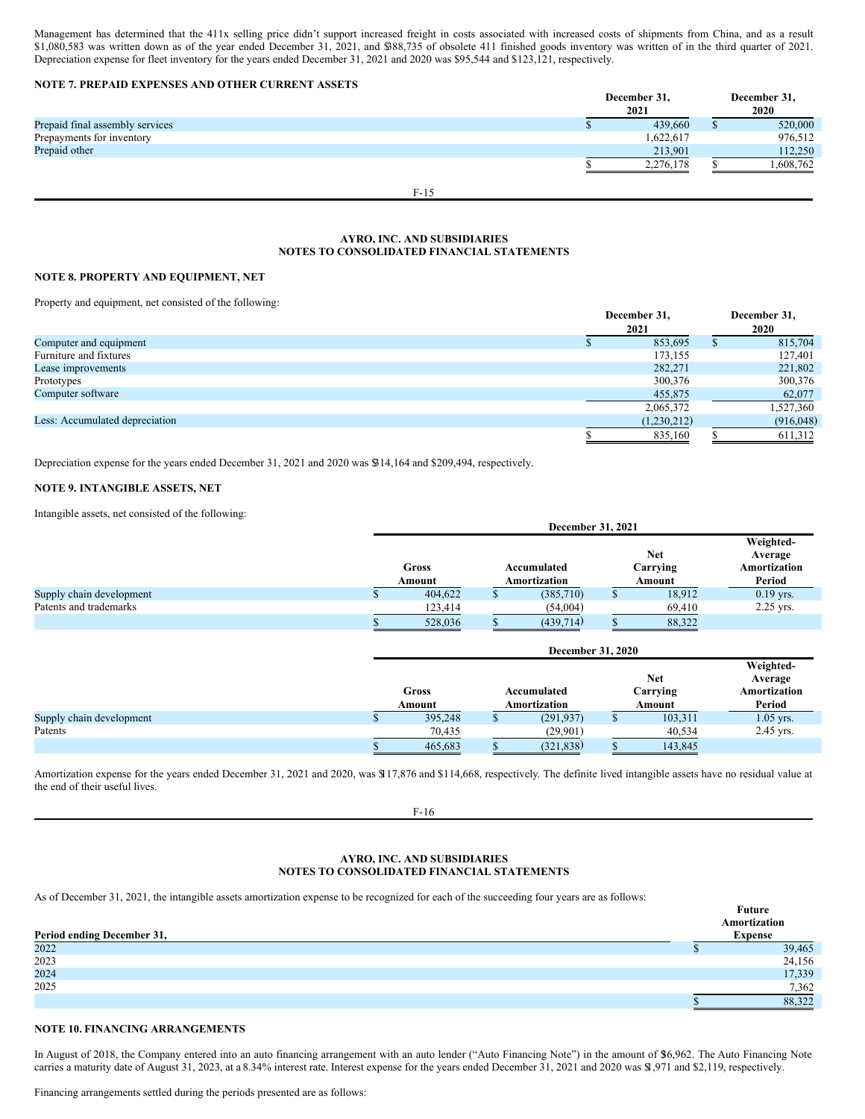Management has determined that the 411x selling price didn't support increased freight in costs associated with increased costs of shipments from China, and as a result \$1,080,583 was written down as of the year ended December 31, 2021, and \$388,735 of obsolete 411 finished goods inventory was written of in the third quarter of 2021. Depreciation expense for fleet inventory for the years ended December 31, 2021 and 2020 was \$95,544 and \$123,121, respectively.

# **NOTE 7. PREPAID EXPENSES AND OTHER CURRENT ASSETS**

|                                 | Detenner 31, |           | December 31, |          |
|---------------------------------|--------------|-----------|--------------|----------|
|                                 |              | 2021      |              | 2020     |
| Prepaid final assembly services |              | 439,660   |              | 520,000  |
| Prepayments for inventory       |              | .622,617  |              | 976,512  |
| Prepaid other                   |              | 213.901   |              | 112.250  |
|                                 |              | 2,276,178 |              | ,608,762 |

**December 31, December 31,**

F-15

# **AYRO, INC. AND SUBSIDIARIES NOTES TO CONSOLIDATED FINANCIAL STATEMENTS**

# **NOTE 8. PROPERTY AND EQUIPMENT, NET**

Property and equipment, net consisted of the following:

|                                | December 31,<br>2021 |  | December 31,<br>2020 |  |
|--------------------------------|----------------------|--|----------------------|--|
| Computer and equipment         | 853,695              |  | 815,704              |  |
| Furniture and fixtures         | 173.155              |  | 127,401              |  |
| Lease improvements             | 282,271              |  | 221,802              |  |
| Prototypes                     | 300,376              |  | 300,376              |  |
| Computer software              | 455,875              |  | 62,077               |  |
|                                | 2,065,372            |  | 1,527,360            |  |
| Less: Accumulated depreciation | (1,230,212)          |  | (916, 048)           |  |
|                                | 835,160              |  | 611,312              |  |

Depreciation expense for the years ended December 31, 2021 and 2020 was \$314,164 and \$209,494, respectively.

# **NOTE 9. INTANGIBLE ASSETS, NET**

Intangible assets, net consisted of the following:

|                          |     | December 31, 2021      |  |                             |  |                                  |                                                       |
|--------------------------|-----|------------------------|--|-----------------------------|--|----------------------------------|-------------------------------------------------------|
|                          |     | <b>Gross</b><br>Amount |  | Accumulated<br>Amortization |  | <b>Net</b><br>Carrying<br>Amount | Weighted-<br>Average<br>Amortization<br>Period        |
| Supply chain development | \$  | 404,622                |  | (385,710)                   |  | 18,912                           | $0.19$ yrs.                                           |
| Patents and trademarks   |     | 123,414                |  | (54,004)                    |  | 69,410                           | 2.25 yrs.                                             |
|                          |     | 528,036                |  | (439, 714)                  |  | 88,322                           |                                                       |
|                          |     | December 31, 2020      |  |                             |  |                                  |                                                       |
|                          |     | <b>Gross</b><br>Amount |  | Accumulated<br>Amortization |  | <b>Net</b><br>Carrying<br>Amount | Weighted-<br>Average<br><b>Amortization</b><br>Period |
| Supply chain development | \$. | 395,248                |  | (291, 937)                  |  | 103,311                          | $1.05$ yrs.                                           |
| Patents                  |     | 70,435                 |  | (29,901)                    |  | 40,534                           | 2.45 yrs.                                             |
|                          |     | 465,683                |  | (321, 838)                  |  | 143,845                          |                                                       |

Amortization expense for the years ended December 31, 2021 and 2020, was \$117,876 and \$114,668, respectively. The definite lived intangible assets have no residual value at the end of their useful lives.

F-16

# **AYRO, INC. AND SUBSIDIARIES NOTES TO CONSOLIDATED FINANCIAL STATEMENTS**

As of December 31, 2021, the intangible assets amortization expense to be recognized for each of the succeeding four years are as follows:

| Period ending December 31, | <b>Future</b><br>Amortization<br><b>Expense</b> |
|----------------------------|-------------------------------------------------|
| 2022                       | 39,465                                          |
| 2023                       | 24,156                                          |
| 2024                       | 17,339                                          |
| 2025                       | 7,362                                           |
|                            | 88,322                                          |

# **NOTE 10. FINANCING ARRANGEMENTS**

In August of 2018, the Company entered into an auto financing arrangement with an auto lender ("Auto Financing Note") in the amount of \$36,962. The Auto Financing Note carries a maturity date of August 31, 2023, at a 8.34% interest rate. Interest expense for the years ended December 31, 2021 and 2020 was \$1,971 and \$2,119, respectively.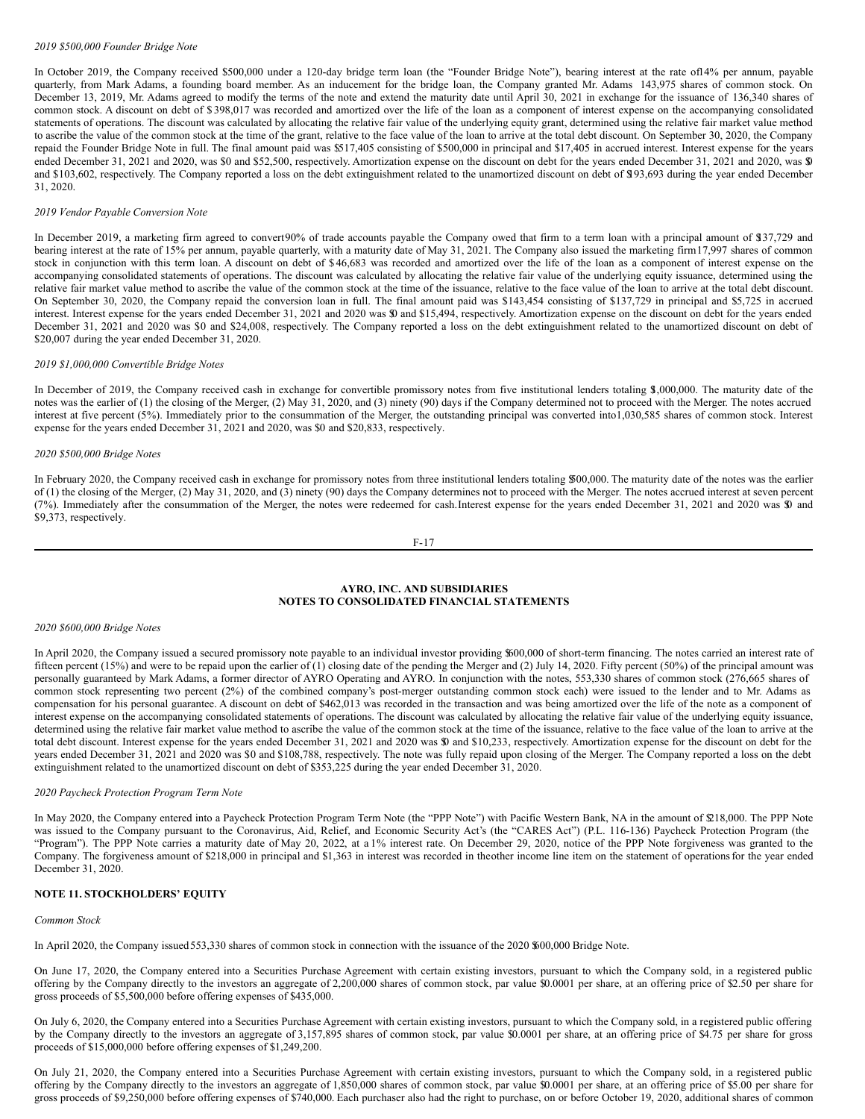#### *2019 \$500,000 Founder Bridge Note*

In October 2019, the Company received \$500,000 under a 120-day bridge term loan (the "Founder Bridge Note"), bearing interest at the rate of14% per annum, payable quarterly, from Mark Adams, a founding board member. As an inducement for the bridge loan, the Company granted Mr. Adams 143,975 shares of common stock. On December 13, 2019, Mr. Adams agreed to modify the terms of the note and extend the maturity date until April 30, 2021 in exchange for the issuance of 136,340 shares of common stock. A discount on debt of \$ 398,017 was recorded and amortized over the life of the loan as a component of interest expense on the accompanying consolidated statements of operations. The discount was calculated by allocating the relative fair value of the underlying equity grant, determined using the relative fair market value method to ascribe the value of the common stock at the time of the grant, relative to the face value of the loan to arrive at the total debt discount. On September 30, 2020, the Company repaid the Founder Bridge Note in full. The final amount paid was \$517,405 consisting of \$500,000 in principal and \$17,405 in accrued interest. Interest expense for the years ended December 31, 2021 and 2020, was \$0 and \$52,500, respectively. Amortization expense on the discount on debt for the years ended December 31, 2021 and 2020, was \$0 and \$103,602, respectively. The Company reported a loss on the debt extinguishment related to the unamortized discount on debt of \$193,693 during the year ended December 31, 2020.

#### *2019 Vendor Payable Conversion Note*

In December 2019, a marketing firm agreed to convert90% of trade accounts payable the Company owed that firm to a term loan with a principal amount of \$137,729 and bearing interest at the rate of 15% per annum, payable quarterly, with a maturity date of May 31, 2021. The Company also issued the marketing firm 17,997 shares of common stock in conjunction with this term loan. A discount on debt of \$ 46,683 was recorded and amortized over the life of the loan as a component of interest expense on the accompanying consolidated statements of operations. The discount was calculated by allocating the relative fair value of the underlying equity issuance, determined using the relative fair market value method to ascribe the value of the common stock at the time of the issuance, relative to the face value of the loan to arrive at the total debt discount. On September 30, 2020, the Company repaid the conversion loan in full. The final amount paid was \$143,454 consisting of \$137,729 in principal and \$5,725 in accrued interest. Interest expense for the years ended December 31, 2021 and 2020 was \$0 and \$15,494, respectively. Amortization expense on the discount on debt for the years ended December 31, 2021 and 2020 was \$0 and \$24,008, respectively. The Company reported a loss on the debt extinguishment related to the unamortized discount on debt of \$20,007 during the year ended December 31, 2020.

# *2019 \$1,000,000 Convertible Bridge Notes*

In December of 2019, the Company received cash in exchange for convertible promissory notes from five institutional lenders totaling \$,000,000. The maturity date of the notes was the earlier of (1) the closing of the Merger, (2) May 31, 2020, and (3) ninety (90) days if the Company determined not to proceed with the Merger. The notes accrued interest at five percent (5%). Immediately prior to the consummation of the Merger, the outstanding principal was converted into1,030,585 shares of common stock. Interest expense for the years ended December 31, 2021 and 2020, was \$0 and \$20,833, respectively.

#### *2020 \$500,000 Bridge Notes*

In February 2020, the Company received cash in exchange for promissory notes from three institutional lenders totaling \$500,000. The maturity date of the notes was the earlier of (1) the closing of the Merger, (2) May 31, 2020, and (3) ninety (90) days the Company determines not to proceed with the Merger. The notes accrued interest at seven percent (7%). Immediately after the consummation of the Merger, the notes were redeemed for cash.Interest expense for the years ended December 31, 2021 and 2020 was \$0 and \$9,373, respectively.

#### F-17

# **AYRO, INC. AND SUBSIDIARIES NOTES TO CONSOLIDATED FINANCIAL STATEMENTS**

# *2020 \$600,000 Bridge Notes*

In April 2020, the Company issued a secured promissory note payable to an individual investor providing \$600,000 of short-term financing. The notes carried an interest rate of fifteen percent (15%) and were to be repaid upon the earlier of (1) closing date of the pending the Merger and (2) July 14, 2020. Fifty percent (50%) of the principal amount was personally guaranteed by Mark Adams, a former director of AYRO Operating and AYRO. In conjunction with the notes, 553,330 shares of common stock (276,665 shares of common stock representing two percent (2%) of the combined company's post-merger outstanding common stock each) were issued to the lender and to Mr. Adams as compensation for his personal guarantee. A discount on debt of \$462,013 was recorded in the transaction and was being amortized over the life of the note as a component of interest expense on the accompanying consolidated statements of operations. The discount was calculated by allocating the relative fair value of the underlying equity issuance, determined using the relative fair market value method to ascribe the value of the common stock at the time of the issuance, relative to the face value of the loan to arrive at the total debt discount. Interest expense for the years ended December 31, 2021 and 2020 was \$0 and \$10,233, respectively. Amortization expense for the discount on debt for the years ended December 31, 2021 and 2020 was \$0 and \$108,788, respectively. The note was fully repaid upon closing of the Merger. The Company reported a loss on the debt extinguishment related to the unamortized discount on debt of \$353,225 during the year ended December 31, 2020.

#### *2020 Paycheck Protection Program Term Note*

In May 2020, the Company entered into a Paycheck Protection Program Term Note (the "PPP Note") with Pacific Western Bank, NA in the amount of \$218,000. The PPP Note was issued to the Company pursuant to the Coronavirus, Aid, Relief, and Economic Security Act's (the "CARES Act") (P.L. 116-136) Paycheck Protection Program (the "Program"). The PPP Note carries a maturity date of May 20, 2022, at a 1% interest rate. On December 29, 2020, notice of the PPP Note forgiveness was granted to the Company. The forgiveness amount of \$218,000 in principal and \$1,363 in interest was recorded in theother income line item on the statement of operationsfor the year ended December 31, 2020.

# **NOTE 11. STOCKHOLDERS' EQUITY**

#### *Common Stock*

In April 2020, the Company issued553,330 shares of common stock in connection with the issuance of the 2020 \$600,000 Bridge Note.

On June 17, 2020, the Company entered into a Securities Purchase Agreement with certain existing investors, pursuant to which the Company sold, in a registered public offering by the Company directly to the investors an aggregate of 2,200,000 shares of common stock, par value \$0.0001 per share, at an offering price of \$2.50 per share for gross proceeds of \$5,500,000 before offering expenses of \$435,000.

On July 6, 2020, the Company entered into a Securities Purchase Agreement with certain existing investors, pursuant to which the Company sold, in a registered public offering by the Company directly to the investors an aggregate of 3,157,895 shares of common stock, par value \$0.0001 per share, at an offering price of \$4.75 per share for gross proceeds of \$15,000,000 before offering expenses of \$1,249,200.

On July 21, 2020, the Company entered into a Securities Purchase Agreement with certain existing investors, pursuant to which the Company sold, in a registered public offering by the Company directly to the investors an aggregate of 1,850,000 shares of common stock, par value \$0.0001 per share, at an offering price of \$5.00 per share for gross proceeds of \$9,250,000 before offering expenses of \$740,000. Each purchaser also had the right to purchase, on or before October 19, 2020, additional shares of common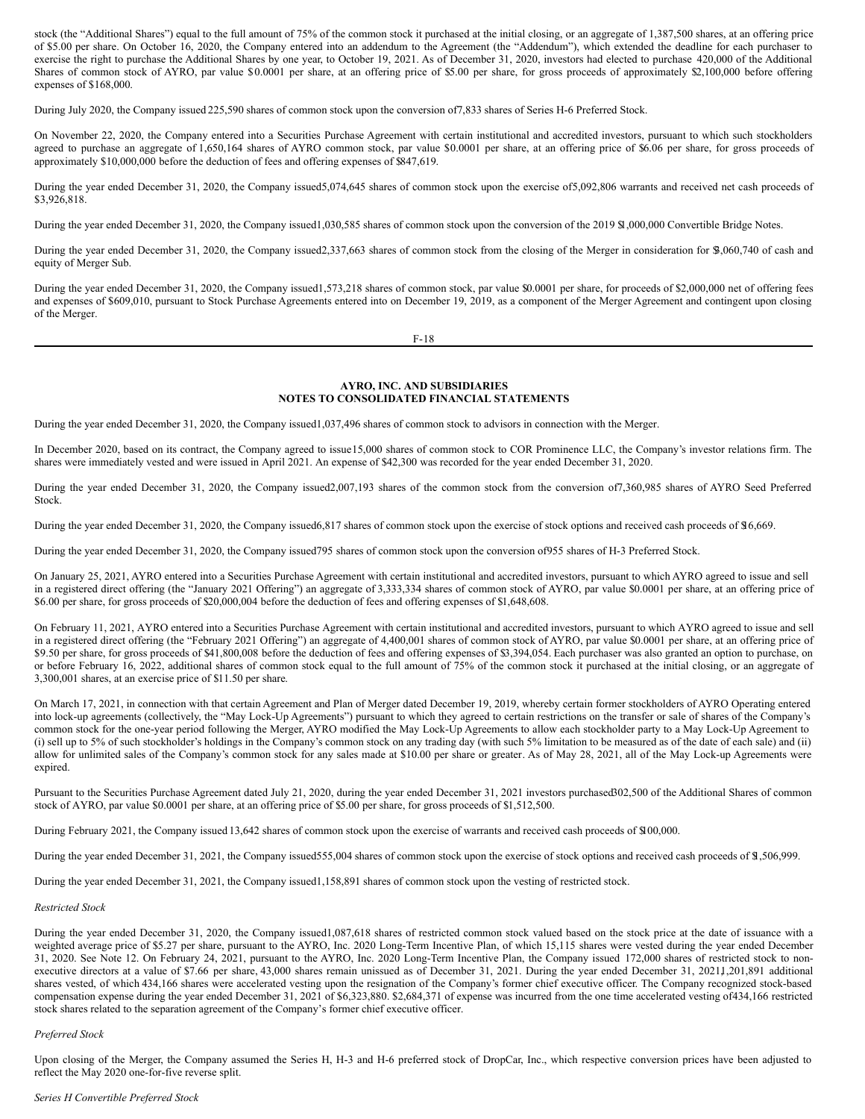stock (the "Additional Shares") equal to the full amount of 75% of the common stock it purchased at the initial closing, or an aggregate of 1,387,500 shares, at an offering price of \$5.00 per share. On October 16, 2020, the Company entered into an addendum to the Agreement (the "Addendum"), which extended the deadline for each purchaser to exercise the right to purchase the Additional Shares by one year, to October 19, 2021. As of December 31, 2020, investors had elected to purchase 420,000 of the Additional Shares of common stock of AYRO, par value \$0.0001 per share, at an offering price of \$5.00 per share, for gross proceeds of approximately \$2,100,000 before offering expenses of \$168,000.

During July 2020, the Company issued 225,590 shares of common stock upon the conversion of7,833 shares of Series H-6 Preferred Stock.

On November 22, 2020, the Company entered into a Securities Purchase Agreement with certain institutional and accredited investors, pursuant to which such stockholders agreed to purchase an aggregate of 1,650,164 shares of AYRO common stock, par value \$0.0001 per share, at an offering price of \$6.06 per share, for gross proceeds of approximately \$10,000,000 before the deduction of fees and offering expenses of \$847,619.

During the year ended December 31, 2020, the Company issued5,074,645 shares of common stock upon the exercise of5,092,806 warrants and received net cash proceeds of \$3,926,818.

During the year ended December 31, 2020, the Company issued1,030,585 shares of common stock upon the conversion of the 2019 \$1,000,000 Convertible Bridge Notes.

During the year ended December 31, 2020, the Company issued2,337,663 shares of common stock from the closing of the Merger in consideration for \$3,060,740 of cash and equity of Merger Sub.

During the year ended December 31, 2020, the Company issued1,573,218 shares of common stock, par value \$0.0001 per share, for proceeds of \$2,000,000 net of offering fees and expenses of \$609,010, pursuant to Stock Purchase Agreements entered into on December 19, 2019, as a component of the Merger Agreement and contingent upon closing of the Merger.

F-18

# **AYRO, INC. AND SUBSIDIARIES NOTES TO CONSOLIDATED FINANCIAL STATEMENTS**

During the year ended December 31, 2020, the Company issued1,037,496 shares of common stock to advisors in connection with the Merger.

In December 2020, based on its contract, the Company agreed to issue15,000 shares of common stock to COR Prominence LLC, the Company's investor relations firm. The shares were immediately vested and were issued in April 2021. An expense of \$42,300 was recorded for the year ended December 31, 2020.

During the year ended December 31, 2020, the Company issued2,007,193 shares of the common stock from the conversion of7,360,985 shares of AYRO Seed Preferred Stock.

During the year ended December 31, 2020, the Company issued6,817 shares of common stock upon the exercise of stock options and received cash proceeds of \$16,669.

During the year ended December 31, 2020, the Company issued795 shares of common stock upon the conversion of955 shares of H-3 Preferred Stock.

On January 25, 2021, AYRO entered into a Securities Purchase Agreement with certain institutional and accredited investors, pursuant to which AYRO agreed to issue and sell in a registered direct offering (the "January 2021 Offering") an aggregate of 3,333,334 shares of common stock of AYRO, par value \$0.0001 per share, at an offering price of \$6.00 per share, for gross proceeds of \$20,000,004 before the deduction of fees and offering expenses of \$1,648,608.

On February 11, 2021, AYRO entered into a Securities Purchase Agreement with certain institutional and accredited investors, pursuant to which AYRO agreed to issue and sell in a registered direct offering (the "February 2021 Offering") an aggregate of 4,400,001 shares of common stock of AYRO, par value \$0.0001 per share, at an offering price of \$9.50 per share, for gross proceeds of \$41,800,008 before the deduction of fees and offering expenses of \$3,394,054. Each purchaser was also granted an option to purchase, on or before February 16, 2022, additional shares of common stock equal to the full amount of 75% of the common stock it purchased at the initial closing, or an aggregate of 3,300,001 shares, at an exercise price of \$11.50 per share.

On March 17, 2021, in connection with that certain Agreement and Plan of Merger dated December 19, 2019, whereby certain former stockholders of AYRO Operating entered into lock-up agreements (collectively, the "May Lock-Up Agreements") pursuant to which they agreed to certain restrictions on the transfer or sale of shares of the Company's common stock for the one-year period following the Merger, AYRO modified the May Lock-Up Agreements to allow each stockholder party to a May Lock-Up Agreement to (i) sell up to 5% of such stockholder's holdings in the Company's common stock on any trading day (with such 5% limitation to be measured as of the date of each sale) and (ii) allow for unlimited sales of the Company's common stock for any sales made at \$10.00 per share or greater. As of May 28, 2021, all of the May Lock-up Agreements were expired.

Pursuant to the Securities Purchase Agreement dated July 21, 2020, during the year ended December 31, 2021 investors purchased302,500 of the Additional Shares of common stock of AYRO, par value \$0.0001 per share, at an offering price of \$5.00 per share, for gross proceeds of \$1,512,500.

During February 2021, the Company issued 13,642 shares of common stock upon the exercise of warrants and received cash proceeds of \$100,000.

During the year ended December 31, 2021, the Company issued555,004 shares of common stock upon the exercise of stock options and received cash proceeds of \$1,506,999.

During the year ended December 31, 2021, the Company issued1,158,891 shares of common stock upon the vesting of restricted stock.

# *Restricted Stock*

During the year ended December 31, 2020, the Company issued1,087,618 shares of restricted common stock valued based on the stock price at the date of issuance with a weighted average price of \$5.27 per share, pursuant to the AYRO, Inc. 2020 Long-Term Incentive Plan, of which 15,115 shares were vested during the year ended December 31, 2020. See Note 12. On February 24, 2021, pursuant to the AYRO, Inc. 2020 Long-Term Incentive Plan, the Company issued 172,000 shares of restricted stock to nonexecutive directors at a value of \$7.66 per share, 43,000 shares remain unissued as of December 31, 2021. During the year ended December 31, 2021,1,201,891 additional shares vested, of which 434,166 shares were accelerated vesting upon the resignation of the Company's former chief executive officer. The Company recognized stock-based compensation expense during the year ended December 31, 2021 of \$6,323,880. \$2,684,371 of expense was incurred from the one time accelerated vesting of434,166 restricted stock shares related to the separation agreement of the Company's former chief executive officer.

#### *Preferred Stock*

Upon closing of the Merger, the Company assumed the Series H, H-3 and H-6 preferred stock of DropCar, Inc., which respective conversion prices have been adjusted to reflect the May 2020 one-for-five reverse split.

#### *Series H Convertible Preferred Stock*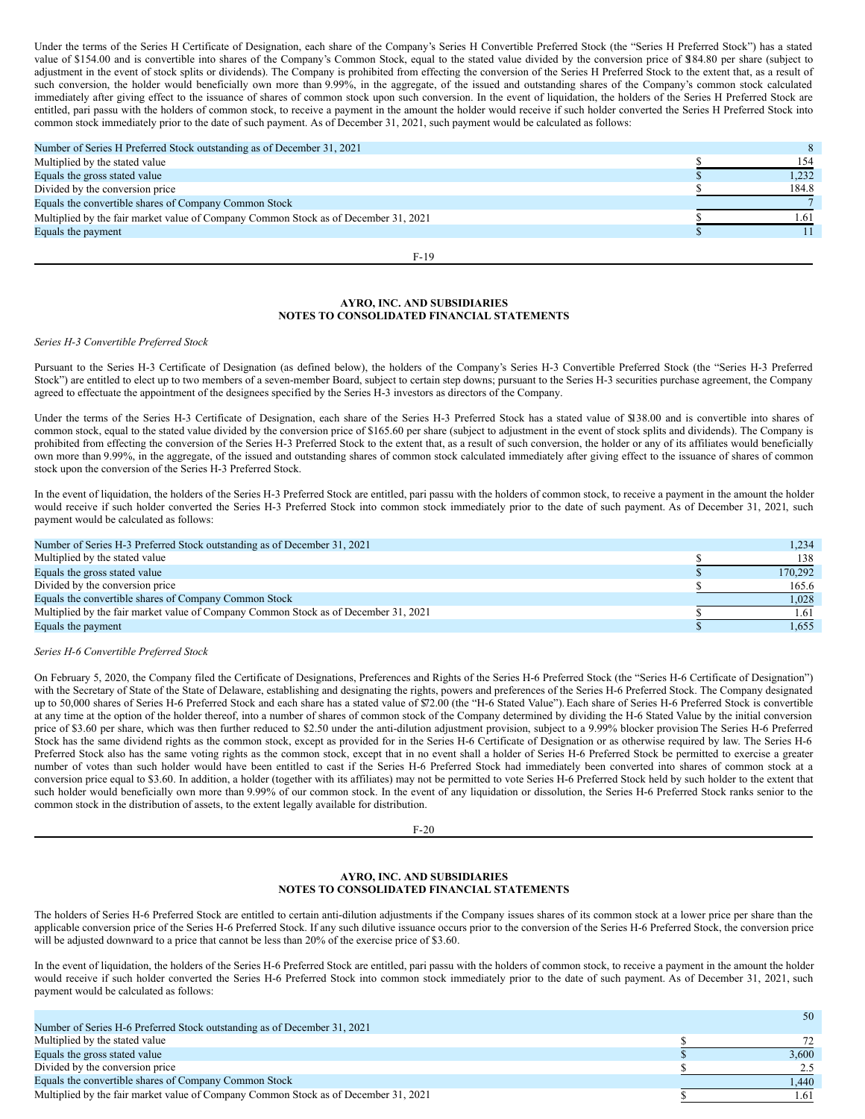Under the terms of the Series H Certificate of Designation, each share of the Company's Series H Convertible Preferred Stock (the "Series H Preferred Stock") has a stated value of \$154.00 and is convertible into shares of the Company's Common Stock, equal to the stated value divided by the conversion price of \$184.80 per share (subject to adjustment in the event of stock splits or dividends). The Company is prohibited from effecting the conversion of the Series H Preferred Stock to the extent that, as a result of such conversion, the holder would beneficially own more than 9.99%, in the aggregate, of the issued and outstanding shares of the Company's common stock calculated immediately after giving effect to the issuance of shares of common stock upon such conversion. In the event of liquidation, the holders of the Series H Preferred Stock are entitled, pari passu with the holders of common stock, to receive a payment in the amount the holder would receive if such holder converted the Series H Preferred Stock into common stock immediately prior to the date of such payment. As of December 31, 2021, such payment would be calculated as follows:

| Number of Series H Preferred Stock outstanding as of December 31, 2021              |       |
|-------------------------------------------------------------------------------------|-------|
| Multiplied by the stated value                                                      | 154   |
| Equals the gross stated value                                                       | 1.232 |
| Divided by the conversion price                                                     | 184.8 |
| Equals the convertible shares of Company Common Stock                               |       |
| Multiplied by the fair market value of Company Common Stock as of December 31, 2021 |       |
| Equals the payment                                                                  |       |

F-19

# **AYRO, INC. AND SUBSIDIARIES NOTES TO CONSOLIDATED FINANCIAL STATEMENTS**

# *Series H-3 Convertible Preferred Stock*

Pursuant to the Series H-3 Certificate of Designation (as defined below), the holders of the Company's Series H-3 Convertible Preferred Stock (the "Series H-3 Preferred Stock") are entitled to elect up to two members of a seven-member Board, subject to certain step downs; pursuant to the Series H-3 securities purchase agreement, the Company agreed to effectuate the appointment of the designees specified by the Series H-3 investors as directors of the Company.

Under the terms of the Series H-3 Certificate of Designation, each share of the Series H-3 Preferred Stock has a stated value of \$138.00 and is convertible into shares of common stock, equal to the stated value divided by the conversion price of \$165.60 per share (subject to adjustment in the event of stock splits and dividends). The Company is prohibited from effecting the conversion of the Series H-3 Preferred Stock to the extent that, as a result of such conversion, the holder or any of its affiliates would beneficially own more than 9.99%, in the aggregate, of the issued and outstanding shares of common stock calculated immediately after giving effect to the issuance of shares of common stock upon the conversion of the Series H-3 Preferred Stock.

In the event of liquidation, the holders of the Series H-3 Preferred Stock are entitled, pari passu with the holders of common stock, to receive a payment in the amount the holder would receive if such holder converted the Series H-3 Preferred Stock into common stock immediately prior to the date of such payment. As of December 31, 2021, such payment would be calculated as follows:

| Number of Series H-3 Preferred Stock outstanding as of December 31, 2021            | 1.234   |
|-------------------------------------------------------------------------------------|---------|
| Multiplied by the stated value                                                      | 138     |
| Equals the gross stated value                                                       | 170.292 |
| Divided by the conversion price                                                     | 165.6   |
| Equals the convertible shares of Company Common Stock                               | 1.028   |
| Multiplied by the fair market value of Company Common Stock as of December 31, 2021 | l.61    |
| Equals the payment                                                                  | 1.655   |

# *Series H-6 Convertible Preferred Stock*

On February 5, 2020, the Company filed the Certificate of Designations, Preferences and Rights of the Series H-6 Preferred Stock (the "Series H-6 Certificate of Designation") with the Secretary of State of the State of Delaware, establishing and designating the rights, powers and preferences of the Series H-6 Preferred Stock. The Company designated up to 50,000 shares of Series H-6 Preferred Stock and each share has a stated value of \$72.00 (the "H-6 Stated Value"). Each share of Series H-6 Preferred Stock is convertible at any time at the option of the holder thereof, into a number of shares of common stock of the Company determined by dividing the H-6 Stated Value by the initial conversion price of \$3.60 per share, which was then further reduced to \$2.50 under the anti-dilution adjustment provision, subject to a 9.99% blocker provision. The Series H-6 Preferred Stock has the same dividend rights as the common stock, except as provided for in the Series H-6 Certificate of Designation or as otherwise required by law. The Series H-6 Preferred Stock also has the same voting rights as the common stock, except that in no event shall a holder of Series H-6 Preferred Stock be permitted to exercise a greater number of votes than such holder would have been entitled to cast if the Series H-6 Preferred Stock had immediately been converted into shares of common stock at a conversion price equal to \$3.60. In addition, a holder (together with its affiliates) may not be permitted to vote Series H-6 Preferred Stock held by such holder to the extent that such holder would beneficially own more than 9.99% of our common stock. In the event of any liquidation or dissolution, the Series H-6 Preferred Stock ranks senior to the common stock in the distribution of assets, to the extent legally available for distribution.

F-20

# **AYRO, INC. AND SUBSIDIARIES NOTES TO CONSOLIDATED FINANCIAL STATEMENTS**

The holders of Series H-6 Preferred Stock are entitled to certain anti-dilution adjustments if the Company issues shares of its common stock at a lower price per share than the applicable conversion price of the Series H-6 Preferred Stock. If any such dilutive issuance occurs prior to the conversion of the Series H-6 Preferred Stock, the conversion price will be adjusted downward to a price that cannot be less than 20% of the exercise price of \$3.60.

In the event of liquidation, the holders of the Series H-6 Preferred Stock are entitled, pari passu with the holders of common stock, to receive a payment in the amount the holder would receive if such holder converted the Series H-6 Preferred Stock into common stock immediately prior to the date of such payment. As of December 31, 2021, such payment would be calculated as follows:

| Number of Series H-6 Preferred Stock outstanding as of December 31, 2021            | 50    |
|-------------------------------------------------------------------------------------|-------|
| Multiplied by the stated value                                                      |       |
| Equals the gross stated value                                                       | 3.600 |
| Divided by the conversion price                                                     | 2.5   |
| Equals the convertible shares of Company Common Stock                               | 1,440 |
| Multiplied by the fair market value of Company Common Stock as of December 31, 2021 | 1.61  |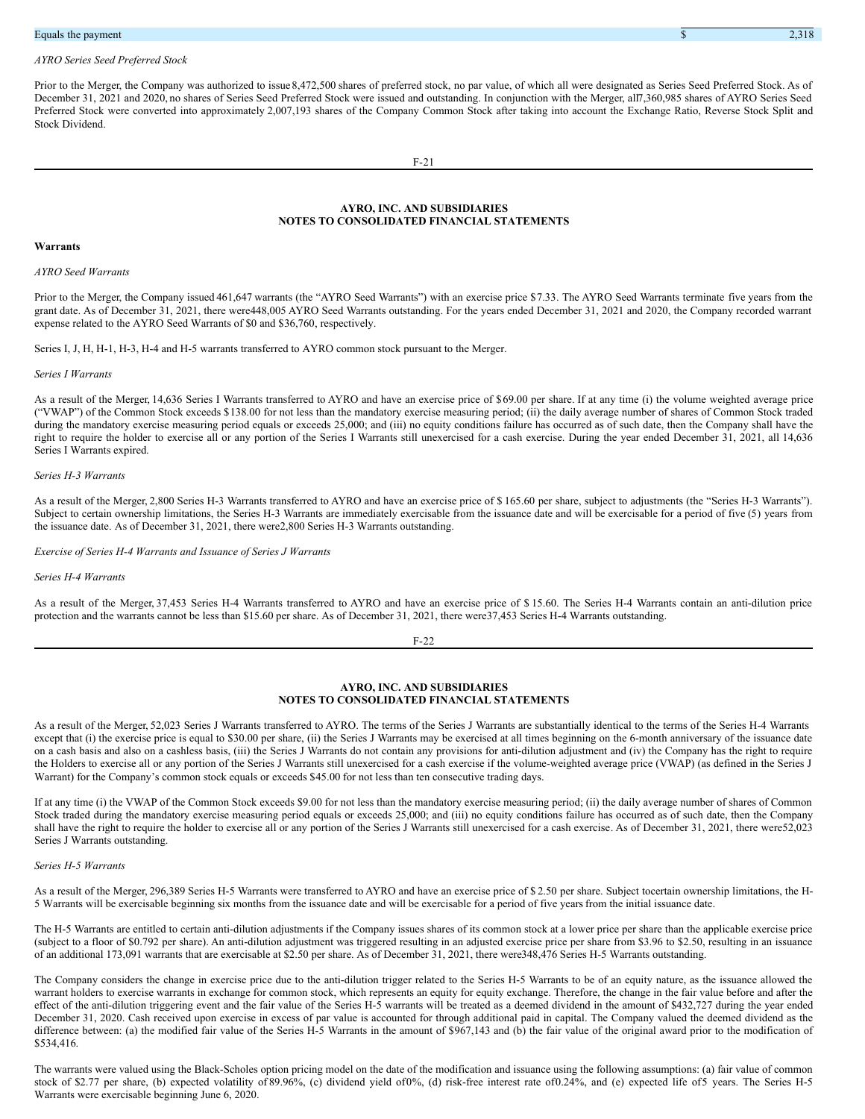# *AYRO Series Seed Preferred Stock*

Prior to the Merger, the Company was authorized to issue 8,472,500 shares of preferred stock, no par value, of which all were designated as Series Seed Preferred Stock. As of December 31, 2021 and 2020, no shares of Series Seed Preferred Stock were issued and outstanding. In conjunction with the Merger, all7,360,985 shares of AYRO Series Seed Preferred Stock were converted into approximately 2,007,193 shares of the Company Common Stock after taking into account the Exchange Ratio, Reverse Stock Split and Stock Dividend.

F-21

# **AYRO, INC. AND SUBSIDIARIES NOTES TO CONSOLIDATED FINANCIAL STATEMENTS**

#### **Warrants**

# *AYRO Seed Warrants*

Prior to the Merger, the Company issued 461,647 warrants (the "AYRO Seed Warrants") with an exercise price \$7.33. The AYRO Seed Warrants terminate five years from the grant date. As of December 31, 2021, there were448,005 AYRO Seed Warrants outstanding. For the years ended December 31, 2021 and 2020, the Company recorded warrant expense related to the AYRO Seed Warrants of \$0 and \$36,760, respectively.

Series I, J, H, H-1, H-3, H-4 and H-5 warrants transferred to AYRO common stock pursuant to the Merger.

#### *Series I Warrants*

As a result of the Merger, 14,636 Series I Warrants transferred to AYRO and have an exercise price of \$69.00 per share. If at any time (i) the volume weighted average price ("VWAP") of the Common Stock exceeds \$138.00 for not less than the mandatory exercise measuring period; (ii) the daily average number of shares of Common Stock traded during the mandatory exercise measuring period equals or exceeds 25,000; and (iii) no equity conditions failure has occurred as of such date, then the Company shall have the right to require the holder to exercise all or any portion of the Series I Warrants still unexercised for a cash exercise. During the year ended December 31, 2021, all 14,636 Series I Warrants expired.

#### *Series H-3 Warrants*

As a result of the Merger, 2,800 Series H-3 Warrants transferred to AYRO and have an exercise price of \$ 165.60 per share, subject to adjustments (the "Series H-3 Warrants"). Subject to certain ownership limitations, the Series H-3 Warrants are immediately exercisable from the issuance date and will be exercisable for a period of five (5) years from the issuance date. As of December 31, 2021, there were2,800 Series H-3 Warrants outstanding.

#### *Exercise of Series H-4 Warrants and Issuance of Series J Warrants*

#### *Series H-4 Warrants*

As a result of the Merger, 37,453 Series H-4 Warrants transferred to AYRO and have an exercise price of \$ 15.60. The Series H-4 Warrants contain an anti-dilution price protection and the warrants cannot be less than \$15.60 per share. As of December 31, 2021, there were37,453 Series H-4 Warrants outstanding.

F-22

# **AYRO, INC. AND SUBSIDIARIES NOTES TO CONSOLIDATED FINANCIAL STATEMENTS**

As a result of the Merger, 52,023 Series J Warrants transferred to AYRO. The terms of the Series J Warrants are substantially identical to the terms of the Series H-4 Warrants except that (i) the exercise price is equal to \$30.00 per share, (ii) the Series J Warrants may be exercised at all times beginning on the 6-month anniversary of the issuance date on a cash basis and also on a cashless basis, (iii) the Series J Warrants do not contain any provisions for anti-dilution adjustment and (iv) the Company has the right to require the Holders to exercise all or any portion of the Series J Warrants still unexercised for a cash exercise if the volume-weighted average price (VWAP) (as defined in the Series J Warrant) for the Company's common stock equals or exceeds \$45.00 for not less than ten consecutive trading days.

If at any time (i) the VWAP of the Common Stock exceeds \$9.00 for not less than the mandatory exercise measuring period; (ii) the daily average number of shares of Common Stock traded during the mandatory exercise measuring period equals or exceeds 25,000; and (iii) no equity conditions failure has occurred as of such date, then the Company shall have the right to require the holder to exercise all or any portion of the Series J Warrants still unexercised for a cash exercise. As of December 31, 2021, there were52,023 Series J Warrants outstanding.

#### *Series H-5 Warrants*

As a result of the Merger, 296,389 Series H-5 Warrants were transferred to AYRO and have an exercise price of \$ 2.50 per share. Subject tocertain ownership limitations, the H-5 Warrants will be exercisable beginning six months from the issuance date and will be exercisable for a period of five yearsfrom the initial issuance date.

The H-5 Warrants are entitled to certain anti-dilution adjustments if the Company issues shares of its common stock at a lower price per share than the applicable exercise price (subject to a floor of \$0.792 per share). An anti-dilution adjustment was triggered resulting in an adjusted exercise price per share from \$3.96 to \$2.50, resulting in an issuance of an additional 173,091 warrants that are exercisable at \$2.50 per share. As of December 31, 2021, there were348,476 Series H-5 Warrants outstanding.

The Company considers the change in exercise price due to the anti-dilution trigger related to the Series H-5 Warrants to be of an equity nature, as the issuance allowed the warrant holders to exercise warrants in exchange for common stock, which represents an equity for equity exchange. Therefore, the change in the fair value before and after the effect of the anti-dilution triggering event and the fair value of the Series H-5 warrants will be treated as a deemed dividend in the amount of \$432,727 during the year ended December 31, 2020. Cash received upon exercise in excess of par value is accounted for through additional paid in capital. The Company valued the deemed dividend as the difference between: (a) the modified fair value of the Series H-5 Warrants in the amount of \$967,143 and (b) the fair value of the original award prior to the modification of \$534,416.

The warrants were valued using the Black-Scholes option pricing model on the date of the modification and issuance using the following assumptions: (a) fair value of common stock of \$2.77 per share, (b) expected volatility of 89.96%, (c) dividend yield of0%, (d) risk-free interest rate of0.24%, and (e) expected life of5 years. The Series H-5 Warrants were exercisable beginning June 6, 2020.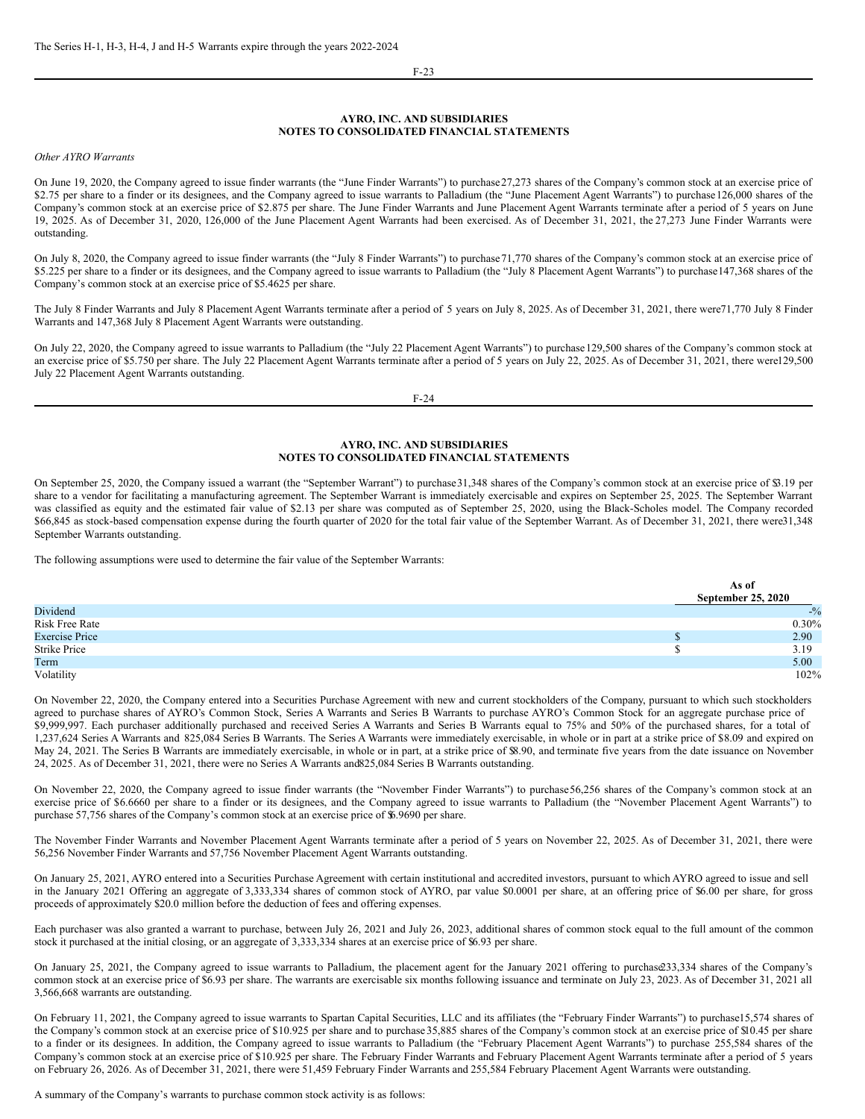# **AYRO, INC. AND SUBSIDIARIES NOTES TO CONSOLIDATED FINANCIAL STATEMENTS**

# *Other AYRO Warrants*

On June 19, 2020, the Company agreed to issue finder warrants (the "June Finder Warrants") to purchase27,273 shares of the Company's common stock at an exercise price of \$2.75 per share to a finder or its designees, and the Company agreed to issue warrants to Palladium (the "June Placement Agent Warrants") to purchase 126,000 shares of the Company's common stock at an exercise price of \$2.875 per share. The June Finder Warrants and June Placement Agent Warrants terminate after a period of 5 years on June 19, 2025. As of December 31, 2020, 126,000 of the June Placement Agent Warrants had been exercised. As of December 31, 2021, the 27,273 June Finder Warrants were outstanding.

On July 8, 2020, the Company agreed to issue finder warrants (the "July 8 Finder Warrants") to purchase71,770 shares of the Company's common stock at an exercise price of \$5.225 per share to a finder or its designees, and the Company agreed to issue warrants to Palladium (the "July 8 Placement Agent Warrants") to purchase 147,368 shares of the Company's common stock at an exercise price of \$5.4625 per share.

The July 8 Finder Warrants and July 8 Placement Agent Warrants terminate after a period of 5 years on July 8, 2025. As of December 31, 2021, there were71,770 July 8 Finder Warrants and 147,368 July 8 Placement Agent Warrants were outstanding.

On July 22, 2020, the Company agreed to issue warrants to Palladium (the "July 22 Placement Agent Warrants") to purchase129,500 shares of the Company's common stock at an exercise price of \$5.750 per share. The July 22 Placement Agent Warrants terminate after a period of 5 years on July 22, 2025. As of December 31, 2021, there were129,500 July 22 Placement Agent Warrants outstanding.

F-24

# **AYRO, INC. AND SUBSIDIARIES NOTES TO CONSOLIDATED FINANCIAL STATEMENTS**

On September 25, 2020, the Company issued a warrant (the "September Warrant") to purchase31,348 shares of the Company's common stock at an exercise price of \$3.19 per share to a vendor for facilitating a manufacturing agreement. The September Warrant is immediately exercisable and expires on September 25, 2025. The September Warrant was classified as equity and the estimated fair value of \$2.13 per share was computed as of September 25, 2020, using the Black-Scholes model. The Company recorded \$66,845 as stock-based compensation expense during the fourth quarter of 2020 for the total fair value of the September Warrant. As of December 31, 2021, there were31,348 September Warrants outstanding.

The following assumptions were used to determine the fair value of the September Warrants:

|                       |    | As of                     |
|-----------------------|----|---------------------------|
|                       |    | <b>September 25, 2020</b> |
| Dividend              |    | $-1/2$                    |
| <b>Risk Free Rate</b> |    | $0.30\%$                  |
| <b>Exercise Price</b> | л۰ | 2.90                      |
| Strike Price          |    | 3.19                      |
| Term                  |    | 5.00                      |
| Volatility            |    | 102%                      |

On November 22, 2020, the Company entered into a Securities Purchase Agreement with new and current stockholders of the Company, pursuant to which such stockholders agreed to purchase shares of AYRO's Common Stock, Series A Warrants and Series B Warrants to purchase AYRO's Common Stock for an aggregate purchase price of \$9,999,997. Each purchaser additionally purchased and received Series A Warrants and Series B Warrants equal to 75% and 50% of the purchased shares, for a total of 1,237,624 Series A Warrants and 825,084 Series B Warrants. The Series A Warrants were immediately exercisable, in whole or in part at a strike price of \$8.09 and expired on May 24, 2021. The Series B Warrants are immediately exercisable, in whole or in part, at a strike price of \$8.90, and terminate five years from the date issuance on November 24, 2025. As of December 31, 2021, there were no Series A Warrants and825,084 Series B Warrants outstanding.

On November 22, 2020, the Company agreed to issue finder warrants (the "November Finder Warrants") to purchase 56,256 shares of the Company's common stock at an exercise price of \$6.6660 per share to a finder or its designees, and the Company agreed to issue warrants to Palladium (the "November Placement Agent Warrants") to purchase 57,756 shares of the Company's common stock at an exercise price of \$6.9690 per share.

The November Finder Warrants and November Placement Agent Warrants terminate after a period of 5 years on November 22, 2025. As of December 31, 2021, there were 56,256 November Finder Warrants and 57,756 November Placement Agent Warrants outstanding.

On January 25, 2021, AYRO entered into a Securities Purchase Agreement with certain institutional and accredited investors, pursuant to which AYRO agreed to issue and sell in the January 2021 Offering an aggregate of 3,333,334 shares of common stock of AYRO, par value \$0.0001 per share, at an offering price of \$6.00 per share, for gross proceeds of approximately \$20.0 million before the deduction of fees and offering expenses.

Each purchaser was also granted a warrant to purchase, between July 26, 2021 and July 26, 2023, additional shares of common stock equal to the full amount of the common stock it purchased at the initial closing, or an aggregate of 3,333,334 shares at an exercise price of \$6.93 per share.

On January 25, 2021, the Company agreed to issue warrants to Palladium, the placement agent for the January 2021 offering to purchase233,334 shares of the Company's common stock at an exercise price of \$6.93 per share. The warrants are exercisable six months following issuance and terminate on July 23, 2023. As of December 31, 2021 all 3,566,668 warrants are outstanding.

On February 11, 2021, the Company agreed to issue warrants to Spartan Capital Securities, LLC and its affiliates (the "February Finder Warrants") to purchase15,574 shares of the Company's common stock at an exercise price of \$10.925 per share and to purchase 35,885 shares of the Company's common stock at an exercise price of \$10.45 per share to a finder or its designees. In addition, the Company agreed to issue warrants to Palladium (the "February Placement Agent Warrants") to purchase 255,584 shares of the Company's common stock at an exercise price of \$10.925 per share. The February Finder Warrants and February Placement Agent Warrants terminate after a period of 5 years on February 26, 2026. As of December 31, 2021, there were 51,459 February Finder Warrants and 255,584 February Placement Agent Warrants were outstanding.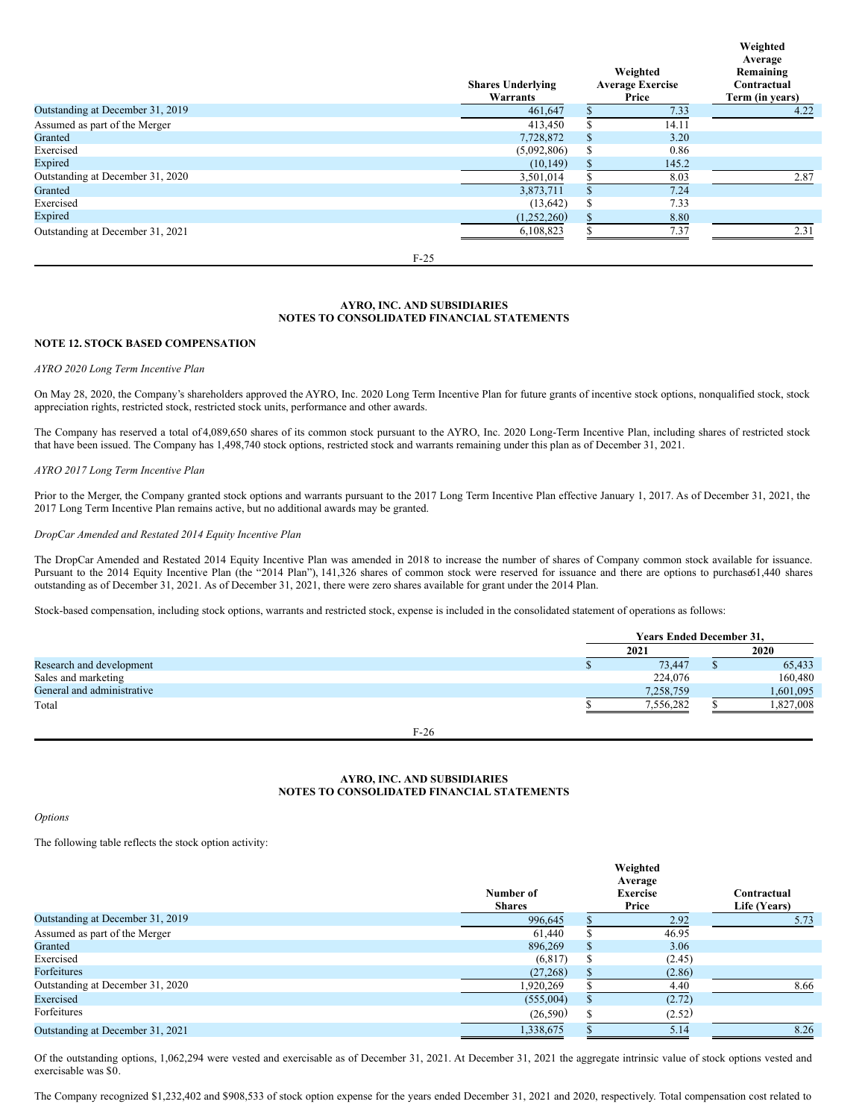|                                  | <b>Shares Underlying</b><br>Warrants |    | Weighted<br><b>Average Exercise</b><br>Price | Average<br>Remaining<br>Contractual<br>Term (in years) |
|----------------------------------|--------------------------------------|----|----------------------------------------------|--------------------------------------------------------|
| Outstanding at December 31, 2019 | 461,647                              |    | 7.33                                         | 4.22                                                   |
| Assumed as part of the Merger    | 413,450                              |    | 14.11                                        |                                                        |
| Granted                          | 7,728,872                            | S. | 3.20                                         |                                                        |
| Exercised                        | (5,092,806)                          | D  | 0.86                                         |                                                        |
| Expired                          | (10, 149)                            | ъ. | 145.2                                        |                                                        |
| Outstanding at December 31, 2020 | 3,501,014                            |    | 8.03                                         | 2.87                                                   |
| Granted                          | 3.873.711                            |    | 7.24                                         |                                                        |
| Exercised                        | (13, 642)                            | S  | 7.33                                         |                                                        |
| Expired                          | (1,252,260)                          |    | 8.80                                         |                                                        |
| Outstanding at December 31, 2021 | 6,108,823                            |    | 7.37                                         | 2.31                                                   |

**Weighted**

F-25

# **AYRO, INC. AND SUBSIDIARIES NOTES TO CONSOLIDATED FINANCIAL STATEMENTS**

# **NOTE 12. STOCK BASED COMPENSATION**

# *AYRO 2020 Long Term Incentive Plan*

On May 28, 2020, the Company's shareholders approved the AYRO, Inc. 2020 Long Term Incentive Plan for future grants of incentive stock options, nonqualified stock, stock appreciation rights, restricted stock, restricted stock units, performance and other awards.

The Company has reserved a total of 4,089,650 shares of its common stock pursuant to the AYRO, Inc. 2020 Long-Term Incentive Plan, including shares of restricted stock that have been issued. The Company has 1,498,740 stock options, restricted stock and warrants remaining under this plan as of December 31, 2021.

# *AYRO 2017 Long Term Incentive Plan*

Prior to the Merger, the Company granted stock options and warrants pursuant to the 2017 Long Term Incentive Plan effective January 1, 2017. As of December 31, 2021, the 2017 Long Term Incentive Plan remains active, but no additional awards may be granted.

# *DropCar Amended and Restated 2014 Equity Incentive Plan*

The DropCar Amended and Restated 2014 Equity Incentive Plan was amended in 2018 to increase the number of shares of Company common stock available for issuance. Pursuant to the 2014 Equity Incentive Plan (the "2014 Plan"), 141,326 shares of common stock were reserved for issuance and there are options to purchase61,440 shares outstanding as of December 31, 2021. As of December 31, 2021, there were zero shares available for grant under the 2014 Plan.

Stock-based compensation, including stock options, warrants and restricted stock, expense is included in the consolidated statement of operations as follows:

|                            | <b>Years Ended December 31.</b> |  |          |
|----------------------------|---------------------------------|--|----------|
|                            | 2021                            |  | 2020     |
| Research and development   | 73,447                          |  | 65,433   |
| Sales and marketing        | 224,076                         |  | 160,480  |
| General and administrative | 7,258,759                       |  | .601,095 |
| Total                      | 1,556,282                       |  | ,827,008 |
|                            |                                 |  |          |

F-26

# **AYRO, INC. AND SUBSIDIARIES NOTES TO CONSOLIDATED FINANCIAL STATEMENTS**

*Options*

The following table reflects the stock option activity:

|                                  | Number of<br><b>Shares</b> |     | Weighted<br>Average<br><b>Exercise</b><br>Price | Contractual<br>Life (Years) |
|----------------------------------|----------------------------|-----|-------------------------------------------------|-----------------------------|
| Outstanding at December 31, 2019 | 996,645                    |     | 2.92                                            | 5.73                        |
| Assumed as part of the Merger    | 61.440                     |     | 46.95                                           |                             |
| Granted                          | 896,269                    | Ъ.  | 3.06                                            |                             |
| Exercised                        | (6, 817)                   | аħ. | (2.45)                                          |                             |
| Forfeitures                      | (27,268)                   |     | (2.86)                                          |                             |
| Outstanding at December 31, 2020 | .920,269                   |     | 4.40                                            | 8.66                        |
| Exercised                        | (555,004)                  |     | (2.72)                                          |                             |
| Forfeitures                      | (26,590)                   | S   | (2.52)                                          |                             |
| Outstanding at December 31, 2021 | 1,338,675                  |     | 5.14                                            | 8.26                        |

Of the outstanding options, 1,062,294 were vested and exercisable as of December 31, 2021. At December 31, 2021 the aggregate intrinsic value of stock options vested and exercisable was \$0.

The Company recognized \$1,232,402 and \$908,533 of stock option expense for the years ended December 31, 2021 and 2020, respectively. Total compensation cost related to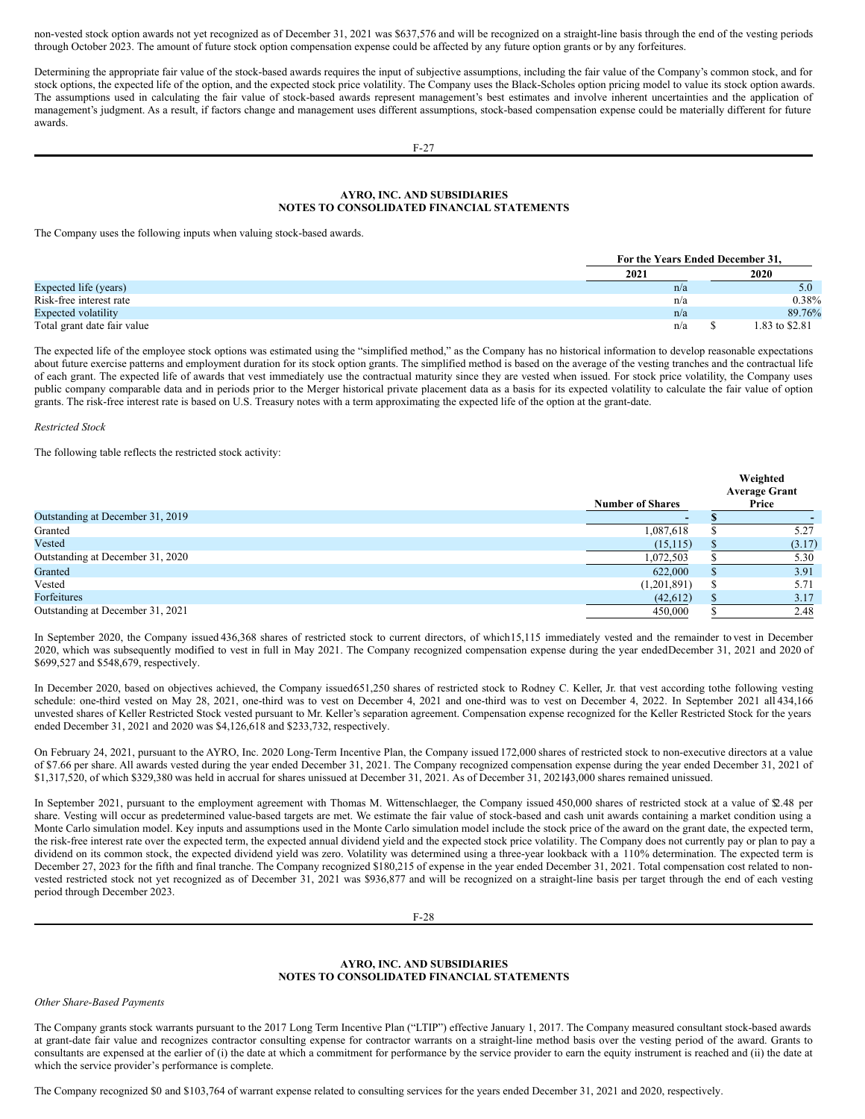non-vested stock option awards not yet recognized as of December 31, 2021 was \$637,576 and will be recognized on a straight-line basis through the end of the vesting periods through October 2023. The amount of future stock option compensation expense could be affected by any future option grants or by any forfeitures.

Determining the appropriate fair value of the stock-based awards requires the input of subjective assumptions, including the fair value of the Company's common stock, and for stock options, the expected life of the option, and the expected stock price volatility. The Company uses the Black-Scholes option pricing model to value its stock option awards. The assumptions used in calculating the fair value of stock-based awards represent management's best estimates and involve inherent uncertainties and the application of management's judgment. As a result, if factors change and management uses different assumptions, stock-based compensation expense could be materially different for future awards.

F-27

# **AYRO, INC. AND SUBSIDIARIES NOTES TO CONSOLIDATED FINANCIAL STATEMENTS**

The Company uses the following inputs when valuing stock-based awards.

|                             | For the Years Ended December 31. |                |
|-----------------------------|----------------------------------|----------------|
|                             | 2021                             | 2020           |
| Expected life (years)       | n/a                              | 5.0            |
| Risk-free interest rate     | n/a                              | 0.38%          |
| Expected volatility         | n/a                              | 89.76%         |
| Total grant date fair value | n/a                              | 1.83 to \$2.81 |

The expected life of the employee stock options was estimated using the "simplified method," as the Company has no historical information to develop reasonable expectations about future exercise patterns and employment duration for its stock option grants. The simplified method is based on the average of the vesting tranches and the contractual life of each grant. The expected life of awards that vest immediately use the contractual maturity since they are vested when issued. For stock price volatility, the Company uses public company comparable data and in periods prior to the Merger historical private placement data as a basis for its expected volatility to calculate the fair value of option grants. The risk-free interest rate is based on U.S. Treasury notes with a term approximating the expected life of the option at the grant-date.

#### *Restricted Stock*

The following table reflects the restricted stock activity:

|             |                         | Weighted<br><b>Average Grant</b><br>Price |
|-------------|-------------------------|-------------------------------------------|
|             |                         |                                           |
| 1,087,618   |                         | 5.27                                      |
| (15, 115)   |                         | (3.17)                                    |
| 1,072,503   |                         | 5.30                                      |
| 622,000     |                         | 3.91                                      |
| (1,201,891) |                         | 5.71                                      |
| (42,612)    |                         | 3.17                                      |
| 450,000     |                         | 2.48                                      |
|             | <b>Number of Shares</b> |                                           |

In September 2020, the Company issued 436,368 shares of restricted stock to current directors, of which15,115 immediately vested and the remainder to vest in December 2020, which was subsequently modified to vest in full in May 2021. The Company recognized compensation expense during the year endedDecember 31, 2021 and 2020 of \$699,527 and \$548,679, respectively.

In December 2020, based on objectives achieved, the Company issued651,250 shares of restricted stock to Rodney C. Keller, Jr. that vest according tothe following vesting schedule: one-third vested on May 28, 2021, one-third was to vest on December 4, 2021 and one-third was to vest on December 4, 2022. In September 2021 all 434,166 unvested shares of Keller Restricted Stock vested pursuant to Mr. Keller's separation agreement. Compensation expense recognized for the Keller Restricted Stock for the years ended December 31, 2021 and 2020 was \$4,126,618 and \$233,732, respectively.

On February 24, 2021, pursuant to the AYRO, Inc. 2020 Long-Term Incentive Plan, the Company issued 172,000 shares of restricted stock to non-executive directors at a value of \$7.66 per share. All awards vested during the year ended December 31, 2021. The Company recognized compensation expense during the year ended December 31, 2021 of \$1,317,520, of which \$329,380 was held in accrual for shares unissued at December 31, 2021. As of December 31, 20214, 3,000 shares remained unissued.

In September 2021, pursuant to the employment agreement with Thomas M. Wittenschlaeger, the Company issued 450,000 shares of restricted stock at a value of \$2.48 per share. Vesting will occur as predetermined value-based targets are met. We estimate the fair value of stock-based and cash unit awards containing a market condition using a Monte Carlo simulation model. Key inputs and assumptions used in the Monte Carlo simulation model include the stock price of the award on the grant date, the expected term, the risk-free interest rate over the expected term, the expected annual dividend yield and the expected stock price volatility. The Company does not currently pay or plan to pay a dividend on its common stock, the expected dividend yield was zero. Volatility was determined using a three-year lookback with a 110% determination. The expected term is December 27, 2023 for the fifth and final tranche. The Company recognized \$180,215 of expense in the year ended December 31, 2021. Total compensation cost related to nonvested restricted stock not yet recognized as of December 31, 2021 was \$936,877 and will be recognized on a straight-line basis per target through the end of each vesting period through December 2023.

# **AYRO, INC. AND SUBSIDIARIES NOTES TO CONSOLIDATED FINANCIAL STATEMENTS**

*Other Share-Based Payments*

The Company grants stock warrants pursuant to the 2017 Long Term Incentive Plan ("LTIP") effective January 1, 2017. The Company measured consultant stock-based awards at grant-date fair value and recognizes contractor consulting expense for contractor warrants on a straight-line method basis over the vesting period of the award. Grants to consultants are expensed at the earlier of (i) the date at which a commitment for performance by the service provider to earn the equity instrument is reached and (ii) the date at which the service provider's performance is complete.

The Company recognized \$0 and \$103,764 of warrant expense related to consulting services for the years ended December 31, 2021 and 2020, respectively.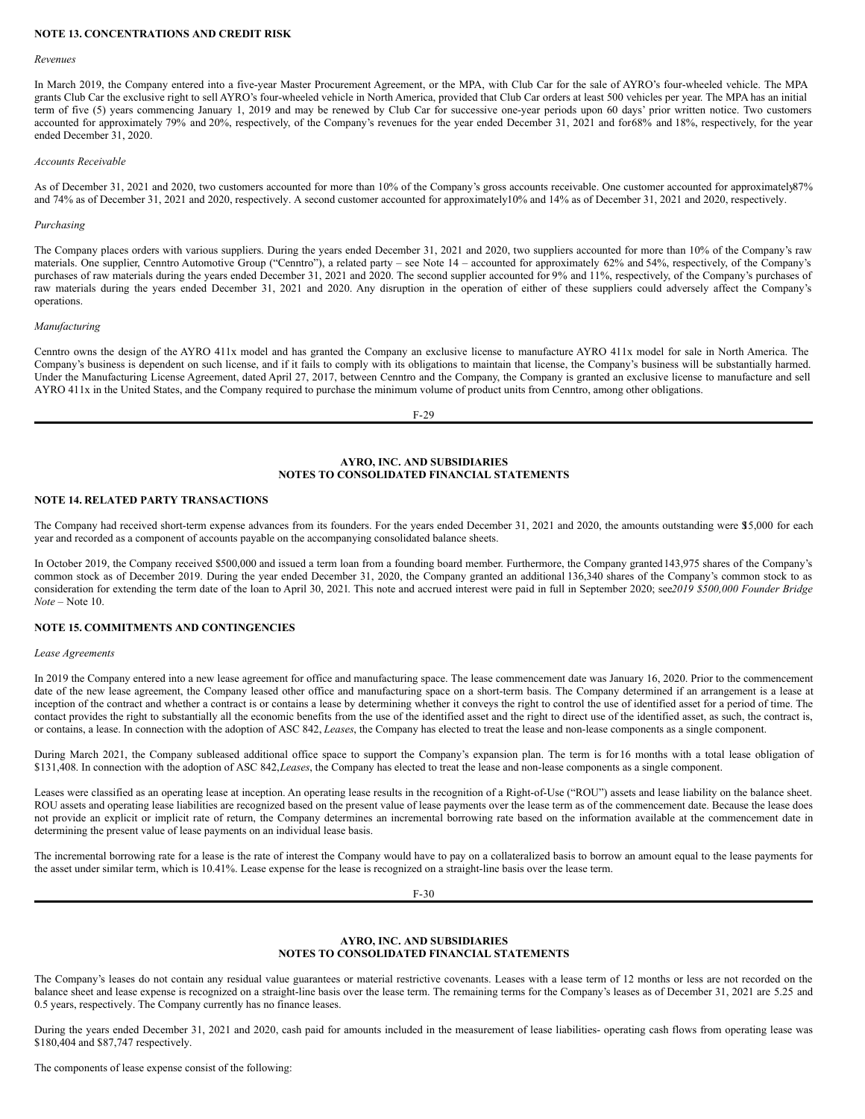# **NOTE 13. CONCENTRATIONS AND CREDIT RISK**

#### *Revenues*

In March 2019, the Company entered into a five-year Master Procurement Agreement, or the MPA, with Club Car for the sale of AYRO's four-wheeled vehicle. The MPA grants Club Car the exclusive right to sell AYRO's four-wheeled vehicle in North America, provided that Club Car orders at least 500 vehicles per year. The MPA has an initial term of five (5) years commencing January 1, 2019 and may be renewed by Club Car for successive one-year periods upon 60 days' prior written notice. Two customers accounted for approximately 79% and 20%, respectively, of the Company's revenues for the year ended December 31, 2021 and for68% and 18%, respectively, for the year ended December 31, 2020.

#### *Accounts Receivable*

As of December 31, 2021 and 2020, two customers accounted for more than 10% of the Company's gross accounts receivable. One customer accounted for approximately87% and 74% as of December 31, 2021 and 2020, respectively. A second customer accounted for approximately10% and 14% as of December 31, 2021 and 2020, respectively.

#### *Purchasing*

The Company places orders with various suppliers. During the years ended December 31, 2021 and 2020, two suppliers accounted for more than 10% of the Company's raw materials. One supplier, Cenntro Automotive Group ("Cenntro"), a related party – see Note 14 – accounted for approximately 62% and 54%, respectively, of the Company's purchases of raw materials during the years ended December 31, 2021 and 2020. The second supplier accounted for 9% and 11%, respectively, of the Company's purchases of raw materials during the years ended December 31, 2021 and 2020. Any disruption in the operation of either of these suppliers could adversely affect the Company's operations.

#### *Manufacturing*

Cenntro owns the design of the AYRO 411x model and has granted the Company an exclusive license to manufacture AYRO 411x model for sale in North America. The Company's business is dependent on such license, and if it fails to comply with its obligations to maintain that license, the Company's business will be substantially harmed. Under the Manufacturing License Agreement, dated April 27, 2017, between Cenntro and the Company, the Company is granted an exclusive license to manufacture and sell AYRO 411x in the United States, and the Company required to purchase the minimum volume of product units from Cenntro, among other obligations.

F-29

# **AYRO, INC. AND SUBSIDIARIES NOTES TO CONSOLIDATED FINANCIAL STATEMENTS**

# **NOTE 14. RELATED PARTY TRANSACTIONS**

The Company had received short-term expense advances from its founders. For the years ended December 31, 2021 and 2020, the amounts outstanding were \$5,000 for each year and recorded as a component of accounts payable on the accompanying consolidated balance sheets.

In October 2019, the Company received \$500,000 and issued a term loan from a founding board member. Furthermore, the Company granted143,975 shares of the Company's common stock as of December 2019. During the year ended December 31, 2020, the Company granted an additional 136,340 shares of the Company's common stock to as consideration for extending the term date of the loan to April 30, 2021. This note and accrued interest were paid in full in September 2020; see*2019 \$500,000 Founder Bridge Note –* Note 10.

# **NOTE 15. COMMITMENTS AND CONTINGENCIES**

#### *Lease Agreements*

In 2019 the Company entered into a new lease agreement for office and manufacturing space. The lease commencement date was January 16, 2020. Prior to the commencement date of the new lease agreement, the Company leased other office and manufacturing space on a short-term basis. The Company determined if an arrangement is a lease at inception of the contract and whether a contract is or contains a lease by determining whether it conveys the right to control the use of identified asset for a period of time. The contact provides the right to substantially all the economic benefits from the use of the identified asset and the right to direct use of the identified asset, as such, the contract is, or contains, a lease. In connection with the adoption of ASC 842, *Leases*, the Company has elected to treat the lease and non-lease components as a single component.

During March 2021, the Company subleased additional office space to support the Company's expansion plan. The term is for16 months with a total lease obligation of \$131,408. In connection with the adoption of ASC 842,*Leases*, the Company has elected to treat the lease and non-lease components as a single component.

Leases were classified as an operating lease at inception. An operating lease results in the recognition of a Right-of-Use ("ROU") assets and lease liability on the balance sheet. ROU assets and operating lease liabilities are recognized based on the present value of lease payments over the lease term as of the commencement date. Because the lease does not provide an explicit or implicit rate of return, the Company determines an incremental borrowing rate based on the information available at the commencement date in determining the present value of lease payments on an individual lease basis.

The incremental borrowing rate for a lease is the rate of interest the Company would have to pay on a collateralized basis to borrow an amount equal to the lease payments for the asset under similar term, which is 10.41%. Lease expense for the lease is recognized on a straight-line basis over the lease term.

F-30

# **AYRO, INC. AND SUBSIDIARIES NOTES TO CONSOLIDATED FINANCIAL STATEMENTS**

The Company's leases do not contain any residual value guarantees or material restrictive covenants. Leases with a lease term of 12 months or less are not recorded on the balance sheet and lease expense is recognized on a straight-line basis over the lease term. The remaining terms for the Company's leases as of December 31, 2021 are 5.25 and 0.5 years, respectively. The Company currently has no finance leases.

During the years ended December 31, 2021 and 2020, cash paid for amounts included in the measurement of lease liabilities- operating cash flows from operating lease was \$180,404 and \$87,747 respectively.

The components of lease expense consist of the following: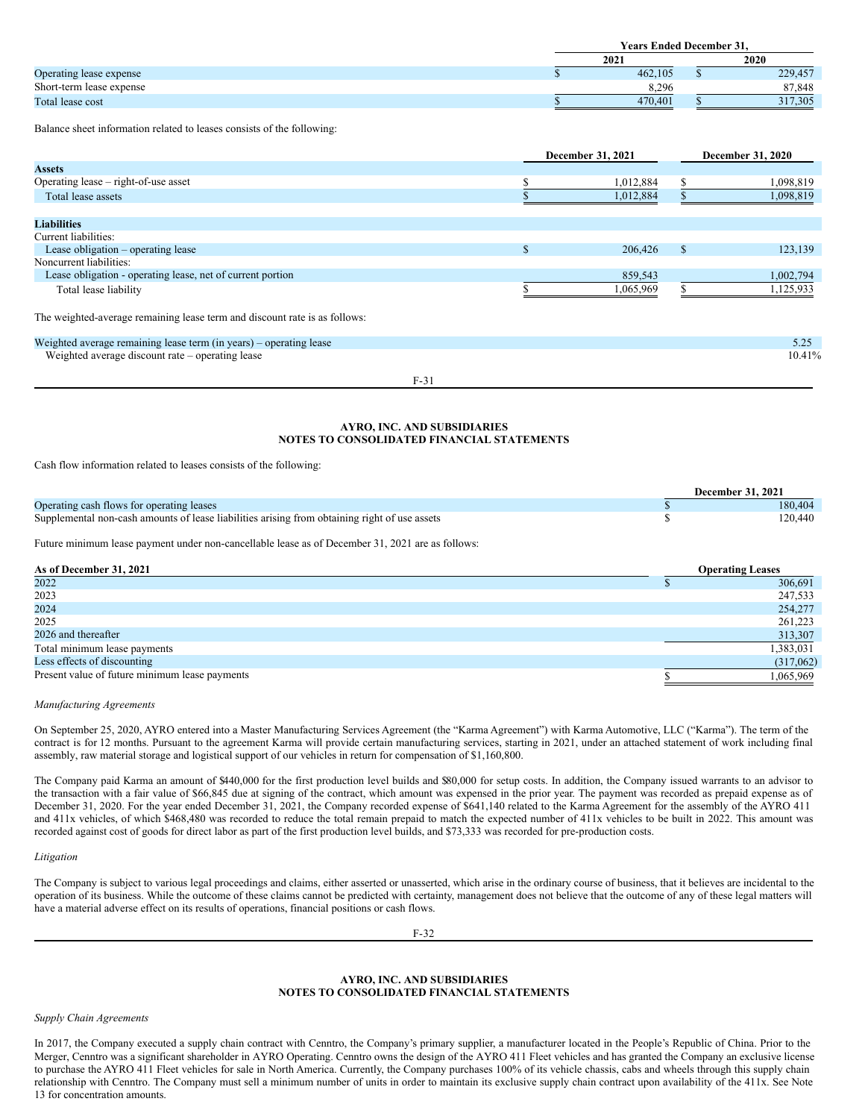|                          | rears Ended December 31. |      |         |
|--------------------------|--------------------------|------|---------|
|                          | 2021                     | 2020 |         |
| Operating lease expense  | 462,105                  |      | 229,457 |
| Short-term lease expense | 8.296                    |      | 87.848  |
| Total lease cost         | 470,401                  |      | 317,305 |

**Years Ended December 31,**

Balance sheet information related to leases consists of the following:

|                                                            | December 31, 2021 |    | <b>December 31, 2020</b> |
|------------------------------------------------------------|-------------------|----|--------------------------|
| <b>Assets</b>                                              |                   |    |                          |
| Operating lease – right-of-use asset                       | 1,012,884         |    | 1,098,819                |
| Total lease assets                                         | 1,012,884         |    | 1,098,819                |
|                                                            |                   |    |                          |
| <b>Liabilities</b>                                         |                   |    |                          |
| Current liabilities:                                       |                   |    |                          |
| Lease obligation – operating lease                         | 206,426           | S. | 123,139                  |
| Noncurrent liabilities:                                    |                   |    |                          |
| Lease obligation - operating lease, net of current portion | 859,543           |    | 1,002,794                |
| Total lease liability                                      | 1,065,969         |    | 1,125,933                |
|                                                            |                   |    |                          |

The weighted-average remaining lease term and discount rate is as follows:

| Weighted average remaining lease term (in years) – operating lease | 5.25   |
|--------------------------------------------------------------------|--------|
| Weighted average discount rate – operating lease                   | 10.41% |
|                                                                    |        |
| $F-31$                                                             |        |

# **AYRO, INC. AND SUBSIDIARIES NOTES TO CONSOLIDATED FINANCIAL STATEMENTS**

Cash flow information related to leases consists of the following:

|                                                                                               | December 31, 2021 |
|-----------------------------------------------------------------------------------------------|-------------------|
| Operating cash flows for operating leases                                                     | 180,404           |
| Supplemental non-cash amounts of lease liabilities arising from obtaining right of use assets | 120,440           |

Future minimum lease payment under non-cancellable lease as of December 31, 2021 are as follows:

| As of December 31, 2021                        | <b>Operating Leases</b> |
|------------------------------------------------|-------------------------|
| 2022                                           | 306,691                 |
| 2023                                           | 247,533                 |
| 2024                                           | 254,277                 |
| 2025                                           | 261,223                 |
| 2026 and thereafter                            | 313,307                 |
| Total minimum lease payments                   | 1,383,031               |
| Less effects of discounting                    | (317,062)               |
| Present value of future minimum lease payments | 1,065,969               |

*Manufacturing Agreements*

On September 25, 2020, AYRO entered into a Master Manufacturing Services Agreement (the "Karma Agreement") with Karma Automotive, LLC ("Karma"). The term of the contract is for 12 months. Pursuant to the agreement Karma will provide certain manufacturing services, starting in 2021, under an attached statement of work including final assembly, raw material storage and logistical support of our vehicles in return for compensation of \$1,160,800.

The Company paid Karma an amount of \$440,000 for the first production level builds and \$80,000 for setup costs. In addition, the Company issued warrants to an advisor to the transaction with a fair value of \$66,845 due at signing of the contract, which amount was expensed in the prior year. The payment was recorded as prepaid expense as of December 31, 2020. For the year ended December 31, 2021, the Company recorded expense of \$641,140 related to the Karma Agreement for the assembly of the AYRO 411 and 411x vehicles, of which \$468,480 was recorded to reduce the total remain prepaid to match the expected number of 411x vehicles to be built in 2022. This amount was recorded against cost of goods for direct labor as part of the first production level builds, and \$73,333 was recorded for pre-production costs.

#### *Litigation*

The Company is subject to various legal proceedings and claims, either asserted or unasserted, which arise in the ordinary course of business, that it believes are incidental to the operation of its business. While the outcome of these claims cannot be predicted with certainty, management does not believe that the outcome of any of these legal matters will have a material adverse effect on its results of operations, financial positions or cash flows.

F-32

# **AYRO, INC. AND SUBSIDIARIES NOTES TO CONSOLIDATED FINANCIAL STATEMENTS**

*Supply Chain Agreements*

In 2017, the Company executed a supply chain contract with Cenntro, the Company's primary supplier, a manufacturer located in the People's Republic of China. Prior to the Merger, Cenntro was a significant shareholder in AYRO Operating. Cenntro owns the design of the AYRO 411 Fleet vehicles and has granted the Company an exclusive license to purchase the AYRO 411 Fleet vehicles for sale in North America. Currently, the Company purchases 100% of its vehicle chassis, cabs and wheels through this supply chain relationship with Cenntro. The Company must sell a minimum number of units in order to maintain its exclusive supply chain contract upon availability of the 411x. See Note 13 for concentration amounts.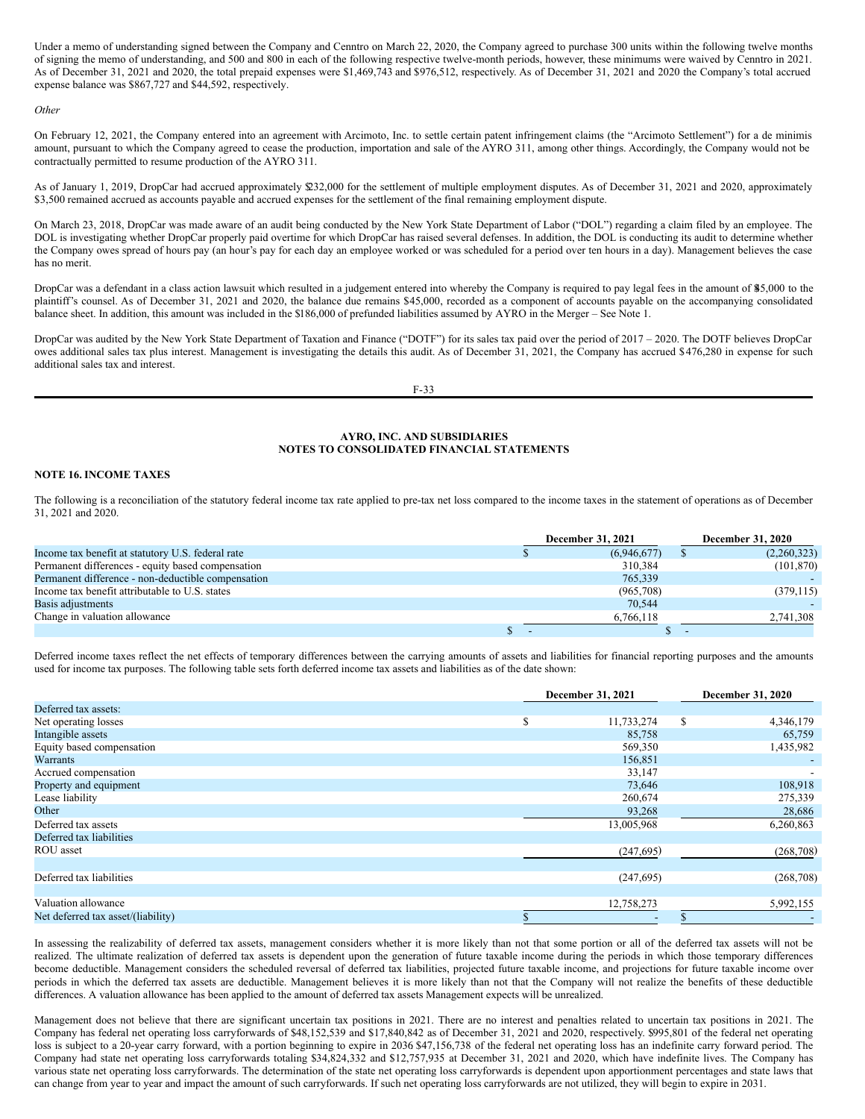Under a memo of understanding signed between the Company and Cenntro on March 22, 2020, the Company agreed to purchase 300 units within the following twelve months of signing the memo of understanding, and 500 and 800 in each of the following respective twelve-month periods, however, these minimums were waived by Cenntro in 2021. As of December 31, 2021 and 2020, the total prepaid expenses were \$1,469,743 and \$976,512, respectively. As of December 31, 2021 and 2020 the Company's total accrued expense balance was \$867,727 and \$44,592, respectively.

# *Other*

On February 12, 2021, the Company entered into an agreement with Arcimoto, Inc. to settle certain patent infringement claims (the "Arcimoto Settlement") for a de minimis amount, pursuant to which the Company agreed to cease the production, importation and sale of the AYRO 311, among other things. Accordingly, the Company would not be contractually permitted to resume production of the AYRO 311.

As of January 1, 2019, DropCar had accrued approximately \$232,000 for the settlement of multiple employment disputes. As of December 31, 2021 and 2020, approximately \$3,500 remained accrued as accounts payable and accrued expenses for the settlement of the final remaining employment dispute.

On March 23, 2018, DropCar was made aware of an audit being conducted by the New York State Department of Labor ("DOL") regarding a claim filed by an employee. The DOL is investigating whether DropCar properly paid overtime for which DropCar has raised several defenses. In addition, the DOL is conducting its audit to determine whether the Company owes spread of hours pay (an hour's pay for each day an employee worked or was scheduled for a period over ten hours in a day). Management believes the case has no merit.

DropCar was a defendant in a class action lawsuit which resulted in a judgement entered into whereby the Company is required to pay legal fees in the amount of \$5,000 to the plaintiff's counsel. As of December 31, 2021 and 2020, the balance due remains \$45,000, recorded as a component of accounts payable on the accompanying consolidated balance sheet. In addition, this amount was included in the \$186,000 of prefunded liabilities assumed by AYRO in the Merger – See Note 1.

DropCar was audited by the New York State Department of Taxation and Finance ("DOTF") for its sales tax paid over the period of 2017 – 2020. The DOTF believes DropCar owes additional sales tax plus interest. Management is investigating the details this audit. As of December 31, 2021, the Company has accrued \$476,280 in expense for such additional sales tax and interest.

# F-33

# **AYRO, INC. AND SUBSIDIARIES NOTES TO CONSOLIDATED FINANCIAL STATEMENTS**

# **NOTE 16. INCOME TAXES**

The following is a reconciliation of the statutory federal income tax rate applied to pre-tax net loss compared to the income taxes in the statement of operations as of December 31, 2021 and 2020.

|                                                    | December 31, 2021 | <b>December 31, 2020</b> |
|----------------------------------------------------|-------------------|--------------------------|
| Income tax benefit at statutory U.S. federal rate  | (6,946,677)       | (2,260,323)              |
| Permanent differences - equity based compensation  | 310.384           | (101, 870)               |
| Permanent difference - non-deductible compensation | 765,339           |                          |
| Income tax benefit attributable to U.S. states     | (965,708)         | (379, 115)               |
| Basis adjustments                                  | 70,544            |                          |
| Change in valuation allowance                      | 6.766.118         | 2.741.308                |
|                                                    |                   |                          |

Deferred income taxes reflect the net effects of temporary differences between the carrying amounts of assets and liabilities for financial reporting purposes and the amounts used for income tax purposes. The following table sets forth deferred income tax assets and liabilities as of the date shown:

|                                    |   | December 31, 2021        |    | December 31, 2020 |  |
|------------------------------------|---|--------------------------|----|-------------------|--|
| Deferred tax assets:               |   |                          |    |                   |  |
| Net operating losses               | S | 11,733,274               | \$ | 4,346,179         |  |
| Intangible assets                  |   | 85,758                   |    | 65,759            |  |
| Equity based compensation          |   | 569,350                  |    | 1,435,982         |  |
| Warrants                           |   | 156,851                  |    |                   |  |
| Accrued compensation               |   | 33,147                   |    |                   |  |
| Property and equipment             |   | 73,646                   |    | 108,918           |  |
| Lease liability                    |   | 260,674                  |    | 275,339           |  |
| Other                              |   | 93,268                   |    | 28,686            |  |
| Deferred tax assets                |   | 13,005,968               |    | 6,260,863         |  |
| Deferred tax liabilities           |   |                          |    |                   |  |
| ROU asset                          |   | (247, 695)               |    | (268, 708)        |  |
|                                    |   |                          |    |                   |  |
| Deferred tax liabilities           |   | (247, 695)               |    | (268, 708)        |  |
|                                    |   |                          |    |                   |  |
| Valuation allowance                |   | 12,758,273               |    | 5,992,155         |  |
| Net deferred tax asset/(liability) | Ф | $\overline{\phantom{0}}$ | æ  |                   |  |

In assessing the realizability of deferred tax assets, management considers whether it is more likely than not that some portion or all of the deferred tax assets will not be realized. The ultimate realization of deferred tax assets is dependent upon the generation of future taxable income during the periods in which those temporary differences become deductible. Management considers the scheduled reversal of deferred tax liabilities, projected future taxable income, and projections for future taxable income over periods in which the deferred tax assets are deductible. Management believes it is more likely than not that the Company will not realize the benefits of these deductible differences. A valuation allowance has been applied to the amount of deferred tax assets Management expects will be unrealized.

Management does not believe that there are significant uncertain tax positions in 2021. There are no interest and penalties related to uncertain tax positions in 2021. The Company has federal net operating loss carryforwards of \$48,152,539 and \$17,840,842 as of December 31, 2021 and 2020, respectively. \$995,801 of the federal net operating loss is subject to a 20-year carry forward, with a portion beginning to expire in 2036. \$47,156,738 of the federal net operating loss has an indefinite carry forward period. The Company had state net operating loss carryforwards totaling \$34,824,332 and \$12,757,935 at December 31, 2021 and 2020, which have indefinite lives. The Company has various state net operating loss carryforwards. The determination of the state net operating loss carryforwards is dependent upon apportionment percentages and state laws that can change from year to year and impact the amount of such carryforwards. If such net operating loss carryforwards are not utilized, they will begin to expire in 2031.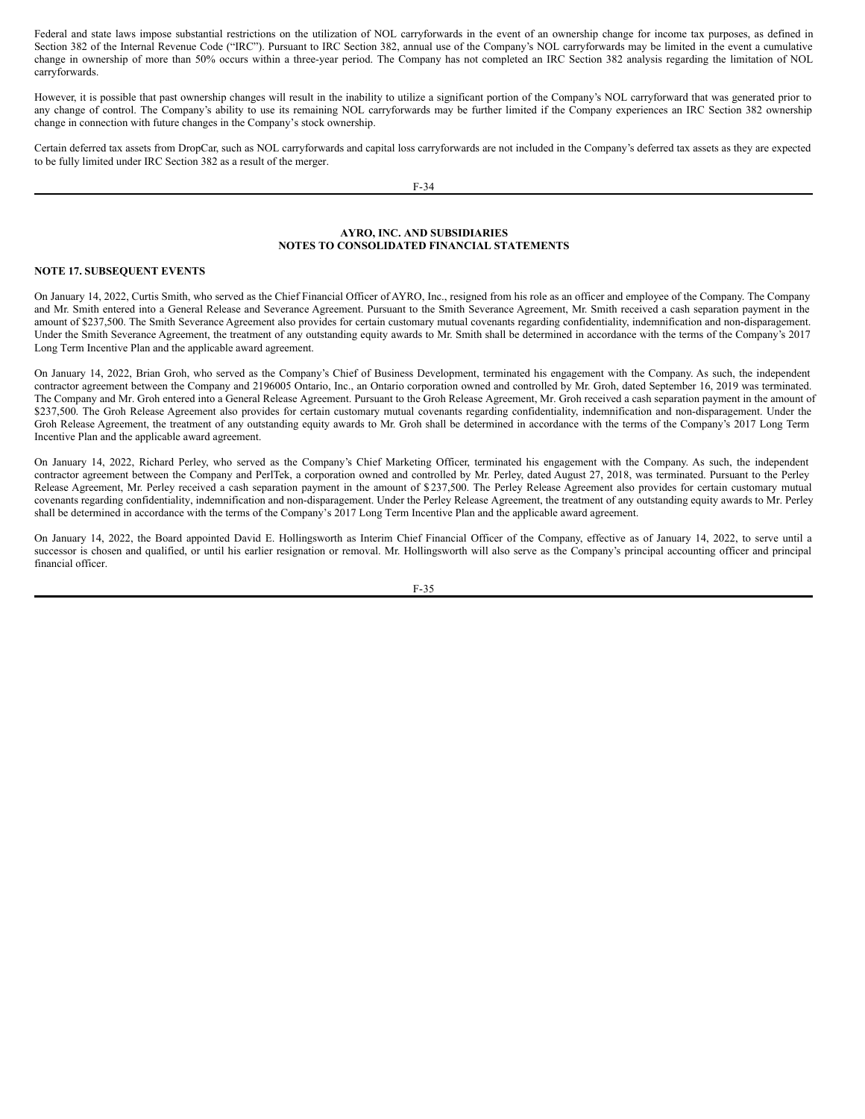Federal and state laws impose substantial restrictions on the utilization of NOL carryforwards in the event of an ownership change for income tax purposes, as defined in Section 382 of the Internal Revenue Code ("IRC"). Pursuant to IRC Section 382, annual use of the Company's NOL carryforwards may be limited in the event a cumulative change in ownership of more than 50% occurs within a three-year period. The Company has not completed an IRC Section 382 analysis regarding the limitation of NOL carryforwards.

However, it is possible that past ownership changes will result in the inability to utilize a significant portion of the Company's NOL carryforward that was generated prior to any change of control. The Company's ability to use its remaining NOL carryforwards may be further limited if the Company experiences an IRC Section 382 ownership change in connection with future changes in the Company's stock ownership.

Certain deferred tax assets from DropCar, such as NOL carryforwards and capital loss carryforwards are not included in the Company's deferred tax assets as they are expected to be fully limited under IRC Section 382 as a result of the merger.

F-34

# **AYRO, INC. AND SUBSIDIARIES NOTES TO CONSOLIDATED FINANCIAL STATEMENTS**

# **NOTE 17. SUBSEQUENT EVENTS**

On January 14, 2022, Curtis Smith, who served as the Chief Financial Officer of AYRO, Inc., resigned from his role as an officer and employee of the Company. The Company and Mr. Smith entered into a General Release and Severance Agreement. Pursuant to the Smith Severance Agreement, Mr. Smith received a cash separation payment in the amount of \$237,500. The Smith Severance Agreement also provides for certain customary mutual covenants regarding confidentiality, indemnification and non-disparagement. Under the Smith Severance Agreement, the treatment of any outstanding equity awards to Mr. Smith shall be determined in accordance with the terms of the Company's 2017 Long Term Incentive Plan and the applicable award agreement.

On January 14, 2022, Brian Groh, who served as the Company's Chief of Business Development, terminated his engagement with the Company. As such, the independent contractor agreement between the Company and 2196005 Ontario, Inc., an Ontario corporation owned and controlled by Mr. Groh, dated September 16, 2019 was terminated. The Company and Mr. Groh entered into a General Release Agreement. Pursuant to the Groh Release Agreement, Mr. Groh received a cash separation payment in the amount of \$237,500. The Groh Release Agreement also provides for certain customary mutual covenants regarding confidentiality, indemnification and non-disparagement. Under the Groh Release Agreement, the treatment of any outstanding equity awards to Mr. Groh shall be determined in accordance with the terms of the Company's 2017 Long Term Incentive Plan and the applicable award agreement.

On January 14, 2022, Richard Perley, who served as the Company's Chief Marketing Officer, terminated his engagement with the Company. As such, the independent contractor agreement between the Company and PerlTek, a corporation owned and controlled by Mr. Perley, dated August 27, 2018, was terminated. Pursuant to the Perley Release Agreement, Mr. Perley received a cash separation payment in the amount of \$ 237,500. The Perley Release Agreement also provides for certain customary mutual covenants regarding confidentiality, indemnification and non-disparagement. Under the Perley Release Agreement, the treatment of any outstanding equity awards to Mr. Perley shall be determined in accordance with the terms of the Company's 2017 Long Term Incentive Plan and the applicable award agreement.

On January 14, 2022, the Board appointed David E. Hollingsworth as Interim Chief Financial Officer of the Company, effective as of January 14, 2022, to serve until a successor is chosen and qualified, or until his earlier resignation or removal. Mr. Hollingsworth will also serve as the Company's principal accounting officer and principal financial officer.

F-35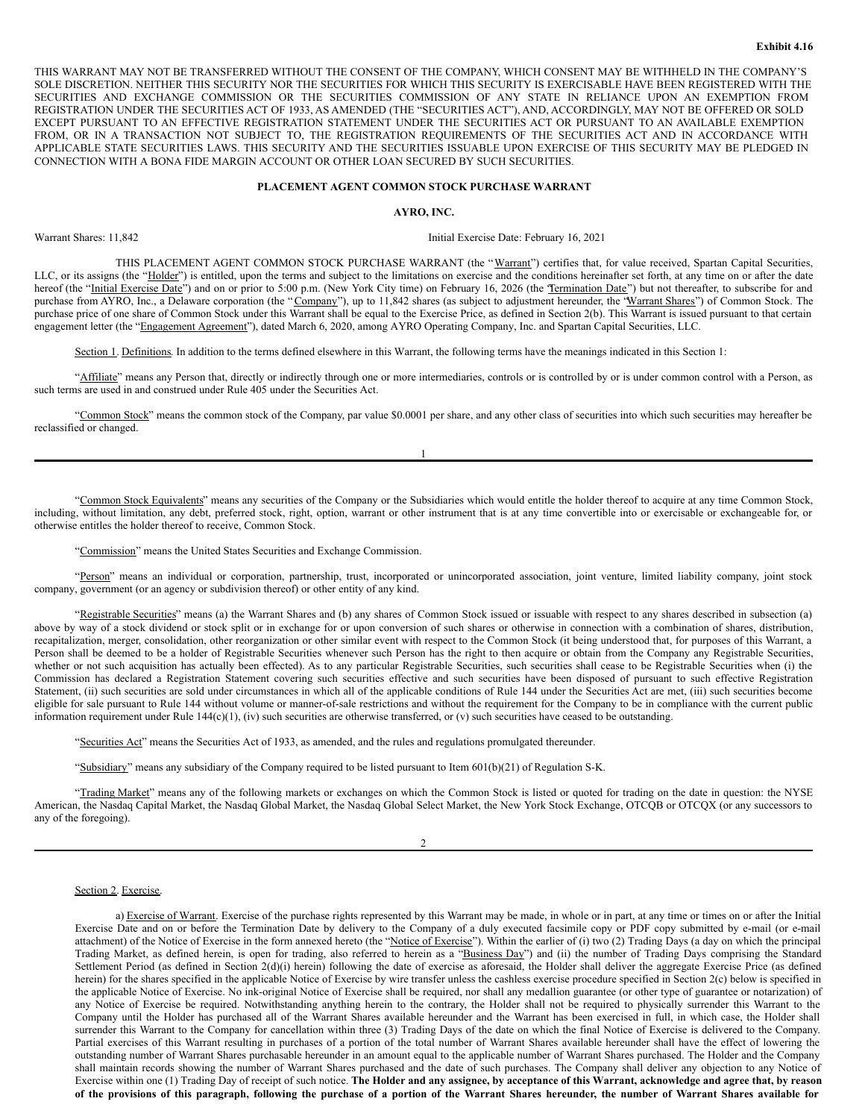THIS WARRANT MAY NOT BE TRANSFERRED WITHOUT THE CONSENT OF THE COMPANY, WHICH CONSENT MAY BE WITHHELD IN THE COMPANY'S SOLE DISCRETION. NEITHER THIS SECURITY NOR THE SECURITIES FOR WHICH THIS SECURITY IS EXERCISABLE HAVE BEEN REGISTERED WITH THE SECURITIES AND EXCHANGE COMMISSION OR THE SECURITIES COMMISSION OF ANY STATE IN RELIANCE UPON AN EXEMPTION FROM REGISTRATION UNDER THE SECURITIES ACT OF 1933, AS AMENDED (THE "SECURITIES ACT"), AND, ACCORDINGLY, MAY NOT BE OFFERED OR SOLD EXCEPT PURSUANT TO AN EFFECTIVE REGISTRATION STATEMENT UNDER THE SECURITIES ACT OR PURSUANT TO AN AVAILABLE EXEMPTION FROM, OR IN A TRANSACTION NOT SUBJECT TO, THE REGISTRATION REQUIREMENTS OF THE SECURITIES ACT AND IN ACCORDANCE WITH APPLICABLE STATE SECURITIES LAWS. THIS SECURITY AND THE SECURITIES ISSUABLE UPON EXERCISE OF THIS SECURITY MAY BE PLEDGED IN CONNECTION WITH A BONA FIDE MARGIN ACCOUNT OR OTHER LOAN SECURED BY SUCH SECURITIES.

# **PLACEMENT AGENT COMMON STOCK PURCHASE WARRANT**

#### **AYRO, INC.**

Warrant Shares: 11,842 Initial Exercise Date: February 16, 2021

1

THIS PLACEMENT AGENT COMMON STOCK PURCHASE WARRANT (the "Warrant") certifies that, for value received, Spartan Capital Securities, LLC, or its assigns (the "Holder") is entitled, upon the terms and subject to the limitations on exercise and the conditions hereinafter set forth, at any time on or after the date hereof (the "Initial Exercise Date") and on or prior to 5:00 p.m. (New York City time) on February 16, 2026 (the Termination Date") but not thereafter, to subscribe for and purchase from AYRO, Inc., a Delaware corporation (the "Company"), up to 11,842 shares (as subject to adjustment hereunder, the 'Warrant Shares'') of Common Stock. The purchase price of one share of Common Stock under this Warrant shall be equal to the Exercise Price, as defined in Section 2(b). This Warrant is issued pursuant to that certain engagement letter (the "Engagement Agreement"), dated March 6, 2020, among AYRO Operating Company, Inc. and Spartan Capital Securities, LLC.

Section 1. Definitions. In addition to the terms defined elsewhere in this Warrant, the following terms have the meanings indicated in this Section 1:

"Affiliate" means any Person that, directly or indirectly through one or more intermediaries, controls or is controlled by or is under common control with a Person, as such terms are used in and construed under Rule 405 under the Securities Act.

"Common Stock" means the common stock of the Company, par value \$0.0001 per share, and any other class of securities into which such securities may hereafter be reclassified or changed.

"Common Stock Equivalents" means any securities of the Company or the Subsidiaries which would entitle the holder thereof to acquire at any time Common Stock, including, without limitation, any debt, preferred stock, right, option, warrant or other instrument that is at any time convertible into or exercisable or exchangeable for, or otherwise entitles the holder thereof to receive, Common Stock.

"Commission" means the United States Securities and Exchange Commission.

"Person" means an individual or corporation, partnership, trust, incorporated or unincorporated association, joint venture, limited liability company, joint stock company, government (or an agency or subdivision thereof) or other entity of any kind.

"Registrable Securities" means (a) the Warrant Shares and (b) any shares of Common Stock issued or issuable with respect to any shares described in subsection (a) above by way of a stock dividend or stock split or in exchange for or upon conversion of such shares or otherwise in connection with a combination of shares, distribution, recapitalization, merger, consolidation, other reorganization or other similar event with respect to the Common Stock (it being understood that, for purposes of this Warrant, a Person shall be deemed to be a holder of Registrable Securities whenever such Person has the right to then acquire or obtain from the Company any Registrable Securities, whether or not such acquisition has actually been effected). As to any particular Registrable Securities, such securities shall cease to be Registrable Securities when (i) the Commission has declared a Registration Statement covering such securities effective and such securities have been disposed of pursuant to such effective Registration Statement, (ii) such securities are sold under circumstances in which all of the applicable conditions of Rule 144 under the Securities Act are met, (iii) such securities become eligible for sale pursuant to Rule 144 without volume or manner-of-sale restrictions and without the requirement for the Company to be in compliance with the current public information requirement under Rule  $144(c)(1)$ , (iv) such securities are otherwise transferred, or (v) such securities have ceased to be outstanding.

"Securities Act" means the Securities Act of 1933, as amended, and the rules and regulations promulgated thereunder.

"Subsidiary" means any subsidiary of the Company required to be listed pursuant to Item 601(b)(21) of Regulation S-K.

"Trading Market" means any of the following markets or exchanges on which the Common Stock is listed or quoted for trading on the date in question: the NYSE American, the Nasdaq Capital Market, the Nasdaq Global Market, the Nasdaq Global Select Market, the New York Stock Exchange, OTCQB or OTCQX (or any successors to any of the foregoing).

2

Section 2. Exercise.

a) Exercise of Warrant. Exercise of the purchase rights represented by this Warrant may be made, in whole or in part, at any time or times on or after the Initial Exercise Date and on or before the Termination Date by delivery to the Company of a duly executed facsimile copy or PDF copy submitted by e-mail (or e-mail attachment) of the Notice of Exercise in the form annexed hereto (the "Notice of Exercise"). Within the earlier of (i) two (2) Trading Days (a day on which the principal Trading Market, as defined herein, is open for trading, also referred to herein as a "Business Day") and (ii) the number of Trading Days comprising the Standard Settlement Period (as defined in Section 2(d)(i) herein) following the date of exercise as aforesaid, the Holder shall deliver the aggregate Exercise Price (as defined herein) for the shares specified in the applicable Notice of Exercise by wire transfer unless the cashless exercise procedure specified in Section 2(c) below is specified in the applicable Notice of Exercise. No ink-original Notice of Exercise shall be required, nor shall any medallion guarantee (or other type of guarantee or notarization) of any Notice of Exercise be required. Notwithstanding anything herein to the contrary, the Holder shall not be required to physically surrender this Warrant to the Company until the Holder has purchased all of the Warrant Shares available hereunder and the Warrant has been exercised in full, in which case, the Holder shall surrender this Warrant to the Company for cancellation within three (3) Trading Days of the date on which the final Notice of Exercise is delivered to the Company. Partial exercises of this Warrant resulting in purchases of a portion of the total number of Warrant Shares available hereunder shall have the effect of lowering the outstanding number of Warrant Shares purchasable hereunder in an amount equal to the applicable number of Warrant Shares purchased. The Holder and the Company shall maintain records showing the number of Warrant Shares purchased and the date of such purchases. The Company shall deliver any objection to any Notice of Exercise within one (1) Trading Day of receipt of such notice. The Holder and any assignee, by acceptance of this Warrant, acknowledge and agree that, by reason of the provisions of this paragraph, following the purchase of a portion of the Warrant Shares hereunder, the number of Warrant Shares available for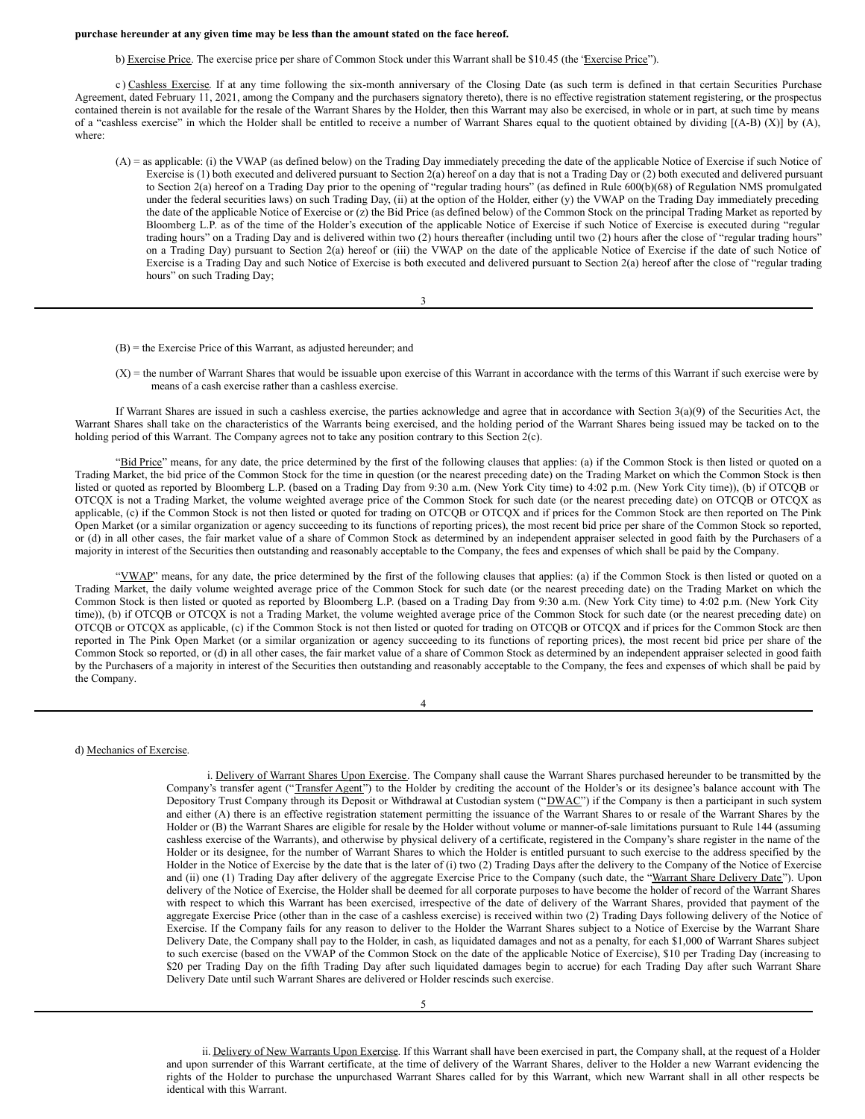#### **purchase hereunder at any given time may be less than the amount stated on the face hereof.**

b) Exercise Price. The exercise price per share of Common Stock under this Warrant shall be \$10.45 (the 'Exercise Price'').

c) Cashless Exercise. If at any time following the six-month anniversary of the Closing Date (as such term is defined in that certain Securities Purchase Agreement, dated February 11, 2021, among the Company and the purchasers signatory thereto), there is no effective registration statement registering, or the prospectus contained therein is not available for the resale of the Warrant Shares by the Holder, then this Warrant may also be exercised, in whole or in part, at such time by means of a "cashless exercise" in which the Holder shall be entitled to receive a number of Warrant Shares equal to the quotient obtained by dividing [(A-B) (X)] by (A), where:

- (A) = as applicable: (i) the VWAP (as defined below) on the Trading Day immediately preceding the date of the applicable Notice of Exercise if such Notice of Exercise is (1) both executed and delivered pursuant to Section 2(a) hereof on a day that is not a Trading Day or (2) both executed and delivered pursuant to Section 2(a) hereof on a Trading Day prior to the opening of "regular trading hours" (as defined in Rule 600(b)(68) of Regulation NMS promulgated under the federal securities laws) on such Trading Day, (ii) at the option of the Holder, either (y) the VWAP on the Trading Day immediately preceding the date of the applicable Notice of Exercise or (z) the Bid Price (as defined below) of the Common Stock on the principal Trading Market as reported by Bloomberg L.P. as of the time of the Holder's execution of the applicable Notice of Exercise if such Notice of Exercise is executed during "regular trading hours" on a Trading Day and is delivered within two (2) hours thereafter (including until two (2) hours after the close of "regular trading hours" on a Trading Day) pursuant to Section 2(a) hereof or (iii) the VWAP on the date of the applicable Notice of Exercise if the date of such Notice of Exercise is a Trading Day and such Notice of Exercise is both executed and delivered pursuant to Section 2(a) hereof after the close of "regular trading hours" on such Trading Day;
- (B) = the Exercise Price of this Warrant, as adjusted hereunder; and
- (X) = the number of Warrant Shares that would be issuable upon exercise of this Warrant in accordance with the terms of this Warrant if such exercise were by means of a cash exercise rather than a cashless exercise.

If Warrant Shares are issued in such a cashless exercise, the parties acknowledge and agree that in accordance with Section 3(a)(9) of the Securities Act, the Warrant Shares shall take on the characteristics of the Warrants being exercised, and the holding period of the Warrant Shares being issued may be tacked on to the holding period of this Warrant. The Company agrees not to take any position contrary to this Section 2(c).

3

"Bid Price" means, for any date, the price determined by the first of the following clauses that applies: (a) if the Common Stock is then listed or quoted on a Trading Market, the bid price of the Common Stock for the time in question (or the nearest preceding date) on the Trading Market on which the Common Stock is then listed or quoted as reported by Bloomberg L.P. (based on a Trading Day from 9:30 a.m. (New York City time) to 4:02 p.m. (New York City time)), (b) if OTCQB or OTCQX is not a Trading Market, the volume weighted average price of the Common Stock for such date (or the nearest preceding date) on OTCQB or OTCQX as applicable, (c) if the Common Stock is not then listed or quoted for trading on OTCQB or OTCQX and if prices for the Common Stock are then reported on The Pink Open Market (or a similar organization or agency succeeding to its functions of reporting prices), the most recent bid price per share of the Common Stock so reported, or (d) in all other cases, the fair market value of a share of Common Stock as determined by an independent appraiser selected in good faith by the Purchasers of a majority in interest of the Securities then outstanding and reasonably acceptable to the Company, the fees and expenses of which shall be paid by the Company.

"VWAP" means, for any date, the price determined by the first of the following clauses that applies: (a) if the Common Stock is then listed or quoted on a Trading Market, the daily volume weighted average price of the Common Stock for such date (or the nearest preceding date) on the Trading Market on which the Common Stock is then listed or quoted as reported by Bloomberg L.P. (based on a Trading Day from 9:30 a.m. (New York City time) to 4:02 p.m. (New York City time)), (b) if OTCQB or OTCQX is not a Trading Market, the volume weighted average price of the Common Stock for such date (or the nearest preceding date) on OTCQB or OTCQX as applicable, (c) if the Common Stock is not then listed or quoted for trading on OTCQB or OTCQX and if prices for the Common Stock are then reported in The Pink Open Market (or a similar organization or agency succeeding to its functions of reporting prices), the most recent bid price per share of the Common Stock so reported, or (d) in all other cases, the fair market value of a share of Common Stock as determined by an independent appraiser selected in good faith by the Purchasers of a majority in interest of the Securities then outstanding and reasonably acceptable to the Company, the fees and expenses of which shall be paid by the Company.

#### d) Mechanics of Exercise.

i. Delivery of Warrant Shares Upon Exercise. The Company shall cause the Warrant Shares purchased hereunder to be transmitted by the Company's transfer agent ("Transfer Agent") to the Holder by crediting the account of the Holder's or its designee's balance account with The Depository Trust Company through its Deposit or Withdrawal at Custodian system ("DWAC") if the Company is then a participant in such system and either (A) there is an effective registration statement permitting the issuance of the Warrant Shares to or resale of the Warrant Shares by the Holder or (B) the Warrant Shares are eligible for resale by the Holder without volume or manner-of-sale limitations pursuant to Rule 144 (assuming cashless exercise of the Warrants), and otherwise by physical delivery of a certificate, registered in the Company's share register in the name of the Holder or its designee, for the number of Warrant Shares to which the Holder is entitled pursuant to such exercise to the address specified by the Holder in the Notice of Exercise by the date that is the later of (i) two (2) Trading Days after the delivery to the Company of the Notice of Exercise and (ii) one (1) Trading Day after delivery of the aggregate Exercise Price to the Company (such date, the "Warrant Share Delivery Date"). Upon delivery of the Notice of Exercise, the Holder shall be deemed for all corporate purposes to have become the holder of record of the Warrant Shares with respect to which this Warrant has been exercised, irrespective of the date of delivery of the Warrant Shares, provided that payment of the aggregate Exercise Price (other than in the case of a cashless exercise) is received within two (2) Trading Days following delivery of the Notice of Exercise. If the Company fails for any reason to deliver to the Holder the Warrant Shares subject to a Notice of Exercise by the Warrant Share Delivery Date, the Company shall pay to the Holder, in cash, as liquidated damages and not as a penalty, for each \$1,000 of Warrant Shares subject to such exercise (based on the VWAP of the Common Stock on the date of the applicable Notice of Exercise), \$10 per Trading Day (increasing to \$20 per Trading Day on the fifth Trading Day after such liquidated damages begin to accrue) for each Trading Day after such Warrant Share Delivery Date until such Warrant Shares are delivered or Holder rescinds such exercise.

ii. Delivery of New Warrants Upon Exercise. If this Warrant shall have been exercised in part, the Company shall, at the request of a Holder and upon surrender of this Warrant certificate, at the time of delivery of the Warrant Shares, deliver to the Holder a new Warrant evidencing the rights of the Holder to purchase the unpurchased Warrant Shares called for by this Warrant, which new Warrant shall in all other respects be identical with this Warrant.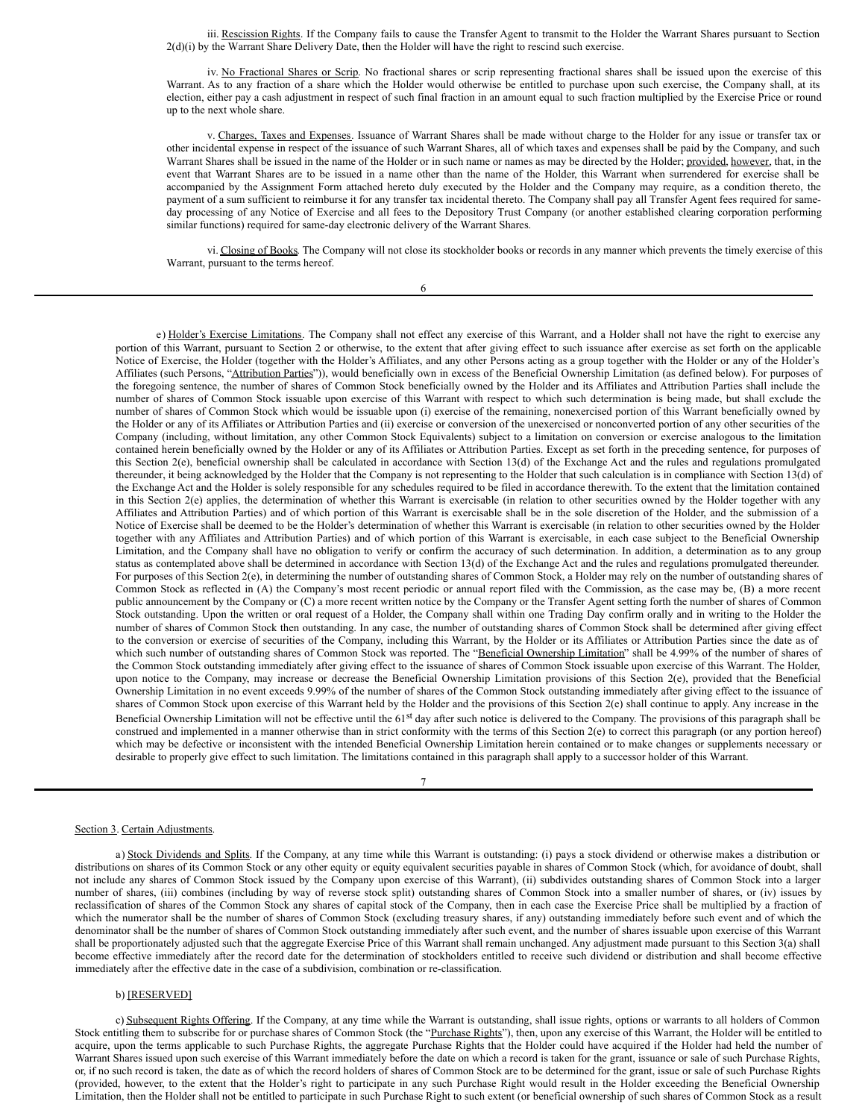iii. Rescission Rights. If the Company fails to cause the Transfer Agent to transmit to the Holder the Warrant Shares pursuant to Section  $2(d)(i)$  by the Warrant Share Delivery Date, then the Holder will have the right to rescind such exercise.

iv. No Fractional Shares or Scrip. No fractional shares or scrip representing fractional shares shall be issued upon the exercise of this Warrant. As to any fraction of a share which the Holder would otherwise be entitled to purchase upon such exercise, the Company shall, at its election, either pay a cash adjustment in respect of such final fraction in an amount equal to such fraction multiplied by the Exercise Price or round up to the next whole share.

v. Charges, Taxes and Expenses. Issuance of Warrant Shares shall be made without charge to the Holder for any issue or transfer tax or other incidental expense in respect of the issuance of such Warrant Shares, all of which taxes and expenses shall be paid by the Company, and such Warrant Shares shall be issued in the name of the Holder or in such name or names as may be directed by the Holder; provided, however, that, in the event that Warrant Shares are to be issued in a name other than the name of the Holder, this Warrant when surrendered for exercise shall be accompanied by the Assignment Form attached hereto duly executed by the Holder and the Company may require, as a condition thereto, the payment of a sum sufficient to reimburse it for any transfer tax incidental thereto. The Company shall pay all Transfer Agent fees required for sameday processing of any Notice of Exercise and all fees to the Depository Trust Company (or another established clearing corporation performing similar functions) required for same-day electronic delivery of the Warrant Shares.

vi. Closing of Books. The Company will not close its stockholder books or records in any manner which prevents the timely exercise of this Warrant, pursuant to the terms hereof.

6

e) Holder's Exercise Limitations. The Company shall not effect any exercise of this Warrant, and a Holder shall not have the right to exercise any portion of this Warrant, pursuant to Section 2 or otherwise, to the extent that after giving effect to such issuance after exercise as set forth on the applicable Notice of Exercise, the Holder (together with the Holder's Affiliates, and any other Persons acting as a group together with the Holder or any of the Holder's Affiliates (such Persons, "Attribution Parties")), would beneficially own in excess of the Beneficial Ownership Limitation (as defined below). For purposes of the foregoing sentence, the number of shares of Common Stock beneficially owned by the Holder and its Affiliates and Attribution Parties shall include the number of shares of Common Stock issuable upon exercise of this Warrant with respect to which such determination is being made, but shall exclude the number of shares of Common Stock which would be issuable upon (i) exercise of the remaining, nonexercised portion of this Warrant beneficially owned by the Holder or any of its Affiliates or Attribution Parties and (ii) exercise or conversion of the unexercised or nonconverted portion of any other securities of the Company (including, without limitation, any other Common Stock Equivalents) subject to a limitation on conversion or exercise analogous to the limitation contained herein beneficially owned by the Holder or any of its Affiliates or Attribution Parties. Except as set forth in the preceding sentence, for purposes of this Section 2(e), beneficial ownership shall be calculated in accordance with Section 13(d) of the Exchange Act and the rules and regulations promulgated thereunder, it being acknowledged by the Holder that the Company is not representing to the Holder that such calculation is in compliance with Section 13(d) of the Exchange Act and the Holder is solely responsible for any schedules required to be filed in accordance therewith. To the extent that the limitation contained in this Section 2(e) applies, the determination of whether this Warrant is exercisable (in relation to other securities owned by the Holder together with any Affiliates and Attribution Parties) and of which portion of this Warrant is exercisable shall be in the sole discretion of the Holder, and the submission of a Notice of Exercise shall be deemed to be the Holder's determination of whether this Warrant is exercisable (in relation to other securities owned by the Holder together with any Affiliates and Attribution Parties) and of which portion of this Warrant is exercisable, in each case subject to the Beneficial Ownership Limitation, and the Company shall have no obligation to verify or confirm the accuracy of such determination. In addition, a determination as to any group status as contemplated above shall be determined in accordance with Section 13(d) of the Exchange Act and the rules and regulations promulgated thereunder. For purposes of this Section 2(e), in determining the number of outstanding shares of Common Stock, a Holder may rely on the number of outstanding shares of Common Stock as reflected in (A) the Company's most recent periodic or annual report filed with the Commission, as the case may be, (B) a more recent public announcement by the Company or (C) a more recent written notice by the Company or the Transfer Agent setting forth the number of shares of Common Stock outstanding. Upon the written or oral request of a Holder, the Company shall within one Trading Day confirm orally and in writing to the Holder the number of shares of Common Stock then outstanding. In any case, the number of outstanding shares of Common Stock shall be determined after giving effect to the conversion or exercise of securities of the Company, including this Warrant, by the Holder or its Affiliates or Attribution Parties since the date as of which such number of outstanding shares of Common Stock was reported. The "Beneficial Ownership Limitation" shall be 4.99% of the number of shares of the Common Stock outstanding immediately after giving effect to the issuance of shares of Common Stock issuable upon exercise of this Warrant. The Holder, upon notice to the Company, may increase or decrease the Beneficial Ownership Limitation provisions of this Section 2(e), provided that the Beneficial Ownership Limitation in no event exceeds 9.99% of the number of shares of the Common Stock outstanding immediately after giving effect to the issuance of shares of Common Stock upon exercise of this Warrant held by the Holder and the provisions of this Section 2(e) shall continue to apply. Any increase in the Beneficial Ownership Limitation will not be effective until the 61<sup>st</sup> day after such notice is delivered to the Company. The provisions of this paragraph shall be construed and implemented in a manner otherwise than in strict conformity with the terms of this Section 2(e) to correct this paragraph (or any portion hereof) which may be defective or inconsistent with the intended Beneficial Ownership Limitation herein contained or to make changes or supplements necessary or desirable to properly give effect to such limitation. The limitations contained in this paragraph shall apply to a successor holder of this Warrant.

#### 7

# Section 3. Certain Adjustments.

a) Stock Dividends and Splits. If the Company, at any time while this Warrant is outstanding: (i) pays a stock dividend or otherwise makes a distribution or distributions on shares of its Common Stock or any other equity or equity equivalent securities payable in shares of Common Stock (which, for avoidance of doubt, shall not include any shares of Common Stock issued by the Company upon exercise of this Warrant), (ii) subdivides outstanding shares of Common Stock into a larger number of shares, (iii) combines (including by way of reverse stock split) outstanding shares of Common Stock into a smaller number of shares, or (iv) issues by reclassification of shares of the Common Stock any shares of capital stock of the Company, then in each case the Exercise Price shall be multiplied by a fraction of which the numerator shall be the number of shares of Common Stock (excluding treasury shares, if any) outstanding immediately before such event and of which the denominator shall be the number of shares of Common Stock outstanding immediately after such event, and the number of shares issuable upon exercise of this Warrant shall be proportionately adjusted such that the aggregate Exercise Price of this Warrant shall remain unchanged. Any adjustment made pursuant to this Section 3(a) shall become effective immediately after the record date for the determination of stockholders entitled to receive such dividend or distribution and shall become effective immediately after the effective date in the case of a subdivision, combination or re-classification.

#### b) [RESERVED]

c) Subsequent Rights Offering. If the Company, at any time while the Warrant is outstanding, shall issue rights, options or warrants to all holders of Common Stock entitling them to subscribe for or purchase shares of Common Stock (the "Purchase Rights"), then, upon any exercise of this Warrant, the Holder will be entitled to acquire, upon the terms applicable to such Purchase Rights, the aggregate Purchase Rights that the Holder could have acquired if the Holder had held the number of Warrant Shares issued upon such exercise of this Warrant immediately before the date on which a record is taken for the grant, issuance or sale of such Purchase Rights, or, if no such record is taken, the date as of which the record holders of shares of Common Stock are to be determined for the grant, issue or sale of such Purchase Rights (provided, however, to the extent that the Holder's right to participate in any such Purchase Right would result in the Holder exceeding the Beneficial Ownership Limitation, then the Holder shall not be entitled to participate in such Purchase Right to such extent (or beneficial ownership of such shares of Common Stock as a result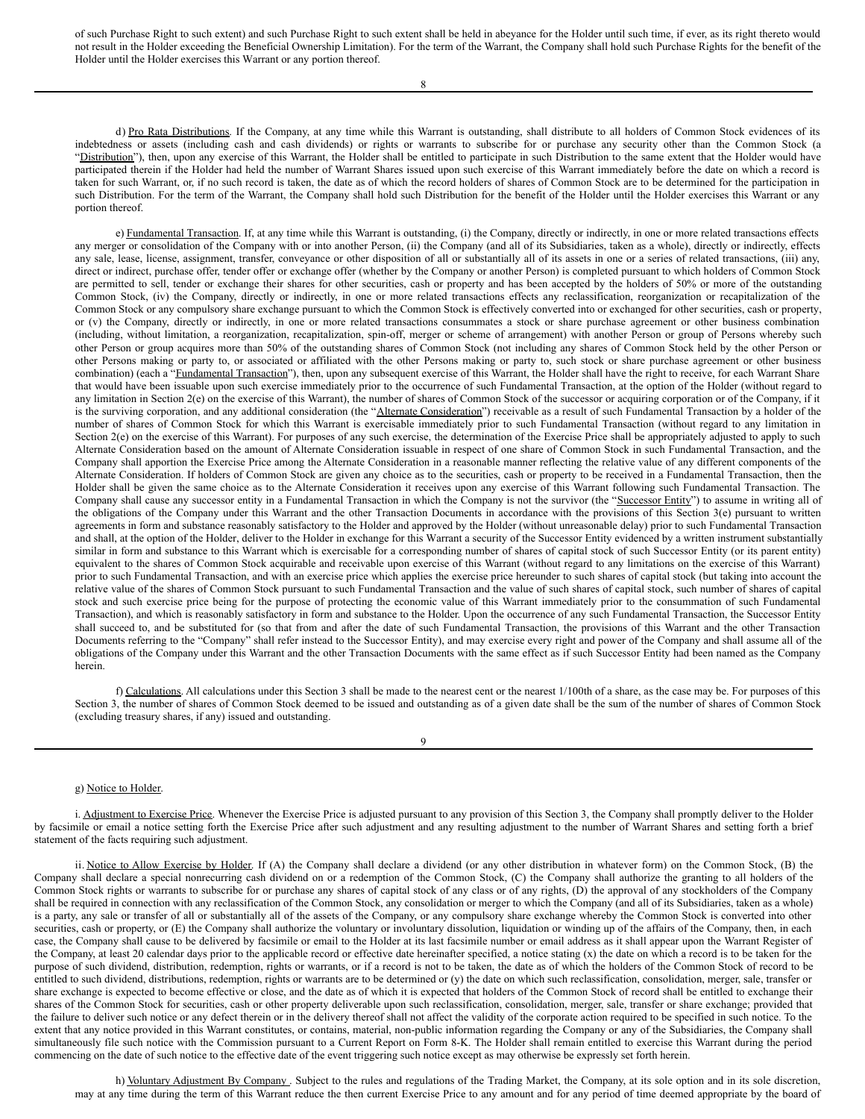<span id="page-60-0"></span>of such Purchase Right to such extent) and such Purchase Right to such extent shall be held in abeyance for the Holder until such time, if ever, as its right thereto would not result in the Holder exceeding the Beneficial Ownership Limitation). For the term of the Warrant, the Company shall hold such Purchase Rights for the benefit of the Holder until the Holder exercises this Warrant or any portion thereof.

8

d) Pro Rata Distributions. If the Company, at any time while this Warrant is outstanding, shall distribute to all holders of Common Stock evidences of its indebtedness or assets (including cash and cash dividends) or rights or warrants to subscribe for or purchase any security other than the Common Stock (a "Distribution"), then, upon any exercise of this Warrant, the Holder shall be entitled to participate in such Distribution to the same extent that the Holder would have participated therein if the Holder had held the number of Warrant Shares issued upon such exercise of this Warrant immediately before the date on which a record is taken for such Warrant, or, if no such record is taken, the date as of which the record holders of shares of Common Stock are to be determined for the participation in such Distribution. For the term of the Warrant, the Company shall hold such Distribution for the benefit of the Holder until the Holder exercises this Warrant or any portion thereof.

e) Fundamental Transaction. If, at any time while this Warrant is outstanding, (i) the Company, directly or indirectly, in one or more related transactions effects any merger or consolidation of the Company with or into another Person, (ii) the Company (and all of its Subsidiaries, taken as a whole), directly or indirectly, effects any sale, lease, license, assignment, transfer, conveyance or other disposition of all or substantially all of its assets in one or a series of related transactions, (iii) any, direct or indirect, purchase offer, tender offer or exchange offer (whether by the Company or another Person) is completed pursuant to which holders of Common Stock are permitted to sell, tender or exchange their shares for other securities, cash or property and has been accepted by the holders of 50% or more of the outstanding Common Stock, (iv) the Company, directly or indirectly, in one or more related transactions effects any reclassification, reorganization or recapitalization of the Common Stock or any compulsory share exchange pursuant to which the Common Stock is effectively converted into or exchanged for other securities, cash or property, or (v) the Company, directly or indirectly, in one or more related transactions consummates a stock or share purchase agreement or other business combination (including, without limitation, a reorganization, recapitalization, spin-off, merger or scheme of arrangement) with another Person or group of Persons whereby such other Person or group acquires more than 50% of the outstanding shares of Common Stock (not including any shares of Common Stock held by the other Person or other Persons making or party to, or associated or affiliated with the other Persons making or party to, such stock or share purchase agreement or other business combination) (each a "Fundamental Transaction"), then, upon any subsequent exercise of this Warrant, the Holder shall have the right to receive, for each Warrant Share that would have been issuable upon such exercise immediately prior to the occurrence of such Fundamental Transaction, at the option of the Holder (without regard to any limitation in Section 2(e) on the exercise of this Warrant), the number of shares of Common Stock of the successor or acquiring corporation or of the Company, if it is the surviving corporation, and any additional consideration (the "Alternate Consideration") receivable as a result of such Fundamental Transaction by a holder of the number of shares of Common Stock for which this Warrant is exercisable immediately prior to such Fundamental Transaction (without regard to any limitation in Section 2(e) on the exercise of this Warrant). For purposes of any such exercise, the determination of the Exercise Price shall be appropriately adjusted to apply to such Alternate Consideration based on the amount of Alternate Consideration issuable in respect of one share of Common Stock in such Fundamental Transaction, and the Company shall apportion the Exercise Price among the Alternate Consideration in a reasonable manner reflecting the relative value of any different components of the Alternate Consideration. If holders of Common Stock are given any choice as to the securities, cash or property to be received in a Fundamental Transaction, then the Holder shall be given the same choice as to the Alternate Consideration it receives upon any exercise of this Warrant following such Fundamental Transaction. The Company shall cause any successor entity in a Fundamental Transaction in which the Company is not the survivor (the "Successor Entity") to assume in writing all of the obligations of the Company under this Warrant and the other Transaction Documents in accordance with the provisions of this Section 3(e) pursuant to written agreements in form and substance reasonably satisfactory to the Holder and approved by the Holder (without unreasonable delay) prior to such Fundamental Transaction and shall, at the option of the Holder, deliver to the Holder in exchange for this Warrant a security of the Successor Entity evidenced by a written instrument substantially similar in form and substance to this Warrant which is exercisable for a corresponding number of shares of capital stock of such Successor Entity (or its parent entity) equivalent to the shares of Common Stock acquirable and receivable upon exercise of this Warrant (without regard to any limitations on the exercise of this Warrant) prior to such Fundamental Transaction, and with an exercise price which applies the exercise price hereunder to such shares of capital stock (but taking into account the relative value of the shares of Common Stock pursuant to such Fundamental Transaction and the value of such shares of capital stock, such number of shares of capital stock and such exercise price being for the purpose of protecting the economic value of this Warrant immediately prior to the consummation of such Fundamental Transaction), and which is reasonably satisfactory in form and substance to the Holder. Upon the occurrence of any such Fundamental Transaction, the Successor Entity shall succeed to, and be substituted for (so that from and after the date of such Fundamental Transaction, the provisions of this Warrant and the other Transaction Documents referring to the "Company" shall refer instead to the Successor Entity), and may exercise every right and power of the Company and shall assume all of the obligations of the Company under this Warrant and the other Transaction Documents with the same effect as if such Successor Entity had been named as the Company herein.

f) Calculations. All calculations under this Section 3 shall be made to the nearest cent or the nearest 1/100th of a share, as the case may be. For purposes of this Section 3, the number of shares of Common Stock deemed to be issued and outstanding as of a given date shall be the sum of the number of shares of Common Stock (excluding treasury shares, if any) issued and outstanding.

9

# g) Notice to Holder.

i. Adjustment to Exercise Price. Whenever the Exercise Price is adjusted pursuant to any provision of this Section 3, the Company shall promptly deliver to the Holder by facsimile or email a notice setting forth the Exercise Price after such adjustment and any resulting adjustment to the number of Warrant Shares and setting forth a brief statement of the facts requiring such adjustment.

ii. Notice to Allow Exercise by Holder. If (A) the Company shall declare a dividend (or any other distribution in whatever form) on the Common Stock, (B) the Company shall declare a special nonrecurring cash dividend on or a redemption of the Common Stock, (C) the Company shall authorize the granting to all holders of the Common Stock rights or warrants to subscribe for or purchase any shares of capital stock of any class or of any rights, (D) the approval of any stockholders of the Company shall be required in connection with any reclassification of the Common Stock, any consolidation or merger to which the Company (and all of its Subsidiaries, taken as a whole) is a party, any sale or transfer of all or substantially all of the assets of the Company, or any compulsory share exchange whereby the Common Stock is converted into other securities, cash or property, or (E) the Company shall authorize the voluntary or involuntary dissolution, liquidation or winding up of the affairs of the Company, then, in each case, the Company shall cause to be delivered by facsimile or email to the Holder at its last facsimile number or email address as it shall appear upon the Warrant Register of the Company, at least 20 calendar days prior to the applicable record or effective date hereinafter specified, a notice stating (x) the date on which a record is to be taken for the purpose of such dividend, distribution, redemption, rights or warrants, or if a record is not to be taken, the date as of which the holders of the Common Stock of record to be entitled to such dividend, distributions, redemption, rights or warrants are to be determined or (y) the date on which such reclassification, consolidation, merger, sale, transfer or share exchange is expected to become effective or close, and the date as of which it is expected that holders of the Common Stock of record shall be entitled to exchange their shares of the Common Stock for securities, cash or other property deliverable upon such reclassification, consolidation, merger, sale, transfer or share exchange; provided that the failure to deliver such notice or any defect therein or in the delivery thereof shall not affect the validity of the corporate action required to be specified in such notice. To the extent that any notice provided in this Warrant constitutes, or contains, material, non-public information regarding the Company or any of the Subsidiaries, the Company shall simultaneously file such notice with the Commission pursuant to a Current Report on Form 8-K. The Holder shall remain entitled to exercise this Warrant during the period commencing on the date of such notice to the effective date of the event triggering such notice except as may otherwise be expressly set forth herein.

h) Voluntary Adjustment By Company. Subject to the rules and regulations of the Trading Market, the Company, at its sole option and in its sole discretion, may at any time during the term of this Warrant reduce the then current Exercise Price to any amount and for any period of time deemed appropriate by the board of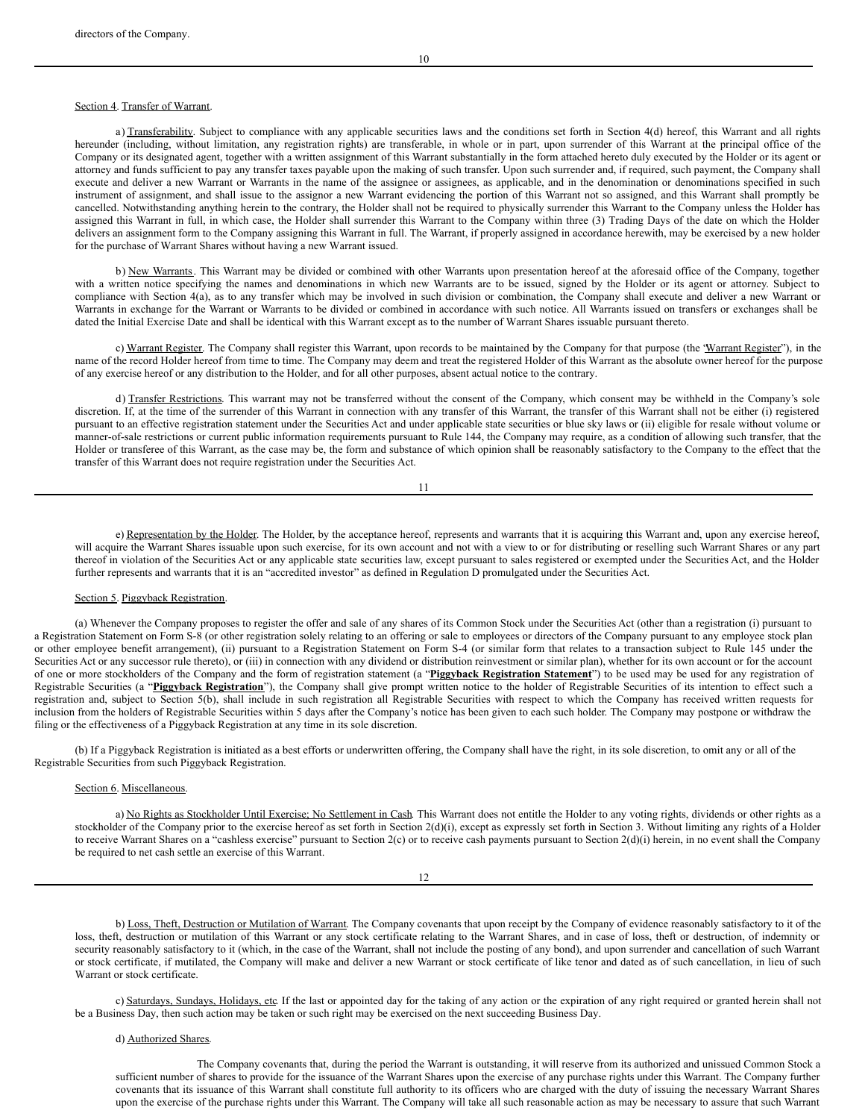a) Transferability. Subject to compliance with any applicable securities laws and the conditions set forth in Section 4(d) hereof, this Warrant and all rights hereunder (including, without limitation, any registration rights) are transferable, in whole or in part, upon surrender of this Warrant at the principal office of the Company or its designated agent, together with a written assignment of this Warrant substantially in the form attached hereto duly executed by the Holder or its agent or attorney and funds sufficient to pay any transfer taxes payable upon the making of such transfer. Upon such surrender and, if required, such payment, the Company shall execute and deliver a new Warrant or Warrants in the name of the assignee or assignees, as applicable, and in the denomination or denominations specified in such instrument of assignment, and shall issue to the assignor a new Warrant evidencing the portion of this Warrant not so assigned, and this Warrant shall promptly be cancelled. Notwithstanding anything herein to the contrary, the Holder shall not be required to physically surrender this Warrant to the Company unless the Holder has assigned this Warrant in full, in which case, the Holder shall surrender this Warrant to the Company within three (3) Trading Days of the date on which the Holder delivers an assignment form to the Company assigning this Warrant in full. The Warrant, if properly assigned in accordance herewith, may be exercised by a new holder for the purchase of Warrant Shares without having a new Warrant issued.

b) New Warrants. This Warrant may be divided or combined with other Warrants upon presentation hereof at the aforesaid office of the Company, together with a written notice specifying the names and denominations in which new Warrants are to be issued, signed by the Holder or its agent or attorney. Subject to compliance with Section 4(a), as to any transfer which may be involved in such division or combination, the Company shall execute and deliver a new Warrant or Warrants in exchange for the Warrant or Warrants to be divided or combined in accordance with such notice. All Warrants issued on transfers or exchanges shall be dated the Initial Exercise Date and shall be identical with this Warrant except as to the number of Warrant Shares issuable pursuant thereto.

c) Warrant Register. The Company shall register this Warrant, upon records to be maintained by the Company for that purpose (the 'Warrant Register'), in the name of the record Holder hereof from time to time. The Company may deem and treat the registered Holder of this Warrant as the absolute owner hereof for the purpose of any exercise hereof or any distribution to the Holder, and for all other purposes, absent actual notice to the contrary.

d) Transfer Restrictions. This warrant may not be transferred without the consent of the Company, which consent may be withheld in the Company's sole discretion. If, at the time of the surrender of this Warrant in connection with any transfer of this Warrant, the transfer of this Warrant shall not be either (i) registered pursuant to an effective registration statement under the Securities Act and under applicable state securities or blue sky laws or (ii) eligible for resale without volume or manner-of-sale restrictions or current public information requirements pursuant to Rule 144, the Company may require, as a condition of allowing such transfer, that the Holder or transferee of this Warrant, as the case may be, the form and substance of which opinion shall be reasonably satisfactory to the Company to the effect that the transfer of this Warrant does not require registration under the Securities Act.

$$
11\phantom{.0}
$$

e) Representation by the Holder. The Holder, by the acceptance hereof, represents and warrants that it is acquiring this Warrant and, upon any exercise hereof, will acquire the Warrant Shares issuable upon such exercise, for its own account and not with a view to or for distributing or reselling such Warrant Shares or any part thereof in violation of the Securities Act or any applicable state securities law, except pursuant to sales registered or exempted under the Securities Act, and the Holder further represents and warrants that it is an "accredited investor" as defined in Regulation D promulgated under the Securities Act.

#### Section 5. Piggyback Registration.

(a) Whenever the Company proposes to register the offer and sale of any shares of its Common Stock under the Securities Act (other than a registration (i) pursuant to a Registration Statement on Form S-8 (or other registration solely relating to an offering or sale to employees or directors of the Company pursuant to any employee stock plan or other employee benefit arrangement), (ii) pursuant to a Registration Statement on Form S-4 (or similar form that relates to a transaction subject to Rule 145 under the Securities Act or any successor rule thereto), or (iii) in connection with any dividend or distribution reinvestment or similar plan), whether for its own account or for the account of one or more stockholders of the Company and the form of registration statement (a "**Piggyback Registration Statement**") to be used may be used for any registration of Registrable Securities (a "**Piggyback Registration**"), the Company shall give prompt written notice to the holder of Registrable Securities of its intention to effect such a registration and, subject to Section 5(b), shall include in such registration all Registrable Securities with respect to which the Company has received written requests for inclusion from the holders of Registrable Securities within 5 days after the Company's notice has been given to each such holder. The Company may postpone or withdraw the filing or the effectiveness of a Piggyback Registration at any time in its sole discretion.

(b) If a Piggyback Registration is initiated as a best efforts or underwritten offering, the Company shall have the right, in its sole discretion, to omit any or all of the Registrable Securities from such Piggyback Registration.

# Section 6. Miscellaneous.

a) No Rights as Stockholder Until Exercise; No Settlement in Cash. This Warrant does not entitle the Holder to any voting rights, dividends or other rights as a stockholder of the Company prior to the exercise hereof as set forth in Section 2(d)(i), except as expressly set forth in Section 3. Without limiting any rights of a Holder to receive Warrant Shares on a "cashless exercise" pursuant to Section 2(c) or to receive cash payments pursuant to Section 2(d)(i) herein, in no event shall the Company be required to net cash settle an exercise of this Warrant.

12

b) Loss, Theft, Destruction or Mutilation of Warrant. The Company covenants that upon receipt by the Company of evidence reasonably satisfactory to it of the loss, theft, destruction or mutilation of this Warrant or any stock certificate relating to the Warrant Shares, and in case of loss, theft or destruction, of indemnity or security reasonably satisfactory to it (which, in the case of the Warrant, shall not include the posting of any bond), and upon surrender and cancellation of such Warrant or stock certificate, if mutilated, the Company will make and deliver a new Warrant or stock certificate of like tenor and dated as of such cancellation, in lieu of such Warrant or stock certificate.

c) Saturdays, Sundays, Holidays, etc. If the last or appointed day for the taking of any action or the expiration of any right required or granted herein shall not be a Business Day, then such action may be taken or such right may be exercised on the next succeeding Business Day.

#### d) Authorized Shares.

The Company covenants that, during the period the Warrant is outstanding, it will reserve from its authorized and unissued Common Stock a sufficient number of shares to provide for the issuance of the Warrant Shares upon the exercise of any purchase rights under this Warrant. The Company further covenants that its issuance of this Warrant shall constitute full authority to its officers who are charged with the duty of issuing the necessary Warrant Shares upon the exercise of the purchase rights under this Warrant. The Company will take all such reasonable action as may be necessary to assure that such Warrant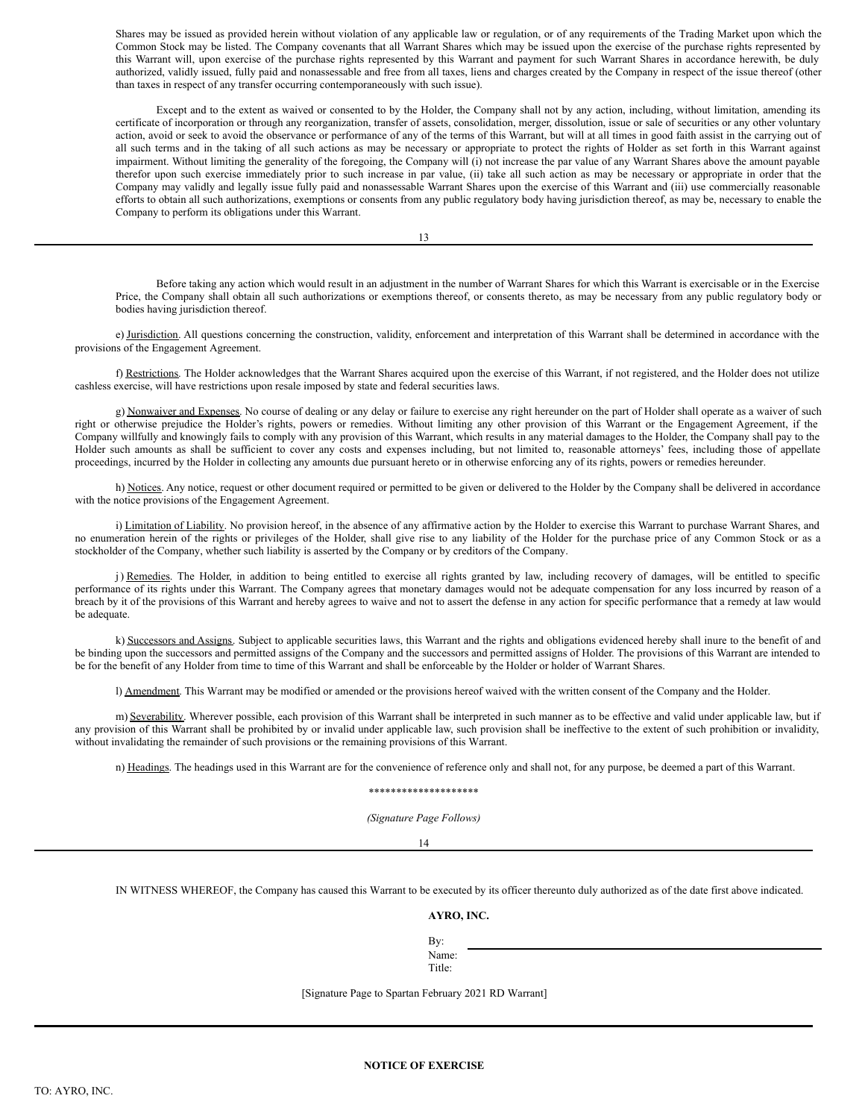Shares may be issued as provided herein without violation of any applicable law or regulation, or of any requirements of the Trading Market upon which the Common Stock may be listed. The Company covenants that all Warrant Shares which may be issued upon the exercise of the purchase rights represented by this Warrant will, upon exercise of the purchase rights represented by this Warrant and payment for such Warrant Shares in accordance herewith, be duly authorized, validly issued, fully paid and nonassessable and free from all taxes, liens and charges created by the Company in respect of the issue thereof (other than taxes in respect of any transfer occurring contemporaneously with such issue).

Except and to the extent as waived or consented to by the Holder, the Company shall not by any action, including, without limitation, amending its certificate of incorporation or through any reorganization, transfer of assets, consolidation, merger, dissolution, issue or sale of securities or any other voluntary action, avoid or seek to avoid the observance or performance of any of the terms of this Warrant, but will at all times in good faith assist in the carrying out of all such terms and in the taking of all such actions as may be necessary or appropriate to protect the rights of Holder as set forth in this Warrant against impairment. Without limiting the generality of the foregoing, the Company will (i) not increase the par value of any Warrant Shares above the amount payable therefor upon such exercise immediately prior to such increase in par value, (ii) take all such action as may be necessary or appropriate in order that the Company may validly and legally issue fully paid and nonassessable Warrant Shares upon the exercise of this Warrant and (iii) use commercially reasonable efforts to obtain all such authorizations, exemptions or consents from any public regulatory body having jurisdiction thereof, as may be, necessary to enable the Company to perform its obligations under this Warrant.

13

Before taking any action which would result in an adjustment in the number of Warrant Shares for which this Warrant is exercisable or in the Exercise Price, the Company shall obtain all such authorizations or exemptions thereof, or consents thereto, as may be necessary from any public regulatory body or bodies having jurisdiction thereof.

e) Jurisdiction. All questions concerning the construction, validity, enforcement and interpretation of this Warrant shall be determined in accordance with the provisions of the Engagement Agreement.

f) Restrictions. The Holder acknowledges that the Warrant Shares acquired upon the exercise of this Warrant, if not registered, and the Holder does not utilize cashless exercise, will have restrictions upon resale imposed by state and federal securities laws.

g) Nonwaiver and Expenses. No course of dealing or any delay or failure to exercise any right hereunder on the part of Holder shall operate as a waiver of such right or otherwise prejudice the Holder's rights, powers or remedies. Without limiting any other provision of this Warrant or the Engagement Agreement, if the Company willfully and knowingly fails to comply with any provision of this Warrant, which results in any material damages to the Holder, the Company shall pay to the Holder such amounts as shall be sufficient to cover any costs and expenses including, but not limited to, reasonable attorneys' fees, including those of appellate proceedings, incurred by the Holder in collecting any amounts due pursuant hereto or in otherwise enforcing any of its rights, powers or remedies hereunder.

h) Notices. Any notice, request or other document required or permitted to be given or delivered to the Holder by the Company shall be delivered in accordance with the notice provisions of the Engagement Agreement.

i) Limitation of Liability. No provision hereof, in the absence of any affirmative action by the Holder to exercise this Warrant to purchase Warrant Shares, and no enumeration herein of the rights or privileges of the Holder, shall give rise to any liability of the Holder for the purchase price of any Common Stock or as a stockholder of the Company, whether such liability is asserted by the Company or by creditors of the Company.

j) Remedies. The Holder, in addition to being entitled to exercise all rights granted by law, including recovery of damages, will be entitled to specific performance of its rights under this Warrant. The Company agrees that monetary damages would not be adequate compensation for any loss incurred by reason of a breach by it of the provisions of this Warrant and hereby agrees to waive and not to assert the defense in any action for specific performance that a remedy at law would be adequate.

k) Successors and Assigns. Subject to applicable securities laws, this Warrant and the rights and obligations evidenced hereby shall inure to the benefit of and be binding upon the successors and permitted assigns of the Company and the successors and permitted assigns of Holder. The provisions of this Warrant are intended to be for the benefit of any Holder from time to time of this Warrant and shall be enforceable by the Holder or holder of Warrant Shares.

l) Amendment. This Warrant may be modified or amended or the provisions hereof waived with the written consent of the Company and the Holder.

m) Severability. Wherever possible, each provision of this Warrant shall be interpreted in such manner as to be effective and valid under applicable law, but if any provision of this Warrant shall be prohibited by or invalid under applicable law, such provision shall be ineffective to the extent of such prohibition or invalidity, without invalidating the remainder of such provisions or the remaining provisions of this Warrant.

n) Headings. The headings used in this Warrant are for the convenience of reference only and shall not, for any purpose, be deemed a part of this Warrant.

# \*\*\*\*\*\*\*\*\*\*\*\*\*\*\*\*\*\*\*\*

*(Signature Page Follows)*

14

IN WITNESS WHEREOF, the Company has caused this Warrant to be executed by its officer thereunto duly authorized as of the date first above indicated.

# **AYRO, INC.**

By: Name:

Title:

[Signature Page to Spartan February 2021 RD Warrant]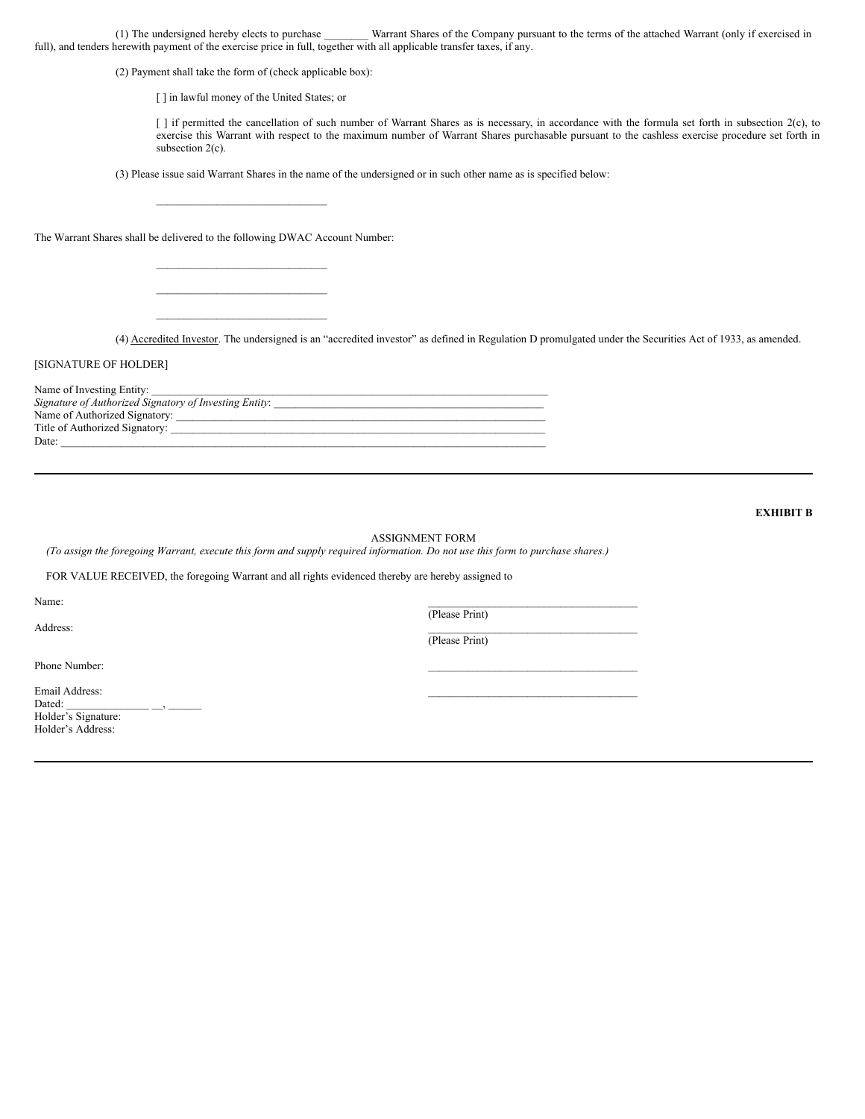| (1) The undersigned hereby elects to purchase                                                                           | Warrant Shares of the Company pursuant to the terms of the attached Warrant (only if exercised in |
|-------------------------------------------------------------------------------------------------------------------------|---------------------------------------------------------------------------------------------------|
| full), and tenders herewith payment of the exercise price in full, together with all applicable transfer taxes, if any. |                                                                                                   |

(2) Payment shall take the form of (check applicable box):

[ ] in lawful money of the United States; or

\_\_\_\_\_\_\_\_\_\_\_\_\_\_\_\_\_\_\_\_\_\_\_\_\_\_\_\_\_\_\_

\_\_\_\_\_\_\_\_\_\_\_\_\_\_\_\_\_\_\_\_\_\_\_\_\_\_\_\_\_\_\_ \_\_\_\_\_\_\_\_\_\_\_\_\_\_\_\_\_\_\_\_\_\_\_\_\_\_\_\_\_\_\_ \_\_\_\_\_\_\_\_\_\_\_\_\_\_\_\_\_\_\_\_\_\_\_\_\_\_\_\_\_\_\_

[ ] if permitted the cancellation of such number of Warrant Shares as is necessary, in accordance with the formula set forth in subsection 2(c), to exercise this Warrant with respect to the maximum number of Warrant Shares purchasable pursuant to the cashless exercise procedure set forth in subsection 2(c).

(3) Please issue said Warrant Shares in the name of the undersigned or in such other name as is specified below:

The Warrant Shares shall be delivered to the following DWAC Account Number:

(4) Accredited Investor. The undersigned is an "accredited investor" as defined in Regulation D promulgated under the Securities Act of 1933, as amended.

# [SIGNATURE OF HOLDER]

| Name of Investing Entity:                              |
|--------------------------------------------------------|
| Signature of Authorized Signatory of Investing Entity: |
| Name of Authorized Signatory:                          |
| Title of Authorized Signatory:                         |
| Date:                                                  |

ASSIGNMENT FORM

(To assign the foregoing Warrant, execute this form and supply required information. Do not use this form to purchase shares.)

FOR VALUE RECEIVED, the foregoing Warrant and all rights evidenced thereby are hereby assigned to

Name:  $\Box$ 

Address:

(Please Print)

(Please Print)

Phone Number:

Email Address: Dated: Holder's Signature: Holder's Address:

\_\_\_\_\_\_\_\_\_\_\_\_\_\_\_\_\_\_\_\_\_\_\_\_\_\_\_\_\_\_\_\_\_\_\_\_\_\_

\_\_\_\_\_\_\_\_\_\_\_\_\_\_\_\_\_\_\_\_\_\_\_\_\_\_\_\_\_\_\_\_\_\_\_\_\_\_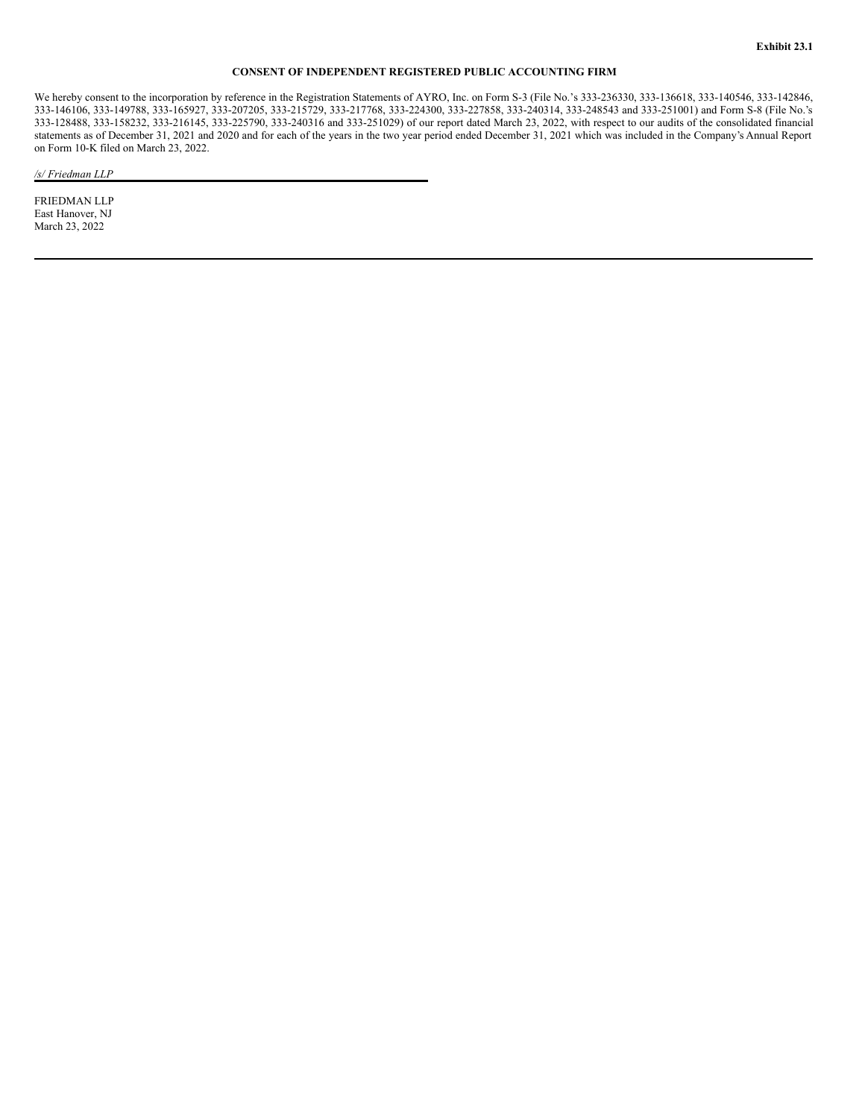# **CONSENT OF INDEPENDENT REGISTERED PUBLIC ACCOUNTING FIRM**

<span id="page-64-0"></span>We hereby consent to the incorporation by reference in the Registration Statements of AYRO, Inc. on Form S-3 (File No.'s 333-236330, 333-136618, 333-140546, 333-142846, 333-146106, 333-149788, 333-165927, 333-207205, 333-215729, 333-217768, 333-224300, 333-227858, 333-240314, 333-248543 and 333-251001) and Form S-8 (File No.'s 333-128488, 333-158232, 333-216145, 333-225790, 333-240316 and 333-251029) of our report dated March 23, 2022, with respect to our audits of the consolidated financial statements as of December 31, 2021 and 2020 and for each of the years in the two year period ended December 31, 2021 which was included in the Company's Annual Report on Form 10-K filed on March 23, 2022.

*/s/ Friedman LLP*

FRIEDMAN LLP East Hanover, NJ March 23, 2022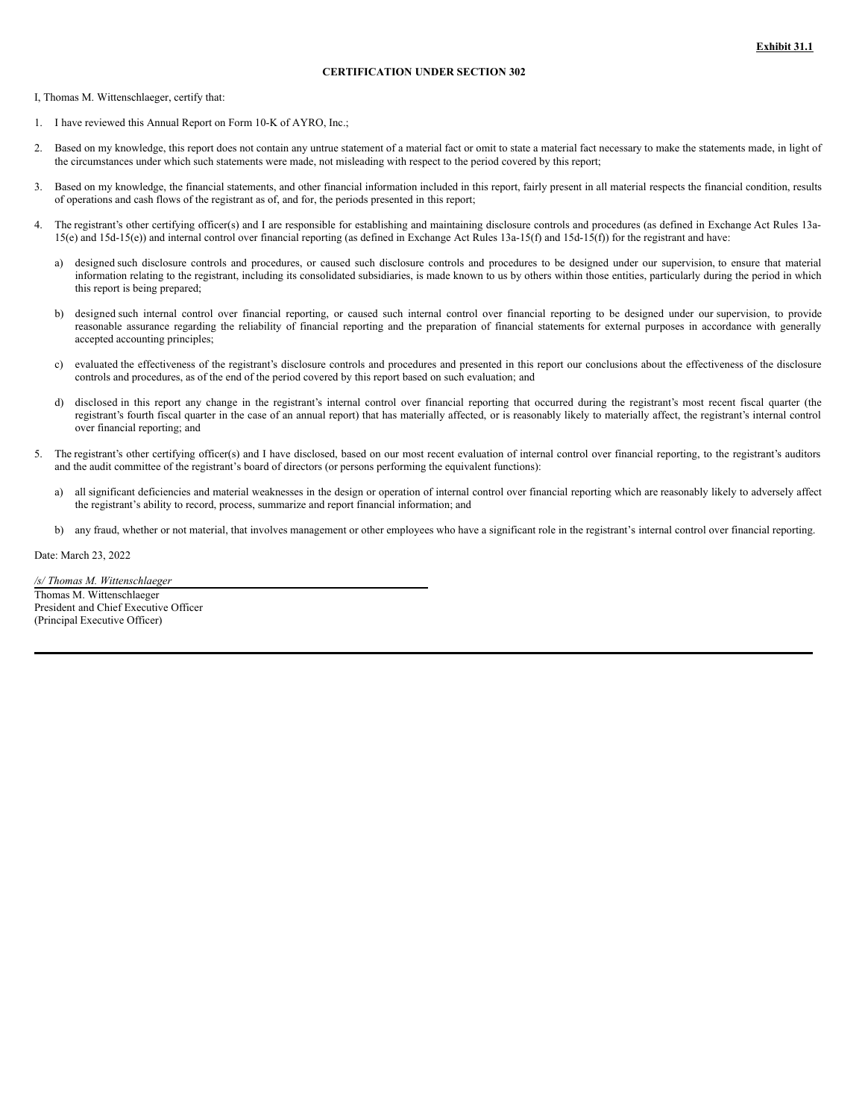# **CERTIFICATION UNDER SECTION 302**

<span id="page-65-0"></span>I, Thomas M. Wittenschlaeger, certify that:

- 1. I have reviewed this Annual Report on Form 10-K of AYRO, Inc.;
- 2. Based on my knowledge, this report does not contain any untrue statement of a material fact or omit to state a material fact necessary to make the statements made, in light of the circumstances under which such statements were made, not misleading with respect to the period covered by this report;
- 3. Based on my knowledge, the financial statements, and other financial information included in this report, fairly present in all material respects the financial condition, results of operations and cash flows of the registrant as of, and for, the periods presented in this report;
- 4. The registrant's other certifying officer(s) and I are responsible for establishing and maintaining disclosure controls and procedures (as defined in Exchange Act Rules 13a-15(e) and 15d-15(e)) and internal control over financial reporting (as defined in Exchange Act Rules 13a-15(f) and 15d-15(f)) for the registrant and have:
	- a) designed such disclosure controls and procedures, or caused such disclosure controls and procedures to be designed under our supervision, to ensure that material information relating to the registrant, including its consolidated subsidiaries, is made known to us by others within those entities, particularly during the period in which this report is being prepared;
	- b) designed such internal control over financial reporting, or caused such internal control over financial reporting to be designed under our supervision, to provide reasonable assurance regarding the reliability of financial reporting and the preparation of financial statements for external purposes in accordance with generally accepted accounting principles;
	- c) evaluated the effectiveness of the registrant's disclosure controls and procedures and presented in this report our conclusions about the effectiveness of the disclosure controls and procedures, as of the end of the period covered by this report based on such evaluation; and
	- d) disclosed in this report any change in the registrant's internal control over financial reporting that occurred during the registrant's most recent fiscal quarter (the registrant's fourth fiscal quarter in the case of an annual report) that has materially affected, or is reasonably likely to materially affect, the registrant's internal control over financial reporting; and
- 5. The registrant's other certifying officer(s) and I have disclosed, based on our most recent evaluation of internal control over financial reporting, to the registrant's auditors and the audit committee of the registrant's board of directors (or persons performing the equivalent functions):
	- a) all significant deficiencies and material weaknesses in the design or operation of internal control over financial reporting which are reasonably likely to adversely affect the registrant's ability to record, process, summarize and report financial information; and
	- b) any fraud, whether or not material, that involves management or other employees who have a significant role in the registrant's internal control over financial reporting.

Date: March 23, 2022

*/s/ Thomas M. Wittenschlaeger* Thomas M. Wittenschlaeger President and Chief Executive Officer (Principal Executive Officer)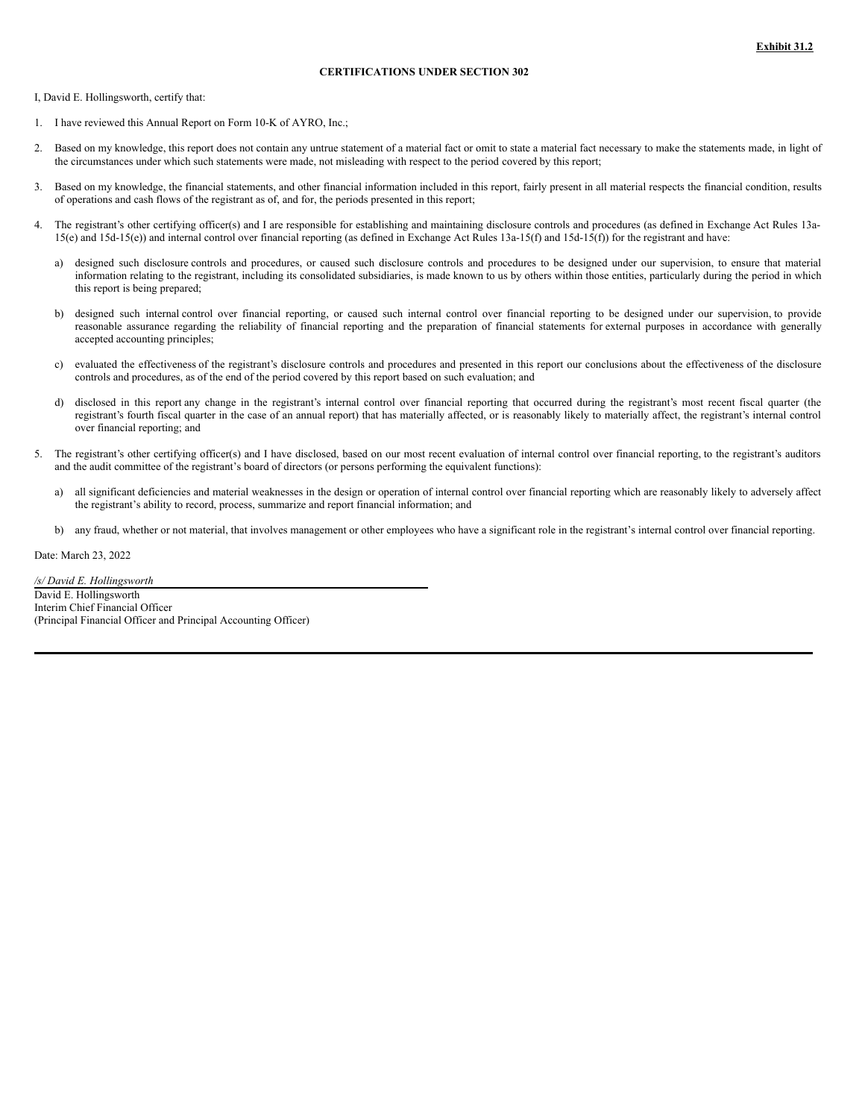# **CERTIFICATIONS UNDER SECTION 302**

<span id="page-66-0"></span>I, David E. Hollingsworth, certify that:

- 1. I have reviewed this Annual Report on Form 10-K of AYRO, Inc.;
- 2. Based on my knowledge, this report does not contain any untrue statement of a material fact or omit to state a material fact necessary to make the statements made, in light of the circumstances under which such statements were made, not misleading with respect to the period covered by this report;
- 3. Based on my knowledge, the financial statements, and other financial information included in this report, fairly present in all material respects the financial condition, results of operations and cash flows of the registrant as of, and for, the periods presented in this report;
- 4. The registrant's other certifying officer(s) and I are responsible for establishing and maintaining disclosure controls and procedures (as defined in Exchange Act Rules 13a-15(e) and 15d-15(e)) and internal control over financial reporting (as defined in Exchange Act Rules 13a-15(f) and 15d-15(f)) for the registrant and have:
	- a) designed such disclosure controls and procedures, or caused such disclosure controls and procedures to be designed under our supervision, to ensure that material information relating to the registrant, including its consolidated subsidiaries, is made known to us by others within those entities, particularly during the period in which this report is being prepared;
	- b) designed such internal control over financial reporting, or caused such internal control over financial reporting to be designed under our supervision, to provide reasonable assurance regarding the reliability of financial reporting and the preparation of financial statements for external purposes in accordance with generally accepted accounting principles;
	- c) evaluated the effectiveness of the registrant's disclosure controls and procedures and presented in this report our conclusions about the effectiveness of the disclosure controls and procedures, as of the end of the period covered by this report based on such evaluation; and
	- d) disclosed in this report any change in the registrant's internal control over financial reporting that occurred during the registrant's most recent fiscal quarter (the registrant's fourth fiscal quarter in the case of an annual report) that has materially affected, or is reasonably likely to materially affect, the registrant's internal control over financial reporting; and
- 5. The registrant's other certifying officer(s) and I have disclosed, based on our most recent evaluation of internal control over financial reporting, to the registrant's auditors and the audit committee of the registrant's board of directors (or persons performing the equivalent functions):
	- a) all significant deficiencies and material weaknesses in the design or operation of internal control over financial reporting which are reasonably likely to adversely affect the registrant's ability to record, process, summarize and report financial information; and
	- b) any fraud, whether or not material, that involves management or other employees who have a significant role in the registrant's internal control over financial reporting.

Date: March 23, 2022

*/s/ David E. Hollingsworth* David E. Hollingsworth Interim Chief Financial Officer (Principal Financial Officer and Principal Accounting Officer)